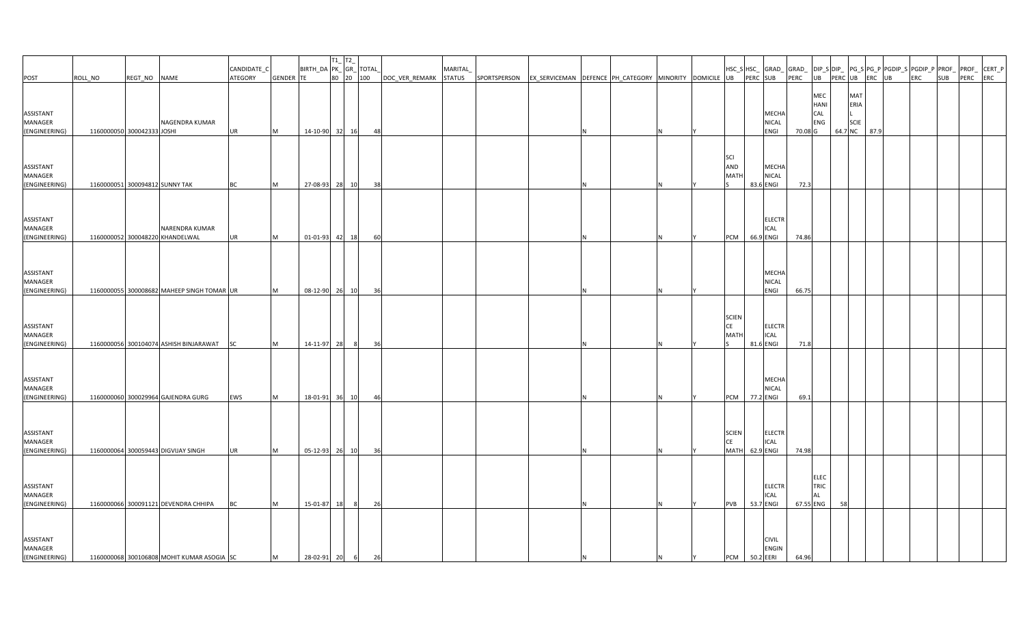| POST                                                   | ROLL_NO                    | REGT_NO NAME |                                                                                    | CANDIDATE_C<br>ATEGORY | GENDER TE     | $\begin{array}{ c c } \hline & T1\_ & T2\_ & \\ \hline \text{BIRTH\_DA} & \text{PK\_ GR\_ TOTAL\_} \\ \hline \text{TE} & 80 & 20 & 100 \\ \hline \end{array}$ |       |          | DOC_VER_REMARK STATUS SPORTSPERSON EX_SERVICEMAN DEFENCE PH_CATEGORY MINORITY DOMICILE UB | <b>MARITAL</b> |  |  |  |                                          | PERC SUB  |                                           | HSC_S HSC_ GRAD_ GRAD_ DIP_S DIP_ PG_S PG_P PGDIP_S PGDIP_P PROF_  PROF_ CERT_P<br>$\sqrt{PERC}$ UB PERC UB ERC UB |    |                                               | <b>ERC</b> | SUB PERC ERC |  |
|--------------------------------------------------------|----------------------------|--------------|------------------------------------------------------------------------------------|------------------------|---------------|---------------------------------------------------------------------------------------------------------------------------------------------------------------|-------|----------|-------------------------------------------------------------------------------------------|----------------|--|--|--|------------------------------------------|-----------|-------------------------------------------|--------------------------------------------------------------------------------------------------------------------|----|-----------------------------------------------|------------|--------------|--|
|                                                        |                            |              |                                                                                    |                        |               |                                                                                                                                                               |       |          |                                                                                           |                |  |  |  |                                          |           |                                           |                                                                                                                    |    |                                               |            |              |  |
| ASSISTANT<br>MANAGER<br>(ENGINEERING)                  | 1160000050 300042333 JOSHI |              | NAGENDRA KUMAR                                                                     | <b>UR</b>              | M             | 14-10-90 32 16                                                                                                                                                |       | 48       |                                                                                           |                |  |  |  |                                          |           | <b>MECHA</b><br>NICAL<br>ENGI             | MEC<br>HANI<br>CAL<br>ENG<br>70.08 G                                                                               |    | MAT<br>ERIA<br><b>SCIE</b><br>64.7 NC<br>87.9 |            |              |  |
| ASSISTANT<br>MANAGER<br>(ENGINEERING)                  |                            |              | 1160000051 300094812 SUNNY TAK                                                     | BC                     | M             | 27-08-93                                                                                                                                                      | 28 10 | 38       |                                                                                           |                |  |  |  | <b>SCI</b><br>AND<br><b>MATH</b>         |           | <b>MECHA</b><br><b>NICAL</b><br>83.6 ENGI | 72.3                                                                                                               |    |                                               |            |              |  |
| ASSISTANT<br>MANAGER<br>(ENGINEERING)                  |                            |              | NARENDRA KUMAR<br>1160000052 300048220 KHANDELWAL                                  | <b>UR</b>              | M             | 01-01-93                                                                                                                                                      | 42 18 | 60       |                                                                                           |                |  |  |  | PCM                                      | 66.9 ENGI | <b>ELECTR</b><br><b>ICAL</b>              | 74.86                                                                                                              |    |                                               |            |              |  |
| ASSISTANT<br>MANAGER<br>(ENGINEERING)                  |                            |              | 1160000055 300008682 MAHEEP SINGH TOMAR UR                                         |                        | M             | 08-12-90 26 10                                                                                                                                                |       | 36       |                                                                                           |                |  |  |  |                                          |           | <b>MECHA</b><br>NICAL<br>ENGI             | 66.75                                                                                                              |    |                                               |            |              |  |
| ASSISTANT<br>MANAGER<br>(ENGINEERING)                  |                            |              | 1160000056 300104074 ASHISH BINJARAWAT SC                                          |                        | M             | $14-11-97$ 28                                                                                                                                                 | - 81  | 36       |                                                                                           |                |  |  |  | <b>SCIEN</b><br><b>CE</b><br><b>MATH</b> |           | <b>ELECTR</b><br><b>ICAL</b><br>81.6 ENGI | 71.8                                                                                                               |    |                                               |            |              |  |
| ASSISTANT<br>MANAGER<br>(ENGINEERING)                  |                            |              | 1160000060 300029964 GAJENDRA GURG                                                 | EWS                    | M             | 18-01-91 36 10                                                                                                                                                |       | 46       |                                                                                           |                |  |  |  | PCM 77.2 ENGI                            |           | <b>MECHA</b><br><b>NICAL</b>              | 69.1                                                                                                               |    |                                               |            |              |  |
| ASSISTANT<br>MANAGER<br>(ENGINEERING)                  |                            |              | 1160000064 300059443 DIGVIJAY SINGH                                                | <b>UR</b>              | M             | 05-12-93 26 10                                                                                                                                                |       | 36       |                                                                                           |                |  |  |  | <b>SCIEN</b><br>CE<br>MATH 62.9 ENGI     |           | <b>ELECTR</b><br><b>ICAL</b>              | 74.98                                                                                                              |    |                                               |            |              |  |
| ASSISTANT<br>MANAGER                                   |                            |              |                                                                                    |                        |               |                                                                                                                                                               |       |          |                                                                                           |                |  |  |  |                                          |           | <b>ELECTR</b><br><b>ICAL</b>              | ELEC<br>TRIC<br><b>AL</b>                                                                                          |    |                                               |            |              |  |
| (ENGINEERING)<br>ASSISTANT<br>MANAGER<br>(ENGINEERING) |                            |              | 1160000066 300091121 DEVENDRA CHHIPA<br>1160000068 300106808 MOHIT KUMAR ASOGIA SC | <b>BC</b>              | <b>M</b><br>M | 15-01-87<br>28-02-91 20 6                                                                                                                                     | 18 8  | 26<br>26 |                                                                                           |                |  |  |  | <b>PVB</b><br>PCM 50.2 EERI              |           | 53.7 ENGI<br><b>CIVIL</b><br><b>ENGIN</b> | 67.55 ENG<br>64.96                                                                                                 | 58 |                                               |            |              |  |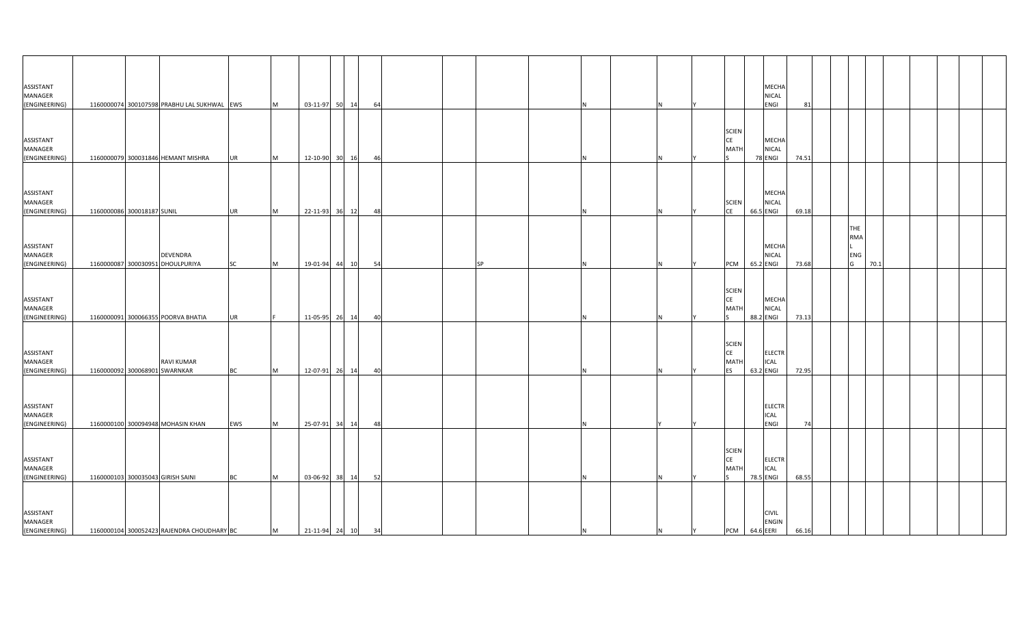| ASSISTANT<br>MANAGER<br>(ENGINEERING)                  |                               | 1160000074 300107598 PRABHU LAL SUKHWAL EWS         |                 | M         | 03-11-97 50 14       |                | 64       |    |           |     |   |   |                                           |                      | MECHA<br>NICAL<br>ENGI                      | 81             |  |                        |      |  |  |
|--------------------------------------------------------|-------------------------------|-----------------------------------------------------|-----------------|-----------|----------------------|----------------|----------|----|-----------|-----|---|---|-------------------------------------------|----------------------|---------------------------------------------|----------------|--|------------------------|------|--|--|
| ASSISTANT<br>MANAGER                                   |                               |                                                     |                 |           |                      |                |          |    |           |     |   |   | <b>SCIEN</b><br>CE<br><b>MATH</b>         |                      | MECHA<br><b>NICAL</b>                       |                |  |                        |      |  |  |
| (ENGINEERING)<br>ASSISTANT<br>MANAGER<br>(ENGINEERING) | 1160000086 300018187 SUNIL    | 1160000079 300031846 HEMANT MISHRA                  | <b>UR</b><br>UR | M<br>M    | 12-10-90<br>22-11-93 | 30 16<br>36 12 | 46<br>48 |    |           |     |   |   | <b>SCIEN</b><br><b>CE</b>                 | 78 ENGI<br>66.5 ENGI | MECHA<br><b>NICAL</b>                       | 74.51<br>69.18 |  |                        |      |  |  |
| ASSISTANT<br>MANAGER<br>(ENGINEERING)                  |                               | <b>DEVENDRA</b><br>1160000087 300030951 DHOULPURIYA | SC              | M         | 19-01-94 44 10       |                | 54       |    | <b>SP</b> |     |   |   | PCM                                       | 65.2 ENGI            | MECHA<br>NICAL                              | 73.68          |  | THE<br>RMA<br>ENG<br>G | 70.1 |  |  |
| ASSISTANT<br>MANAGER<br>(ENGINEERING)                  |                               | 1160000091 300066355 POORVA BHATIA                  | <b>UR</b>       |           | 11-05-95 26 14       |                |          | 40 |           |     |   |   | <b>SCIEN</b><br>CE<br>MATI                | 88.2 ENGI            | MECHA<br><b>NICAL</b>                       | 73.13          |  |                        |      |  |  |
| ASSISTANT<br>MANAGER<br>(ENGINEERING)                  | 1160000092 300068901 SWARNKAR | <b>RAVI KUMAR</b>                                   | <b>BC</b>       | <b>IM</b> | 12-07-91 26 14       |                | 40       |    |           |     |   |   | <b>SCIEN</b><br><b>CE</b><br>MATI<br>les. | 63.2 ENGI            | <b>ELECTR</b><br><b>ICAL</b>                | 72.95          |  |                        |      |  |  |
| ASSISTANT<br>MANAGER<br>(ENGINEERING)                  |                               | 1160000100 300094948 MOHASIN KHAN                   | <b>EWS</b>      | <b>M</b>  | 25-07-91 34 14       |                | 48       |    |           |     |   |   |                                           |                      | <b>ELECTR</b><br><b>ICAL</b><br><b>ENGI</b> | 74             |  |                        |      |  |  |
| ASSISTANT<br>MANAGER<br>(ENGINEERING)                  |                               | 1160000103 300035043 GIRISH SAINI                   | <b>BC</b>       | M         | 03-06-92             | 38 14          | 52       |    |           |     |   |   | <b>SCIEN</b><br>CE<br>MATI                | 78.5 ENGI            | <b>ELECTR</b><br><b>ICAL</b>                | 68.55          |  |                        |      |  |  |
| ASSISTANT<br>MANAGER<br>(ENGINEERING)                  |                               | 1160000104 300052423 RAJENDRA CHOUDHARY BC          |                 | M         | 21-11-94 24 10 34    |                |          |    |           | IN. | N | Y | PCM 64.6 EERI                             |                      | <b>CIVIL</b><br><b>ENGIN</b>                | 66.16          |  |                        |      |  |  |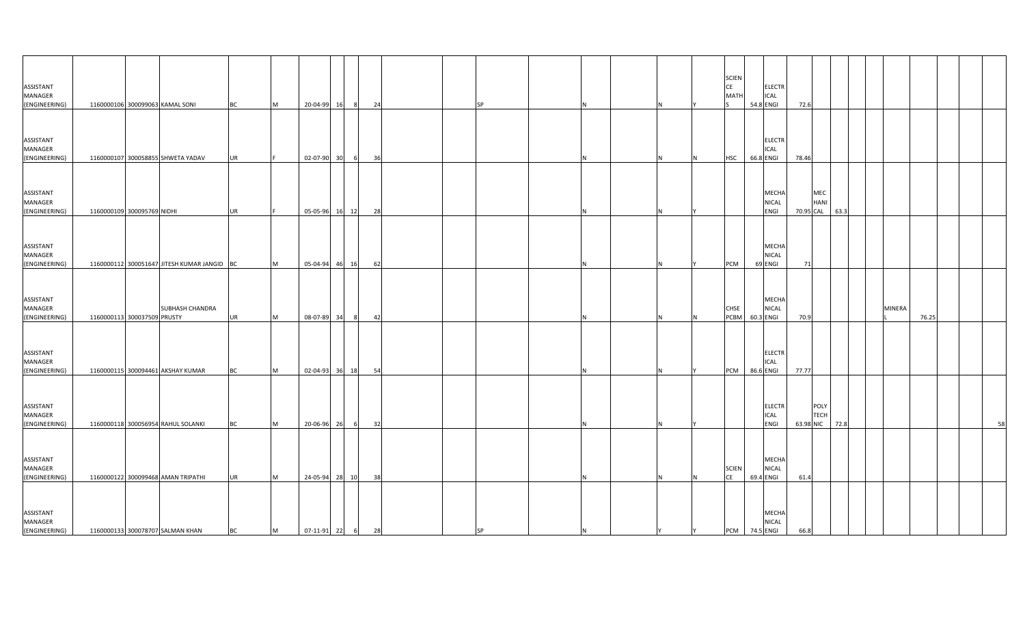| ASSISTANT<br>MANAGER<br>(ENGINEERING) | 1160000106 300099063 KAMAL SONI             |                 | <b>BC</b> | M   | 20-04-99       | 16    | 24 |  | <b>SP</b> |  |  |          | <b>SCIEN</b><br>CE<br>MATI | ELECTR<br>ICAL<br>54.8 ENGI             | 72.6      |                     |                |        |       |    |
|---------------------------------------|---------------------------------------------|-----------------|-----------|-----|----------------|-------|----|--|-----------|--|--|----------|----------------------------|-----------------------------------------|-----------|---------------------|----------------|--------|-------|----|
|                                       |                                             |                 |           |     |                |       |    |  |           |  |  |          |                            |                                         |           |                     |                |        |       |    |
| ASSISTANT<br>MANAGER<br>(ENGINEERING) | 1160000107 300058855 SHWETA YADAV           |                 | <b>UR</b> |     | 02-07-90       | 30    | 36 |  |           |  |  |          | <b>HSC</b>                 | <b>ELECTR</b><br>ICAL<br>66.8 ENGI      | 78.46     |                     |                |        |       |    |
|                                       |                                             |                 |           |     |                |       |    |  |           |  |  |          |                            |                                         |           |                     |                |        |       |    |
| ASSISTANT<br>MANAGER<br>(ENGINEERING) | 1160000109 300095769 NIDHI                  |                 | <b>UR</b> |     | 05-05-96       | 16 12 | 28 |  |           |  |  |          |                            | MECHA<br>NICAL<br>ENGI                  | 70.95 CAL | MEC<br><b>HANI</b>  | 63.3           |        |       |    |
|                                       |                                             |                 |           |     |                |       |    |  |           |  |  |          |                            |                                         |           |                     |                |        |       |    |
| ASSISTANT<br>MANAGER<br>(ENGINEERING) | 1160000112 300051647 JITESH KUMAR JANGID BC |                 |           | M   | 05-04-94 46 16 |       | 62 |  |           |  |  |          | PCM                        | <b>MECHA</b><br><b>NICAL</b><br>69 ENGI | 71        |                     |                |        |       |    |
|                                       |                                             |                 |           |     |                |       |    |  |           |  |  |          |                            |                                         |           |                     |                |        |       |    |
| ASSISTANT<br>MANAGER<br>(ENGINEERING) | 1160000113 300037509 PRUSTY                 | SUBHASH CHANDRA | UR        | M   | 08-07-89       | 34    | 42 |  |           |  |  |          | CHSE<br>PCBM               | MECHA<br><b>NICAL</b><br>60.3 ENGI      | 70.9      |                     |                | MINERA | 76.25 |    |
|                                       |                                             |                 |           |     |                |       |    |  |           |  |  |          |                            |                                         |           |                     |                |        |       |    |
| ASSISTANT<br>MANAGER<br>(ENGINEERING) | 1160000115 300094461 AKSHAY KUMAR           |                 | BC        | M   | 02-04-93 36 18 |       | 54 |  |           |  |  |          | PCM                        | <b>ELECTR</b><br>ICAL<br>86.6 ENGI      | 77.77     |                     |                |        |       |    |
|                                       |                                             |                 |           |     |                |       |    |  |           |  |  |          |                            |                                         |           |                     |                |        |       |    |
| ASSISTANT<br>MANAGER<br>(ENGINEERING) | 1160000118 300056954 RAHUL SOLANKI          |                 | <b>BC</b> | IM. | 20-06-96 26    | - 6   | 32 |  |           |  |  |          |                            | <b>ELECTR</b><br>ICAL<br>ENGI           |           | POLY<br><b>TECH</b> | 63.98 NIC 72.8 |        |       | 58 |
|                                       |                                             |                 |           |     |                |       |    |  |           |  |  |          |                            |                                         |           |                     |                |        |       |    |
| ASSISTANT<br>MANAGER<br>(ENGINEERING) | 1160000122 300099468 AMAN TRIPATHI          |                 | <b>UR</b> | M   | 24-05-94 28 10 |       | 38 |  |           |  |  |          | <b>SCIEN</b><br>CE         | MECHA<br>NICAL<br>69.4 ENGI             | 61.4      |                     |                |        |       |    |
| ASSISTANT<br>MANAGER<br>(ENGINEERING) | 1160000133 300078707 SALMAN KHAN            |                 | <b>BC</b> | M   | 07-11-91 22 6  |       | 28 |  | <b>SP</b> |  |  | <b>Y</b> |                            | MECHA<br><b>NICAL</b><br>PCM 74.5 ENGI  | 66.8      |                     |                |        |       |    |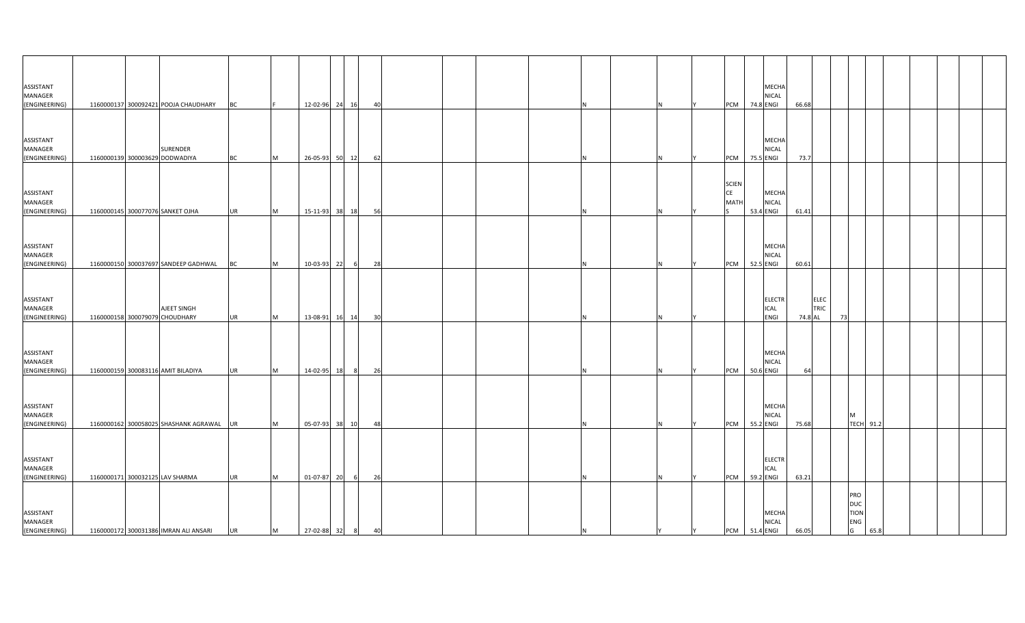| ASSISTANT<br>MANAGER<br>(ENGINEERING) |  | 1160000137 300092421 POOJA CHAUDHARY              | <b>BC</b> |           | 12-02-96 24 16   |                | 40 |  |  |  | PCM                               | MECHA<br><b>NICAL</b><br>74.8 ENGI     | 66.68   |                     |                                                           |                  |  |  |
|---------------------------------------|--|---------------------------------------------------|-----------|-----------|------------------|----------------|----|--|--|--|-----------------------------------|----------------------------------------|---------|---------------------|-----------------------------------------------------------|------------------|--|--|
|                                       |  |                                                   |           |           |                  |                |    |  |  |  |                                   |                                        |         |                     |                                                           |                  |  |  |
| ASSISTANT<br>MANAGER<br>(ENGINEERING) |  | <b>SURENDER</b><br>1160000139 300003629 DODWADIYA | BC        | M         | 26-05-93 50      | 12             | 62 |  |  |  | PCM                               | MECHA<br>NICAL<br>75.5 ENGI            | 73.7    |                     |                                                           |                  |  |  |
| ASSISTANT<br>MANAGER<br>(ENGINEERING) |  | 1160000145 300077076 SANKET OJHA                  | <b>UR</b> | M         | 15-11-93 38 18   |                | 56 |  |  |  | <b>SCIEN</b><br><b>CE</b><br>MATI | MECHA<br><b>NICAL</b><br>53.4 ENGI     | 61.41   |                     |                                                           |                  |  |  |
| ASSISTANT<br>MANAGER<br>(ENGINEERING) |  | 1160000150 300037697 SANDEEP GADHWAL              | <b>BC</b> | M         | 10-03-93 22      | 6              | 28 |  |  |  | PCM                               | MECHA<br><b>NICAL</b><br>52.5 ENGI     | 60.61   |                     |                                                           |                  |  |  |
| ASSISTANT<br>MANAGER<br>(ENGINEERING) |  | AJEET SINGH<br>1160000158 300079079 CHOUDHARY     | <b>UR</b> | <b>IM</b> | 13-08-91 16      | 14             | 30 |  |  |  |                                   | <b>ELECTR</b><br>ICAL<br>ENGI          | 74.8 AL | <b>ELEC</b><br>TRIC | 73                                                        |                  |  |  |
| ASSISTANT<br>MANAGER<br>(ENGINEERING) |  | 1160000159 300083116 AMIT BILADIYA                | <b>UR</b> | <b>IM</b> | 14-02-95 18      | 8 <sup>1</sup> | 26 |  |  |  | PCM                               | MECHA<br><b>NICAL</b><br>50.6 ENGI     | 64      |                     |                                                           |                  |  |  |
| ASSISTANT<br>MANAGER<br>(ENGINEERING) |  | 1160000162 300058025 SHASHANK AGRAWAL UR          |           | <b>IM</b> | 05-07-93 38      | 10             | 48 |  |  |  | <b>PCM</b>                        | MECHA<br><b>NICAL</b><br>55.2 ENGI     | 75.68   |                     | M                                                         | <b>TECH 91.2</b> |  |  |
| ASSISTANT<br>MANAGER<br>(ENGINEERING) |  | 1160000171 300032125 LAV SHARMA                   | <b>UR</b> | <b>M</b>  | 01-07-87 20      | 6              | 26 |  |  |  | PCM                               | <b>ELECTR</b><br>ICAL<br>59.2 ENGI     | 63.21   |                     |                                                           |                  |  |  |
| ASSISTANT<br>MANAGER<br>(ENGINEERING) |  | 1160000172 300031386 IMRAN ALI ANSARI             | <b>UR</b> | M         | 27-02-88 32 8 40 |                |    |  |  |  | IY.                               | MECHA<br><b>NICAL</b><br>PCM 51.4 ENGI | 66.05   |                     | PRO<br><b>DUC</b><br><b>TION</b><br>ENG<br>$\overline{G}$ | 65.8             |  |  |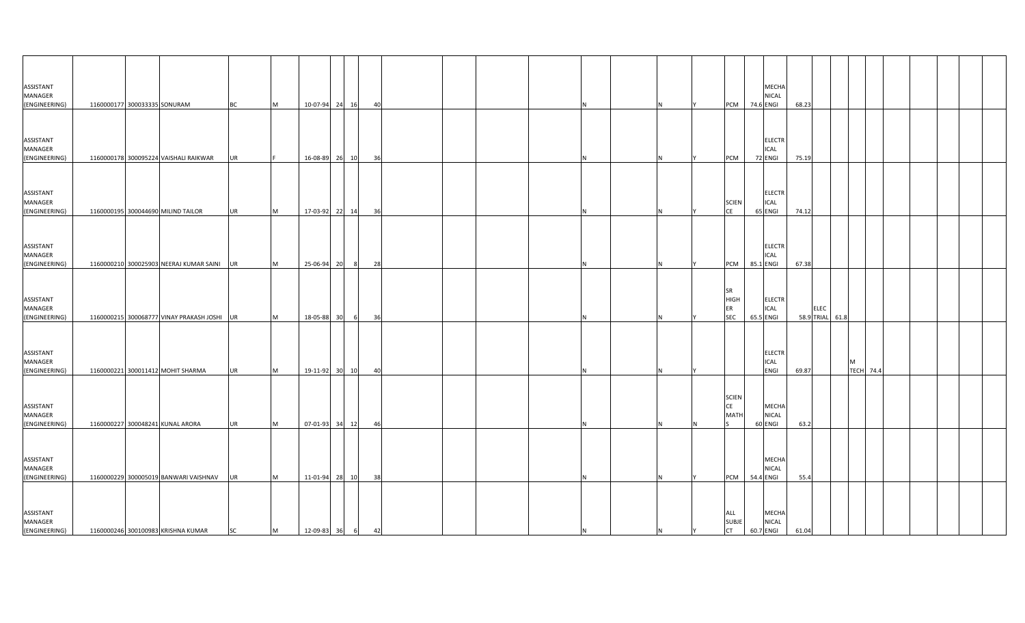| ASSISTANT<br>MANAGER                  |                                             |           |          |                |    |    |  |  |    |   |                                              | MECHA<br>NICAL                            |       |             |                 |                       |  |  |  |
|---------------------------------------|---------------------------------------------|-----------|----------|----------------|----|----|--|--|----|---|----------------------------------------------|-------------------------------------------|-------|-------------|-----------------|-----------------------|--|--|--|
| (ENGINEERING)                         | 1160000177 300033335 SONURAM                | <b>BC</b> | M        | 10-07-94 24 16 |    | 40 |  |  |    |   | PCM                                          | 74.6 ENGI                                 | 68.23 |             |                 |                       |  |  |  |
| ASSISTANT<br>MANAGER<br>(ENGINEERING) | 1160000178 300095224 VAISHALI RAIKWAR       | <b>UR</b> |          | 16-08-89 26 10 |    | 36 |  |  |    |   | <b>PCM</b>                                   | <b>ELECTR</b><br>ICAL<br>72 ENGI          | 75.19 |             |                 |                       |  |  |  |
| ASSISTANT<br>MANAGER<br>(ENGINEERING) | 1160000195 300044690 MILIND TAILOR          | <b>UR</b> | M        | 17-03-92 22 14 |    | 36 |  |  |    |   | <b>SCIEN</b><br><b>CE</b>                    | <b>ELECTR</b><br>ICAL<br>65 ENGI          | 74.12 |             |                 |                       |  |  |  |
| ASSISTANT<br>MANAGER<br>(ENGINEERING) | 1160000210 300025903 NEERAJ KUMAR SAINI     | UR        | M        | 25-06-94 20    |    | 28 |  |  |    |   | PCM                                          | <b>ELECTR</b><br><b>ICAL</b><br>85.1 ENGI | 67.38 |             |                 |                       |  |  |  |
| ASSISTANT<br>MANAGER<br>(ENGINEERING) | 1160000215 300068777 VINAY PRAKASH JOSHI UR |           | M        | 18-05-88       | 30 | 36 |  |  |    |   | <b>SR</b><br><b>HIGH</b><br>ER<br><b>SEC</b> | <b>ELECTR</b><br>ICAL<br>65.5 ENGI        |       | <b>ELEC</b> | 58.9 TRIAL 61.8 |                       |  |  |  |
| ASSISTANT<br>MANAGER<br>(ENGINEERING) | 1160000221 300011412 MOHIT SHARMA           | <b>UR</b> | M        | 19-11-92 30 10 |    | 40 |  |  |    |   |                                              | <b>ELECTR</b><br>ICAL<br>ENGI             | 69.87 |             |                 | M<br><b>TECH 74.4</b> |  |  |  |
| ASSISTANT<br>MANAGER<br>(ENGINEERING) | 1160000227 300048241 KUNAL ARORA            | <b>UR</b> | <b>M</b> | 07-01-93 34 12 |    | 46 |  |  |    |   | <b>SCIEN</b><br>CE<br>MATH                   | MECHA<br><b>NICAL</b><br>60 ENGI          | 63.2  |             |                 |                       |  |  |  |
| ASSISTANT<br>MANAGER<br>(ENGINEERING) | 1160000229 300005019 BANWARI VAISHNAV       | <b>UR</b> | M        | 11-01-94 28 10 |    | 38 |  |  |    |   | PCM                                          | MECHA<br>NICAL<br>54.4 ENGI               | 55.4  |             |                 |                       |  |  |  |
| ASSISTANT<br>MANAGER<br>(ENGINEERING) | 1160000246 300100983 KRISHNA KUMAR          | <b>SC</b> | M        | 12-09-83 36 6  |    | 42 |  |  | IN | N | ALL<br><b>SUBJE</b><br><b>CT</b>             | <b>MECHA</b><br><b>NICAL</b><br>60.7 ENGI | 61.04 |             |                 |                       |  |  |  |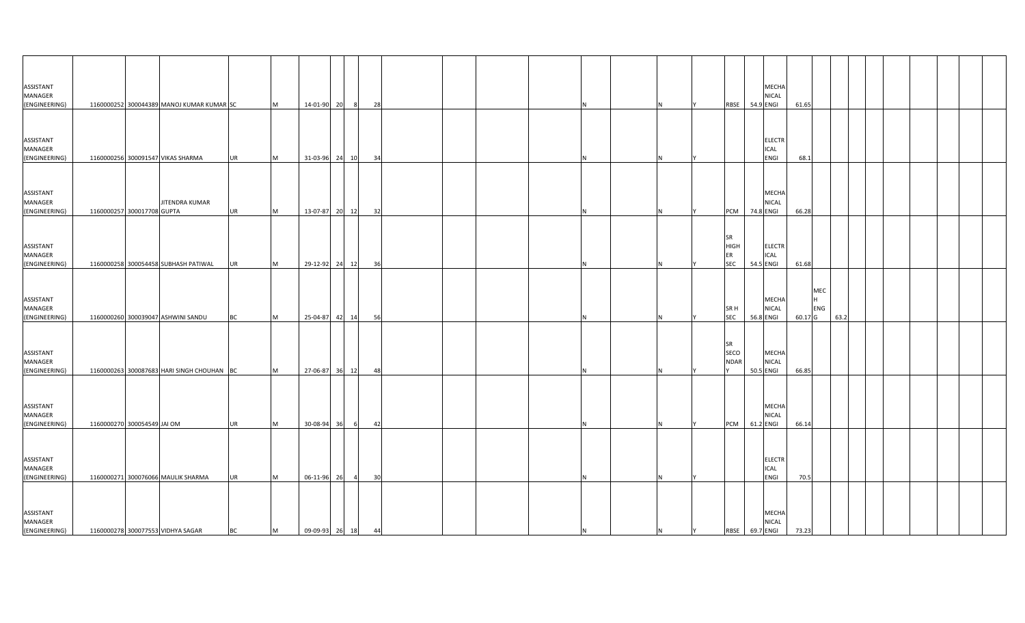| ASSISTANT<br>MANAGER                  |                             |                                            |           |          |                   |                |    |  |  |  |   |                                       | MECHA<br><b>NICAL</b>                     |         |                 |      |  |  |  |
|---------------------------------------|-----------------------------|--------------------------------------------|-----------|----------|-------------------|----------------|----|--|--|--|---|---------------------------------------|-------------------------------------------|---------|-----------------|------|--|--|--|
| (ENGINEERING)                         |                             | 1160000252 300044389 MANOJ KUMAR KUMAR SC  |           | M        | 14-01-90 20       | - 81           | 28 |  |  |  |   | RBSE                                  | 54.9 ENGI                                 | 61.65   |                 |      |  |  |  |
| ASSISTANT<br>MANAGER<br>(ENGINEERING) |                             | 1160000256 300091547 VIKAS SHARMA          | <b>UR</b> | M        | 31-03-96 24 10    |                | 34 |  |  |  |   |                                       | <b>ELECTR</b><br>ICAL<br>ENGI             | 68.1    |                 |      |  |  |  |
| ASSISTANT<br>MANAGER<br>(ENGINEERING) | 1160000257 300017708 GUPTA  | JITENDRA KUMAR                             | <b>UR</b> | M        | 13-07-87 20 12    |                | 32 |  |  |  |   | PCM                                   | MECHA<br><b>NICAL</b><br>74.8 ENGI        | 66.28   |                 |      |  |  |  |
| ASSISTANT<br>MANAGER<br>(ENGINEERING) |                             | 1160000258 300054458 SUBHASH PATIWAL       | <b>UR</b> | M        | 29-12-92 24 12    |                | 36 |  |  |  |   | SR<br><b>HIGH</b><br>ER<br><b>SEC</b> | <b>ELECTR</b><br>ICAL<br>54.5 ENGI        | 61.68   |                 |      |  |  |  |
| ASSISTANT<br>MANAGER<br>(ENGINEERING) |                             | 1160000260 300039047 ASHWINI SANDU         | BC        | <b>M</b> | 25-04-87 42       | 14             | 56 |  |  |  |   | SR H<br><b>SEC</b>                    | <b>MECHA</b><br>NICAL<br>56.8 ENGI        | 60.17 G | MEC<br>H<br>ENG | 63.2 |  |  |  |
| ASSISTANT<br>MANAGER<br>(ENGINEERING) |                             | 1160000263 300087683 HARI SINGH CHOUHAN BC |           | <b>M</b> | 27-06-87 36       | 12             | 48 |  |  |  |   | <b>SR</b><br>SECO<br><b>NDAR</b>      | <b>MECHA</b><br><b>NICAL</b><br>50.5 ENGI | 66.85   |                 |      |  |  |  |
| ASSISTANT<br>MANAGER<br>(ENGINEERING) | 1160000270 300054549 JAI OM |                                            | <b>UR</b> | <b>M</b> | 30-08-94 36       | - 61           | 42 |  |  |  |   | <b>PCM</b>                            | MECHA<br><b>NICAL</b><br>61.2 ENGI        | 66.14   |                 |      |  |  |  |
| ASSISTANT<br>MANAGER<br>(ENGINEERING) |                             | 1160000271 300076066 MAULIK SHARMA         | <b>UR</b> | <b>M</b> | 06-11-96 26       | $\overline{4}$ | 30 |  |  |  |   |                                       | <b>ELECTR</b><br>ICAL<br>ENGI             | 70.5    |                 |      |  |  |  |
| ASSISTANT<br>MANAGER<br>(ENGINEERING) |                             | 1160000278 300077553 VIDHYA SAGAR          | <b>BC</b> | M        | 09-09-93 26 18 44 |                |    |  |  |  | N | IY.                                   | MECHA<br><b>NICAL</b><br>RBSE 69.7 ENGI   | 73.23   |                 |      |  |  |  |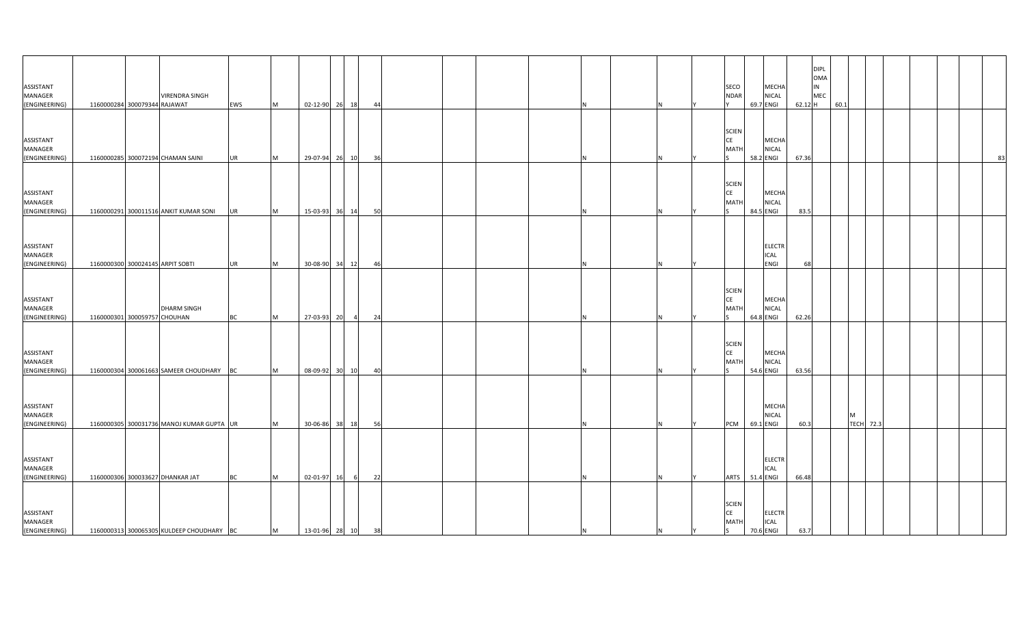| ASSISTANT<br><b>MANAGER</b><br>(ENGINEERING) | <b>VIRENDRA SINGH</b><br>1160000284 300079344 RAJAWAT | EWS       | M        | 02-12-90 26 18    |                | - 44 |   |    | SECO<br>MECHA<br><b>NDAR</b><br>NICAL<br>69.7 ENGI                                   | 62.12 H | <b>DIPL</b><br>OMA<br>IN<br>MEC | 60.1 |                       |  |    |
|----------------------------------------------|-------------------------------------------------------|-----------|----------|-------------------|----------------|------|---|----|--------------------------------------------------------------------------------------|---------|---------------------------------|------|-----------------------|--|----|
| ASSISTANT<br>MANAGER<br>(ENGINEERING)        | 1160000285 300072194 CHAMAN SAINI                     | UR        | M        | 29-07-94 26       | 10             | 36   |   |    | <b>SCIEN</b><br><b>CE</b><br>MECHA<br>MATI<br>NICAL<br>58.2 ENGI                     | 67.36   |                                 |      |                       |  | 83 |
| ASSISTANT<br>MANAGER<br>(ENGINEERING)        | 1160000291 300011516 ANKIT KUMAR SONI                 | UR        | <b>M</b> | 15-03-93 36       | 14             | 50   |   |    | <b>SCIEN</b><br>CE<br><b>MECHA</b><br><b>NICAL</b><br>MATI<br>84.5 ENGI              | 83.5    |                                 |      |                       |  |    |
| ASSISTANT<br>MANAGER<br>(ENGINEERING)        | 1160000300 300024145 ARPIT SOBTI                      | UR        | M        | 30-08-90 34 12    |                | 46   |   | N  | <b>ELECTR</b><br>ICAL<br>ENGI                                                        | 68      |                                 |      |                       |  |    |
| ASSISTANT<br>MANAGER<br>(ENGINEERING)        | <b>DHARM SINGH</b><br>1160000301 300059757 CHOUHAN    | ВC        | M        | 27-03-93 20       | $\overline{4}$ | 24   |   |    | <b>SCIEN</b><br><b>CE</b><br>MECHA<br>MATI<br>NICAL<br>64.8 ENGI                     | 62.26   |                                 |      |                       |  |    |
| ASSISTANT<br>MANAGER<br>(ENGINEERING)        | 1160000304 300061663 SAMEER CHOUDHARY                 | BC        | M        | 08-09-92 30       | 10             | 40   |   |    | <b>SCIEN</b><br><b>CE</b><br><b>MECHA</b><br><b>NICAL</b><br>MATI<br>54.6 ENGI       | 63.56   |                                 |      |                       |  |    |
| ASSISTANT<br>MANAGER<br>(ENGINEERING)        | 1160000305 300031736 MANOJ KUMAR GUPTA UR             |           | M        | 30-06-86 38 18    |                | 56   |   | N  | MECHA<br><b>NICAL</b><br>PCM<br>69.1 ENGI                                            | 60.3    |                                 |      | M<br><b>TECH</b> 72.3 |  |    |
| ASSISTANT<br>MANAGER<br>(ENGINEERING)        | 1160000306 300033627 DHANKAR JAT                      | <b>BC</b> | <b>M</b> | 02-01-97 16       | 6              | 22   |   | N. | <b>ELECTR</b><br>ICAL<br><b>ARTS</b><br>51.4 ENGI                                    | 66.48   |                                 |      |                       |  |    |
| ASSISTANT<br>MANAGER<br>(ENGINEERING)        | 1160000313 300065305 KULDEEP CHOUDHARY BC             |           | M        | 13-01-96 28 10 38 |                |      | N | N  | <b>SCIEN</b><br><b>CE</b><br><b>ELECTR</b><br><b>MATH</b><br>ICAL<br>70.6 ENGI<br>S. | 63.7    |                                 |      |                       |  |    |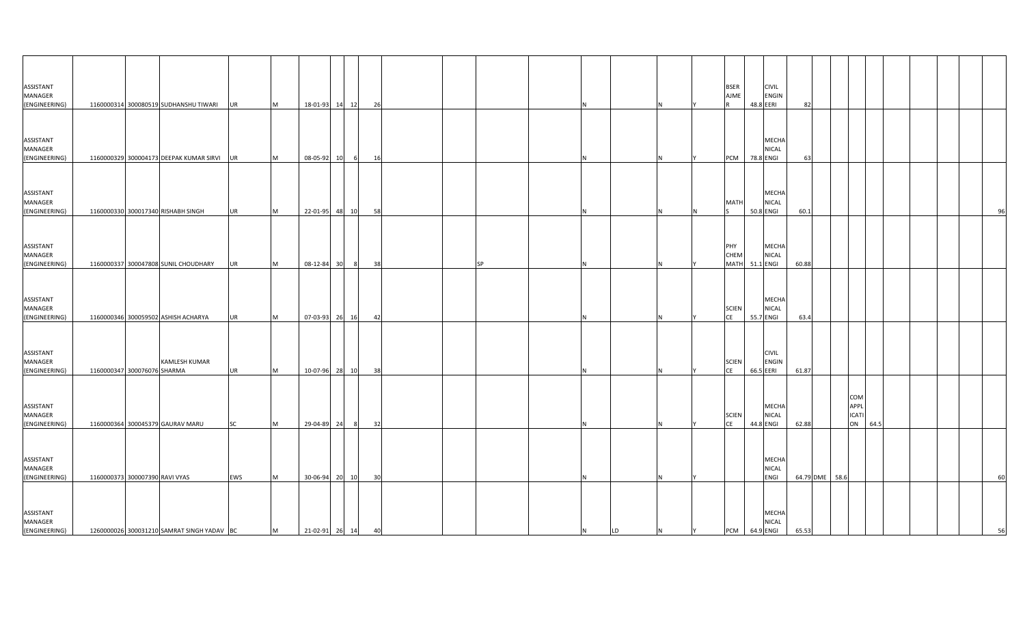| ASSISTANT<br>MANAGER<br>(ENGINEERING)        |                                | 1160000314 300080519 SUDHANSHU TIWARI UR   |           | M         | 18-01-93 14 12    | 26                   |           |   |    |          |     | <b>BSER</b><br>AJME           | <b>CIVIL</b><br><b>ENGIN</b><br>48.8 EERI | 82    |                |                                   |      |    |
|----------------------------------------------|--------------------------------|--------------------------------------------|-----------|-----------|-------------------|----------------------|-----------|---|----|----------|-----|-------------------------------|-------------------------------------------|-------|----------------|-----------------------------------|------|----|
| ASSISTANT<br>MANAGER<br>(ENGINEERING)        |                                | 1160000329 300004173 DEEPAK KUMAR SIRVI UR |           | Iм.       | 08-05-92 10       | - 16<br>- 61         |           |   |    |          |     | PCM                           | MECHA<br>NICAL<br>78.8 ENGI               | 63    |                |                                   |      |    |
| ASSISTANT<br>MANAGER<br>(ENGINEERING)        |                                | 1160000330 300017340 RISHABH SINGH         | <b>UR</b> | <b>M</b>  | 22-01-95 48 10    |                      | 58        |   |    |          |     | <b>MATH</b>                   | <b>MECHA</b><br><b>NICAL</b><br>50.8 ENGI | 60.1  |                |                                   |      | 96 |
| ASSISTANT<br>MANAGER<br>(ENGINEERING)        |                                | 1160000337 300047808 SUNIL CHOUDHARY       | <b>UR</b> | M         | 08-12-84 30       | 8 <sup>1</sup><br>38 | <b>SP</b> | N |    |          |     | PHY<br>CHEM<br>MATH 51.1 ENGI | MECHA<br><b>NICAL</b>                     | 60.88 |                |                                   |      |    |
| ASSISTANT<br>MANAGER<br>(ENGINEERING)        |                                | 1160000346 300059502 ASHISH ACHARYA        | <b>UR</b> | Iм.       | 07-03-93 26       | 16                   | 42        |   |    |          |     | <b>SCIEN</b><br><b>CE</b>     | <b>MECHA</b><br><b>NICAL</b><br>55.7 ENGI | 63.4  |                |                                   |      |    |
| ASSISTANT<br><b>MANAGER</b><br>(ENGINEERING) | 1160000347 300076076 SHARMA    | <b>KAMLESH KUMAR</b>                       | <b>UR</b> | <b>IM</b> | 10-07-96 28       | 10<br>- 38           |           |   |    |          |     | <b>SCIEN</b><br><b>CE</b>     | <b>CIVIL</b><br><b>ENGIN</b><br>66.5 EERI | 61.87 |                |                                   |      |    |
| ASSISTANT<br>MANAGER<br>(ENGINEERING)        |                                | 1160000364 300045379 GAURAV MARU           | <b>SC</b> | <b>M</b>  | 29-04-89 24       | 8 <sup>8</sup><br>32 |           | N |    |          |     | <b>SCIEN</b><br><b>CE</b>     | MECHA<br><b>NICAL</b><br>44.8 ENGI        | 62.88 |                | COM<br>APPL<br><b>ICATI</b><br>ON | 64.5 |    |
| ASSISTANT<br>MANAGER<br>(ENGINEERING)        | 1160000373 300007390 RAVI VYAS |                                            | EWS       | <b>M</b>  | 30-06-94 20       | 10                   | 30        |   |    |          |     |                               | <b>MECHA</b><br>NICAL<br>ENGI             |       | 64.79 DME 58.6 |                                   |      | 60 |
| ASSISTANT<br>MANAGER<br>(ENGINEERING)        |                                | 1260000026 300031210 SAMRAT SINGH YADAV BC |           | M         | 21-02-91 26 14 40 |                      |           | N | LD | <b>N</b> | IY. | PCM 64.9 ENGI                 | <b>MECHA</b><br><b>NICAL</b>              | 65.53 |                |                                   |      | 56 |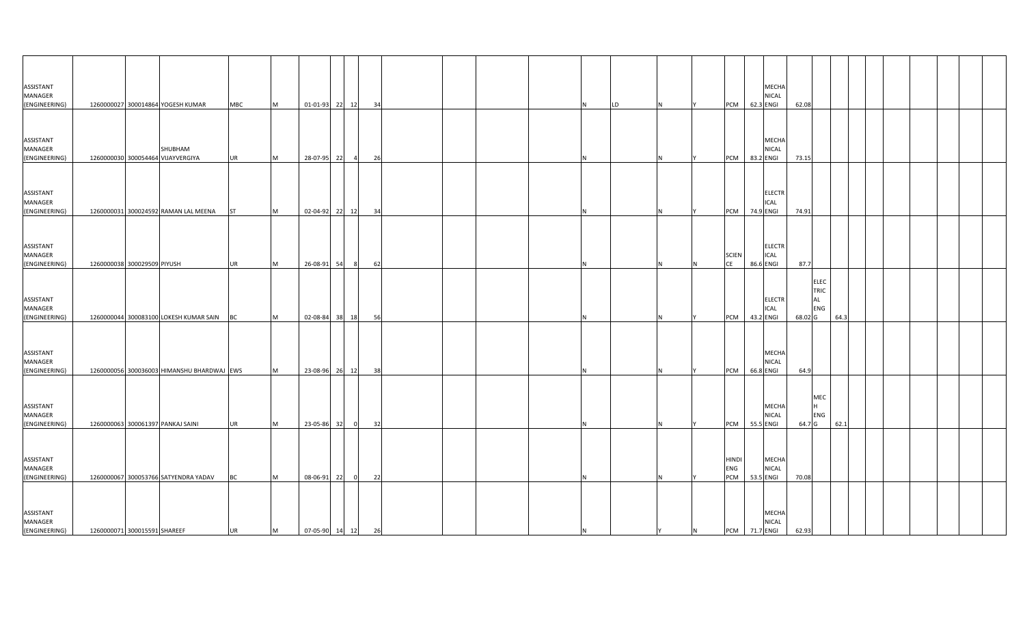| ASSISTANT<br>MANAGER<br>(ENGINEERING)                  |                              | 1260000027 300014864 YOGESH KUMAR                                                       | <b>MBC</b>             | M      | 01-01-93 22 12                |    |      | 34       |  | LD  |                | PCM 62.3 ENGI              |                        | MECHA<br>NICAL               | 62.08           |                            |      |  |  |  |
|--------------------------------------------------------|------------------------------|-----------------------------------------------------------------------------------------|------------------------|--------|-------------------------------|----|------|----------|--|-----|----------------|----------------------------|------------------------|------------------------------|-----------------|----------------------------|------|--|--|--|
| ASSISTANT<br>MANAGER<br>(ENGINEERING)                  |                              | SHUBHAM<br>1260000030 300054464 VIJAYVERGIYA                                            | <b>UR</b>              | M      | 28-07-95 22                   |    | - 4  | - 26     |  |     |                | <b>PCM</b>                 | 83.2 ENGI              | <b>MECHA</b><br><b>NICAL</b> | 73.15           |                            |      |  |  |  |
| ASSISTANT<br>MANAGER<br>(ENGINEERING)                  |                              | 1260000031 300024592 RAMAN LAL MEENA                                                    | <b>ST</b>              | M      | 02-04-92 22 12                |    |      | 34       |  |     |                | PCM                        | 74.9 ENGI              | <b>ELECTR</b><br><b>ICAL</b> | 74.91           |                            |      |  |  |  |
| ASSISTANT<br>MANAGER                                   |                              |                                                                                         |                        |        |                               |    |      |          |  |     |                | <b>SCIEN</b><br>CE         |                        | <b>ELECTR</b><br><b>ICAL</b> |                 |                            |      |  |  |  |
| (ENGINEERING)<br>ASSISTANT<br>MANAGER                  | 1260000038 300029509 PIYUSH  |                                                                                         | <b>UR</b>              | M      | 26-08-91                      | 54 |      | 62       |  |     |                |                            | 86.6 ENGI              | <b>ELECTR</b><br>ICAL        | 87.7<br>AL      | <b>ELEC</b><br>TRIC<br>ENG | 64.3 |  |  |  |
| (ENGINEERING)<br>ASSISTANT<br>MANAGER                  |                              | 1260000044 300083100 LOKESH KUMAR SAIN BC<br>1260000056 300036003 HIMANSHU BHARDWAJ EWS |                        | M      | 02-08-84 38 18                |    |      | 56<br>38 |  |     |                | PCM<br><b>PCM</b>          | 43.2 ENGI<br>66.8 ENGI | MECHA<br><b>NICAL</b>        | 68.02 G<br>64.9 |                            |      |  |  |  |
| (ENGINEERING)<br>ASSISTANT<br>MANAGER                  |                              |                                                                                         |                        | M      | 23-08-96 26 12                |    |      |          |  |     |                |                            |                        | MECHA<br><b>NICAL</b>        |                 | MEC<br><b>ENG</b>          |      |  |  |  |
| (ENGINEERING)<br>ASSISTANT<br>MANAGER                  |                              | 1260000063 300061397 PANKAJ SAINI                                                       | <b>UR</b>              | M      | 23-05-86 32                   |    | - 01 | 32       |  |     |                | PCM<br><b>HINDI</b><br>ENG | 55.5 ENGI              | MECHA<br><b>NICAL</b>        | 64.7 G          |                            | 62.1 |  |  |  |
| (ENGINEERING)<br>ASSISTANT<br>MANAGER<br>(ENGINEERING) | 1260000071 300015591 SHAREEF | 1260000067 300053766 SATYENDRA YADAV                                                    | <b>BC</b><br><b>UR</b> | M<br>M | 08-06-91<br>07-05-90 14 12 26 | 22 |      | 22       |  | IN. | $\overline{N}$ | PCM<br>PCM 71.7 ENGI       | 53.5 ENGI              | <b>MECHA</b><br><b>NICAL</b> | 70.08<br>62.93  |                            |      |  |  |  |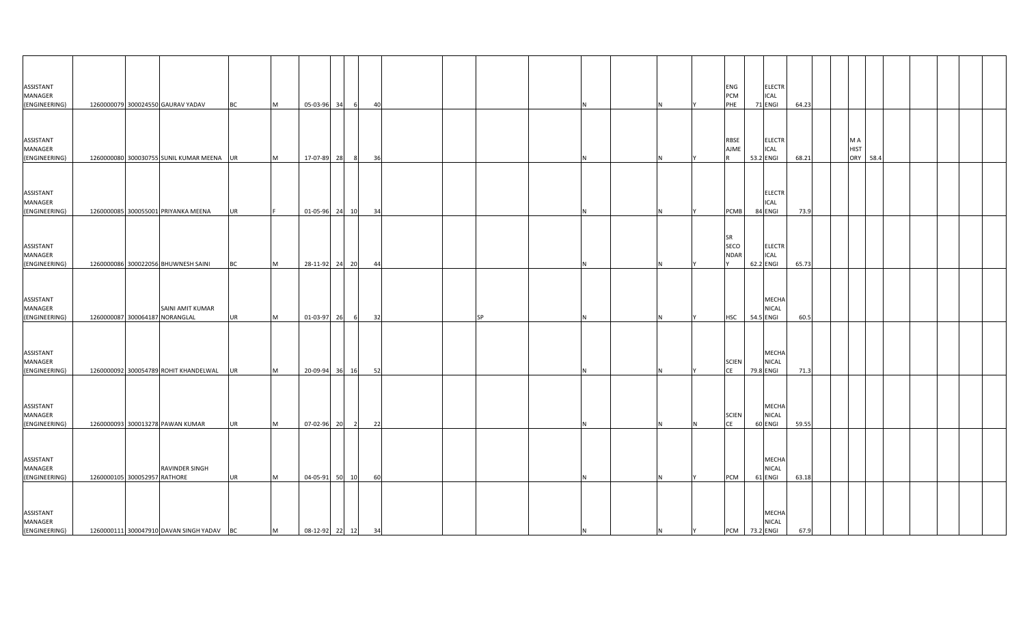| ASSISTANT<br>MANAGER<br>(ENGINEERING) |                              | 1260000079 300024550 GAURAV YADAV                  | <b>BC</b> | M | 05-03-96          | 34 | 40<br>- 6            |  |           |    |          |          | ENG<br><b>PCM</b><br>PHE         | <b>ELECTR</b><br><b>ICAL</b><br>71 ENGI   | 64.23 |  |                                          |  |  |  |
|---------------------------------------|------------------------------|----------------------------------------------------|-----------|---|-------------------|----|----------------------|--|-----------|----|----------|----------|----------------------------------|-------------------------------------------|-------|--|------------------------------------------|--|--|--|
| ASSISTANT<br>MANAGER<br>(ENGINEERING) |                              | 1260000080 300030755 SUNIL KUMAR MEENA UR          |           | M | 17-07-89 28       |    | 36                   |  |           |    |          |          | <b>RBSE</b><br>AJME              | <b>ELECTR</b><br><b>ICAL</b><br>53.2 ENGI | 68.21 |  | M A<br><b>HIST</b><br><b>ORY</b><br>58.4 |  |  |  |
| ASSISTANT<br>MANAGER<br>(ENGINEERING) |                              | 1260000085 300055001 PRIYANKA MEENA                | <b>UR</b> |   | 01-05-96 24 10    |    | 34                   |  |           |    |          |          | <b>PCMB</b>                      | <b>ELECTR</b><br><b>ICAL</b><br>84 ENGI   | 73.9  |  |                                          |  |  |  |
| ASSISTANT<br>MANAGER<br>(ENGINEERING) |                              | 1260000086 300022056 BHUWNESH SAINI                | <b>BC</b> | M | 28-11-92 24 20    |    | 44                   |  |           |    |          |          | <b>SR</b><br>SECO<br><b>NDAR</b> | <b>ELECTR</b><br><b>ICAL</b><br>62.2 ENGI | 65.73 |  |                                          |  |  |  |
| ASSISTANT<br>MANAGER<br>(ENGINEERING) |                              | SAINI AMIT KUMAR<br>1260000087 300064187 NORANGLAL | UR        | M | 01-03-97          | 26 | 32                   |  | <b>SP</b> |    |          |          | <b>HSC</b>                       | <b>MECHA</b><br><b>NICAL</b><br>54.5 ENGI | 60.5  |  |                                          |  |  |  |
| ASSISTANT<br>MANAGER<br>(ENGINEERING) |                              | 1260000092 300054789 ROHIT KHANDELWAL              | <b>UR</b> | M | 20-09-94 36 16    |    | 52                   |  |           |    |          |          | <b>SCIEN</b><br><b>CE</b>        | MECHA<br><b>NICAL</b><br>79.8 ENGI        | 71.3  |  |                                          |  |  |  |
| ASSISTANT<br>MANAGER<br>(ENGINEERING) |                              | 1260000093 300013278 PAWAN KUMAR                   | <b>UR</b> | M | 07-02-96 20       |    | 22<br>$\overline{2}$ |  |           |    |          | <b>N</b> | <b>SCIEN</b><br><b>CE</b>        | MECHA<br><b>NICAL</b><br>60 ENGI          | 59.55 |  |                                          |  |  |  |
| ASSISTANT<br>MANAGER<br>(ENGINEERING) | 1260000105 300052957 RATHORE | RAVINDER SINGH                                     | <b>UR</b> | M | 04-05-91 50 10    |    | 60                   |  |           |    |          |          | <b>PCM</b>                       | <b>MECHA</b><br><b>NICAL</b><br>61 ENGI   | 63.18 |  |                                          |  |  |  |
| ASSISTANT<br>MANAGER<br>(ENGINEERING) |                              | 1260000111 300047910 DAVAN SINGH YADAV             | <b>BC</b> | M | 08-12-92 22 12 34 |    |                      |  |           | IN | <b>N</b> | Y        | <b>PCM</b> 73.2 ENGI             | <b>MECHA</b><br><b>NICAL</b>              | 67.9  |  |                                          |  |  |  |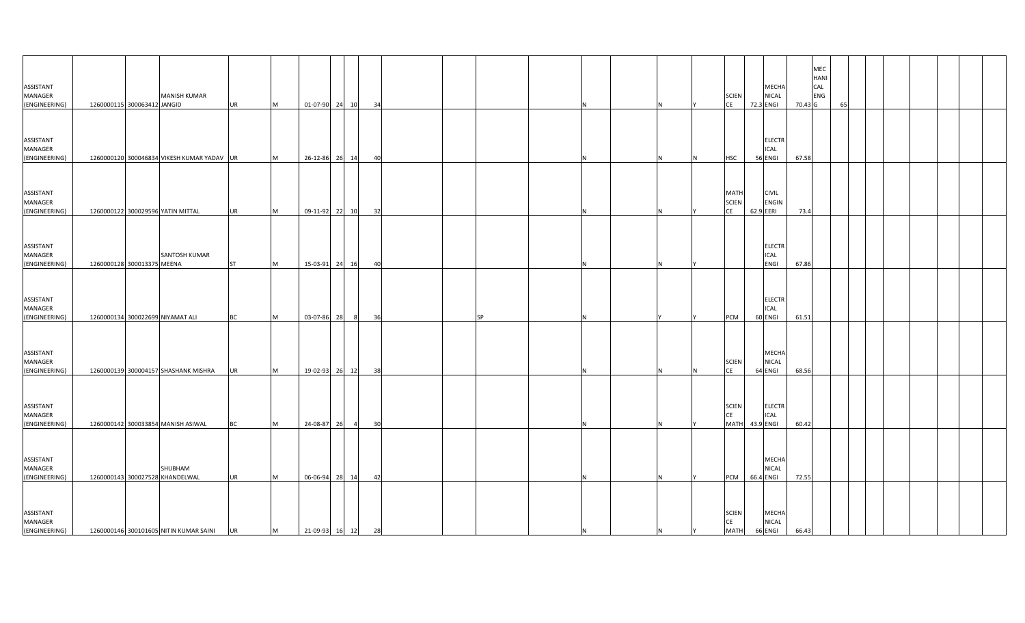| ASSISTANT                             |                             |                                            |           |           |                           |                |    |  |           |     |    |   |                                          |           | MECHA                                |         | MEC<br><b>HANI</b><br>CAL |    |  |  |  |
|---------------------------------------|-----------------------------|--------------------------------------------|-----------|-----------|---------------------------|----------------|----|--|-----------|-----|----|---|------------------------------------------|-----------|--------------------------------------|---------|---------------------------|----|--|--|--|
| MANAGER                               |                             | <b>MANISH KUMAR</b>                        |           |           |                           |                |    |  |           |     |    |   | <b>SCIEN</b>                             |           | <b>NICAL</b>                         |         | ENG                       |    |  |  |  |
| (ENGINEERING)                         | 1260000115 300063412 JANGID |                                            | <b>UR</b> | M         | 01-07-90 24 10            |                | 34 |  |           |     |    |   | CE                                       | 72.3 ENGI |                                      | 70.43 G |                           | 65 |  |  |  |
| ASSISTANT                             |                             |                                            |           |           |                           |                |    |  |           |     |    |   |                                          |           | <b>ELECTR</b>                        |         |                           |    |  |  |  |
| MANAGER<br>(ENGINEERING)              |                             | 1260000120 300046834 VIKESH KUMAR YADAV UR |           | M         | 26-12-86 26 14            |                | 40 |  |           |     |    |   | <b>HSC</b>                               | 56 ENGI   | <b>ICAL</b>                          | 67.58   |                           |    |  |  |  |
|                                       |                             |                                            |           |           |                           |                |    |  |           |     |    |   |                                          |           |                                      |         |                           |    |  |  |  |
| ASSISTANT<br>MANAGER<br>(ENGINEERING) |                             | 1260000122 300029596 YATIN MITTAL          | <b>UR</b> | M         | 09-11-92 22 10            |                | 32 |  |           |     |    |   | <b>MATH</b><br><b>SCIEN</b><br><b>CE</b> | 62.9 EERI | <b>CIVIL</b><br>ENGIN                | 73.4    |                           |    |  |  |  |
|                                       |                             |                                            |           |           |                           |                |    |  |           |     |    |   |                                          |           |                                      |         |                           |    |  |  |  |
| ASSISTANT<br>MANAGER<br>(ENGINEERING) | 1260000128 300013375 MEENA  | SANTOSH KUMAR                              | ST        | <b>M</b>  | 15-03-91 24 16            |                | 40 |  |           |     |    |   |                                          |           | <b>ELECTR</b><br>ICAL<br><b>ENGI</b> | 67.86   |                           |    |  |  |  |
|                                       |                             |                                            |           |           |                           |                |    |  |           |     |    |   |                                          |           |                                      |         |                           |    |  |  |  |
| ASSISTANT<br>MANAGER<br>(ENGINEERING) |                             | 1260000134 300022699 NIYAMAT ALI           | BC        | <b>IM</b> | 03-07-86                  | 28             | 36 |  | <b>SP</b> |     |    |   | PCM                                      | 60 ENGI   | <b>ELECTR</b><br><b>ICAL</b>         | 61.51   |                           |    |  |  |  |
| ASSISTANT<br>MANAGER<br>(ENGINEERING) |                             | 1260000139 300004157 SHASHANK MISHRA       | <b>UR</b> | M         | 19-02-93 26 12            |                | 38 |  |           |     |    |   | <b>SCIEN</b><br><b>CE</b>                | 64 ENGI   | MECHA<br><b>NICAL</b>                | 68.56   |                           |    |  |  |  |
|                                       |                             |                                            |           |           |                           |                |    |  |           |     |    |   |                                          |           |                                      |         |                           |    |  |  |  |
| ASSISTANT<br>MANAGER<br>(ENGINEERING) |                             | 1260000142 300033854 MANISH ASIWAL         | <b>BC</b> | M         | 24-08-87                  | 26<br>$\sim$ 4 | 30 |  |           |     |    |   | <b>SCIEN</b><br><b>CE</b><br><b>MATH</b> | 43.9 ENGI | <b>ELECTR</b><br><b>ICAL</b>         | 60.42   |                           |    |  |  |  |
|                                       |                             |                                            |           |           |                           |                |    |  |           |     |    |   |                                          |           |                                      |         |                           |    |  |  |  |
| ASSISTANT<br>MANAGER<br>(ENGINEERING) |                             | SHUBHAM<br>1260000143 300027528 KHANDELWAL | <b>UR</b> | M         | 06-06-94 28 14            |                | 42 |  |           |     |    |   | <b>PCM</b>                               | 66.4 ENGI | MECHA<br>NICAL                       | 72.55   |                           |    |  |  |  |
| ASSISTANT<br>MANAGER<br>(ENGINEERING) |                             | 1260000146 300101605 NITIN KUMAR SAINI     | <b>UR</b> | M         | $21-09-93$ $16$ $12$ $28$ |                |    |  |           | IN. | N. | Y | <b>SCIEN</b><br>CE<br><b>MATH</b>        | 66 ENGI   | <b>MECHA</b><br><b>NICAL</b>         | 66.43   |                           |    |  |  |  |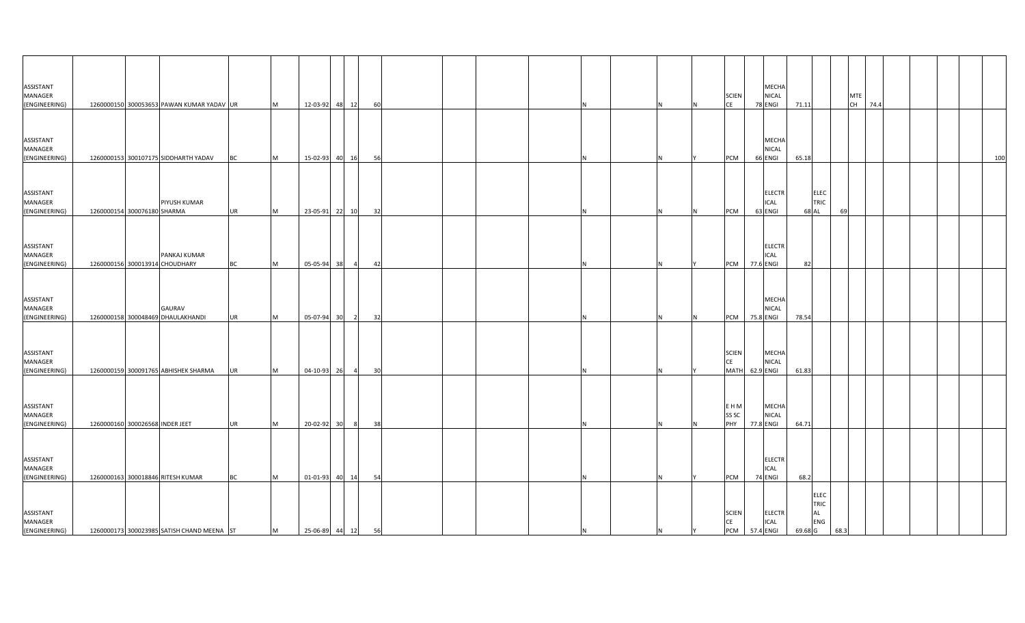| ASSISTANT<br>MANAGER<br>(ENGINEERING) |                                 | 1260000150 300053653 PAWAN KUMAR YADAV UR      |           | M         | 12-03-92 48 12    |                | 60 |  |  |  |   | <b>SCIEN</b><br><b>CE</b>         | MECHA<br>NICAL<br>78 ENGI                     | 71.11   |                                                |      | <b>MTE</b><br>CH 74.4 |  |  |     |
|---------------------------------------|---------------------------------|------------------------------------------------|-----------|-----------|-------------------|----------------|----|--|--|--|---|-----------------------------------|-----------------------------------------------|---------|------------------------------------------------|------|-----------------------|--|--|-----|
| ASSISTANT<br>MANAGER<br>(ENGINEERING) |                                 | 1260000153 300107175 SIDDHARTH YADAV           | <b>BC</b> | Iм.       | 15-02-93 40       | 16             | 56 |  |  |  |   | PCM                               | MECHA<br>NICAL<br>66 ENGI                     | 65.18   |                                                |      |                       |  |  | 100 |
| ASSISTANT<br>MANAGER<br>(ENGINEERING) | 1260000154 300076180 SHARMA     | PIYUSH KUMAR                                   | <b>UR</b> | <b>M</b>  | 23-05-91 22 10    |                | 32 |  |  |  |   | <b>PCM</b>                        | <b>ELECTR</b><br>ICAL<br>63 ENGI              |         | <b>ELEC</b><br>TRIC<br>68 AL                   | 69   |                       |  |  |     |
| ASSISTANT<br>MANAGER<br>(ENGINEERING) |                                 | PANKAJ KUMAR<br>1260000156 300013914 CHOUDHARY | <b>BC</b> | M         | 05-05-94 38       | $\overline{4}$ | 42 |  |  |  | N |                                   | <b>ELECTR</b><br>ICAL<br>PCM 77.6 ENGI        | 82      |                                                |      |                       |  |  |     |
| ASSISTANT<br>MANAGER<br>(ENGINEERING) |                                 | GAURAV<br>1260000158 300048469 DHAULAKHANDI    | <b>UR</b> | <b>IM</b> | 05-07-94 30       | $\overline{2}$ | 32 |  |  |  |   | PCM                               | MECHA<br>NICAL<br>75.8 ENGI                   | 78.54   |                                                |      |                       |  |  |     |
| ASSISTANT<br>MANAGER<br>(ENGINEERING) |                                 | 1260000159 300091765 ABHISHEK SHARMA           | <b>UR</b> | <b>IM</b> | 04-10-93 26       | $\overline{4}$ | 30 |  |  |  |   | <b>SCIEN</b><br><b>CE</b><br>MATH | <b>MECHA</b><br>NICAL<br>62.9 ENGI            | 61.83   |                                                |      |                       |  |  |     |
| ASSISTANT<br>MANAGER<br>(ENGINEERING) | 1260000160 300026568 INDER JEET |                                                | <b>UR</b> | <b>M</b>  | 20-02-92 30       | 8 <sup>1</sup> | 38 |  |  |  |   | E H M<br>SS <sub>SC</sub><br>PHY  | MECHA<br><b>NICAL</b><br>77.8 ENGI            | 64.71   |                                                |      |                       |  |  |     |
| ASSISTANT<br>MANAGER<br>(ENGINEERING) |                                 | 1260000163 300018846 RITESH KUMAR              | <b>BC</b> | <b>M</b>  | 01-01-93 40       | 14             | 54 |  |  |  |   | PCM                               | <b>ELECTR</b><br>ICAL<br>74 ENGI              | 68.2    |                                                |      |                       |  |  |     |
| ASSISTANT<br>MANAGER<br>(ENGINEERING) |                                 | 1260000173 300023985 SATISH CHAND MEENA ST     |           | M         | 25-06-89 44 12 56 |                |    |  |  |  |   | <b>SCIEN</b><br>CE                | <b>ELECTR</b><br><b>ICAL</b><br>PCM 57.4 ENGI | 69.68 G | <b>ELEC</b><br>TRIC<br><b>AL</b><br><b>ENG</b> | 68.3 |                       |  |  |     |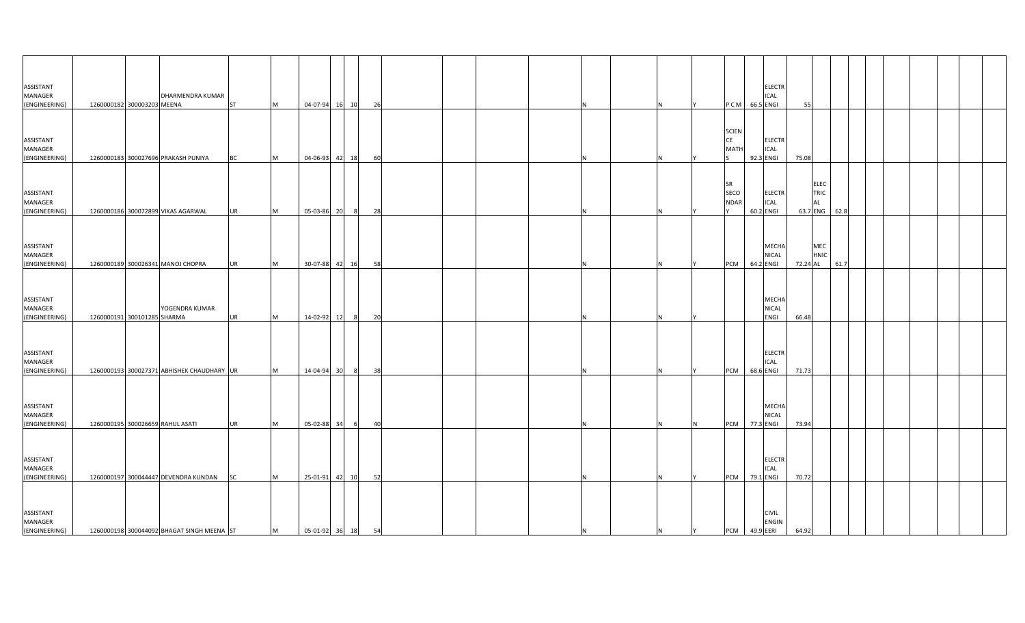| <b>ASSISTANT</b>                   |                             |                                            |           |          |                   |                |    |  |  |     |   |   |                   |           | <b>ELECTR</b>                |          |                            |      |  |  |
|------------------------------------|-----------------------------|--------------------------------------------|-----------|----------|-------------------|----------------|----|--|--|-----|---|---|-------------------|-----------|------------------------------|----------|----------------------------|------|--|--|
| MANAGER<br>(ENGINEERING)           | 1260000182 300003203 MEENA  | DHARMENDRA KUMAR                           | <b>ST</b> |          | 04-07-94 16 10    |                |    |  |  |     |   |   | P C M 66.5 ENGI   |           | <b>ICAL</b>                  | 55       |                            |      |  |  |
|                                    |                             |                                            |           | M        |                   |                | 26 |  |  |     |   |   |                   |           |                              |          |                            |      |  |  |
|                                    |                             |                                            |           |          |                   |                |    |  |  |     |   |   |                   |           |                              |          |                            |      |  |  |
|                                    |                             |                                            |           |          |                   |                |    |  |  |     |   |   | <b>SCIEN</b>      |           |                              |          |                            |      |  |  |
| <b>ASSISTANT</b>                   |                             |                                            |           |          |                   |                |    |  |  |     |   |   | CE                |           | <b>ELECTR</b>                |          |                            |      |  |  |
| MANAGER                            |                             |                                            |           |          |                   |                |    |  |  |     |   |   | <b>MATH</b>       |           | <b>ICAL</b>                  |          |                            |      |  |  |
| (ENGINEERING)                      |                             | 1260000183 300027696 PRAKASH PUNIYA        | <b>BC</b> | M        | 04-06-93 42 18    |                | 60 |  |  |     |   |   |                   |           | 92.3 ENGI                    | 75.08    |                            |      |  |  |
|                                    |                             |                                            |           |          |                   |                |    |  |  |     |   |   |                   |           |                              |          |                            |      |  |  |
| ASSISTANT                          |                             |                                            |           |          |                   |                |    |  |  |     |   |   | <b>SR</b><br>SECO |           | <b>ELECTR</b>                |          | <b>ELEC</b><br><b>TRIC</b> |      |  |  |
| <b>MANAGER</b>                     |                             |                                            |           |          |                   |                |    |  |  |     |   |   | <b>NDAR</b>       |           | <b>ICAL</b>                  |          | <b>AL</b>                  |      |  |  |
| (ENGINEERING)                      |                             | 1260000186 300072899 VIKAS AGARWAL         | <b>UR</b> | M        | 05-03-86 20       | 8 <sup>8</sup> | 28 |  |  |     |   |   |                   | 60.2 ENGI |                              | 63.7 ENG |                            | 62.8 |  |  |
|                                    |                             |                                            |           |          |                   |                |    |  |  |     |   |   |                   |           |                              |          |                            |      |  |  |
|                                    |                             |                                            |           |          |                   |                |    |  |  |     |   |   |                   |           |                              |          |                            |      |  |  |
| <b>ASSISTANT</b>                   |                             |                                            |           |          |                   |                |    |  |  |     |   |   |                   |           | MECHA                        |          | MEC                        |      |  |  |
| MANAGER                            |                             |                                            |           |          |                   |                |    |  |  |     |   |   |                   |           | <b>NICAL</b>                 |          | <b>HNIC</b>                |      |  |  |
| (ENGINEERING)                      |                             | 1260000189 300026341 MANOJ CHOPRA          | <b>UR</b> | <b>M</b> | 30-07-88 42 16    |                | 58 |  |  | IN  |   |   | PCM               |           | 64.2 ENGI                    | 72.24 AL |                            | 61.7 |  |  |
|                                    |                             |                                            |           |          |                   |                |    |  |  |     |   |   |                   |           |                              |          |                            |      |  |  |
|                                    |                             |                                            |           |          |                   |                |    |  |  |     |   |   |                   |           |                              |          |                            |      |  |  |
| ASSISTANT                          |                             |                                            |           |          |                   |                |    |  |  |     |   |   |                   |           | <b>MECHA</b>                 |          |                            |      |  |  |
| <b>MANAGER</b>                     |                             | YOGENDRA KUMAR                             |           |          |                   |                |    |  |  |     |   |   |                   |           | <b>NICAL</b>                 |          |                            |      |  |  |
| (ENGINEERING)                      | 1260000191 300101285 SHARMA |                                            | UR        | M        | 14-02-92 12       | 8              | 20 |  |  |     |   |   |                   |           | <b>ENGI</b>                  | 66.48    |                            |      |  |  |
|                                    |                             |                                            |           |          |                   |                |    |  |  |     |   |   |                   |           |                              |          |                            |      |  |  |
|                                    |                             |                                            |           |          |                   |                |    |  |  |     |   |   |                   |           |                              |          |                            |      |  |  |
| <b>ASSISTANT</b>                   |                             |                                            |           |          |                   |                |    |  |  |     |   |   |                   |           | <b>ELECTR</b>                |          |                            |      |  |  |
| MANAGER                            |                             |                                            |           |          |                   |                |    |  |  |     |   |   |                   |           | <b>ICAL</b>                  |          |                            |      |  |  |
| (ENGINEERING)                      |                             | 1260000193 300027371 ABHISHEK CHAUDHARY UR |           | M        | 14-04-94 30       | 8 <sup>8</sup> | 38 |  |  |     |   |   | PCM               | 68.6 ENGI |                              | 71.73    |                            |      |  |  |
|                                    |                             |                                            |           |          |                   |                |    |  |  |     |   |   |                   |           |                              |          |                            |      |  |  |
|                                    |                             |                                            |           |          |                   |                |    |  |  |     |   |   |                   |           |                              |          |                            |      |  |  |
| <b>ASSISTANT</b>                   |                             |                                            |           |          |                   |                |    |  |  |     |   |   |                   |           | MECHA                        |          |                            |      |  |  |
| MANAGER                            |                             |                                            |           |          |                   |                |    |  |  |     |   |   |                   |           | <b>NICAL</b>                 |          |                            |      |  |  |
| (ENGINEERING)                      |                             | 1260000195 300026659 RAHUL ASATI           | <b>UR</b> | M        | 05-02-88 34       | 6              | 40 |  |  |     |   | N | PCM 77.3 ENGI     |           |                              | 73.94    |                            |      |  |  |
|                                    |                             |                                            |           |          |                   |                |    |  |  |     |   |   |                   |           |                              |          |                            |      |  |  |
|                                    |                             |                                            |           |          |                   |                |    |  |  |     |   |   |                   |           |                              |          |                            |      |  |  |
| <b>ASSISTANT</b>                   |                             |                                            |           |          |                   |                |    |  |  |     |   |   |                   |           | <b>ELECTR</b>                |          |                            |      |  |  |
| MANAGER                            |                             |                                            |           |          |                   |                |    |  |  |     |   |   |                   |           | <b>ICAL</b>                  |          |                            |      |  |  |
| (ENGINEERING)                      |                             | 1260000197 300044447 DEVENDRA KUNDAN       | <b>SC</b> | M        | 25-01-91 42 10    |                | 52 |  |  |     |   |   | PCM               | 79.1 ENGI |                              | 70.72    |                            |      |  |  |
|                                    |                             |                                            |           |          |                   |                |    |  |  |     |   |   |                   |           |                              |          |                            |      |  |  |
|                                    |                             |                                            |           |          |                   |                |    |  |  |     |   |   |                   |           |                              |          |                            |      |  |  |
| <b>ASSISTANT</b><br><b>MANAGER</b> |                             |                                            |           |          |                   |                |    |  |  |     |   |   |                   |           | <b>CIVIL</b><br><b>ENGIN</b> |          |                            |      |  |  |
| (ENGINEERING)                      |                             | 1260000198 300044092 BHAGAT SINGH MEENA ST |           | M        | 05-01-92 36 18 54 |                |    |  |  | IN. | N | Y | PCM 49.9 EERI     |           |                              | 64.92    |                            |      |  |  |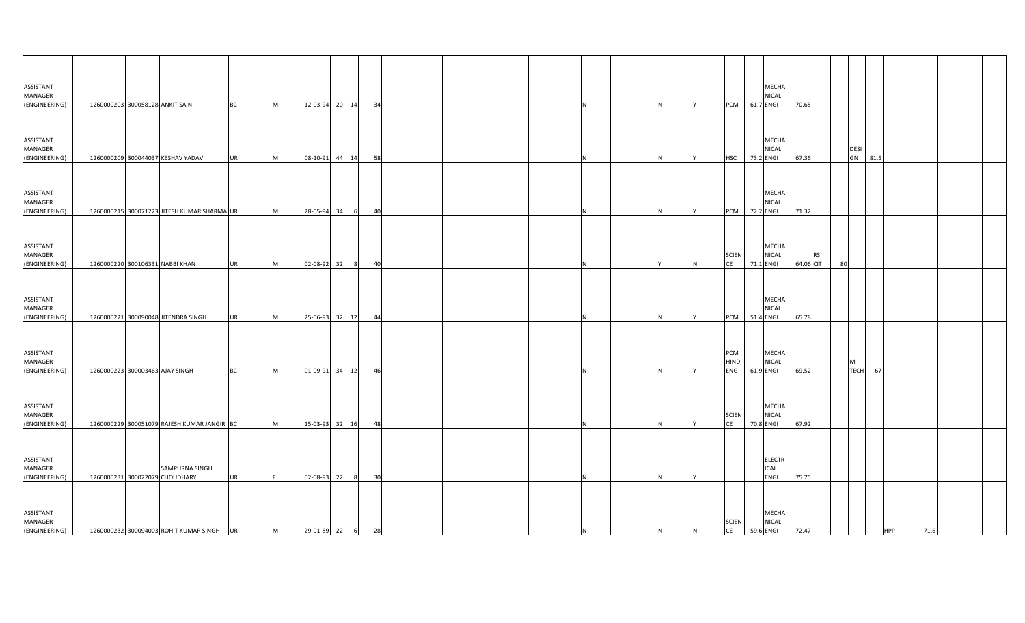| ASSISTANT<br>MANAGER                  |                                     |                                             |           |   |                  |    |      |                 |  |    |   |          |                            | MECHA<br><b>NICAL</b>                     |       |                        |    |                  |         |            |      |  |
|---------------------------------------|-------------------------------------|---------------------------------------------|-----------|---|------------------|----|------|-----------------|--|----|---|----------|----------------------------|-------------------------------------------|-------|------------------------|----|------------------|---------|------------|------|--|
| (ENGINEERING)                         | 1260000203 300058128 ANKIT SAINI    |                                             | <b>BC</b> | M | 12-03-94 20 14   |    |      | 34              |  |    |   |          | <b>PCM</b>                 | 61.7 ENGI                                 | 70.65 |                        |    |                  |         |            |      |  |
| ASSISTANT<br>MANAGER<br>(ENGINEERING) | 1260000209 300044037 KESHAV YADAV   |                                             | <b>UR</b> | M | 08-10-91 44 14   |    |      | 58              |  |    |   |          | <b>HSC</b>                 | MECHA<br><b>NICAL</b><br>73.2 ENGI        | 67.36 |                        |    | <b>DESI</b>      | GN 81.5 |            |      |  |
| ASSISTANT<br>MANAGER<br>(ENGINEERING) |                                     | 1260000215 300071223 JITESH KUMAR SHARMA UR |           | M | 28-05-94         | 34 | - 6  | 40              |  |    |   |          | <b>PCM</b>                 | <b>MECHA</b><br><b>NICAL</b><br>72.2 ENGI | 71.32 |                        |    |                  |         |            |      |  |
| ASSISTANT<br>MANAGER<br>(ENGINEERING) | 1260000220 300106331 NABBI KHAN     |                                             | <b>UR</b> | M | 02-08-92 32      |    | - 81 | 40              |  |    |   | <b>N</b> | <b>SCIEN</b><br><b>CE</b>  | MECHA<br>NICAL<br>71.1 ENGI               |       | <b>RS</b><br>64.06 CIT | 80 |                  |         |            |      |  |
| ASSISTANT<br>MANAGER<br>(ENGINEERING) | 1260000221 300090048 JITENDRA SINGH |                                             | UR        | M | 25-06-93 32      |    | 12   | 44              |  |    |   |          | <b>PCM</b>                 | MECHA<br><b>NICAL</b><br>51.4 ENGI        | 65.78 |                        |    |                  |         |            |      |  |
| ASSISTANT<br>MANAGER<br>(ENGINEERING) | 1260000223 300003463 AJAY SINGH     |                                             | <b>BC</b> | M | 01-09-91 34 12   |    |      | 46              |  |    |   |          | PCM<br><b>HINDI</b><br>ENG | <b>MECHA</b><br><b>NICAL</b><br>61.9 ENGI | 69.52 |                        |    | M<br><b>TECH</b> | 67      |            |      |  |
| ASSISTANT<br>MANAGER<br>(ENGINEERING) |                                     | 1260000229 300051079 RAJESH KUMAR JANGIR BC |           | M | 15-03-93 32 16   |    |      | 48              |  |    |   |          | <b>SCIEN</b><br>CE         | MECHA<br><b>NICAL</b><br>70.8 ENGI        | 67.92 |                        |    |                  |         |            |      |  |
| ASSISTANT<br>MANAGER<br>(ENGINEERING) | 1260000231 300022079 CHOUDHARY      | SAMPURNA SINGH                              | <b>UR</b> |   | 02-08-93         | 22 |      | 30 <sup>1</sup> |  |    |   |          |                            | <b>ELECTR</b><br><b>ICAL</b><br>ENGI      | 75.75 |                        |    |                  |         |            |      |  |
| ASSISTANT<br>MANAGER<br>(ENGINEERING) |                                     | 1260000232 300094003 ROHIT KUMAR SINGH      | <b>UR</b> | M | 29-01-89 22 6 28 |    |      |                 |  | IN | N | N        | SCIEN<br>CE                | MECHA<br><b>NICAL</b><br>59.6 ENGI        | 72.47 |                        |    |                  |         | <b>HPP</b> | 71.6 |  |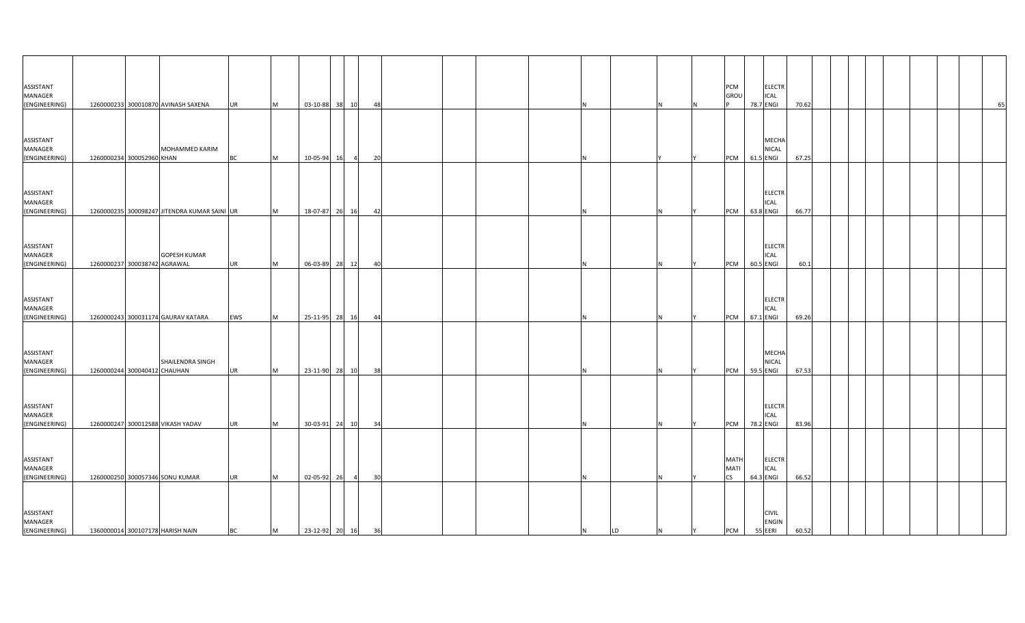| ASSISTANT<br>MANAGER<br>(ENGINEERING)        | 1260000233 300010870 AVINASH SAXENA                 | <b>UR</b> | M        | 03-10-88 38 10    |                | 48 |  |  |         |          |   | PCM<br>GROL                             | <b>ELECTR</b><br>ICAL<br>78.7 ENGI        | 70.62 |  |  | 65 |
|----------------------------------------------|-----------------------------------------------------|-----------|----------|-------------------|----------------|----|--|--|---------|----------|---|-----------------------------------------|-------------------------------------------|-------|--|--|----|
|                                              |                                                     |           |          |                   |                |    |  |  |         |          |   |                                         |                                           |       |  |  |    |
| ASSISTANT<br>MANAGER<br>(ENGINEERING)        | MOHAMMED KARIM<br>1260000234 300052960 KHAN         | ВC        | M        | 10-05-94<br>16    | $\overline{4}$ | 20 |  |  |         |          |   | PCM                                     | MECHA<br>NICAL<br>61.5 ENGI               | 67.25 |  |  |    |
| ASSISTANT<br>MANAGER<br>(ENGINEERING)        | 1260000235 300098247 JITENDRA KUMAR SAINI UR        |           | M        | 18-07-87 26 16    |                | 42 |  |  |         |          |   | PCM                                     | <b>ELECTR</b><br><b>ICAL</b><br>63.8 ENGI | 66.77 |  |  |    |
|                                              |                                                     |           |          |                   |                |    |  |  |         |          |   |                                         |                                           |       |  |  |    |
| ASSISTANT<br>MANAGER<br>(ENGINEERING)        | <b>GOPESH KUMAR</b><br>1260000237 300038742 AGRAWAL | UR        | M        | 06-03-89 28 12    |                | 40 |  |  | N       | <b>N</b> |   | PCM                                     | <b>ELECTR</b><br>ICAL<br>60.5 ENGI        | 60.1  |  |  |    |
|                                              |                                                     |           |          |                   |                |    |  |  |         |          |   |                                         |                                           |       |  |  |    |
| ASSISTANT<br>MANAGER<br>(ENGINEERING)        | 1260000243 300031174 GAURAV KATARA                  | EWS       | M        | 25-11-95 28 16    |                | 44 |  |  |         |          |   | PCM                                     | ELECTR<br><b>ICAL</b><br>67.1 ENGI        | 69.26 |  |  |    |
| ASSISTANT<br>MANAGER                         | SHAILENDRA SINGH                                    |           |          |                   |                |    |  |  |         |          |   |                                         | MECHA<br><b>NICAL</b>                     |       |  |  |    |
| (ENGINEERING)                                | 1260000244 300040412 CHAUHAN                        | <b>UR</b> | M        | 23-11-90 28 10    |                | 38 |  |  |         |          |   | PCM                                     | 59.5 ENGI                                 | 67.53 |  |  |    |
| ASSISTANT<br>MANAGER<br>(ENGINEERING)        | 1260000247 300012588 VIKASH YADAV                   | <b>UR</b> | <b>M</b> | 30-03-91 24 10    |                | 34 |  |  |         |          |   | PCM                                     | <b>ELECTR</b><br>ICAL<br>78.2 ENGI        | 83.96 |  |  |    |
|                                              |                                                     |           |          |                   |                |    |  |  |         |          |   |                                         |                                           |       |  |  |    |
| ASSISTANT<br><b>MANAGER</b><br>(ENGINEERING) | 1260000250 300057346 SONU KUMAR                     | <b>UR</b> | <b>M</b> | 02-05-92 26       | $\overline{a}$ | 30 |  |  |         |          |   | <b>MATH</b><br><b>MATI</b><br><b>CS</b> | <b>ELECTR</b><br><b>ICAL</b><br>64.3 ENGI | 66.52 |  |  |    |
| ASSISTANT<br>MANAGER<br>(ENGINEERING)        | 1360000014 300107178 HARISH NAIN                    | <b>BC</b> | <b>M</b> | 23-12-92 20 16 36 |                |    |  |  | N<br>LD | N        | Y | <b>PCM</b>                              | <b>CIVIL</b><br><b>ENGIN</b><br>55 EERI   | 60.52 |  |  |    |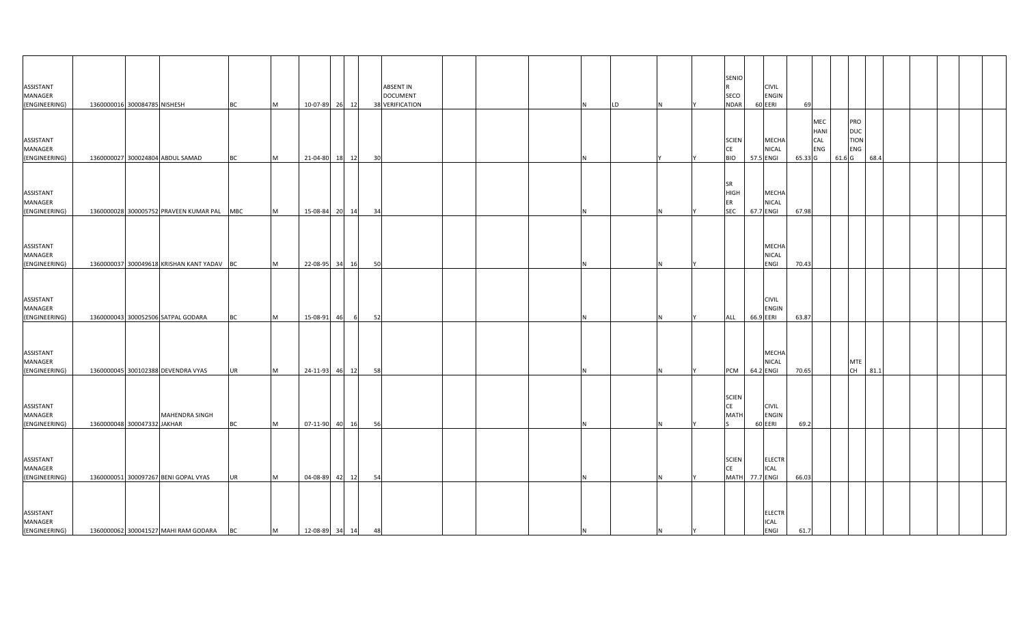| ASSISTANT<br>MANAGER                         |                              |                                            |            |   |                   |       |    | <b>ABSENT IN</b><br><b>DOCUMENT</b> |  |    |    |     |    | SENIO<br>SECO                                | <b>CIVIL</b><br><b>ENGIN</b>              |         |                                                |                   |                                                |      |  |  |
|----------------------------------------------|------------------------------|--------------------------------------------|------------|---|-------------------|-------|----|-------------------------------------|--|----|----|-----|----|----------------------------------------------|-------------------------------------------|---------|------------------------------------------------|-------------------|------------------------------------------------|------|--|--|
| (ENGINEERING)                                | 1360000016 300084785 NISHESH |                                            | <b>BC</b>  | M | 10-07-89 26 12    |       |    | 38 VERIFICATION                     |  |    | LD |     |    | <b>NDAR</b>                                  | 60 EERI                                   | 69      |                                                |                   |                                                |      |  |  |
| ASSISTANT<br>MANAGER<br>(ENGINEERING)        |                              | 1360000027 300024804 ABDUL SAMAD           | <b>BC</b>  | M | 21-04-80 18 12    |       | 30 |                                     |  |    |    |     |    | <b>SCIEN</b><br><b>CE</b><br><b>BIO</b>      | MECHA<br><b>NICAL</b><br>57.5 ENGI        | 65.33 G | <b>MEC</b><br><b>HANI</b><br>CAL<br><b>ENG</b> | 61.6 <sub>G</sub> | PRO<br><b>DUC</b><br><b>TION</b><br><b>ENG</b> | 68.4 |  |  |
| ASSISTANT<br>MANAGER<br>(ENGINEERING)        |                              | 1360000028 300005752 PRAVEEN KUMAR PAL     | <b>MBC</b> | M | 15-08-84 20 14    |       | 34 |                                     |  |    |    |     |    | <b>SR</b><br><b>HIGH</b><br>ER<br><b>SEC</b> | <b>MECHA</b><br><b>NICAL</b><br>67.7 ENGI | 67.98   |                                                |                   |                                                |      |  |  |
| ASSISTANT<br>MANAGER<br>(ENGINEERING)        |                              | 1360000037 300049618 KRISHAN KANT YADAV BC |            | M | 22-08-95 34 16    |       | 50 |                                     |  |    |    |     |    |                                              | <b>MECHA</b><br><b>NICAL</b><br>ENGI      | 70.43   |                                                |                   |                                                |      |  |  |
| ASSISTANT<br>MANAGER<br>(ENGINEERING)        |                              | 1360000043 300052506 SATPAL GODARA         | <b>BC</b>  | M | 15-08-91<br>46    | - 61  | 52 |                                     |  |    |    |     |    | ALL                                          | <b>CIVIL</b><br><b>ENGIN</b><br>66.9 EERI | 63.87   |                                                |                   |                                                |      |  |  |
| ASSISTANT<br><b>MANAGER</b><br>(ENGINEERING) |                              | 1360000045 300102388 DEVENDRA VYAS         | <b>UR</b>  | M | 24-11-93 46 12    |       | 58 |                                     |  |    |    |     |    | <b>PCM</b>                                   | <b>MECHA</b><br><b>NICAL</b><br>64.2 ENGI | 70.65   |                                                |                   | <b>MTE</b><br>CH                               | 81.1 |  |  |
| ASSISTANT<br>MANAGER<br>(ENGINEERING)        | 1360000048 300047332 JAKHAR  | MAHENDRA SINGH                             | <b>BC</b>  | M | 07-11-90 40 16    |       | 56 |                                     |  |    |    |     |    | <b>SCIEN</b><br>CE<br><b>MATH</b>            | <b>CIVIL</b><br><b>ENGIN</b><br>60 EERI   | 69.2    |                                                |                   |                                                |      |  |  |
| ASSISTANT<br>MANAGER<br>(ENGINEERING)        |                              | 1360000051 300097267 BENI GOPAL VYAS       | <b>UR</b>  | M | 04-08-89          | 42 12 | 54 |                                     |  |    |    |     |    | <b>SCIEN</b><br>CE<br><b>MATH</b>            | <b>ELECTR</b><br><b>ICAL</b><br>77.7 ENGI | 66.03   |                                                |                   |                                                |      |  |  |
| ASSISTANT<br>MANAGER<br>(ENGINEERING)        |                              | 1360000062 300041527 MAHI RAM GODARA       | BC         | M | 12-08-89 34 14 48 |       |    |                                     |  | 1N |    | IN. | İΥ |                                              | <b>ELECTR</b><br><b>ICAL</b><br>ENGI      | 61.7    |                                                |                   |                                                |      |  |  |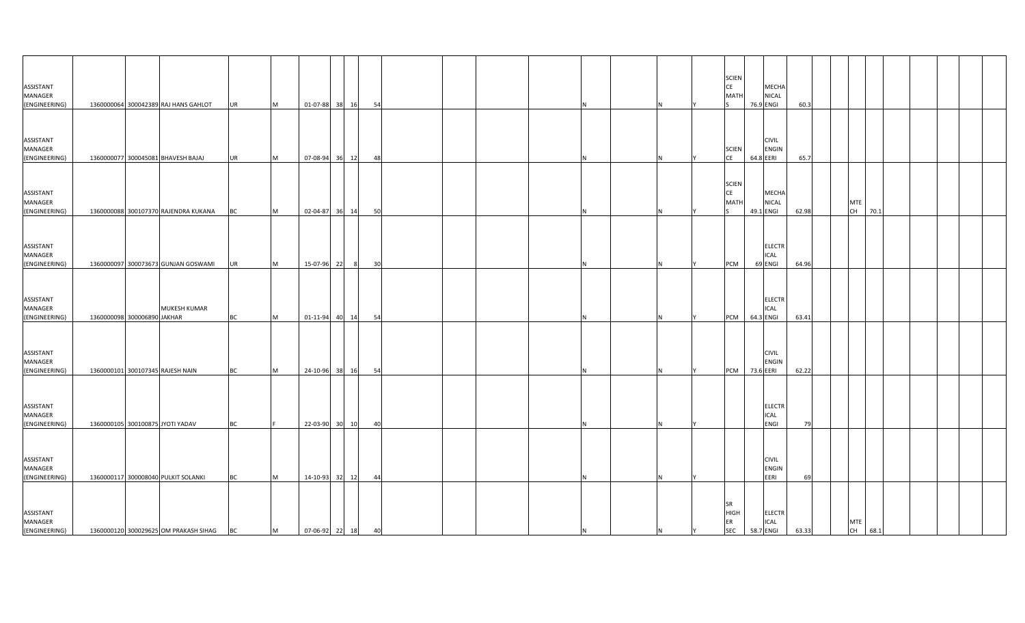| ASSISTANT<br>MANAGER<br>(ENGINEERING)                  |                             | 1360000064 300042389 RAJ HANS GAHLOT                                         | <b>UR</b>       | M      | 01-07-88 38 16                                                                                       |       | 54 |  |  |     |    |     | <b>SCIEN</b><br>CE<br>MATI            | 76.9 ENGI | MECHA<br><b>NICAL</b>                       | 60.3        |                  |         |  |  |  |
|--------------------------------------------------------|-----------------------------|------------------------------------------------------------------------------|-----------------|--------|------------------------------------------------------------------------------------------------------|-------|----|--|--|-----|----|-----|---------------------------------------|-----------|---------------------------------------------|-------------|------------------|---------|--|--|--|
| ASSISTANT<br>MANAGER<br>(ENGINEERING)                  |                             | 1360000077 300045081 BHAVESH BAJAJ                                           | <b>UR</b>       | M      | 07-08-94                                                                                             | 36 12 | 48 |  |  |     |    |     | <b>SCIEN</b><br>CE                    | 64.8 EERI | <b>CIVIL</b><br>ENGIN                       | 65.7        |                  |         |  |  |  |
| ASSISTANT<br>MANAGER<br>(ENGINEERING)                  |                             | 1360000088 300107370 RAJENDRA KUKANA                                         | BC              | M      | 02-04-87 36 14                                                                                       |       | 50 |  |  |     |    |     | <b>SCIEN</b><br>CE<br><b>MATH</b>     | 49.1 ENGI | MECHA<br><b>NICAL</b>                       | 62.98       | <b>MTE</b><br>CH | 70.1    |  |  |  |
| ASSISTANT<br>MANAGER<br>(ENGINEERING)                  |                             | 1360000097 300073673 GUNJAN GOSWAMI                                          | <b>UR</b>       | M      | 15-07-96 22                                                                                          |       | 30 |  |  |     |    |     | PCM                                   | 69 ENGI   | <b>ELECTR</b><br><b>ICAL</b>                | 64.96       |                  |         |  |  |  |
| ASSISTANT<br>MANAGER<br>(ENGINEERING)                  | 1360000098 300006890 JAKHAR | MUKESH KUMAR                                                                 | ВC              | M      | 01-11-94 40 14                                                                                       |       | 54 |  |  |     |    |     | PCM                                   | 64.3 ENGI | <b>ELECTR</b><br>ICAL                       | 63.41       |                  |         |  |  |  |
| ASSISTANT<br>MANAGER<br>(ENGINEERING)                  |                             | 1360000101 300107345 RAJESH NAIN                                             | <b>BC</b>       | M      | 24-10-96                                                                                             | 38 16 | 54 |  |  |     |    |     | PCM                                   | 73.6 EERI | <b>CIVIL</b><br>ENGIN                       | 62.22       |                  |         |  |  |  |
| ASSISTANT<br>MANAGER                                   |                             |                                                                              |                 |        |                                                                                                      |       |    |  |  |     |    |     |                                       |           | <b>ELECTR</b><br><b>ICAL</b>                |             |                  |         |  |  |  |
| (ENGINEERING)<br>ASSISTANT<br>MANAGER                  |                             | 1360000105 300100875 JYOTI YADAV                                             | <b>BC</b>       |        | 22-03-90 30 10                                                                                       |       | 40 |  |  |     |    |     |                                       |           | <b>ENGI</b><br><b>CIVIL</b><br><b>ENGIN</b> | 79          |                  |         |  |  |  |
| (ENGINEERING)<br>ASSISTANT<br>MANAGER<br>(ENGINEERING) |                             | 1360000117 300008040 PULKIT SOLANKI<br>1360000120 300029625 OM PRAKASH SIHAG | <b>BC</b><br>BC | M<br>M | 14-10-93<br>$\begin{array}{ c c c c c c c c c } \hline 07-06-92 & 22 & 18 & 40 \ \hline \end{array}$ | 32 12 | 44 |  |  | IN. | N. | IY. | <b>SR</b><br><b>HIGH</b><br>ER<br>SEC | 58.7 ENGI | EERI<br><b>ELECTR</b><br><b>ICAL</b>        | 69<br>63.33 | <b>MTE</b>       | CH 68.1 |  |  |  |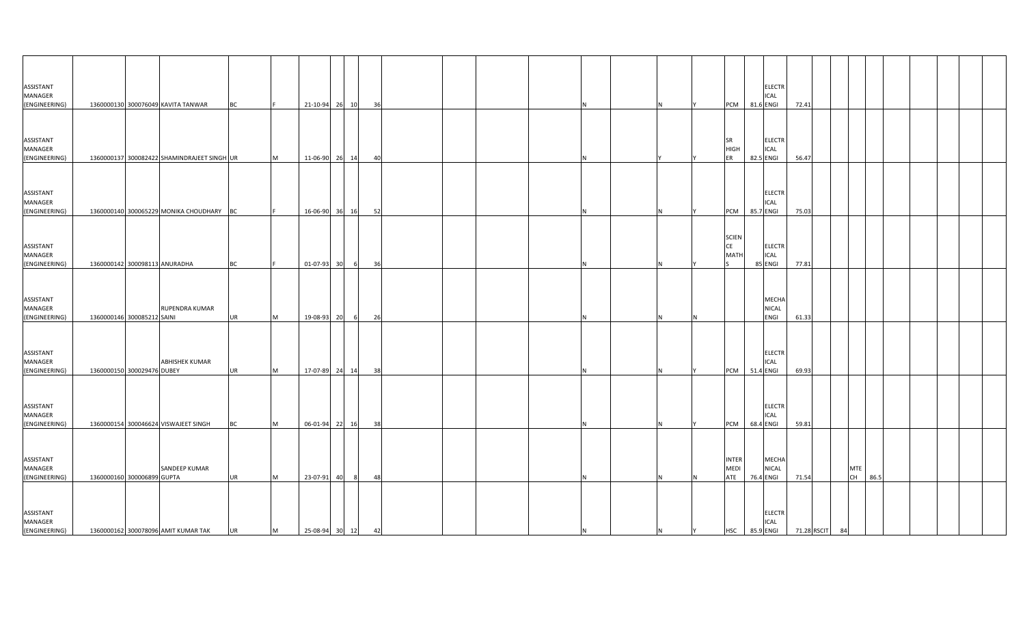| ASSISTANT<br>MANAGER                         |                                                     |           |          |                   |                |    |   |    | <b>ELECTR</b><br>ICAL                                                       |       |                  |      |  |  |
|----------------------------------------------|-----------------------------------------------------|-----------|----------|-------------------|----------------|----|---|----|-----------------------------------------------------------------------------|-------|------------------|------|--|--|
| (ENGINEERING)                                | 1360000130 300076049 KAVITA TANWAR                  | <b>BC</b> |          | 21-10-94 26 10    |                | 36 |   |    | 81.6 ENGI<br>PCM                                                            | 72.41 |                  |      |  |  |
| ASSISTANT<br>MANAGER<br>(ENGINEERING)        | 1360000137 300082422 SHAMINDRAJEET SINGH UR         |           | M        | 11-06-90 26 14    |                | 40 |   |    | <b>SR</b><br><b>ELECTR</b><br><b>HIGH</b><br>ICAL<br>82.5 ENGI<br>ER        | 56.47 |                  |      |  |  |
|                                              |                                                     |           |          |                   |                |    |   |    |                                                                             |       |                  |      |  |  |
| ASSISTANT<br>MANAGER<br>(ENGINEERING)        | 1360000140 300065229 MONIKA CHOUDHARY               | BC        |          | 16-06-90 36       | 16             | 52 |   | N. | <b>ELECTR</b><br>ICAL<br>PCM<br>85.7 ENGI                                   | 75.03 |                  |      |  |  |
|                                              |                                                     |           |          |                   |                |    |   |    |                                                                             |       |                  |      |  |  |
| ASSISTANT<br>MANAGER<br>(ENGINEERING)        | 1360000142 300098113 ANURADHA                       | <b>BC</b> |          | 01-07-93 30       | 6              | 36 | N | N  | <b>SCIEN</b><br><b>CE</b><br><b>ELECTR</b><br>MATI<br>ICAL<br>85 ENGI       | 77.81 |                  |      |  |  |
|                                              |                                                     |           |          |                   |                |    |   |    |                                                                             |       |                  |      |  |  |
| ASSISTANT<br><b>MANAGER</b><br>(ENGINEERING) | RUPENDRA KUMAR<br>1360000146 300085212 SAINI        | UR        | M        | 19-08-93 20       | 6              | 26 |   |    | <b>MECHA</b><br>NICAL<br>ENGI                                               | 61.33 |                  |      |  |  |
|                                              |                                                     |           |          |                   |                |    |   |    |                                                                             |       |                  |      |  |  |
| ASSISTANT<br><b>MANAGER</b><br>(ENGINEERING) | <b>ABHISHEK KUMAR</b><br>1360000150 300029476 DUBEY | UR        | M        | 17-07-89 24 14    |                | 38 |   |    | <b>ELECTR</b><br>ICAL<br>51.4 ENGI<br>PCM                                   | 69.93 |                  |      |  |  |
|                                              |                                                     |           |          |                   |                |    |   |    |                                                                             |       |                  |      |  |  |
| ASSISTANT<br>MANAGER<br>(ENGINEERING)        | 1360000154 300046624 VISWAJEET SINGH                | <b>BC</b> | <b>M</b> | 06-01-94 22 16    |                | 38 | N | N  | <b>ELECTR</b><br>ICAL<br>68.4 ENGI<br>PCM                                   | 59.81 |                  |      |  |  |
|                                              |                                                     |           |          |                   |                |    |   |    |                                                                             |       |                  |      |  |  |
| ASSISTANT<br>MANAGER<br>(ENGINEERING)        | SANDEEP KUMAR<br>1360000160 300006899 GUPTA         | <b>UR</b> | <b>M</b> | 23-07-91 40       | 8 <sup>8</sup> | 48 |   | N. | <b>INTER</b><br>MECHA<br><b>MEDI</b><br>NICAL<br>ATE<br>76.4 ENGI           | 71.54 | <b>MTE</b><br>CH | 86.5 |  |  |
|                                              |                                                     |           |          |                   |                |    |   |    |                                                                             |       |                  |      |  |  |
| ASSISTANT<br>MANAGER<br>(ENGINEERING)        | 1360000162 300078096 AMIT KUMAR TAK                 | UR        | M        | 25-08-94 30 12 42 |                |    | N | N  | <b>ELECTR</b><br>ICAL<br>85.9 ENGI 71.28 RSCIT 84<br><b>HSC</b><br><b>Y</b> |       |                  |      |  |  |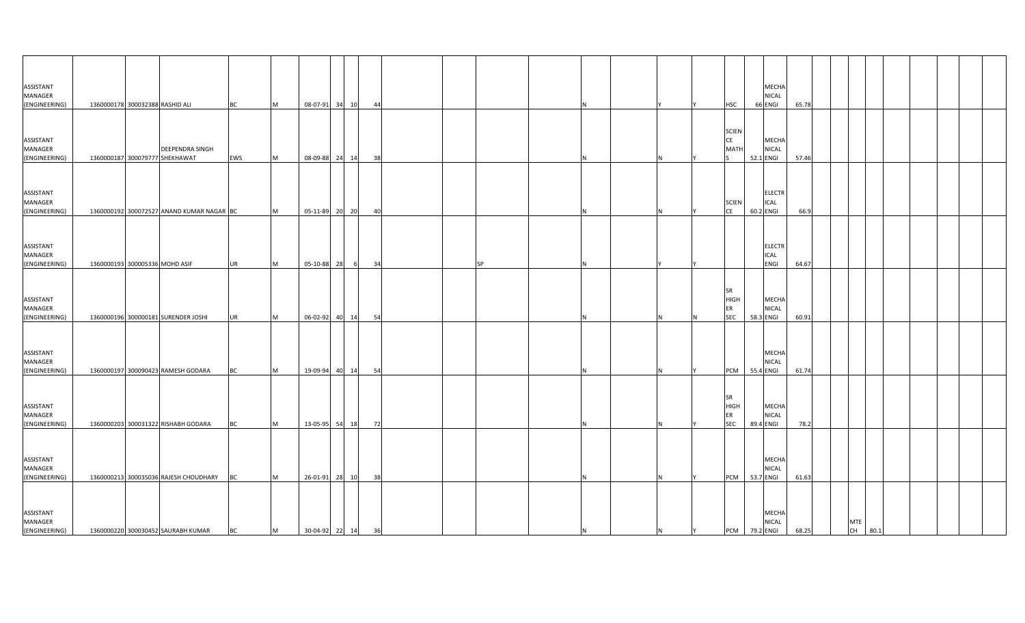| ASSISTANT<br>MANAGER                         |                                 |                                                   |           |           |                   |                |    |  |           |    |   |   |                                       | MECHA<br><b>NICAL</b>                     |       |  |                  |      |  |  |
|----------------------------------------------|---------------------------------|---------------------------------------------------|-----------|-----------|-------------------|----------------|----|--|-----------|----|---|---|---------------------------------------|-------------------------------------------|-------|--|------------------|------|--|--|
| (ENGINEERING)                                | 1360000178 300032388 RASHID ALI |                                                   | <b>BC</b> | M         |                   | 08-07-91 34 10 | 44 |  |           |    |   |   | <b>HSC</b>                            | 66 ENGI                                   | 65.78 |  |                  |      |  |  |
| ASSISTANT<br>MANAGER<br>(ENGINEERING)        |                                 | DEEPENDRA SINGH<br>1360000187 300079777 SHEKHAWAT | EWS       | <b>M</b>  |                   | 08-09-88 24 14 | 38 |  |           |    |   |   | <b>SCIEN</b><br>CE<br><b>MATH</b>     | MECHA<br><b>NICAL</b><br>52.1 ENGI        | 57.46 |  |                  |      |  |  |
| ASSISTANT<br>MANAGER<br>(ENGINEERING)        |                                 | 1360000192 300072527 ANAND KUMAR NAGAR BC         |           | <b>M</b>  |                   | 05-11-89 20 20 | 40 |  |           |    |   |   | <b>SCIEN</b><br><b>CE</b>             | <b>ELECTR</b><br><b>ICAL</b><br>60.2 ENGI | 66.9  |  |                  |      |  |  |
| ASSISTANT<br>MANAGER<br>(ENGINEERING)        | 1360000193 300005336 MOHD ASIF  |                                                   | <b>UR</b> | M         | 05-10-88 28       | $6^{\circ}$    | 34 |  | <b>SP</b> |    |   |   |                                       | <b>ELECTR</b><br>ICAL<br>ENGI             | 64.67 |  |                  |      |  |  |
| ASSISTANT<br>MANAGER<br>(ENGINEERING)        |                                 | 1360000196 300000181 SURENDER JOSHI               | <b>UR</b> | <b>IM</b> |                   | 06-02-92 40 14 | 54 |  |           |    |   |   | SR<br><b>HIGH</b><br>ER<br><b>SEC</b> | MECHA<br><b>NICAL</b><br>58.3 ENGI        | 60.91 |  |                  |      |  |  |
| ASSISTANT<br><b>MANAGER</b><br>(ENGINEERING) |                                 | 1360000197 300090423 RAMESH GODARA                | <b>BC</b> | <b>IM</b> |                   | 19-09-94 40 14 | 54 |  |           |    |   |   | <b>PCM</b>                            | MECHA<br><b>NICAL</b><br>55.4 ENGI        | 61.74 |  |                  |      |  |  |
| ASSISTANT<br>MANAGER<br>(ENGINEERING)        |                                 | 1360000203 300031322 RISHABH GODARA               | <b>BC</b> | <b>IM</b> |                   | 13-05-95 54 18 | 72 |  |           |    |   |   | <b>SR</b><br>HIGH<br>ER<br><b>SEC</b> | MECHA<br><b>NICAL</b><br>89.4 ENGI        | 78.2  |  |                  |      |  |  |
| ASSISTANT<br>MANAGER<br>(ENGINEERING)        |                                 | 1360000213 300035036 RAJESH CHOUDHARY             | <b>BC</b> | M         |                   | 26-01-91 28 10 | 38 |  |           |    |   |   | <b>PCM</b>                            | MECHA<br><b>NICAL</b><br>53.7 ENGI        | 61.63 |  |                  |      |  |  |
| ASSISTANT<br>MANAGER<br>(ENGINEERING)        |                                 | 1360000220 300030452 SAURABH KUMAR                | <b>BC</b> | M         | 30-04-92 22 14 36 |                |    |  |           | ΙN | N | Y | <b>PCM</b> 79.2 ENGI                  | <b>MECHA</b><br><b>NICAL</b>              | 68.25 |  | <b>MTE</b><br>CH | 80.1 |  |  |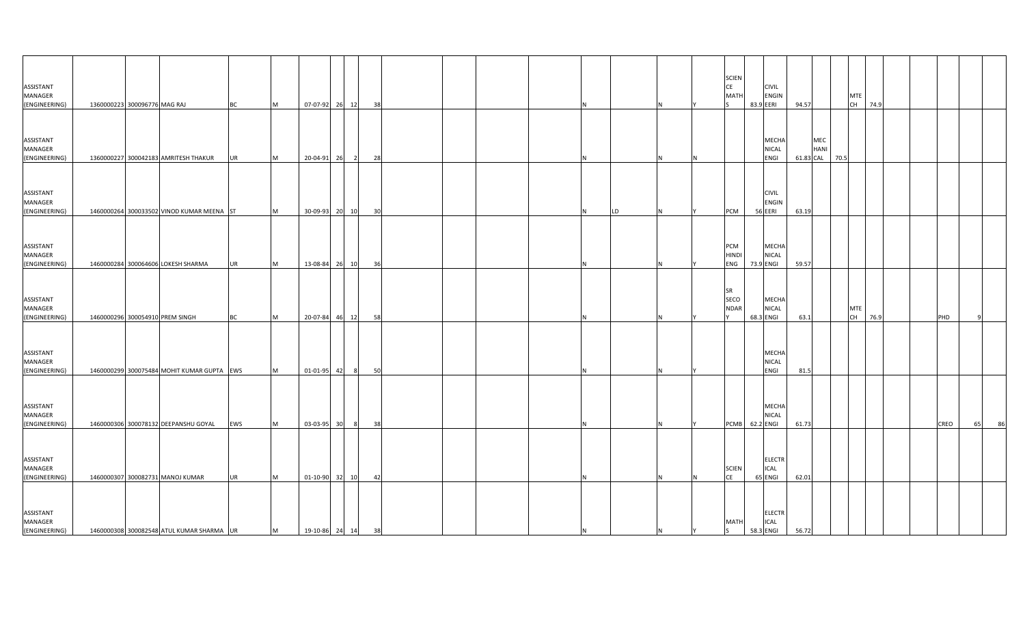| ASSISTANT<br>MANAGER                  |                                            |           |          |                   |                |    |          |           |   | <b>SCIEN</b><br><b>CE</b><br>MATI | <b>CIVIL</b><br><b>ENGIN</b>              |       |                          |      | <b>MTE</b>       |      |  |      |          |
|---------------------------------------|--------------------------------------------|-----------|----------|-------------------|----------------|----|----------|-----------|---|-----------------------------------|-------------------------------------------|-------|--------------------------|------|------------------|------|--|------|----------|
| (ENGINEERING)                         | 1360000223 300096776 MAG RAJ               | <b>BC</b> | M        | 07-07-92 26 12    |                | 38 |          |           |   |                                   | 83.9 EERI                                 | 94.57 |                          |      | CH 74.9          |      |  |      |          |
| ASSISTANT<br>MANAGER<br>(ENGINEERING) | 1360000227 300042183 AMRITESH THAKUR       | UR        | M        | 20-04-91 26       | $\overline{2}$ | 28 |          |           |   |                                   | MECHA<br>NICAL<br>ENGI                    |       | MEC<br>HANI<br>61.83 CAL | 70.5 |                  |      |  |      |          |
| ASSISTANT<br>MANAGER<br>(ENGINEERING) | 1460000264 300033502 VINOD KUMAR MEENA ST  |           | M        | 30-09-93 20       | 10             | 30 | N.       | <b>LD</b> |   | PCM                               | <b>CIVIL</b><br><b>ENGIN</b><br>56 EERI   | 63.19 |                          |      |                  |      |  |      |          |
| ASSISTANT<br>MANAGER<br>(ENGINEERING) | 1460000284 300064606 LOKESH SHARMA         | UR        | M        | 13-08-84 26       | 10             | 36 |          |           | N | PCM<br><b>HINDI</b><br>ENG        | MECHA<br><b>NICAL</b><br>73.9 ENGI        | 59.57 |                          |      |                  |      |  |      |          |
| ASSISTANT<br>MANAGER<br>(ENGINEERING) | 1460000296 300054910 PREM SINGH            | ВC        | M        | 20-07-84 46 12    |                | 58 |          |           |   | SR<br>SECO<br><b>NDAR</b>         | MECHA<br><b>NICAL</b><br>68.3 ENGI        | 63.1  |                          |      | <b>MTE</b><br>CH | 76.9 |  | PHD  |          |
| ASSISTANT<br>MANAGER<br>(ENGINEERING) | 1460000299 300075484 MOHIT KUMAR GUPTA EWS |           | <b>M</b> | 01-01-95 42       | 8 <sup>1</sup> | 50 |          |           |   |                                   | <b>MECHA</b><br>NICAL<br>ENGI             | 81.5  |                          |      |                  |      |  |      |          |
| ASSISTANT<br>MANAGER<br>(ENGINEERING) | 1460000306 300078132 DEEPANSHU GOYAL       | EWS       | M        | 03-03-95 30       | 8 <sup>8</sup> | 38 |          |           |   | PCMB 62.2 ENGI                    | MECHA<br>NICAL                            | 61.73 |                          |      |                  |      |  | CREO | 86<br>65 |
| ASSISTANT<br>MANAGER<br>(ENGINEERING) | 1460000307 300082731 MANOJ KUMAR           | <b>UR</b> | M        | 01-10-90 32 10    |                | 42 |          |           |   | <b>SCIEN</b><br><b>CE</b>         | <b>ELECTR</b><br>ICAL<br>65 ENGI          | 62.01 |                          |      |                  |      |  |      |          |
| ASSISTANT<br>MANAGER<br>(ENGINEERING) | 1460000308 300082548 ATUL KUMAR SHARMA UR  |           | M        | 19-10-86 24 14 38 |                |    | <b>N</b> |           |   | <b>MATH</b><br>ls.                | <b>ELECTR</b><br><b>ICAL</b><br>58.3 ENGI | 56.72 |                          |      |                  |      |  |      |          |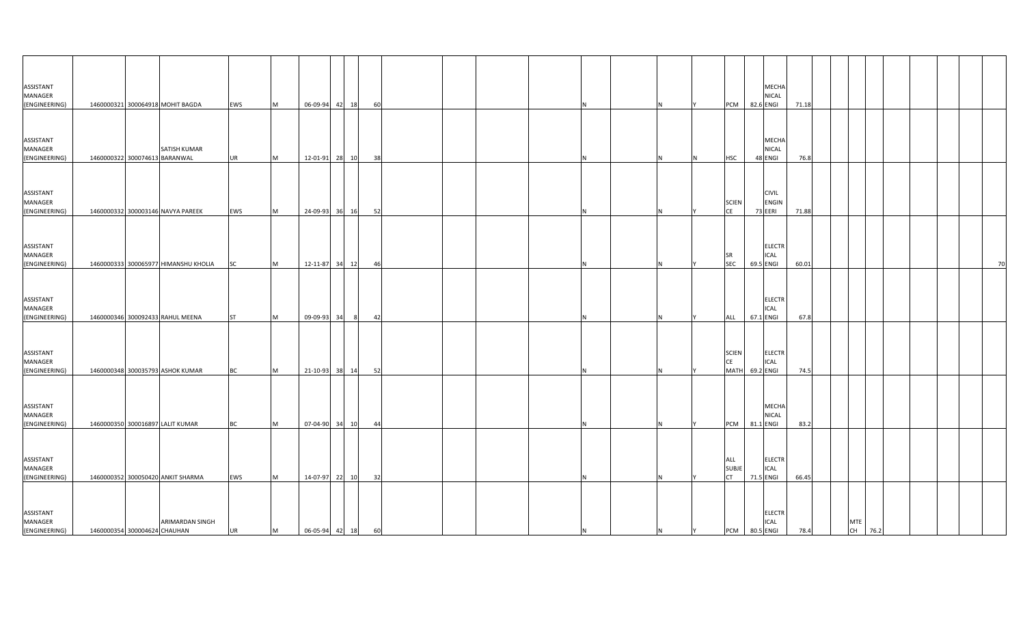| ASSISTANT<br>MANAGER<br>(ENGINEERING)                  |                               | 1460000321 300064918 MOHIT BAGDA                     | EWS              | M      | 06-09-94 42 18                |       | 60 |  |     |   |   | <b>PCM</b>                        | 82.6 ENGI | MECHA<br>NICAL                          | 71.18         |            |         |  |    |
|--------------------------------------------------------|-------------------------------|------------------------------------------------------|------------------|--------|-------------------------------|-------|----|--|-----|---|---|-----------------------------------|-----------|-----------------------------------------|---------------|------------|---------|--|----|
| ASSISTANT<br>MANAGER<br>(ENGINEERING)                  | 1460000322 300074613 BARANWAL | <b>SATISH KUMAR</b>                                  | <b>UR</b>        | M      | 12-01-91 28 10                |       | 38 |  |     |   |   | <b>HSC</b>                        |           | <b>MECHA</b><br><b>NICAL</b><br>48 ENGI | 76.8          |            |         |  |    |
| ASSISTANT<br>MANAGER<br>(ENGINEERING)                  |                               | 1460000332 300003146 NAVYA PAREEK                    | EWS              | M      | 24-09-93 36 16                |       | 52 |  |     |   |   | <b>SCIEN</b><br>CE                | 73 EERI   | <b>CIVIL</b><br><b>ENGIN</b>            | 71.88         |            |         |  |    |
| ASSISTANT<br>MANAGER<br>(ENGINEERING)                  |                               | 1460000333 300065977 HIMANSHU KHOLIA                 | <b>SC</b>        | M      | 12-11-87 34 12                |       | 46 |  |     |   |   | <b>SR</b><br><b>SEC</b>           | 69.5 ENGI | <b>ELECTR</b><br><b>ICAL</b>            | 60.01         |            |         |  | 70 |
| ASSISTANT<br>MANAGER<br>(ENGINEERING)                  |                               | 1460000346 300092433 RAHUL MEENA                     | <b>ST</b>        | M      | 09-09-93                      | 34    | 42 |  |     |   |   | ALL                               | 67.1 ENGI | <b>ELECTR</b><br>ICAL                   | 67.8          |            |         |  |    |
| ASSISTANT<br>MANAGER                                   |                               | 1460000348 300035793 ASHOK KUMAR                     |                  |        |                               |       | 52 |  |     |   |   | <b>SCIEN</b><br>CE<br><b>MATH</b> | 69.2 ENGI | <b>ELECTR</b><br>ICAL                   | 74.5          |            |         |  |    |
| (ENGINEERING)<br>ASSISTANT<br>MANAGER                  |                               |                                                      | <b>BC</b>        | M      | 21-10-93                      | 38 14 |    |  |     |   |   |                                   |           | MECHA<br><b>NICAL</b>                   |               |            |         |  |    |
| (ENGINEERING)<br>ASSISTANT<br>MANAGER                  |                               | 1460000350 300016897 LALIT KUMAR                     | <b>BC</b>        | M      | 07-04-90 34 10                |       | 44 |  |     |   |   | PCM<br>ALL<br><b>SUBJE</b>        | 81.1 ENGI | <b>ELECTR</b><br><b>ICAL</b>            | 83.2          |            |         |  |    |
| (ENGINEERING)<br>ASSISTANT<br>MANAGER<br>(ENGINEERING) | 1460000354 300004624 CHAUHAN  | 1460000352 300050420 ANKIT SHARMA<br>ARIMARDAN SINGH | EWS<br><b>UR</b> | M<br>M | 14-07-97<br>06-05-94 42 18 60 | 22 10 | 32 |  | IN. | N | Y | <b>CT</b><br>PCM 80.5 ENGI        | 71.5 ENGI | <b>ELECTR</b><br><b>ICAL</b>            | 66.45<br>78.4 | <b>MTE</b> | CH 76.2 |  |    |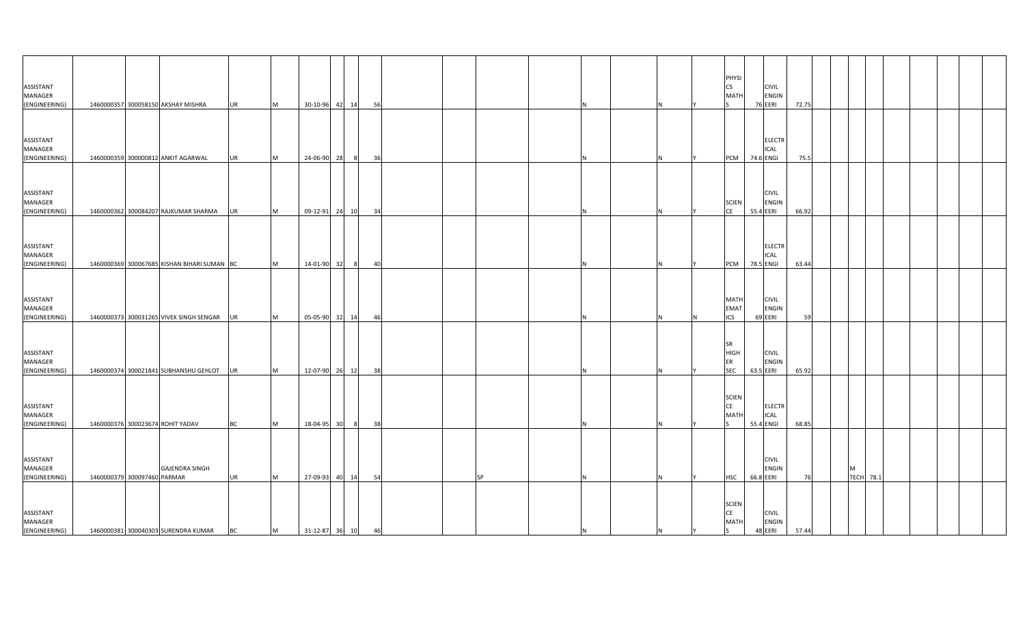| ASSISTANT<br>MANAGER<br>(ENGINEERING) |                             | 1460000357 300058150 AKSHAY MISHRA          | <b>UR</b> | M         |                | 30-10-96 42 14 | 56 |  |           |    |  | PHYSI<br><b>CS</b><br><b>MATH</b>               | 76 EERI   | <b>CIVIL</b><br><b>ENGIN</b> | 72.75 |   |                  |  |  |  |
|---------------------------------------|-----------------------------|---------------------------------------------|-----------|-----------|----------------|----------------|----|--|-----------|----|--|-------------------------------------------------|-----------|------------------------------|-------|---|------------------|--|--|--|
| ASSISTANT<br>MANAGER<br>(ENGINEERING) |                             | 1460000359 300000812 ANKIT AGARWAL          | <b>UR</b> | <b>M</b>  | 24-06-90 28    |                | 36 |  |           |    |  | <b>PCM</b>                                      | 74.6 ENGI | <b>ELECTR</b><br>ICAL        | 75.5  |   |                  |  |  |  |
| ASSISTANT<br>MANAGER<br>(ENGINEERING) |                             | 1460000362 300084207 RAJKUMAR SHARMA        | <b>UR</b> | M         | 09-12-91 24 10 |                | 34 |  |           |    |  | <b>SCIEN</b><br><b>ICE</b>                      | 55.4 EERI | <b>CIVIL</b><br><b>ENGIN</b> | 66.92 |   |                  |  |  |  |
| ASSISTANT<br>MANAGER<br>(ENGINEERING) |                             | 1460000369 300067685 KISHAN BIHARI SUMAN BC |           | M         | 14-01-90 32    | $^{\circ}$     | 40 |  |           |    |  | <b>PCM</b>                                      | 78.5 ENGI | <b>ELECTR</b><br><b>ICAL</b> | 63.44 |   |                  |  |  |  |
| ASSISTANT<br>MANAGER<br>(ENGINEERING) |                             | 1460000373 300031265 VIVEK SINGH SENGAR     | UR        | <b>M</b>  |                | 05-05-90 32 14 | 46 |  |           |    |  | <b>MATH</b><br><b>EMAT</b><br>ICS               | 69 EERI   | <b>CIVIL</b><br><b>ENGIN</b> | 59    |   |                  |  |  |  |
| ASSISTANT<br>MANAGER<br>(ENGINEERING) |                             | 1460000374 300021841 SUBHANSHU GEHLOT       | UR        | <b>IM</b> |                | 12-07-90 26 12 | 38 |  |           |    |  | <b>SR</b><br><b>HIGH</b><br>ER<br><b>SEC</b>    | 63.5 EERI | <b>CIVIL</b><br><b>ENGIN</b> | 65.92 |   |                  |  |  |  |
| ASSISTANT<br>MANAGER<br>(ENGINEERING) |                             | 1460000376 300023674 ROHIT YADAV            | <b>BC</b> | <b>IM</b> | 18-04-95 30    | - 8            | 38 |  |           |    |  | <b>SCIEN</b><br>CE<br><b>MATI</b>               | 55.4 ENGI | <b>ELECTR</b><br><b>ICAL</b> | 68.85 |   |                  |  |  |  |
| ASSISTANT<br>MANAGER<br>(ENGINEERING) | 1460000379 300097460 PARMAR | <b>GAJENDRA SINGH</b>                       | <b>UR</b> | M         | 27-09-93 40 14 |                | 54 |  | <b>SP</b> |    |  | <b>HSC</b>                                      | 66.8 EERI | <b>CIVIL</b><br><b>ENGIN</b> | 76    | M | <b>TECH 78.1</b> |  |  |  |
| ASSISTANT<br>MANAGER<br>(ENGINEERING) |                             | 1460000381 300040303 SURENDRA KUMAR         | <b>BC</b> | M         | 31-12-87 36 10 |                | 46 |  |           | ΙN |  | <b>SCIEN</b><br><b>CE</b><br><b>MATH</b><br>ls. | 48 EERI   | <b>CIVIL</b><br><b>ENGIN</b> | 57.44 |   |                  |  |  |  |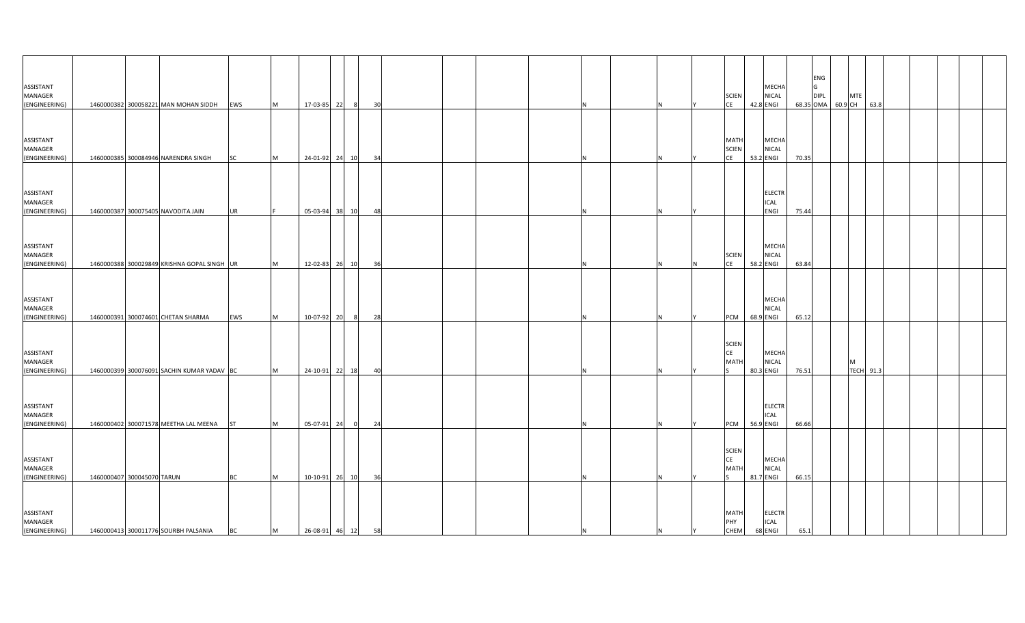| ASSISTANT<br>MANAGER<br>(ENGINEERING) |                            | 1460000382 300058221 MAN MOHAN SIDDH EWS    |           | M         | 17-03-85 22       | 30<br>- 81           |  |  |    |     |           | <b>SCIEN</b><br><b>CE</b>                              | <b>MECHA</b><br><b>NICAL</b><br>42.8 ENGI   |       | ENG<br>IG<br><b>DIPL</b> | 68.35 OMA 60.9 CH 63.8 | <b>MTE</b> |  |  |
|---------------------------------------|----------------------------|---------------------------------------------|-----------|-----------|-------------------|----------------------|--|--|----|-----|-----------|--------------------------------------------------------|---------------------------------------------|-------|--------------------------|------------------------|------------|--|--|
| ASSISTANT<br>MANAGER<br>(ENGINEERING) |                            | 1460000385 300084946 NARENDRA SINGH         | <b>SC</b> | M         | 24-01-92 24       | 10<br>34             |  |  |    |     |           | <b>MATH</b><br><b>SCIEN</b><br><b>CE</b>               | <b>MECHA</b><br><b>NICAL</b><br>53.2 ENGI   | 70.35 |                          |                        |            |  |  |
| ASSISTANT<br>MANAGER<br>(ENGINEERING) |                            | 1460000387 300075405 NAVODITA JAIN          | <b>UR</b> |           | 05-03-94 38 10    | 48                   |  |  |    |     |           |                                                        | <b>ELECTR</b><br><b>ICAL</b><br><b>ENGI</b> | 75.44 |                          |                        |            |  |  |
| ASSISTANT<br>MANAGER                  |                            |                                             |           |           |                   |                      |  |  |    |     |           | <b>SCIEN</b>                                           | MECHA<br><b>NICAL</b>                       |       |                          |                        |            |  |  |
| (ENGINEERING)<br>ASSISTANT<br>MANAGER |                            | 1460000388 300029849 KRISHNA GOPAL SINGH UR |           | M         | 12-02-83 26 10    | 36                   |  |  |    |     | IN.       | <b>CE</b>                                              | 58.2 ENGI<br><b>MECHA</b><br><b>NICAL</b>   | 63.84 |                          |                        |            |  |  |
| (ENGINEERING)<br>ASSISTANT<br>MANAGER |                            | 1460000391 300074601 CHETAN SHARMA          | EWS       | <b>IM</b> | 10-07-92 20       | 28                   |  |  |    |     |           | <b>PCM</b><br><b>SCIEN</b><br>CE<br><b>MATH</b>        | 68.9 ENGI<br><b>MECHA</b><br><b>NICAL</b>   | 65.12 |                          |                        | M          |  |  |
| (ENGINEERING)<br>ASSISTANT<br>MANAGER |                            | 1460000399 300076091 SACHIN KUMAR YADAV BC  |           | M         | 24-10-91 22 18    | 40                   |  |  |    |     |           |                                                        | 80.3 ENGI<br><b>ELECTR</b><br><b>ICAL</b>   | 76.51 |                          |                        | TECH 91.3  |  |  |
| (ENGINEERING)<br>ASSISTANT<br>MANAGER |                            | 1460000402 300071578 MEETHA LAL MEENA       | <b>ST</b> | M         | 05-07-91 24       | 24<br>$\overline{0}$ |  |  |    |     |           | <b>PCM</b><br><b>SCIEN</b><br><b>CE</b><br><b>MATH</b> | 56.9 ENGI<br><b>MECHA</b><br><b>NICAL</b>   | 66.66 |                          |                        |            |  |  |
| (ENGINEERING)<br>ASSISTANT<br>MANAGER | 1460000407 300045070 TARUN |                                             | <b>BC</b> | M         | 10-10-91 26 10    | 36                   |  |  |    |     |           | <b>MATH</b><br>PHY                                     | 81.7 ENGI<br><b>ELECTR</b><br><b>ICAL</b>   | 66.15 |                          |                        |            |  |  |
| (ENGINEERING)                         |                            | 1460000413 300011776 SOURBH PALSANIA        | <b>BC</b> | M         | 26-08-91 46 12 58 |                      |  |  | IN | IN. | <b>IY</b> | <b>CHEM</b>                                            | 68 ENGI                                     | 65.1  |                          |                        |            |  |  |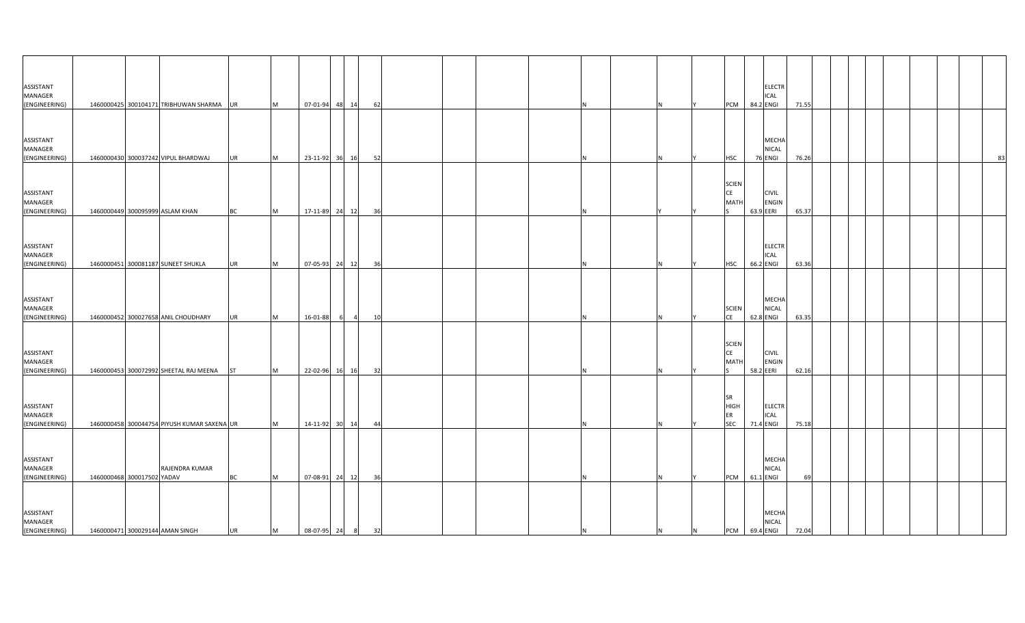| ASSISTANT<br>MANAGER                  |                                              |           |          |                  |     |                |    |          |    | <b>ELECTR</b><br>ICAL                                                          |       |  |  |  |    |
|---------------------------------------|----------------------------------------------|-----------|----------|------------------|-----|----------------|----|----------|----|--------------------------------------------------------------------------------|-------|--|--|--|----|
| (ENGINEERING)                         | 1460000425 300104171 TRIBHUWAN SHARMA UR     |           | M        | 07-01-94 48 14   |     |                | 62 |          |    | 84.2 ENGI<br>PCM                                                               | 71.55 |  |  |  |    |
| ASSISTANT<br>MANAGER<br>(ENGINEERING) | 1460000430 300037242 VIPUL BHARDWAJ          | <b>UR</b> | M        | 23-11-92 36      |     | 16             | 52 |          |    | MECHA<br>NICAL<br><b>HSC</b><br>76 ENGI                                        | 76.26 |  |  |  | 83 |
| ASSISTANT<br>MANAGER<br>(ENGINEERING) | 1460000449 300095999 ASLAM KHAN              | ВC        | M        | 17-11-89 24 12   |     |                | 36 |          |    | <b>SCIEN</b><br><b>CE</b><br><b>CIVIL</b><br><b>ENGIN</b><br>MATI<br>63.9 EERI | 65.37 |  |  |  |    |
| ASSISTANT<br>MANAGER<br>(ENGINEERING) | 1460000451 300081187 SUNEET SHUKLA           | UR        | M        | 07-05-93 24 12   |     |                | 36 |          | N  | <b>ELECTR</b><br>ICAL<br>66.2 ENGI<br><b>HSC</b>                               | 63.36 |  |  |  |    |
| ASSISTANT<br>MANAGER<br>(ENGINEERING) | 1460000452 300027658 ANIL CHOUDHARY          | UR        | M        | 16-01-88         | - 6 | $\overline{4}$ | 10 |          |    | MECHA<br>NICAL<br><b>SCIEN</b><br><b>CE</b><br>62.8 ENGI                       | 63.35 |  |  |  |    |
| ASSISTANT<br>MANAGER<br>(ENGINEERING) | 1460000453 300072992 SHEETAL RAJ MEENA       | <b>ST</b> | <b>M</b> | 22-02-96 16      |     | 16             | 32 |          |    | <b>SCIEN</b><br><b>CE</b><br><b>CIVIL</b><br>MATI<br><b>ENGIN</b><br>58.2 EERI | 62.16 |  |  |  |    |
| ASSISTANT<br>MANAGER<br>(ENGINEERING) | 1460000458 300044754 PIYUSH KUMAR SAXENA UR  |           | M        | 14-11-92 30 14   |     |                | 44 |          |    | SR<br><b>HIGH</b><br>ELECTR<br>ER<br>ICAL<br><b>SEC</b><br>71.4 ENGI           | 75.18 |  |  |  |    |
| ASSISTANT<br>MANAGER<br>(ENGINEERING) | RAJENDRA KUMAR<br>1460000468 300017502 YADAV | <b>BC</b> | M        | 07-08-91 24 12   |     |                | 36 |          | N. | MECHA<br>NICAL<br>61.1 ENGI<br>PCM                                             | 69    |  |  |  |    |
| ASSISTANT<br>MANAGER<br>(ENGINEERING) | 1460000471 300029144 AMAN SINGH              | <b>UR</b> | M        | 08-07-95 24 8 32 |     |                |    | <b>N</b> | N  | MECHA<br><b>NICAL</b><br>PCM 69.4 ENGI<br>N                                    | 72.04 |  |  |  |    |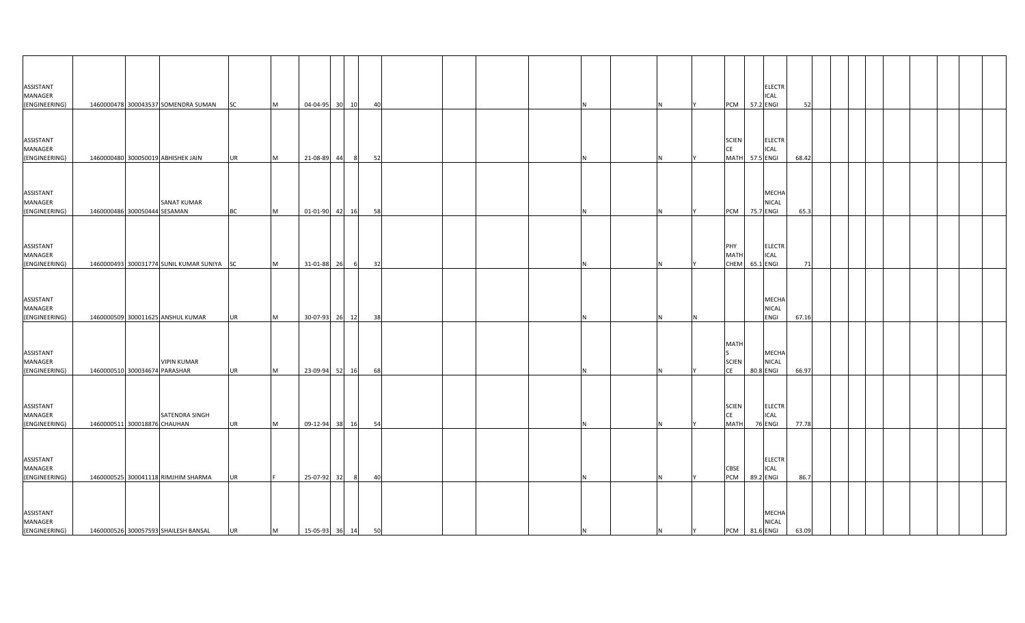| ASSISTANT<br>MANAGER<br>(ENGINEERING)        |                               | 1460000478 300043537 SOMENDRA SUMAN SC     |           | M         | 04-04-95 30       | 10<br>- 40 |    |   |   |     | PCM 57.2 ENGI                            | <b>ELECTR</b><br><b>ICAL</b>              | 52    |  |  |  |
|----------------------------------------------|-------------------------------|--------------------------------------------|-----------|-----------|-------------------|------------|----|---|---|-----|------------------------------------------|-------------------------------------------|-------|--|--|--|
| ASSISTANT<br>MANAGER                         |                               |                                            |           |           |                   |            |    |   |   |     | <b>SCIEN</b><br>CE                       | <b>ELECTR</b><br>ICAL                     |       |  |  |  |
| (ENGINEERING)                                |                               | 1460000480 300050019 ABHISHEK JAIN         | <b>UR</b> | Iм.       | 21-08-89 44       | 8          | 52 |   |   |     | MATH 57.5 ENGI                           |                                           | 68.42 |  |  |  |
| ASSISTANT<br>MANAGER<br>(ENGINEERING)        | 1460000486 300050444 SESAMAN  | <b>SANAT KUMAR</b>                         | <b>BC</b> | <b>M</b>  | 01-01-90 42       | 16         | 58 |   |   |     | PCM                                      | <b>MECHA</b><br>NICAL<br>75.7 ENGI        | 65.3  |  |  |  |
| ASSISTANT<br>MANAGER<br>(ENGINEERING)        |                               | 1460000493 300031774 SUNIL KUMAR SUNIYA SC |           | M         | 31-01-88 26       | 6          | 32 | N |   |     | PHY<br>MATH<br>CHEM 65.1 ENGI            | <b>ELECTR</b><br><b>ICAL</b>              | 71    |  |  |  |
| ASSISTANT<br>MANAGER<br>(ENGINEERING)        |                               | 1460000509 300011625 ANSHUL KUMAR          | <b>UR</b> | Iм.       | 30-07-93 26       | 12         | 38 |   |   |     |                                          | <b>MECHA</b><br>NICAL<br>ENGI             | 67.16 |  |  |  |
| ASSISTANT<br>MANAGER<br>(ENGINEERING)        | 1460000510 300034674 PARASHAR | <b>VIPIN KUMAR</b>                         | <b>UR</b> | <b>IM</b> | 23-09-94 52       | 16         | 68 |   |   |     | <b>MATH</b><br><b>SCIEN</b><br><b>CE</b> | <b>MECHA</b><br><b>NICAL</b><br>80.8 ENGI | 66.97 |  |  |  |
| <b>ASSISTANT</b><br>MANAGER<br>(ENGINEERING) | 1460000511 300018876 CHAUHAN  | SATENDRA SINGH                             | <b>UR</b> | <b>M</b>  | 09-12-94 38       | 16<br>54   |    | N |   |     | <b>SCIEN</b><br><b>CE</b><br><b>MATH</b> | <b>ELECTR</b><br>ICAL<br>76 ENGI          | 77.78 |  |  |  |
| ASSISTANT<br>MANAGER<br>(ENGINEERING)        |                               | 1460000525 300041118 RIMJHIM SHARMA        | <b>UR</b> |           | 25-07-92 32       | 8          | 40 |   |   |     | <b>CBSE</b><br>PCM                       | <b>ELECTR</b><br><b>ICAL</b><br>89.2 ENGI | 86.7  |  |  |  |
| ASSISTANT<br>MANAGER<br>(ENGINEERING)        |                               | 1460000526 300057593 SHAILESH BANSAL       | <b>UR</b> | M         | 15-05-93 36 14 50 |            |    | N | N | IY. | PCM 81.6 ENGI                            | <b>MECHA</b><br><b>NICAL</b>              | 63.09 |  |  |  |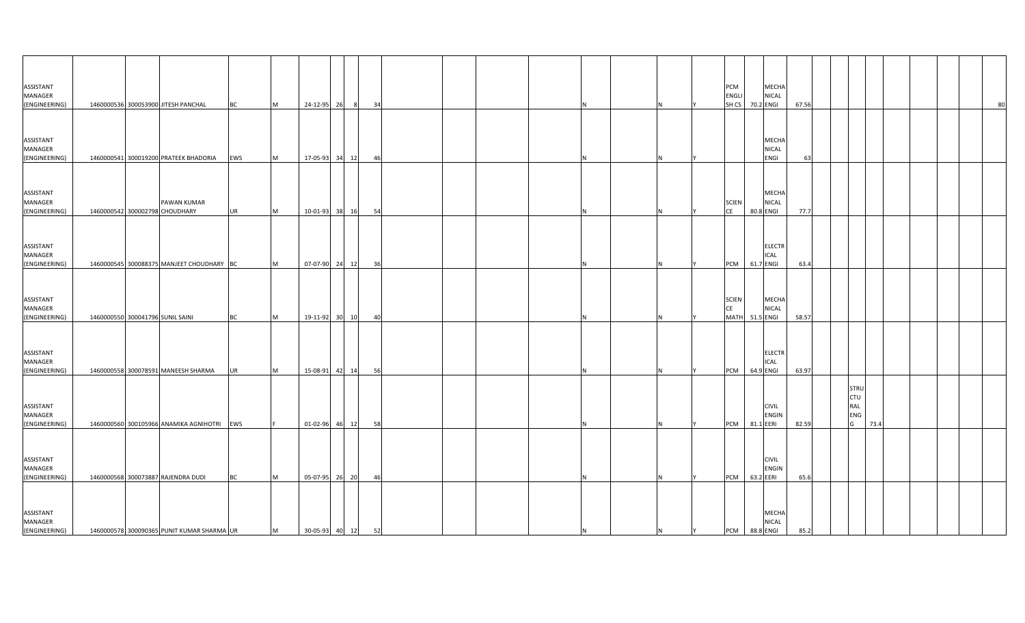| ASSISTANT<br>MANAGER |                                  |                                            |           |           |                   |                      |  |   |          | PCM<br>ENGLI              |           | <b>MECHA</b><br><b>NICAL</b> |       |  |                    |      |    |
|----------------------|----------------------------------|--------------------------------------------|-----------|-----------|-------------------|----------------------|--|---|----------|---------------------------|-----------|------------------------------|-------|--|--------------------|------|----|
| (ENGINEERING)        |                                  | 1460000536 300053900 JITESH PANCHAL        | <b>BC</b> | M         | 24-12-95 26       | 8 <sup>8</sup><br>34 |  | N |          | SHCS 70.2 ENGI            |           |                              | 67.56 |  |                    |      | 80 |
|                      |                                  |                                            |           |           |                   |                      |  |   |          |                           |           |                              |       |  |                    |      |    |
|                      |                                  |                                            |           |           |                   |                      |  |   |          |                           |           |                              |       |  |                    |      |    |
|                      |                                  |                                            |           |           |                   |                      |  |   |          |                           |           |                              |       |  |                    |      |    |
| ASSISTANT<br>MANAGER |                                  |                                            |           |           |                   |                      |  |   |          |                           |           | MECHA<br>NICAL               |       |  |                    |      |    |
| (ENGINEERING)        |                                  | 1460000541 300019200 PRATEEK BHADORIA      | EWS       | <b>M</b>  | 17-05-93 34       | 12<br>46             |  |   |          |                           |           | ENGI                         | 63    |  |                    |      |    |
|                      |                                  |                                            |           |           |                   |                      |  |   |          |                           |           |                              |       |  |                    |      |    |
|                      |                                  |                                            |           |           |                   |                      |  |   |          |                           |           |                              |       |  |                    |      |    |
|                      |                                  |                                            |           |           |                   |                      |  |   |          |                           |           |                              |       |  |                    |      |    |
| ASSISTANT<br>MANAGER |                                  | PAWAN KUMAR                                |           |           |                   |                      |  |   |          | <b>SCIEN</b>              |           | <b>MECHA</b><br><b>NICAL</b> |       |  |                    |      |    |
| (ENGINEERING)        |                                  | 1460000542 300002798 CHOUDHARY             | <b>UR</b> | M         | 10-01-93 38       | 16<br>54             |  |   |          | <b>CE</b>                 | 80.8 ENGI |                              | 77.7  |  |                    |      |    |
|                      |                                  |                                            |           |           |                   |                      |  |   |          |                           |           |                              |       |  |                    |      |    |
|                      |                                  |                                            |           |           |                   |                      |  |   |          |                           |           |                              |       |  |                    |      |    |
| ASSISTANT            |                                  |                                            |           |           |                   |                      |  |   |          |                           |           | <b>ELECTR</b>                |       |  |                    |      |    |
| MANAGER              |                                  |                                            |           |           |                   |                      |  |   |          |                           |           | ICAL                         |       |  |                    |      |    |
| (ENGINEERING)        |                                  | 1460000545 300088375 MANJEET CHOUDHARY BC  |           | <b>IM</b> | 07-07-90 24 12    | 36                   |  | N |          | PCM 61.7 ENGI             |           |                              | 63.4  |  |                    |      |    |
|                      |                                  |                                            |           |           |                   |                      |  |   |          |                           |           |                              |       |  |                    |      |    |
|                      |                                  |                                            |           |           |                   |                      |  |   |          |                           |           |                              |       |  |                    |      |    |
|                      |                                  |                                            |           |           |                   |                      |  |   |          |                           |           |                              |       |  |                    |      |    |
| ASSISTANT<br>MANAGER |                                  |                                            |           |           |                   |                      |  |   |          | <b>SCIEN</b><br><b>CE</b> |           | <b>MECHA</b><br><b>NICAL</b> |       |  |                    |      |    |
| (ENGINEERING)        | 1460000550 300041796 SUNIL SAINI |                                            | <b>BC</b> | <b>M</b>  | 19-11-92 30       | 10<br>40             |  |   |          | MATH 51.5 ENGI            |           |                              | 58.57 |  |                    |      |    |
|                      |                                  |                                            |           |           |                   |                      |  |   |          |                           |           |                              |       |  |                    |      |    |
|                      |                                  |                                            |           |           |                   |                      |  |   |          |                           |           |                              |       |  |                    |      |    |
| ASSISTANT            |                                  |                                            |           |           |                   |                      |  |   |          |                           |           | <b>ELECTR</b>                |       |  |                    |      |    |
| MANAGER              |                                  |                                            |           |           |                   |                      |  |   |          |                           |           | <b>ICAL</b>                  |       |  |                    |      |    |
| (ENGINEERING)        |                                  | 1460000558 300078591 MANEESH SHARMA        | <b>UR</b> | M         | 15-08-91 42 14    | 56                   |  |   |          | PCM                       | 64.9 ENGI |                              | 63.97 |  |                    |      |    |
|                      |                                  |                                            |           |           |                   |                      |  |   |          |                           |           |                              |       |  |                    |      |    |
|                      |                                  |                                            |           |           |                   |                      |  |   |          |                           |           |                              |       |  | STRU<br><b>CTU</b> |      |    |
| ASSISTANT            |                                  |                                            |           |           |                   |                      |  |   |          |                           |           | <b>CIVIL</b>                 |       |  | RAL                |      |    |
| MANAGER              |                                  |                                            |           |           |                   |                      |  |   |          |                           |           | <b>ENGIN</b>                 |       |  | ENG                |      |    |
| (ENGINEERING)        |                                  | 1460000560 300105966 ANAMIKA AGNIHOTRI EWS |           |           | 01-02-96 46 12    | 58                   |  | N |          | PCM 81.1 EERI             |           |                              | 82.59 |  | G                  | 73.4 |    |
|                      |                                  |                                            |           |           |                   |                      |  |   |          |                           |           |                              |       |  |                    |      |    |
|                      |                                  |                                            |           |           |                   |                      |  |   |          |                           |           |                              |       |  |                    |      |    |
| ASSISTANT            |                                  |                                            |           |           |                   |                      |  |   |          |                           |           | <b>CIVIL</b>                 |       |  |                    |      |    |
| MANAGER              |                                  |                                            |           |           |                   |                      |  |   |          |                           |           | <b>ENGIN</b>                 |       |  |                    |      |    |
| (ENGINEERING)        |                                  | 1460000568 300073887 RAJENDRA DUDI         | <b>BC</b> | <b>IM</b> | 05-07-95 26       | 20<br>46             |  |   | N.       | PCM 63.2 EERI             |           |                              | 65.6  |  |                    |      |    |
|                      |                                  |                                            |           |           |                   |                      |  |   |          |                           |           |                              |       |  |                    |      |    |
|                      |                                  |                                            |           |           |                   |                      |  |   |          |                           |           |                              |       |  |                    |      |    |
| ASSISTANT            |                                  |                                            |           |           |                   |                      |  |   |          |                           |           | <b>MECHA</b>                 |       |  |                    |      |    |
| MANAGER              |                                  |                                            |           |           |                   |                      |  |   |          |                           |           | <b>NICAL</b>                 |       |  |                    |      |    |
| (ENGINEERING)        |                                  | 1460000578 300090365 PUNIT KUMAR SHARMA UR |           | M         | 30-05-93 40 12 52 |                      |  | N | IY.<br>N | PCM 88.8 ENGI             |           |                              | 85.2  |  |                    |      |    |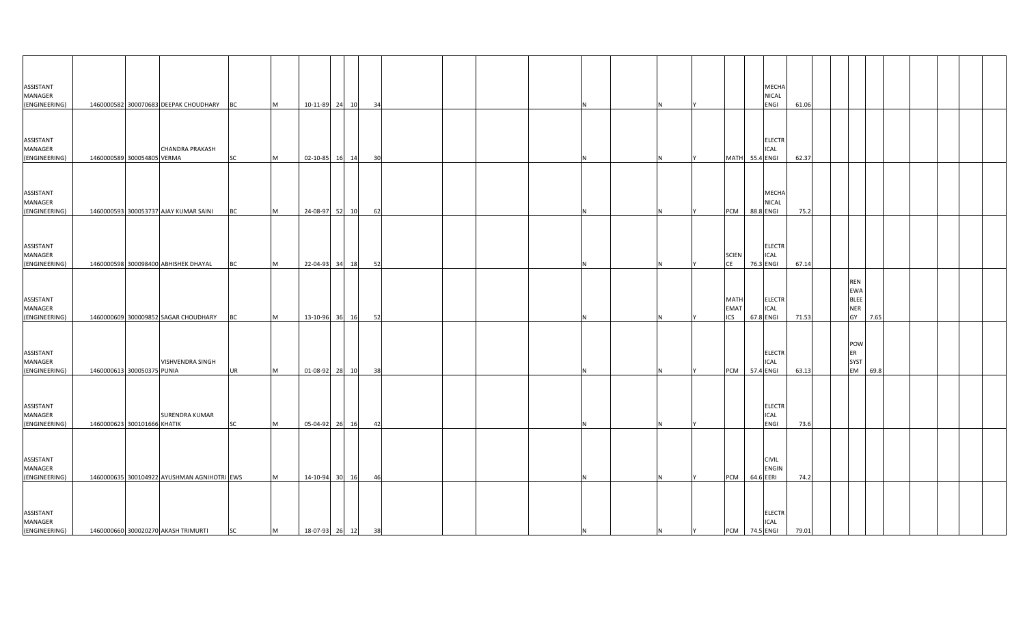| ASSISTANT<br>MANAGER<br>(ENGINEERING)        |                             | 1460000582 300070683 DEEPAK CHOUDHARY BC    |           | M         |                   | 10-11-89 24 10 | 34 |  |  |  |   |                                   | MECHA<br>NICAL<br>ENGI                    | 61.06 |                                                             |      |  |  |
|----------------------------------------------|-----------------------------|---------------------------------------------|-----------|-----------|-------------------|----------------|----|--|--|--|---|-----------------------------------|-------------------------------------------|-------|-------------------------------------------------------------|------|--|--|
| ASSISTANT<br>MANAGER                         |                             | <b>CHANDRA PRAKASH</b>                      |           |           |                   |                |    |  |  |  |   |                                   | <b>ELECTR</b><br>ICAL                     |       |                                                             |      |  |  |
| (ENGINEERING)                                | 1460000589 300054805 VERMA  |                                             | <b>SC</b> | Iм.       | 02-10-85 16       | 14             | 30 |  |  |  |   | <b>MATH</b>                       | 55.4 ENGI                                 | 62.37 |                                                             |      |  |  |
| ASSISTANT<br>MANAGER<br>(ENGINEERING)        |                             | 1460000593 300053737 AJAY KUMAR SAINI       | BC        | <b>IM</b> | 24-08-97 52       | 10             | 62 |  |  |  |   | PCM                               | <b>MECHA</b><br><b>NICAL</b><br>88.8 ENGI | 75.2  |                                                             |      |  |  |
| ASSISTANT<br>MANAGER<br>(ENGINEERING)        |                             | 1460000598 300098400 ABHISHEK DHAYAL        | <b>BC</b> | M         | 22-04-93 34       | 18             | 52 |  |  |  |   | <b>SCIEN</b><br><b>CE</b>         | <b>ELECTR</b><br>ICAL<br>76.3 ENGI        | 67.14 |                                                             |      |  |  |
| ASSISTANT<br>MANAGER<br>(ENGINEERING)        |                             | 1460000609 300009852 SAGAR CHOUDHARY        | BC        | Iм.       | 13-10-96 36       | 16             | 52 |  |  |  |   | <b>MATH</b><br>EMAT<br><b>ICS</b> | <b>ELECTR</b><br>ICAL<br>67.8 ENGI        | 71.53 | <b>REN</b><br><b>EWA</b><br><b>BLEE</b><br><b>NER</b><br>GY | 7.65 |  |  |
| ASSISTANT<br>MANAGER<br>(ENGINEERING)        | 1460000613 300050375 PUNIA  | VISHVENDRA SINGH                            | <b>UR</b> | <b>IM</b> |                   | 01-08-92 28 10 | 38 |  |  |  |   | PCM                               | <b>ELECTR</b><br>ICAL<br>57.4 ENGI        | 63.13 | POW<br><b>ER</b><br>SYST<br><b>EM</b>                       | 69.8 |  |  |
| <b>ASSISTANT</b><br>MANAGER<br>(ENGINEERING) | 1460000623 300101666 KHATIK | SURENDRA KUMAR                              | <b>SC</b> | <b>M</b>  | 05-04-92 26       | 16             | 42 |  |  |  |   |                                   | <b>ELECTR</b><br>ICAL<br>ENGI             | 73.6  |                                                             |      |  |  |
| ASSISTANT<br>MANAGER<br>(ENGINEERING)        |                             | 1460000635 300104922 AYUSHMAN AGNIHOTRI EWS |           | <b>IM</b> | 14-10-94 30       | 16             | 46 |  |  |  |   | PCM                               | <b>CIVIL</b><br>ENGIN<br>64.6 EERI        | 74.2  |                                                             |      |  |  |
| ASSISTANT<br>MANAGER<br>(ENGINEERING)        |                             | 1460000660 300020270 AKASH TRIMURTI         | <b>SC</b> | M         | 18-07-93 26 12 38 |                |    |  |  |  | N | Y                                 | <b>ELECTR</b><br>ICAL<br>PCM 74.5 ENGI    | 79.01 |                                                             |      |  |  |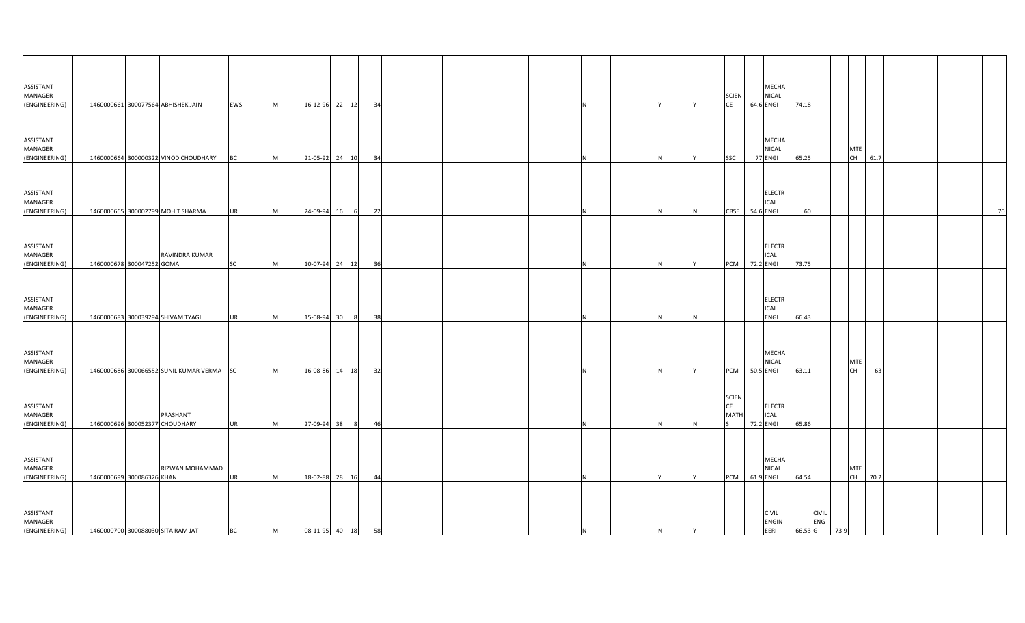| ASSISTANT<br>MANAGER                         |                           |                                            |           |           |                   |                |    |  |  |  |   | <b>SCIEN</b>                             | MECHA<br>NICAL                                |         |                     |                         |      |  |    |
|----------------------------------------------|---------------------------|--------------------------------------------|-----------|-----------|-------------------|----------------|----|--|--|--|---|------------------------------------------|-----------------------------------------------|---------|---------------------|-------------------------|------|--|----|
| (ENGINEERING)                                |                           | 1460000661 300077564 ABHISHEK JAIN         | EWS       | M         | 16-12-96 22 12    |                | 34 |  |  |  |   | CE                                       | 64.6 ENGI                                     | 74.18   |                     |                         |      |  |    |
| ASSISTANT<br>MANAGER                         |                           |                                            |           |           |                   |                |    |  |  |  |   |                                          | MECHA<br>NICAL                                |         |                     | <b>MTE</b>              |      |  |    |
| (ENGINEERING)                                |                           | 1460000664 300000322 VINOD CHOUDHARY       | <b>BC</b> | <b>M</b>  | 21-05-92 24 10    |                | 34 |  |  |  |   | SSC                                      | 77 ENGI                                       | 65.25   |                     | CH                      | 61.7 |  |    |
| ASSISTANT<br>MANAGER<br>(ENGINEERING)        |                           | 1460000665 300002799 MOHIT SHARMA          | <b>UR</b> | M         | 24-09-94 16       | 6              | 22 |  |  |  |   | CBSE                                     | <b>ELECTR</b><br>ICAL<br>54.6 ENGI            | 60      |                     |                         |      |  | 70 |
| ASSISTANT<br>MANAGER<br>(ENGINEERING)        | 1460000678 300047252 GOMA | RAVINDRA KUMAR                             | <b>SC</b> | <b>M</b>  |                   | 10-07-94 24 12 | 36 |  |  |  | N |                                          | <b>ELECTR</b><br>ICAL<br><b>PCM</b> 72.2 ENGI | 73.75   |                     |                         |      |  |    |
| ASSISTANT<br>MANAGER<br>(ENGINEERING)        |                           | 1460000683 300039294 SHIVAM TYAGI          | <b>UR</b> | <b>IM</b> | 15-08-94 30       | 8              | 38 |  |  |  |   |                                          | <b>ELECTR</b><br>ICAL<br>ENGI                 | 66.43   |                     |                         |      |  |    |
| ASSISTANT<br>MANAGER<br>(ENGINEERING)        |                           | 1460000686 300066552 SUNIL KUMAR VERMA SC  |           | M         | 16-08-86 14 18    |                | 32 |  |  |  |   | PCM                                      | MECHA<br><b>NICAL</b><br>50.5 ENGI            | 63.11   |                     | <b>MTE</b><br><b>CH</b> | 63   |  |    |
| <b>ASSISTANT</b><br>MANAGER<br>(ENGINEERING) |                           | PRASHANT<br>1460000696 300052377 CHOUDHARY | <b>UR</b> | <b>M</b>  | 27-09-94 38       | 8 <sup>1</sup> | 46 |  |  |  |   | <b>SCIEN</b><br><b>CE</b><br><b>MATI</b> | <b>ELECTR</b><br>ICAL<br>72.2 ENGI            | 65.86   |                     |                         |      |  |    |
| ASSISTANT<br>MANAGER<br>(ENGINEERING)        | 1460000699 300086326 KHAN | RIZWAN MOHAMMAD                            | <b>UR</b> | <b>IM</b> | 18-02-88 28       | 16             | 44 |  |  |  |   | PCM                                      | <b>MECHA</b><br>NICAL<br>61.9 ENGI            | 64.54   |                     | <b>MTE</b><br>CH        | 70.2 |  |    |
| ASSISTANT<br>MANAGER<br>(ENGINEERING)        |                           | 1460000700 300088030 SITA RAM JAT          | <b>BC</b> | M         | 08-11-95 40 18 58 |                |    |  |  |  | N |                                          | <b>CIVIL</b><br>ENGIN<br>EERI                 | 66.53 G | <b>CIVIL</b><br>ENG | 73.9                    |      |  |    |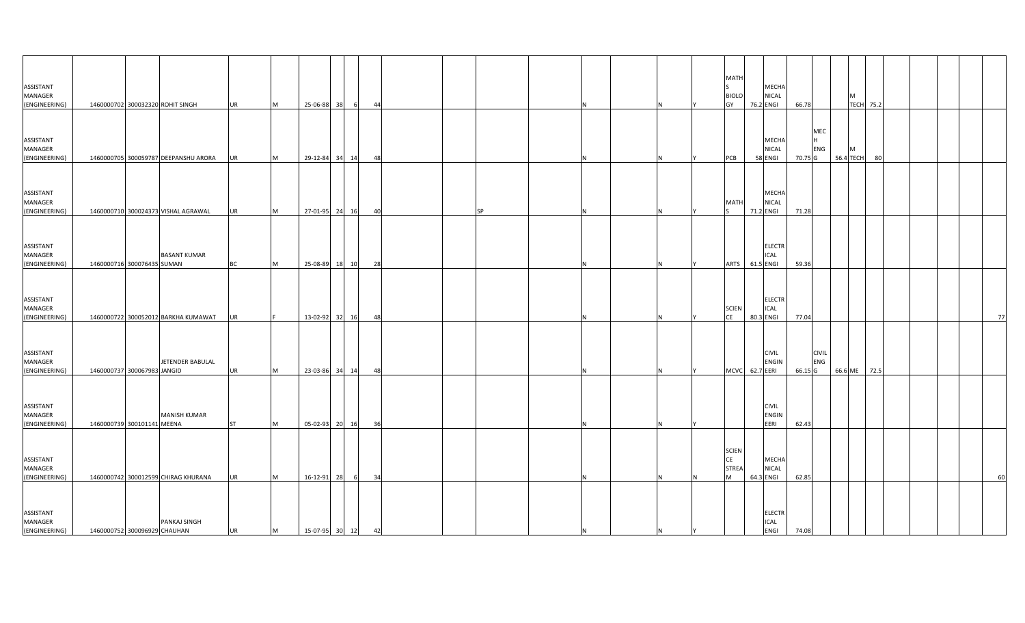| ASSISTANT                |                              |                                      |           |          |                   |       |            |  |           |     |          |     | MATI               |           | MECHA                     |         |              |                       |    |  |  |    |
|--------------------------|------------------------------|--------------------------------------|-----------|----------|-------------------|-------|------------|--|-----------|-----|----------|-----|--------------------|-----------|---------------------------|---------|--------------|-----------------------|----|--|--|----|
| MANAGER<br>(ENGINEERING) |                              | 1460000702 300032320 ROHIT SINGH     | <b>UR</b> | M        | 25-06-88          | 38    | 44<br>- 61 |  |           |     |          |     | <b>BIOLO</b><br>GY |           | <b>NICAL</b><br>76.2 ENGI | 66.78   |              | м<br><b>TECH 75.2</b> |    |  |  |    |
|                          |                              |                                      |           |          |                   |       |            |  |           |     |          |     |                    |           |                           |         |              |                       |    |  |  |    |
| ASSISTANT                |                              |                                      |           |          |                   |       |            |  |           |     |          |     |                    |           | MECHA                     |         | MEC<br>IH.   |                       |    |  |  |    |
| MANAGER                  |                              |                                      |           |          |                   |       |            |  |           |     |          |     |                    |           | <b>NICAL</b>              |         | <b>ENG</b>   | M                     |    |  |  |    |
| (ENGINEERING)            |                              | 1460000705 300059787 DEEPANSHU ARORA | <b>UR</b> | M        | 29-12-84 34 14    |       | 48         |  |           |     |          |     | PCB                |           | 58 ENGI                   | 70.75 G |              | 56.4 TECH             | 80 |  |  |    |
|                          |                              |                                      |           |          |                   |       |            |  |           |     |          |     |                    |           |                           |         |              |                       |    |  |  |    |
| ASSISTANT                |                              |                                      |           |          |                   |       |            |  |           |     |          |     |                    |           | MECHA                     |         |              |                       |    |  |  |    |
| MANAGER                  |                              |                                      |           |          |                   |       |            |  |           |     |          |     | <b>MATI</b>        |           | <b>NICAL</b>              |         |              |                       |    |  |  |    |
| (ENGINEERING)            |                              | 1460000710 300024373 VISHAL AGRAWAL  | <b>UR</b> | M        | 27-01-95 24 16    |       | 40         |  | <b>SP</b> |     |          |     |                    | 71.2 ENGI |                           | 71.28   |              |                       |    |  |  |    |
|                          |                              |                                      |           |          |                   |       |            |  |           |     |          |     |                    |           |                           |         |              |                       |    |  |  |    |
| ASSISTANT                |                              |                                      |           |          |                   |       |            |  |           |     |          |     |                    |           | <b>ELECTR</b>             |         |              |                       |    |  |  |    |
| MANAGER                  |                              | <b>BASANT KUMAR</b>                  |           |          |                   |       |            |  |           |     |          |     |                    |           | ICAL                      |         |              |                       |    |  |  |    |
| (ENGINEERING)            | 1460000716 300076435 SUMAN   |                                      | <b>BC</b> | <b>M</b> | 25-08-89 18 10    |       | 28         |  |           |     |          |     | <b>ARTS</b>        | 61.5 ENGI |                           | 59.36   |              |                       |    |  |  |    |
|                          |                              |                                      |           |          |                   |       |            |  |           |     |          |     |                    |           |                           |         |              |                       |    |  |  |    |
| ASSISTANT                |                              |                                      |           |          |                   |       |            |  |           |     |          |     |                    |           | <b>ELECTR</b>             |         |              |                       |    |  |  |    |
| MANAGER                  |                              |                                      |           |          |                   |       |            |  |           |     |          |     | <b>SCIEN</b>       |           | <b>ICAL</b>               |         |              |                       |    |  |  |    |
| (ENGINEERING)            |                              | 1460000722 300052012 BARKHA KUMAWAT  | <b>UR</b> |          | 13-02-92          | 32 16 | 48         |  |           |     |          |     | CE                 | 80.3 ENGI |                           | 77.04   |              |                       |    |  |  | 77 |
|                          |                              |                                      |           |          |                   |       |            |  |           |     |          |     |                    |           |                           |         |              |                       |    |  |  |    |
| ASSISTANT                |                              |                                      |           |          |                   |       |            |  |           |     |          |     |                    |           | <b>CIVIL</b>              |         | <b>CIVIL</b> |                       |    |  |  |    |
| MANAGER                  |                              | JETENDER BABULAL                     |           |          |                   |       |            |  |           |     |          |     |                    |           | <b>ENGIN</b>              |         | ENG          |                       |    |  |  |    |
| (ENGINEERING)            | 1460000737 300067983 JANGID  |                                      | <b>UR</b> | M        | 23-03-86          | 34 14 | 48         |  |           |     |          |     | <b>MCVC</b>        | 62.7 EERI |                           | 66.15 G |              | 66.6 ME 72.5          |    |  |  |    |
|                          |                              |                                      |           |          |                   |       |            |  |           |     |          |     |                    |           |                           |         |              |                       |    |  |  |    |
| <b>ASSISTANT</b>         |                              |                                      |           |          |                   |       |            |  |           |     |          |     |                    |           | <b>CIVIL</b>              |         |              |                       |    |  |  |    |
| MANAGER                  |                              | <b>MANISH KUMAR</b>                  |           |          |                   |       |            |  |           |     |          |     |                    |           | <b>ENGIN</b>              |         |              |                       |    |  |  |    |
| (ENGINEERING)            | 1460000739 300101141 MEENA   |                                      | <b>ST</b> | M        | 05-02-93 20 16    |       | 36         |  |           |     |          |     |                    |           | EERI                      | 62.43   |              |                       |    |  |  |    |
|                          |                              |                                      |           |          |                   |       |            |  |           |     |          |     |                    |           |                           |         |              |                       |    |  |  |    |
| ASSISTANT                |                              |                                      |           |          |                   |       |            |  |           |     |          |     | <b>SCIEN</b><br>CE |           | MECHA                     |         |              |                       |    |  |  |    |
| MANAGER                  |                              |                                      |           |          |                   |       |            |  |           |     |          |     | <b>STREA</b>       |           | <b>NICAL</b>              |         |              |                       |    |  |  |    |
| (ENGINEERING)            |                              | 1460000742 300012599 CHIRAG KHURANA  | <b>UR</b> | M        | 16-12-91 28       | - 6   | 34         |  |           |     |          |     | M                  | 64.3 ENGI |                           | 62.85   |              |                       |    |  |  | 60 |
|                          |                              |                                      |           |          |                   |       |            |  |           |     |          |     |                    |           |                           |         |              |                       |    |  |  |    |
| ASSISTANT                |                              |                                      |           |          |                   |       |            |  |           |     |          |     |                    |           | <b>ELECTR</b>             |         |              |                       |    |  |  |    |
| MANAGER                  |                              | PANKAJ SINGH                         |           |          |                   |       |            |  |           |     |          |     |                    |           | <b>ICAL</b>               |         |              |                       |    |  |  |    |
| (ENGINEERING)            | 1460000752 300096929 CHAUHAN |                                      | <b>UR</b> | M        | 15-07-95 30 12 42 |       |            |  |           | IN. | <b>N</b> | IY. |                    |           | <b>ENGI</b>               | 74.08   |              |                       |    |  |  |    |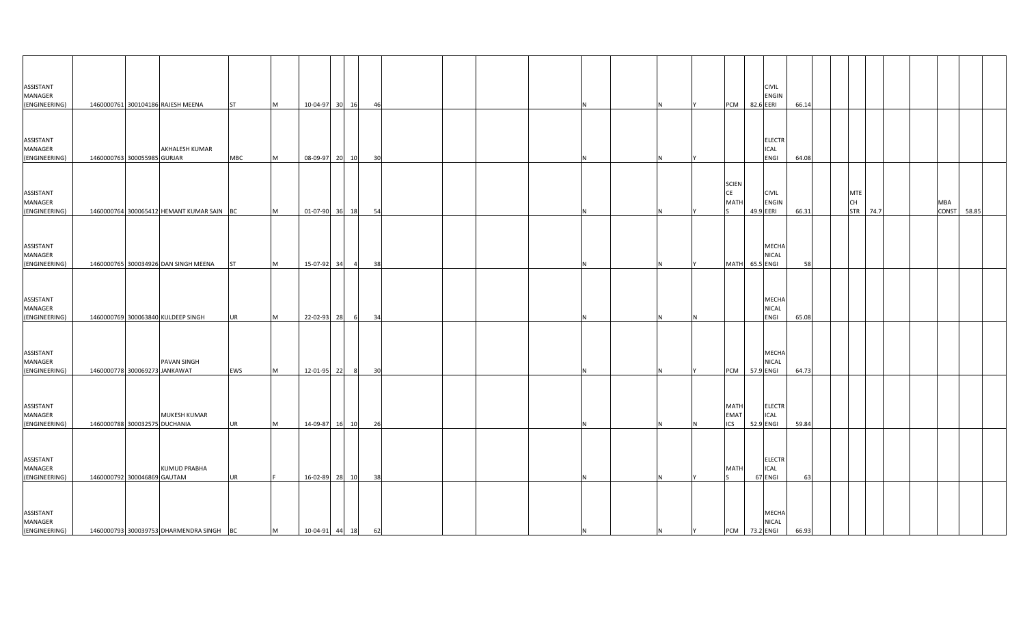| ASSISTANT                             |                               |                                           |            |           |                   |                |    |  |          |          |   |                                          | <b>CIVIL</b>                              |       |                         |          |  |                     |       |  |
|---------------------------------------|-------------------------------|-------------------------------------------|------------|-----------|-------------------|----------------|----|--|----------|----------|---|------------------------------------------|-------------------------------------------|-------|-------------------------|----------|--|---------------------|-------|--|
| MANAGER                               |                               |                                           |            |           |                   |                |    |  |          |          |   |                                          | <b>ENGIN</b>                              |       |                         |          |  |                     |       |  |
| (ENGINEERING)                         |                               | 1460000761 300104186 RAJESH MEENA         | <b>ST</b>  | M         | 10-04-97 30 16    |                | 46 |  |          |          |   | PCM                                      | 82.6 EERI                                 | 66.14 |                         |          |  |                     |       |  |
| ASSISTANT<br>MANAGER<br>(ENGINEERING) | 1460000763 300055985 GURJAR   | <b>AKHALESH KUMAR</b>                     | <b>MBC</b> | <b>M</b>  | 08-09-97 20       | 10             | 30 |  | N        |          |   |                                          | <b>ELECTR</b><br><b>ICAL</b><br>ENGI      | 64.08 |                         |          |  |                     |       |  |
| ASSISTANT<br>MANAGER<br>(ENGINEERING) |                               | 1460000764 300065412 HEMANT KUMAR SAIN BC |            | M         | 01-07-90 36 18    |                | 54 |  | N        |          |   | <b>SCIEN</b><br><b>CE</b><br><b>MATH</b> | <b>CIVIL</b><br><b>ENGIN</b><br>49.9 EERI | 66.31 | <b>MTE</b><br><b>CH</b> | STR 74.7 |  | MBA<br><b>CONST</b> | 58.85 |  |
| ASSISTANT<br>MANAGER<br>(ENGINEERING) |                               | 1460000765 300034926 DAN SINGH MEENA      | <b>ST</b>  | M         | 15-07-92 34       | $\overline{4}$ | 38 |  | N        |          |   |                                          | MECHA<br><b>NICAL</b><br>MATH 65.5 ENGI   | 58    |                         |          |  |                     |       |  |
| ASSISTANT<br>MANAGER<br>(ENGINEERING) |                               | 1460000769 300063840 KULDEEP SINGH        | UR         | <b>M</b>  | 22-02-93 28       |                | 34 |  |          |          |   |                                          | MECHA<br>NICAL<br>ENGI                    | 65.08 |                         |          |  |                     |       |  |
| ASSISTANT<br>MANAGER<br>(ENGINEERING) | 1460000778 300069273 JANKAWAT | PAVAN SINGH                               | EWS        | <b>IM</b> | 12-01-95 22       | 8 <sup>1</sup> | 30 |  |          |          |   | <b>PCM</b>                               | <b>MECHA</b><br><b>NICAL</b><br>57.9 ENGI | 64.73 |                         |          |  |                     |       |  |
| ASSISTANT<br>MANAGER<br>(ENGINEERING) | 1460000788 300032575 DUCHANIA | MUKESH KUMAR                              | <b>UR</b>  | M         | 14-09-87 16       | 10             | 26 |  | N        |          | N | MATH<br><b>EMA1</b><br><b>ICS</b>        | <b>ELECTR</b><br>ICAL<br>52.9 ENGI        | 59.84 |                         |          |  |                     |       |  |
| ASSISTANT<br>MANAGER<br>(ENGINEERING) | 1460000792 300046869 GAUTAM   | <b>KUMUD PRABHA</b>                       | <b>UR</b>  |           | 16-02-89 28       | 10             | 38 |  | N.       |          |   | <b>MATH</b>                              | <b>ELECTR</b><br><b>ICAL</b><br>67 ENGI   | 63    |                         |          |  |                     |       |  |
| ASSISTANT<br>MANAGER<br>(ENGINEERING) |                               | 1460000793 300039753 DHARMENDRA SINGH     | <b>BC</b>  | M         | 10-04-91 44 18 62 |                |    |  | <b>N</b> | <b>N</b> | Y |                                          | MECHA<br>NICAL<br><b>PCM</b> 73.2 ENGI    | 66.93 |                         |          |  |                     |       |  |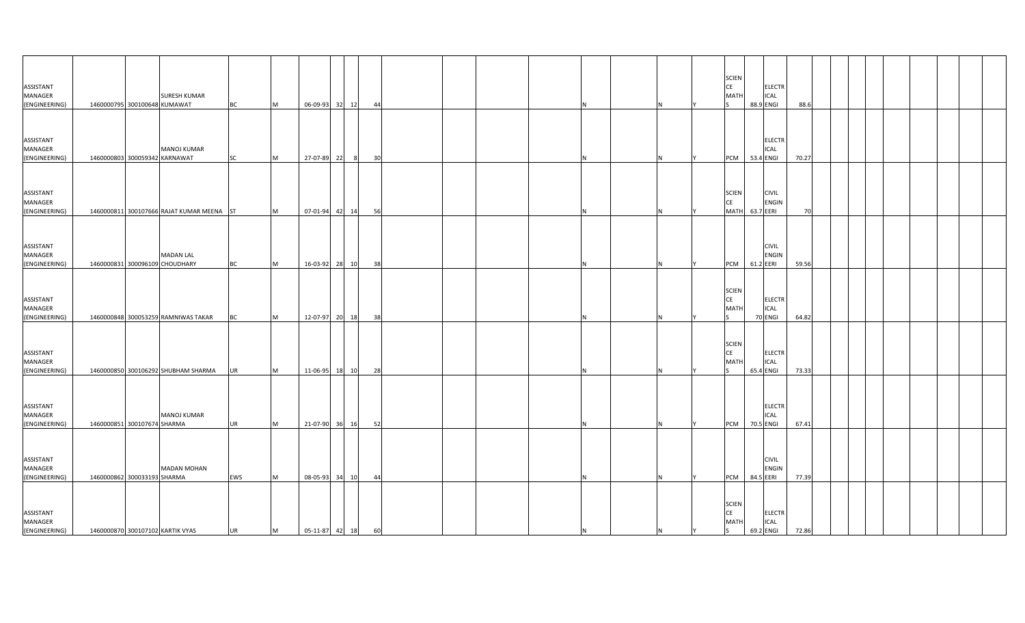| ASSISTANT                |                               |                                           |           |          |                |          |  |          |   | <b>CE</b> | <b>SCIEN</b>  |                              |       |  |  |  |
|--------------------------|-------------------------------|-------------------------------------------|-----------|----------|----------------|----------|--|----------|---|-----------|---------------|------------------------------|-------|--|--|--|
| MANAGER                  |                               | <b>SURESH KUMAR</b>                       |           |          |                |          |  |          |   |           | <b>MATH</b>   | <b>ELECTR</b><br>ICAL        |       |  |  |  |
| (ENGINEERING)            | 1460000795 300100648 KUMAWAT  |                                           | <b>BC</b> | M        | 06-09-93 32 12 | 44       |  | N        |   |           |               | 88.9 ENGI                    | 88.6  |  |  |  |
|                          |                               |                                           |           |          |                |          |  |          |   |           |               |                              |       |  |  |  |
| ASSISTANT                |                               |                                           |           |          |                |          |  |          |   |           |               | <b>ELECTR</b>                |       |  |  |  |
| MANAGER<br>(ENGINEERING) | 1460000803 300059342 KARNAWAT | <b>MANOJ KUMAR</b>                        | SC        | <b>M</b> | 27-07-89 22    | 30<br>8  |  |          |   |           | PCM           | <b>ICAL</b><br>53.4 ENGI     | 70.27 |  |  |  |
|                          |                               |                                           |           |          |                |          |  |          |   |           |               |                              |       |  |  |  |
|                          |                               |                                           |           |          |                |          |  |          |   |           |               |                              |       |  |  |  |
| ASSISTANT                |                               |                                           |           |          |                |          |  |          |   |           | <b>SCIEN</b>  | <b>CIVIL</b>                 |       |  |  |  |
| MANAGER                  |                               |                                           |           |          |                |          |  |          |   | <b>CE</b> |               | <b>ENGIN</b>                 |       |  |  |  |
| (ENGINEERING)            |                               | 1460000811 300107666 RAJAT KUMAR MEENA ST |           | M        | 07-01-94 42 14 | 56       |  | N        |   |           | <b>MATH</b>   | 63.7 EERI                    | 70    |  |  |  |
|                          |                               |                                           |           |          |                |          |  |          |   |           |               |                              |       |  |  |  |
|                          |                               |                                           |           |          |                |          |  |          |   |           |               |                              |       |  |  |  |
| ASSISTANT<br>MANAGER     |                               | <b>MADAN LAL</b>                          |           |          |                |          |  |          |   |           |               | <b>CIVIL</b><br><b>ENGIN</b> |       |  |  |  |
| (ENGINEERING)            |                               | 1460000831 300096109 CHOUDHARY            | <b>BC</b> | <b>M</b> | 16-03-92 28 10 | 38       |  | N        |   |           | <b>PCM</b>    | 61.2 EERI                    | 59.56 |  |  |  |
|                          |                               |                                           |           |          |                |          |  |          |   |           |               |                              |       |  |  |  |
|                          |                               |                                           |           |          |                |          |  |          |   |           | <b>SCIEN</b>  |                              |       |  |  |  |
| ASSISTANT                |                               |                                           |           |          |                |          |  |          |   | <b>CE</b> |               | <b>ELECTR</b>                |       |  |  |  |
| MANAGER                  |                               |                                           |           |          |                |          |  |          |   |           | <b>MATH</b>   | <b>ICAL</b>                  |       |  |  |  |
| (ENGINEERING)            |                               | 1460000848 300053259 RAMNIWAS TAKAR       | <b>BC</b> | <b>M</b> | 12-07-97 20    | 18<br>38 |  |          |   |           |               | 70 ENGI                      | 64.82 |  |  |  |
|                          |                               |                                           |           |          |                |          |  |          |   |           |               |                              |       |  |  |  |
|                          |                               |                                           |           |          |                |          |  |          |   |           | <b>SCIEN</b>  |                              |       |  |  |  |
| ASSISTANT<br>MANAGER     |                               |                                           |           |          |                |          |  |          |   | CE        | <b>MATH</b>   | <b>ELECTR</b><br><b>ICAL</b> |       |  |  |  |
| (ENGINEERING)            |                               | 1460000850 300106292 SHUBHAM SHARMA       | <b>UR</b> | M        | 11-06-95 18 10 | 28       |  |          |   |           |               | 65.4 ENGI                    | 73.33 |  |  |  |
|                          |                               |                                           |           |          |                |          |  |          |   |           |               |                              |       |  |  |  |
|                          |                               |                                           |           |          |                |          |  |          |   |           |               |                              |       |  |  |  |
| <b>ASSISTANT</b>         |                               |                                           |           |          |                |          |  |          |   |           |               | <b>ELECTR</b>                |       |  |  |  |
| MANAGER<br>(ENGINEERING) | 1460000851 300107674 SHARMA   | <b>MANOJ KUMAR</b>                        | <b>UR</b> | M        | 21-07-90 36 16 | 52       |  | N        |   |           | PCM 70.5 ENGI | ICAL                         | 67.41 |  |  |  |
|                          |                               |                                           |           |          |                |          |  |          |   |           |               |                              |       |  |  |  |
|                          |                               |                                           |           |          |                |          |  |          |   |           |               |                              |       |  |  |  |
| ASSISTANT                |                               |                                           |           |          |                |          |  |          |   |           |               | <b>CIVIL</b>                 |       |  |  |  |
| MANAGER                  |                               | <b>MADAN MOHAN</b>                        |           |          |                |          |  |          |   |           |               | ENGIN                        |       |  |  |  |
| (ENGINEERING)            | 1460000862 300033193 SHARMA   |                                           | EWS       | <b>M</b> | 08-05-93 34    | 10<br>44 |  |          |   |           | PCM           | 84.5 EERI                    | 77.39 |  |  |  |
|                          |                               |                                           |           |          |                |          |  |          |   |           |               |                              |       |  |  |  |
|                          |                               |                                           |           |          |                |          |  |          |   |           | <b>SCIEN</b>  |                              |       |  |  |  |
| ASSISTANT<br>MANAGER     |                               |                                           |           |          |                |          |  |          |   | <b>CE</b> | <b>MATH</b>   | <b>ELECTR</b><br><b>ICAL</b> |       |  |  |  |
| (ENGINEERING)            |                               | 1460000870 300107102 KARTIK VYAS          | <b>UR</b> | M        | 05-11-87 42 18 | 60       |  | <b>N</b> | N | ls.       |               | 69.2 ENGI                    | 72.86 |  |  |  |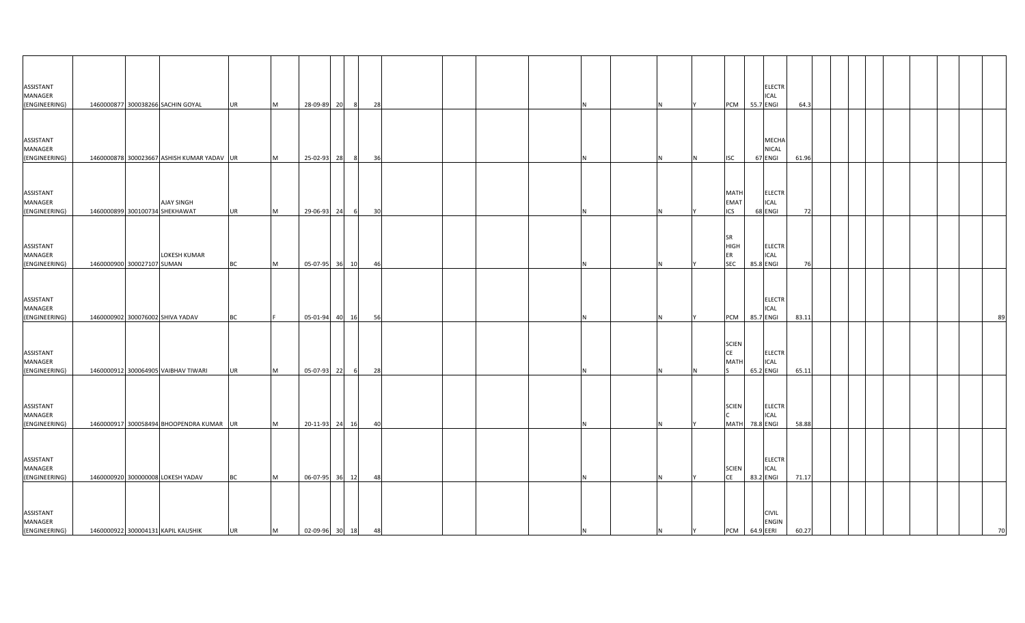| ASSISTANT<br>MANAGER                  |                                                   |           |          |                   |                |    |          |   | <b>ELECTR</b><br>ICAL                                                          |       |  |  |  |    |
|---------------------------------------|---------------------------------------------------|-----------|----------|-------------------|----------------|----|----------|---|--------------------------------------------------------------------------------|-------|--|--|--|----|
| (ENGINEERING)                         | 1460000877 300038266 SACHIN GOYAL                 | <b>UR</b> | M        | 28-09-89 20       | 8 <sup>8</sup> | 28 |          |   | 55.7 ENGI<br>PCM                                                               | 64.3  |  |  |  |    |
| ASSISTANT<br>MANAGER<br>(ENGINEERING) | 1460000878 300023667 ASHISH KUMAR YADAV UR        |           | M        | 25-02-93 28       | 8              | 36 |          |   | MECHA<br>NICAL<br>67 ENGI<br><b>ISC</b>                                        | 61.96 |  |  |  |    |
| ASSISTANT<br>MANAGER<br>(ENGINEERING) | AJAY SINGH<br>1460000899 300100734 SHEKHAWAT      | UR        | <b>M</b> | 29-06-93 24       | 6              | 30 |          |   | <b>MATH</b><br><b>ELECTR</b><br><b>EMAT</b><br>ICAL<br><b>ICS</b><br>68 ENGI   | 72    |  |  |  |    |
| ASSISTANT<br>MANAGER<br>(ENGINEERING) | <b>LOKESH KUMAR</b><br>1460000900 300027107 SUMAN | ВC        | M        | 05-07-95 36       | 10             | 46 |          | N | SR<br><b>HIGH</b><br><b>ELECTR</b><br>ER<br>ICAL<br><b>SEC</b><br>85.8 ENGI    | 76    |  |  |  |    |
| ASSISTANT<br>MANAGER<br>(ENGINEERING) | 1460000902 300076002 SHIVA YADAV                  | ВC        |          | 05-01-94 40       | 16             | 56 |          |   | <b>ELECTR</b><br>ICAL<br>85.7 ENGI<br>PCM                                      | 83.11 |  |  |  | 89 |
| ASSISTANT<br>MANAGER<br>(ENGINEERING) | 1460000912 300064905 VAIBHAV TIWARI               | UR        | M        | 05-07-93 22       | 6              | 28 |          |   | <b>SCIEN</b><br><b>CE</b><br><b>ELECTR</b><br><b>ICAL</b><br>MATI<br>65.2 ENGI | 65.11 |  |  |  |    |
| ASSISTANT<br>MANAGER<br>(ENGINEERING) | 1460000917 300058494 BHOOPENDRA KUMAR UR          |           | M        | 20-11-93 24 16    |                | 40 | Ν        |   | <b>SCIEN</b><br><b>ELECTR</b><br><b>ICAL</b><br><b>MATH</b><br>78.8 ENGI       | 58.88 |  |  |  |    |
| ASSISTANT<br>MANAGER<br>(ENGINEERING) | 1460000920 300000008 LOKESH YADAV                 | <b>BC</b> | <b>M</b> | 06-07-95 36       | 12             | 48 |          |   | <b>ELECTR</b><br>ICAL<br><b>SCIEN</b><br><b>CE</b><br>83.2 ENGI                | 71.17 |  |  |  |    |
| ASSISTANT<br>MANAGER<br>(ENGINEERING) | 1460000922 300004131 KAPIL KAUSHIK                | UR        | M        | 02-09-96 30 18 48 |                |    | <b>N</b> | N | <b>CIVIL</b><br><b>ENGIN</b><br>PCM 64.9 EERI<br>$\mathsf{I}$ Y                | 60.27 |  |  |  | 70 |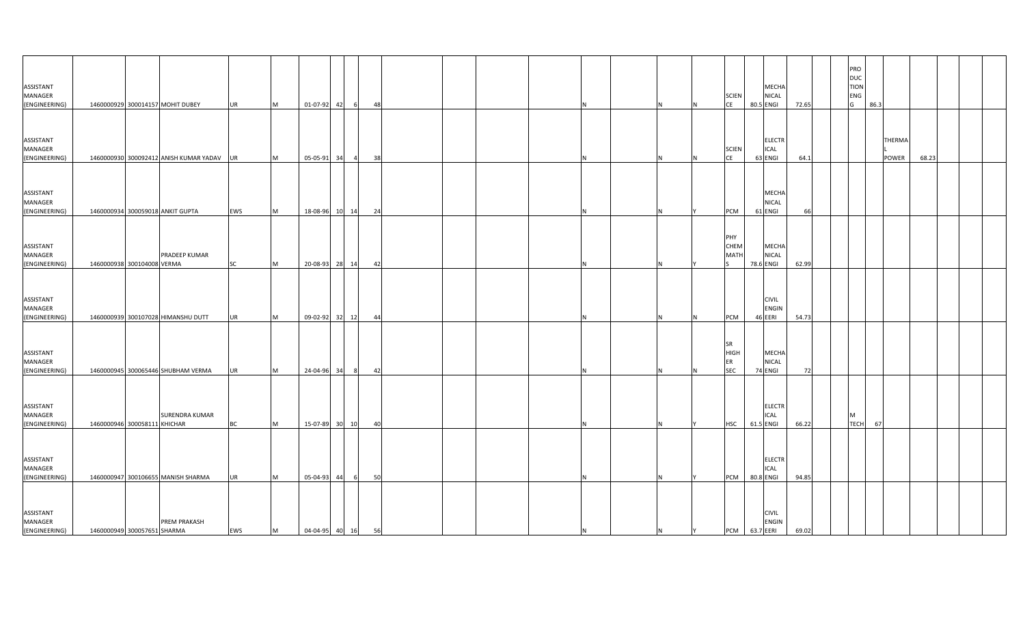| ASSISTANT<br>MANAGER<br>(ENGINEERING)        |                              | 1460000929 300014157 MOHIT DUBEY          | <b>UR</b> | M         | 01-07-92 42       |                | 48 |  |    |   |   | <b>SCIEN</b><br>CE                           |           | MECHA<br><b>NICAL</b><br>80.5 ENGI        | 72.65 | PRO<br>DUC<br><b>TION</b><br>ENG<br>G |             | 86.3            |       |  |
|----------------------------------------------|------------------------------|-------------------------------------------|-----------|-----------|-------------------|----------------|----|--|----|---|---|----------------------------------------------|-----------|-------------------------------------------|-------|---------------------------------------|-------------|-----------------|-------|--|
| ASSISTANT<br>MANAGER<br>(ENGINEERING)        |                              | 1460000930 300092412 ANISH KUMAR YADAV UR |           | M         | 05-05-91 34       | - 4            | 38 |  |    |   |   | <b>SCIEN</b><br><b>CE</b>                    |           | <b>ELECTR</b><br><b>ICAL</b><br>63 ENGI   | 64.1  |                                       |             | THERMA<br>POWER | 68.23 |  |
| ASSISTANT<br>MANAGER<br>(ENGINEERING)        |                              | 1460000934 300059018 ANKIT GUPTA          | EWS       | <b>M</b>  |                   | 18-08-96 10 14 | 24 |  |    |   |   | PCM                                          |           | MECHA<br><b>NICAL</b><br>61 ENGI          | 66    |                                       |             |                 |       |  |
| ASSISTANT<br>MANAGER<br>(ENGINEERING)        | 1460000938 300104008 VERMA   | PRADEEP KUMAR                             | SC        | M         |                   | 20-08-93 28 14 | 42 |  |    |   |   | PHY<br>CHEM<br>MATI                          |           | MECHA<br><b>NICAL</b><br>78.6 ENGI        | 62.99 |                                       |             |                 |       |  |
| ASSISTANT<br>MANAGER<br>(ENGINEERING)        |                              | 1460000939 300107028 HIMANSHU DUTT        | <b>UR</b> | <b>M</b>  |                   | 09-02-92 32 12 | 44 |  |    |   |   | PCM                                          |           | <b>CIVIL</b><br><b>ENGIN</b><br>46 EERI   | 54.73 |                                       |             |                 |       |  |
| ASSISTANT<br>MANAGER<br>(ENGINEERING)        |                              | 1460000945 300065446 SHUBHAM VERMA        | <b>UR</b> | <b>IM</b> | 24-04-96 34       | - 8            | 42 |  |    |   |   | <b>SR</b><br><b>HIGH</b><br>ER<br><b>SEC</b> |           | MECHA<br><b>NICAL</b><br>74 ENGI          | 72    |                                       |             |                 |       |  |
| ASSISTANT<br>MANAGER<br>(ENGINEERING)        | 1460000946 300058111 KHICHAR | SURENDRA KUMAR                            | <b>BC</b> | M         |                   | 15-07-89 30 10 | 40 |  |    |   |   | <b>HSC</b>                                   |           | <b>ELECTR</b><br><b>ICAL</b><br>61.5 ENGI | 66.22 | M                                     | <b>TECH</b> | 67              |       |  |
| ASSISTANT<br>MANAGER<br>(ENGINEERING)        |                              | 1460000947 300106655 MANISH SHARMA        | <b>UR</b> | <b>IM</b> | 05-04-93 44       | - 6            | 50 |  |    |   |   | <b>PCM</b>                                   | 80.8 ENGI | <b>ELECTR</b><br>ICAL                     | 94.85 |                                       |             |                 |       |  |
| <b>ASSISTANT</b><br>MANAGER<br>(ENGINEERING) | 1460000949 300057651 SHARMA  | <b>PREM PRAKASH</b>                       | EWS       | M         | 04-04-95 40 16 56 |                |    |  | ΙN | N | Y | PCM 63.7 EERI                                |           | <b>CIVIL</b><br><b>ENGIN</b>              | 69.02 |                                       |             |                 |       |  |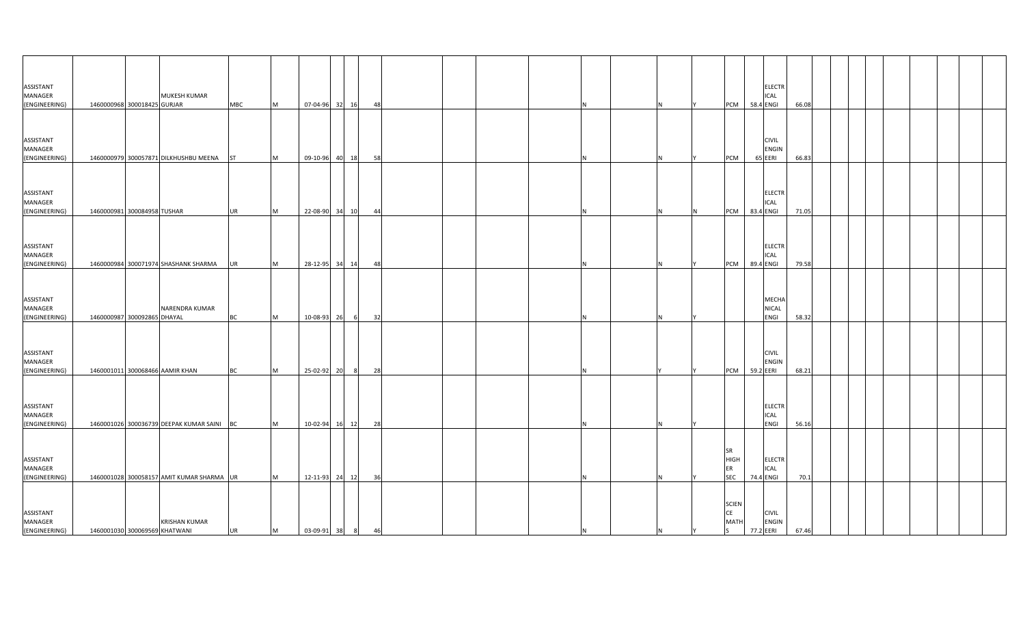| ASSISTANT<br><b>MANAGER</b><br>(ENGINEERING) | MUKESH KUMAR<br>1460000968 300018425 GURJAR           | <b>MBC</b> | M        | 07-04-96 32 16 |   | 48 |   |    | <b>PCM</b><br>58.4 ENGI                                               | <b>ELECTR</b><br><b>ICAL</b>  | 66.08 |  |  |  |  |
|----------------------------------------------|-------------------------------------------------------|------------|----------|----------------|---|----|---|----|-----------------------------------------------------------------------|-------------------------------|-------|--|--|--|--|
|                                              |                                                       |            |          |                |   |    |   |    |                                                                       |                               |       |  |  |  |  |
| ASSISTANT<br>MANAGER<br>(ENGINEERING)        | 1460000979 300057871 DILKHUSHBU MEENA                 | <b>ST</b>  | M        | 09-10-96 40 18 |   | 58 |   |    | 65 EERI<br>PCM                                                        | <b>CIVIL</b><br>ENGIN         | 66.83 |  |  |  |  |
|                                              |                                                       |            |          |                |   |    |   |    |                                                                       |                               |       |  |  |  |  |
| ASSISTANT<br>MANAGER<br>(ENGINEERING)        | 1460000981 300084958 TUSHAR                           | <b>UR</b>  | M        | 22-08-90 34 10 |   | 44 |   | N. | ICAL<br>PCM<br>83.4 ENGI<br>N.                                        | <b>ELECTR</b>                 | 71.05 |  |  |  |  |
|                                              |                                                       |            |          |                |   |    |   |    |                                                                       |                               |       |  |  |  |  |
| ASSISTANT<br>MANAGER<br>(ENGINEERING)        | 1460000984 300071974 SHASHANK SHARMA                  | UR         | <b>M</b> | 28-12-95 34 14 |   | 48 | N | N  | PCM 89.4 ENGI                                                         | <b>ELECTR</b><br>ICAL         | 79.58 |  |  |  |  |
|                                              |                                                       |            |          |                |   |    |   |    |                                                                       |                               |       |  |  |  |  |
| ASSISTANT<br><b>MANAGER</b><br>(ENGINEERING) | NARENDRA KUMAR<br>1460000987 300092865 DHAYAL         | ВC         | M        | 10-08-93 26    | 6 | 32 |   |    |                                                                       | <b>MECHA</b><br>NICAL<br>ENGI | 58.32 |  |  |  |  |
|                                              |                                                       |            |          |                |   |    |   |    |                                                                       |                               |       |  |  |  |  |
| ASSISTANT<br><b>MANAGER</b><br>(ENGINEERING) | 1460001011 300068466 AAMIR KHAN                       | ВC         | M        | 25-02-92 20    | 8 | 28 |   |    | PCM<br>59.2 EERI                                                      | <b>CIVIL</b><br><b>ENGIN</b>  | 68.21 |  |  |  |  |
|                                              |                                                       |            |          |                |   |    |   |    |                                                                       |                               |       |  |  |  |  |
| ASSISTANT<br>MANAGER<br>(ENGINEERING)        | 1460001026 300036739 DEEPAK KUMAR SAINI BC            |            | M        | 10-02-94 16 12 |   | 28 | N | N  |                                                                       | <b>ELECTR</b><br>ICAL<br>ENGI | 56.16 |  |  |  |  |
|                                              |                                                       |            |          |                |   |    |   |    |                                                                       |                               |       |  |  |  |  |
| ASSISTANT<br>MANAGER<br>(ENGINEERING)        | 1460001028 300058157 AMIT KUMAR SHARMA UR             |            | M        | 12-11-93 24 12 |   | 36 |   | N. | SR<br><b>HIGH</b><br>ER<br><b>SEC</b><br>74.4 ENGI                    | <b>ELECTR</b><br>ICAL         | 70.1  |  |  |  |  |
| <b>ASSISTANT</b><br>MANAGER<br>(ENGINEERING) | <b>KRISHAN KUMAR</b><br>1460001030 300069569 KHATWANI | <b>UR</b>  | M        | 03-09-91 38 8  |   | 46 | N | N  | <b>SCIEN</b><br><b>CE</b><br><b>MATH</b><br>77.2 EERI<br><sub>S</sub> | <b>CIVIL</b><br><b>ENGIN</b>  | 67.46 |  |  |  |  |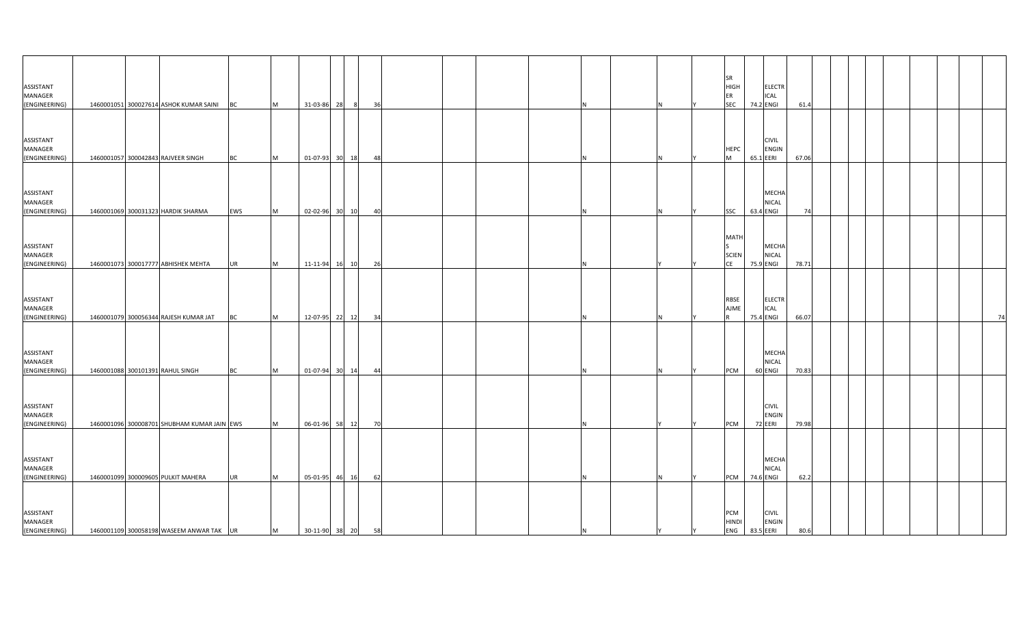| ASSISTANT<br>MANAGER<br>(ENGINEERING)        |  | 1460001051 300027614 ASHOK KUMAR SAINI BC   |           | M         | 31-03-86 28    | - 8            | 36 |  |    |  | <b>SR</b><br><b>HIGH</b><br>ER<br><b>SEC</b> | 74.2 ENGI | <b>ELECTR</b><br><b>ICAL</b> | 61.4  |  |  |  |    |
|----------------------------------------------|--|---------------------------------------------|-----------|-----------|----------------|----------------|----|--|----|--|----------------------------------------------|-----------|------------------------------|-------|--|--|--|----|
| ASSISTANT<br>MANAGER<br>(ENGINEERING)        |  | 1460001057 300042843 RAJVEER SINGH          | <b>BC</b> | M         |                | 01-07-93 30 18 | 48 |  |    |  | <b>HEPC</b><br>M                             | 65.1 EERI | <b>CIVIL</b><br><b>ENGIN</b> | 67.06 |  |  |  |    |
| ASSISTANT<br>MANAGER<br>(ENGINEERING)        |  | 1460001069 300031323 HARDIK SHARMA          | EWS       | <b>M</b>  | 02-02-96 30 10 |                | 40 |  |    |  | SSC                                          | 63.4 ENGI | MECHA<br><b>NICAL</b>        | 74    |  |  |  |    |
| ASSISTANT<br>MANAGER<br>(ENGINEERING)        |  | 1460001073 300017777 ABHISHEK MEHTA         | <b>UR</b> | M         |                | 11-11-94 16 10 | 26 |  |    |  | <b>MATH</b><br><b>SCIEN</b><br>CE            | 75.9 ENGI | MECHA<br><b>NICAL</b>        | 78.71 |  |  |  |    |
| ASSISTANT<br>MANAGER<br>(ENGINEERING)        |  | 1460001079 300056344 RAJESH KUMAR JAT       | <b>BC</b> | <b>M</b>  |                | 12-07-95 22 12 | 34 |  |    |  | RBSE<br><b>AJME</b>                          | 75.4 ENGI | <b>ELECTR</b><br><b>ICAL</b> | 66.07 |  |  |  | 74 |
| ASSISTANT<br><b>MANAGER</b><br>(ENGINEERING) |  | 1460001088 300101391 RAHUL SINGH            | <b>BC</b> | <b>IM</b> |                | 01-07-94 30 14 | 44 |  |    |  | <b>PCM</b>                                   | 60 ENGI   | MECHA<br><b>NICAL</b>        | 70.83 |  |  |  |    |
| ASSISTANT<br>MANAGER<br>(ENGINEERING)        |  | 1460001096 300008701 SHUBHAM KUMAR JAIN EWS |           | <b>IM</b> |                | 06-01-96 58 12 | 70 |  |    |  | PCM                                          | 72 EERI   | <b>CIVIL</b><br><b>ENGIN</b> | 79.98 |  |  |  |    |
| ASSISTANT<br>MANAGER<br>(ENGINEERING)        |  | 1460001099 300009605 PULKIT MAHERA          | <b>UR</b> | <b>IM</b> |                | 05-01-95 46 16 | 62 |  |    |  | <b>PCM</b>                                   | 74.6 ENGI | MECHA<br><b>NICAL</b>        | 62.2  |  |  |  |    |
| ASSISTANT<br>MANAGER<br>(ENGINEERING)        |  | 1460001109 300058198 WASEEM ANWAR TAK UR    |           | M         | 30-11-90 38 20 |                | 58 |  | ΙN |  | PCM<br><b>HINDI</b><br>ENG                   | 83.5 EERI | <b>CIVIL</b><br><b>ENGIN</b> | 80.6  |  |  |  |    |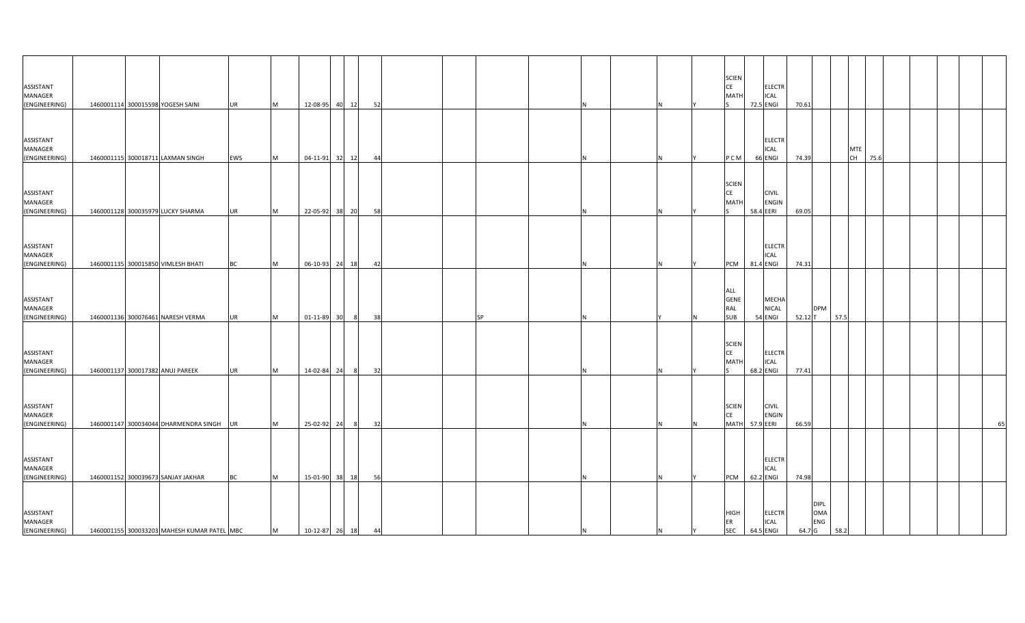| ASSISTANT<br>MANAGER<br>(ENGINEERING)        |  | 1460001114 300015598 YOGESH SAINI           | <b>UR</b> | M         | 12-08-95 40 12 |                | 52 |  |           |    |  |    | <b>SCIEN</b><br>CE<br><b>MATH</b>        | 72.5 ENGI | <b>ELECTR</b><br><b>ICAL</b>     | 70.61     |                                  |      |                  |      |  |    |
|----------------------------------------------|--|---------------------------------------------|-----------|-----------|----------------|----------------|----|--|-----------|----|--|----|------------------------------------------|-----------|----------------------------------|-----------|----------------------------------|------|------------------|------|--|----|
| ASSISTANT<br>MANAGER<br>(ENGINEERING)        |  | 1460001115 300018711 LAXMAN SINGH           | EWS       | <b>M</b>  |                | 04-11-91 32 12 | 44 |  |           |    |  |    | P C M                                    | 66 ENGI   | <b>ELECTR</b><br><b>ICAL</b>     | 74.39     |                                  |      | <b>MTE</b><br>CH | 75.6 |  |    |
| ASSISTANT<br>MANAGER<br>(ENGINEERING)        |  | 1460001128 300035979 LUCKY SHARMA           | <b>UR</b> | <b>IM</b> | 22-05-92 38 20 |                | 58 |  |           |    |  |    | <b>SCIEN</b><br>CE<br><b>MATH</b>        | 58.4 EERI | <b>CIVIL</b><br><b>ENGIN</b>     | 69.05     |                                  |      |                  |      |  |    |
| ASSISTANT<br>MANAGER<br>(ENGINEERING)        |  | 1460001135 300015850 VIMLESH BHATI          | <b>BC</b> | M         |                | 06-10-93 24 18 | 42 |  |           |    |  |    | <b>PCM</b>                               | 81.4 ENGI | <b>ELECTR</b><br><b>ICAL</b>     | 74.31     |                                  |      |                  |      |  |    |
| ASSISTANT<br>MANAGER<br>(ENGINEERING)        |  | 1460001136 300076461 NARESH VERMA           | <b>UR</b> | <b>M</b>  | 01-11-89 30    |                | 38 |  | <b>SP</b> |    |  |    | ALL<br><b>GENE</b><br>RAL<br><b>SUB</b>  |           | MECHA<br><b>NICAL</b><br>54 ENGI | $52.12$ T | <b>DPM</b>                       | 57.5 |                  |      |  |    |
| ASSISTANT<br><b>MANAGER</b><br>(ENGINEERING) |  | 1460001137 300017382 ANUJ PAREEK            | <b>UR</b> | <b>IM</b> | 14-02-84 24    | 8              | 32 |  |           |    |  |    | <b>SCIEN</b><br><b>CE</b><br>MATI        | 68.2 ENGI | <b>ELECTR</b><br><b>ICAL</b>     | 77.41     |                                  |      |                  |      |  |    |
| ASSISTANT<br>MANAGER<br>(ENGINEERING)        |  | 1460001147 300034044 DHARMENDRA SINGH UR    |           | M         | 25-02-92 24    | - 81           | 32 |  |           |    |  |    | <b>SCIEN</b><br><b>CE</b><br><b>MATH</b> | 57.9 EERI | <b>CIVIL</b><br><b>ENGIN</b>     | 66.59     |                                  |      |                  |      |  | 65 |
| ASSISTANT<br>MANAGER<br>(ENGINEERING)        |  | 1460001152 300039673 SANJAY JAKHAR          | <b>BC</b> | <b>IM</b> | 15-01-90 38 18 |                | 56 |  |           |    |  |    | <b>PCM</b>                               | 62.2 ENGI | <b>ELECTR</b><br><b>ICAL</b>     | 74.98     |                                  |      |                  |      |  |    |
| ASSISTANT<br>MANAGER<br>(ENGINEERING)        |  | 1460001155 300033203 MAHESH KUMAR PATEL MBC |           | M         | 10-12-87 26 18 |                | 44 |  |           | ΙN |  | IY | <b>HIGH</b><br>ER<br><b>SEC</b>          | 64.5 ENGI | <b>ELECTR</b><br><b>ICAL</b>     | 64.7 G    | <b>DIPL</b><br><b>OMA</b><br>ENG | 58.2 |                  |      |  |    |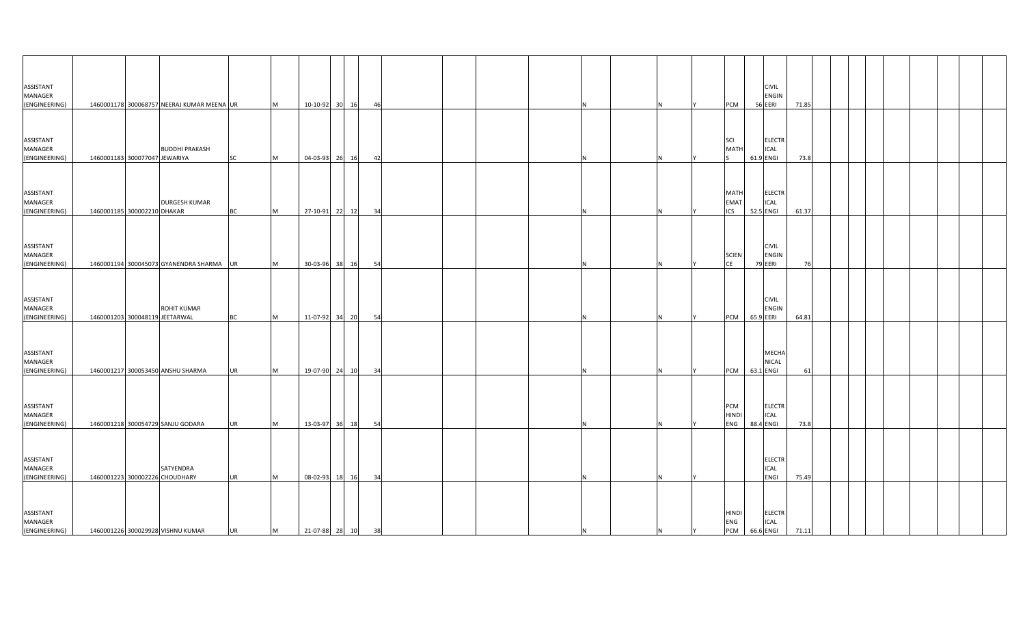| <b>ASSISTANT</b><br>MANAGER<br>(ENGINEERING) |                               | 1460001178 300068757 NEERAJ KUMAR MEENA UR           |           | M | 10-10-92 30 16    |       | 46   |  |  |     |  | PCM                               | <b>CIVIL</b><br><b>ENGIN</b><br>56 EERI   | 71.85 |  |  |  |  |
|----------------------------------------------|-------------------------------|------------------------------------------------------|-----------|---|-------------------|-------|------|--|--|-----|--|-----------------------------------|-------------------------------------------|-------|--|--|--|--|
|                                              |                               |                                                      |           |   |                   |       |      |  |  |     |  |                                   |                                           |       |  |  |  |  |
| ASSISTANT<br>MANAGER<br>(ENGINEERING)        | 1460001183 300077047 JEWARIYA | <b>BUDDHI PRAKASH</b>                                | SC        | M | 04-03-93 26 16    |       | - 42 |  |  |     |  | <b>SCI</b><br><b>MATH</b>         | <b>ELECTR</b><br>ICAL<br>61.9 ENGI        | 73.8  |  |  |  |  |
| ASSISTANT<br><b>MANAGER</b><br>(ENGINEERING) | 1460001185 300002210 DHAKAR   | <b>DURGESH KUMAR</b>                                 | <b>BC</b> | M | 27-10-91 22 12    |       | 34   |  |  | N   |  | MATH<br><b>EMAT</b><br><b>ICS</b> | <b>ELECTR</b><br>ICAL<br>52.5 ENGI        | 61.37 |  |  |  |  |
| ASSISTANT<br>MANAGER                         |                               |                                                      |           |   |                   |       |      |  |  |     |  | <b>SCIEN</b>                      | <b>CIVIL</b><br><b>ENGIN</b>              |       |  |  |  |  |
| (ENGINEERING)                                |                               | 1460001194 300045073 GYANENDRA SHARMA UR             |           | M | 30-03-96 38 16    |       | 54   |  |  | и   |  | <b>CE</b>                         | 79 EERI                                   | 76    |  |  |  |  |
| ASSISTANT<br>MANAGER<br>(ENGINEERING)        |                               | <b>ROHIT KUMAR</b><br>1460001203 300048119 JEETARWAL | BC        | M | 11-07-92 34 20    |       | 54   |  |  | N.  |  | PCM                               | <b>CIVIL</b><br>ENGIN<br>65.9 EERI        | 64.81 |  |  |  |  |
| ASSISTANT<br>MANAGER<br>(ENGINEERING)        |                               | 1460001217 300053450 ANSHU SHARMA                    | <b>UR</b> | M | 19-07-90 24 10    |       | 34   |  |  |     |  | PCM                               | MECHA<br><b>NICAL</b><br>63.1 ENGI        | 61    |  |  |  |  |
| <b>ASSISTANT</b><br>MANAGER<br>(ENGINEERING) |                               | 1460001218 300054729 SANJU GODARA                    | <b>UR</b> | M | 13-03-97 36 18    |       | 54   |  |  | N   |  | PCM<br><b>HINDI</b><br>ENG        | <b>ELECTR</b><br><b>ICAL</b><br>88.4 ENGI | 73.8  |  |  |  |  |
| ASSISTANT<br>MANAGER<br>(ENGINEERING)        |                               | SATYENDRA<br>1460001223 300002226 CHOUDHARY          | <b>UR</b> | M | 08-02-93          | 18 16 | 34   |  |  | N   |  |                                   | <b>ELECTR</b><br>ICAL<br>ENGI             | 75.49 |  |  |  |  |
| ASSISTANT<br><b>MANAGER</b><br>(ENGINEERING) |                               | 1460001226 300029928 VISHNU KUMAR                    | UR        | M | 21-07-88 28 10 38 |       |      |  |  | IN. |  | HINDI<br>ENG<br>PCM 66.6 ENGI     | <b>ELECTR</b><br><b>ICAL</b>              | 71.11 |  |  |  |  |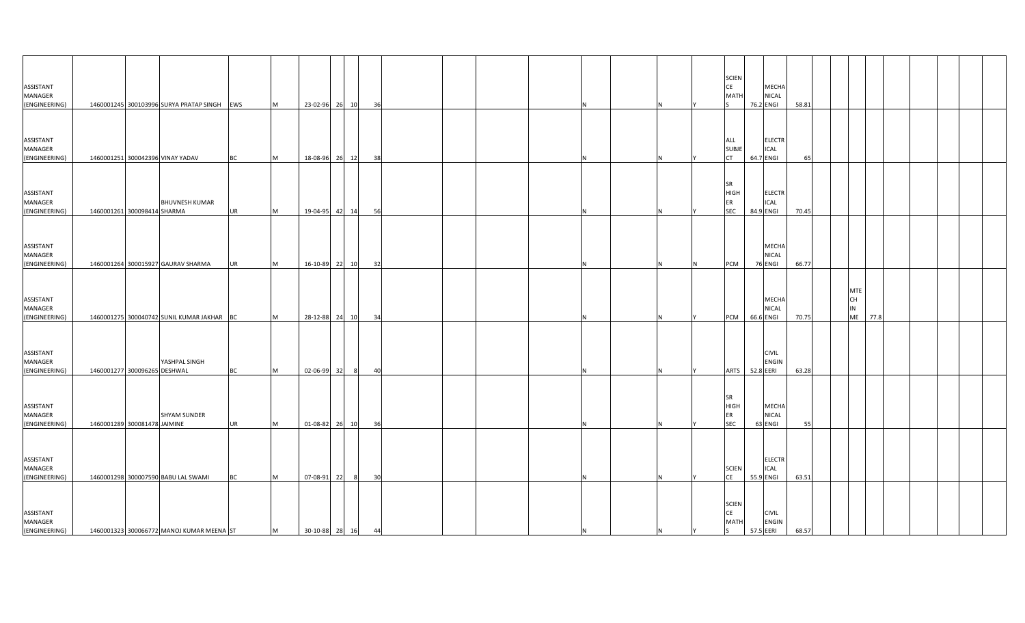| ASSISTANT<br>MANAGER<br>(ENGINEERING)        |                              | 1460001245 300103996 SURYA PRATAP SINGH EWS |           | M         | 23-02-96 26 10    |       | 36  |      |  |     |     | <b>SCIEN</b><br>CE<br>MATI                     | 76.2 ENGI | MECHA<br><b>NICAL</b>        | 58.81 |    |                               |      |  |  |
|----------------------------------------------|------------------------------|---------------------------------------------|-----------|-----------|-------------------|-------|-----|------|--|-----|-----|------------------------------------------------|-----------|------------------------------|-------|----|-------------------------------|------|--|--|
| ASSISTANT<br>MANAGER<br>(ENGINEERING)        |                              | 1460001251 300042396 VINAY YADAV            | <b>BC</b> | M         | 18-08-96          | 26 12 |     | 38   |  |     |     | ALL<br><b>SUBJI</b><br><b>CT</b>               | 64.7 ENGI | <b>ELECTR</b><br><b>ICAL</b> | 65    |    |                               |      |  |  |
| ASSISTANT<br>MANAGER<br>(ENGINEERING)        | 1460001261 300098414 SHARMA  | <b>BHUVNESH KUMAR</b>                       | <b>UR</b> | M         | 19-04-95          | 42 14 |     | - 56 |  |     |     | <b>SR</b><br><b>HIGH</b><br>ER<br><b>SEC</b>   | 84.9 ENGI | <b>ELECTR</b><br>ICAL        | 70.45 |    |                               |      |  |  |
| ASSISTANT<br>MANAGER<br>(ENGINEERING)        |                              | 1460001264 300015927 GAURAV SHARMA          | <b>UR</b> | M         | 16-10-89 22 10    |       |     | 32   |  |     | IN. | PCM                                            | 76 ENGI   | MECHA<br><b>NICAL</b>        | 66.77 |    |                               |      |  |  |
| ASSISTANT<br>MANAGER<br>(ENGINEERING)        |                              | 1460001275 300040742 SUNIL KUMAR JAKHAR BC  |           | M         | 28-12-88 24       |       | 10  | 34   |  |     |     | PCM                                            | 66.6 ENGI | MECHA<br>NICAL               | 70.75 | IN | <b>MTE</b><br>CH<br><b>ME</b> | 77.8 |  |  |
| ASSISTANT<br>MANAGER<br>(ENGINEERING)        | 1460001277 300096265 DESHWAL | YASHPAL SINGH                               | BC        | <b>IM</b> | 02-06-99          | 32    | - 8 | 40   |  |     |     | <b>ARTS</b>                                    | 52.8 EERI | <b>CIVIL</b><br><b>ENGIN</b> | 63.28 |    |                               |      |  |  |
| <b>ASSISTANT</b><br>MANAGER<br>(ENGINEERING) | 1460001289 300081478 JAIMINE | <b>SHYAM SUNDER</b>                         | <b>UR</b> | M         | 01-08-82 26 10    |       |     | 36   |  |     |     | <b>SR</b><br><b>HIGH</b><br>ER<br><b>SEC</b>   | 63 ENGI   | MECHA<br><b>NICAL</b>        | 55    |    |                               |      |  |  |
| ASSISTANT<br>MANAGER<br>(ENGINEERING)        |                              | 1460001298 300007590 BABU LAL SWAMI         | <b>BC</b> | M         | 07-08-91          | 22    | - 8 | 30   |  |     |     | <b>SCIEN</b><br>CE                             | 55.9 ENGI | <b>ELECTR</b><br><b>ICAL</b> | 63.51 |    |                               |      |  |  |
| ASSISTANT<br>MANAGER<br>(ENGINEERING)        |                              | 1460001323 300066772 MANOJ KUMAR MEENA ST   |           | M         | 30-10-88 28 16 44 |       |     |      |  | IN. | İΥ  | <b>SCIEN</b><br><b>CE</b><br><b>MATH</b><br>S. | 57.5 EERI | <b>CIVIL</b><br><b>ENGIN</b> | 68.57 |    |                               |      |  |  |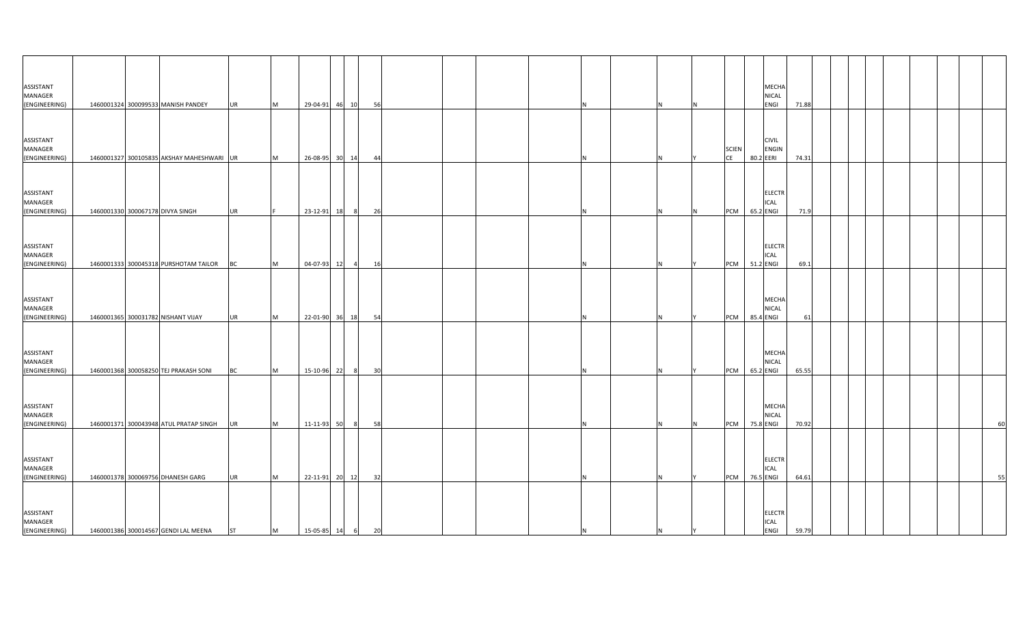| ASSISTANT<br>MANAGER<br>(ENGINEERING)                  |  | 1460001324 300099533 MANISH PANDEY                                            | <b>UR</b>              | M      | 29-04-91 46 10                     |             |                | 56       |  |  |     |     |     |                  |                        | MECHA<br><b>NICAL</b><br>ENGI               | 71.88          |  |  |  |    |
|--------------------------------------------------------|--|-------------------------------------------------------------------------------|------------------------|--------|------------------------------------|-------------|----------------|----------|--|--|-----|-----|-----|------------------|------------------------|---------------------------------------------|----------------|--|--|--|----|
| ASSISTANT<br>MANAGER                                   |  |                                                                               |                        |        |                                    |             |                |          |  |  |     |     |     | <b>SCIEN</b>     |                        | <b>CIVIL</b><br>ENGIN                       |                |  |  |  |    |
| (ENGINEERING)<br>ASSISTANT<br>MANAGER<br>(ENGINEERING) |  | 1460001327 300105835 AKSHAY MAHESHWARI UR<br>1460001330 300067178 DIVYA SINGH | <b>UR</b>              | M      | 26-08-95<br>23-12-91               | 30 14<br>18 | $_{\rm 8}$     | 44<br>26 |  |  |     |     | IN. | CE<br><b>PCM</b> | 80.2 EERI<br>65.2 ENGI | <b>ELECTR</b><br>ICAL                       | 74.31<br>71.9  |  |  |  |    |
| ASSISTANT<br>MANAGER                                   |  |                                                                               |                        |        |                                    |             |                |          |  |  |     |     |     |                  |                        | <b>ELECTR</b><br><b>ICAL</b>                |                |  |  |  |    |
| (ENGINEERING)<br>ASSISTANT<br>MANAGER                  |  | 1460001333 300045318 PURSHOTAM TAILOR                                         | <b>BC</b>              | M      | 04-07-93                           | 12          | $\overline{a}$ | 16       |  |  |     |     |     | PCM 51.2 ENGI    |                        | MECHA<br>NICAL                              | 69.1           |  |  |  |    |
| (ENGINEERING)<br>ASSISTANT<br>MANAGER                  |  | 1460001365 300031782 NISHANT VIJAY                                            | <b>UR</b>              | M      | 22-01-90 36 18                     |             |                | 54       |  |  |     |     |     | <b>PCM</b>       | 85.4 ENGI              | <b>MECHA</b><br><b>NICAL</b>                | 61             |  |  |  |    |
| (ENGINEERING)<br>ASSISTANT<br>MANAGER                  |  | 1460001368 300058250 TEJ PRAKASH SONI                                         | BC                     | M      | 15-10-96                           | 22          | - 8            | 30       |  |  |     |     |     | <b>PCM</b>       | 65.2 ENGI              | MECHA<br><b>NICAL</b>                       | 65.55          |  |  |  |    |
| (ENGINEERING)<br>ASSISTANT<br>MANAGER                  |  | 1460001371 300043948 ATUL PRATAP SINGH                                        | <b>UR</b>              | M      | 11-11-93 50                        |             | 8              | 58       |  |  |     |     | IN. | <b>PCM</b>       | 75.8 ENGI              | <b>ELECTR</b><br>ICAL                       | 70.92          |  |  |  | 60 |
| (ENGINEERING)<br>ASSISTANT<br>MANAGER<br>(ENGINEERING) |  | 1460001378 300069756 DHANESH GARG<br>1460001386 300014567 GENDI LAL MEENA     | <b>UR</b><br><b>ST</b> | M<br>M | 22-11-91 20 12<br>15-05-85 14 6 20 |             |                | 32       |  |  | IN. | IN. | I٢  | <b>PCM</b>       | 76.5 ENGI              | <b>ELECTR</b><br><b>ICAL</b><br><b>ENGI</b> | 64.61<br>59.79 |  |  |  | 55 |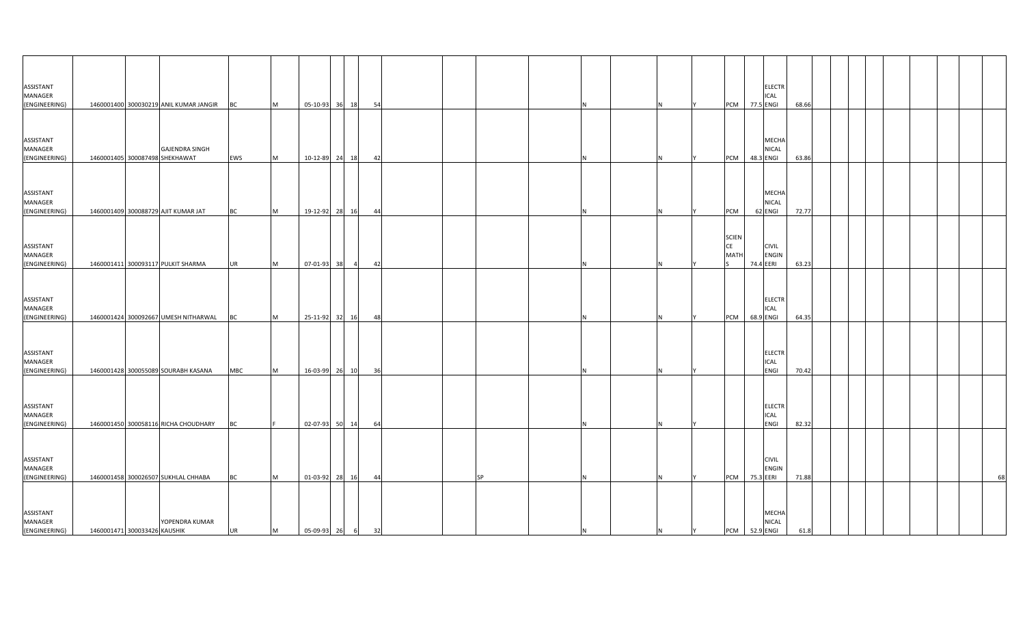| ASSISTANT<br>MANAGER<br>(ENGINEERING)                  |                              | 1460001400 300030219 ANIL KUMAR JANGIR                                | <b>BC</b>              | M      | 05-10-93 36 18                   |    |                | 54       |           |     |   |   | <b>PCM</b>                 | 77.5 ENGI | <b>ELECTR</b><br><b>ICAL</b>            | 68.66          |  |  |  |    |
|--------------------------------------------------------|------------------------------|-----------------------------------------------------------------------|------------------------|--------|----------------------------------|----|----------------|----------|-----------|-----|---|---|----------------------------|-----------|-----------------------------------------|----------------|--|--|--|----|
| ASSISTANT<br>MANAGER                                   |                              | <b>GAJENDRA SINGH</b>                                                 |                        |        |                                  |    |                |          |           |     |   |   |                            |           | MECHA<br>NICAL                          |                |  |  |  |    |
| (ENGINEERING)<br>ASSISTANT<br>MANAGER<br>(ENGINEERING) |                              | 1460001405 300087498 SHEKHAWAT<br>1460001409 300088729 AJIT KUMAR JAT | EWS                    | M<br>M | 10-12-89 24 18<br>19-12-92 28 16 |    |                | 42       |           |     |   |   | <b>PCM</b><br>PCM          | 48.3 ENGI | <b>MECHA</b><br><b>NICAL</b><br>62 ENGI | 63.86<br>72.77 |  |  |  |    |
| ASSISTANT<br>MANAGER<br>(ENGINEERING)                  |                              | 1460001411 300093117 PULKIT SHARMA                                    | <b>BC</b><br><b>UR</b> | M      | 07-01-93                         | 38 | $\overline{4}$ | 44<br>42 |           |     |   |   | <b>SCIEN</b><br>CE<br>MATI | 74.4 EERI | <b>CIVIL</b><br><b>ENGIN</b>            | 63.23          |  |  |  |    |
| ASSISTANT<br>MANAGER<br>(ENGINEERING)                  |                              | 1460001424 300092667 UMESH NITHARWAL                                  | BC                     | M      | 25-11-92                         | 32 | 16             | 48       |           |     |   |   | <b>PCM</b>                 | 68.9 ENGI | <b>ELECTR</b><br>ICAL                   | 64.35          |  |  |  |    |
| ASSISTANT<br>MANAGER<br>(ENGINEERING)                  |                              | 1460001428 300055089 SOURABH KASANA                                   | <b>MBC</b>             | M      | 16-03-99 26 10                   |    |                | - 36     |           |     |   |   |                            |           | <b>ELECTR</b><br>ICAL<br>ENGI           | 70.42          |  |  |  |    |
| ASSISTANT<br>MANAGER<br>(ENGINEERING)                  |                              | 1460001450 300058116 RICHA CHOUDHARY                                  | BC                     |        | 02-07-93 50 14                   |    |                | 64       |           |     |   |   |                            |           | ELECTR<br><b>ICAL</b><br>ENGI           | 82.32          |  |  |  |    |
| ASSISTANT<br>MANAGER<br>(ENGINEERING)                  |                              | 1460001458 300026507 SUKHLAL CHHABA                                   | <b>BC</b>              | M      | 01-03-92 28 16                   |    |                | 44       | <b>SP</b> |     |   |   | <b>PCM</b>                 | 75.3 EERI | <b>CIVIL</b><br><b>ENGIN</b>            | 71.88          |  |  |  | 68 |
| ASSISTANT<br>MANAGER<br>(ENGINEERING)                  | 1460001471 300033426 KAUSHIK | YOPENDRA KUMAR                                                        | <b>UR</b>              | M      | 05-09-93 26 6 32                 |    |                |          |           | IN. | N | Y | PCM 52.9 ENGI              |           | <b>MECHA</b><br><b>NICAL</b>            | 61.8           |  |  |  |    |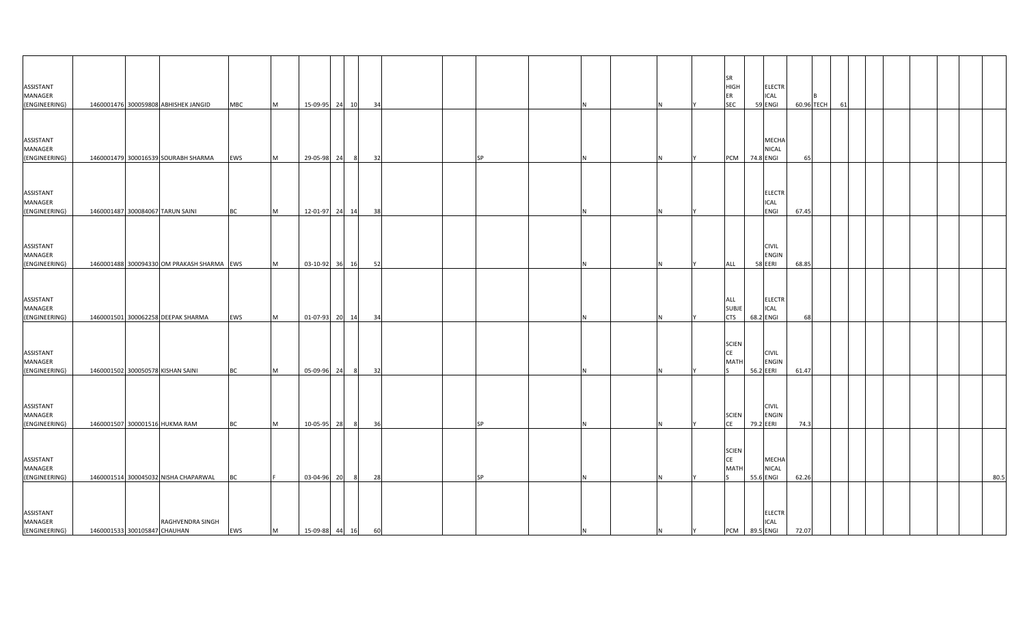|                                       |                              |                                            |            |           |                   |    |         |    |           |     |   |   | <b>SR</b>                         |           |                                         |            |    |  |  |      |
|---------------------------------------|------------------------------|--------------------------------------------|------------|-----------|-------------------|----|---------|----|-----------|-----|---|---|-----------------------------------|-----------|-----------------------------------------|------------|----|--|--|------|
| ASSISTANT<br>MANAGER                  |                              |                                            |            |           |                   |    |         |    |           |     |   |   | <b>HIGH</b><br>ER                 |           | <b>ELECTR</b><br><b>ICAL</b>            |            |    |  |  |      |
| (ENGINEERING)                         |                              | 1460001476 300059808 ABHISHEK JANGID       | <b>MBC</b> | M         | 15-09-95 24 10    |    | 34      |    |           |     |   |   | <b>SEC</b>                        |           | 59 ENGI                                 | 60.96 TECH | 61 |  |  |      |
| ASSISTANT<br>MANAGER                  |                              |                                            |            |           |                   |    |         |    |           |     |   |   |                                   |           | <b>MECHA</b><br><b>NICAL</b>            |            |    |  |  |      |
| (ENGINEERING)                         |                              | 1460001479 300016539 SOURABH SHARMA        | EWS        | M         | 29-05-98 24       |    |         | 32 | <b>SP</b> |     |   |   | PCM                               | 74.8 ENGI |                                         | 65         |    |  |  |      |
| ASSISTANT<br>MANAGER<br>(ENGINEERING) |                              | 1460001487 300084067 TARUN SAINI           | <b>BC</b>  | M         | 12-01-97 24 14    |    | 38      |    |           |     |   |   |                                   |           | <b>ELECTR</b><br><b>ICAL</b><br>ENGI    | 67.45      |    |  |  |      |
| ASSISTANT<br>MANAGER<br>(ENGINEERING) |                              | 1460001488 300094330 OM PRAKASH SHARMA EWS |            | M         | 03-10-92 36 16    |    | 52      |    |           |     |   |   | ALL                               |           | <b>CIVIL</b><br><b>ENGIN</b><br>58 EERI | 68.85      |    |  |  |      |
|                                       |                              |                                            |            |           |                   |    |         |    |           |     |   |   |                                   |           |                                         |            |    |  |  |      |
| ASSISTANT<br>MANAGER<br>(ENGINEERING) |                              | 1460001501 300062258 DEEPAK SHARMA         | EWS        | <b>IM</b> | 01-07-93 20 14    |    |         | 34 |           |     |   |   | ALL<br><b>SUBJE</b><br><b>CTS</b> | 68.2 ENGI | <b>ELECTR</b><br><b>ICAL</b>            | 68         |    |  |  |      |
| ASSISTANT<br>MANAGER<br>(ENGINEERING) |                              | 1460001502 300050578 KISHAN SAINI          | <b>BC</b>  | M         | 05-09-96          | 24 | - 8     | 32 |           |     |   |   | <b>SCIEN</b><br>CE<br><b>MATI</b> | 56.2 EERI | <b>CIVIL</b><br><b>ENGIN</b>            | 61.47      |    |  |  |      |
| ASSISTANT<br>MANAGER<br>(ENGINEERING) |                              | 1460001507 300001516 HUKMA RAM             | <b>BC</b>  | M         | 10-05-95 28       |    | 36<br>8 |    | <b>SP</b> |     |   |   | <b>SCIEN</b><br>CE                | 79.2 EERI | <b>CIVIL</b><br><b>ENGIN</b>            | 74.3       |    |  |  |      |
|                                       |                              |                                            |            |           |                   |    |         |    |           |     |   |   |                                   |           |                                         |            |    |  |  |      |
| ASSISTANT<br>MANAGER<br>(ENGINEERING) |                              | 1460001514 300045032 NISHA CHAPARWAL       | <b>BC</b>  |           | 03-04-96          | 20 | - 8     | 28 | <b>SP</b> |     |   |   | <b>SCIEN</b><br>CE<br>MATH        | 55.6 ENGI | MECHA<br><b>NICAL</b>                   | 62.26      |    |  |  | 80.5 |
| ASSISTANT<br>MANAGER<br>(ENGINEERING) | 1460001533 300105847 CHAUHAN | RAGHVENDRA SINGH                           | EWS        | M         | 15-09-88 44 16 60 |    |         |    |           | IN. | N | Y | PCM 89.5 ENGI                     |           | <b>ELECTR</b><br><b>ICAL</b>            | 72.07      |    |  |  |      |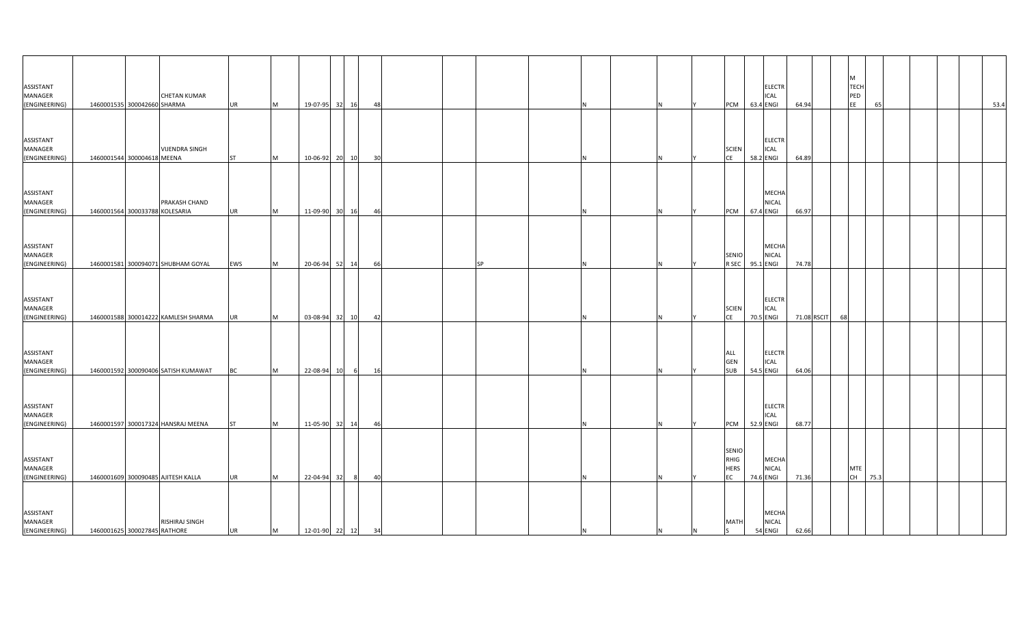| ASSISTANT<br>MANAGER<br>(ENGINEERING)        | 1460001535 300042660 SHARMA    | <b>CHETAN KUMAR</b>                 | <b>UR</b> | M        | 19-07-95 32       | 16 | - 48 |           |   |     |   | PCM                                       | <b>ELECTR</b><br>ICAL<br>63.4 ENGI        | 64.94       | M  | <b>TECH</b><br>PED<br>EE<br>65 |  |  | 53.4 |
|----------------------------------------------|--------------------------------|-------------------------------------|-----------|----------|-------------------|----|------|-----------|---|-----|---|-------------------------------------------|-------------------------------------------|-------------|----|--------------------------------|--|--|------|
| ASSISTANT<br>MANAGER<br>(ENGINEERING)        | 1460001544 300004618 MEENA     | <b>VIJENDRA SINGH</b>               | <b>ST</b> | M        | 10-06-92 20       | 10 | 30   |           |   |     |   | <b>SCIEN</b><br><b>CE</b>                 | <b>ELECTR</b><br>ICAL<br>58.2 ENGI        | 64.89       |    |                                |  |  |      |
| ASSISTANT<br>MANAGER<br>(ENGINEERING)        | 1460001564 300033788 KOLESARIA | PRAKASH CHAND                       | <b>UR</b> | <b>M</b> | 11-09-90 30       | 16 | 46   |           |   |     |   | <b>PCM</b>                                | <b>MECHA</b><br><b>NICAL</b><br>67.4 ENGI | 66.97       |    |                                |  |  |      |
| ASSISTANT<br>MANAGER<br>(ENGINEERING)        |                                | 1460001581 300094071 SHUBHAM GOYAL  | EWS       | M        | 20-06-94 52       | 14 | 66   | <b>SP</b> | N |     |   | <b>SENIO</b><br>R SEC                     | MECHA<br><b>NICAL</b><br>95.1 ENGI        | 74.78       |    |                                |  |  |      |
| ASSISTANT<br>MANAGER<br>(ENGINEERING)        |                                | 1460001588 300014222 KAMLESH SHARMA | <b>UR</b> | M        | 03-08-94 32       | 10 | 42   |           |   |     |   | <b>SCIEN</b><br><b>CE</b>                 | <b>ELECTR</b><br><b>ICAL</b><br>70.5 ENGI | 71.08 RSCIT | 68 |                                |  |  |      |
| ASSISTANT<br>MANAGER<br>(ENGINEERING)        |                                | 1460001592 300090406 SATISH KUMAWAT | <b>BC</b> | M        | 22-08-94 10       | 6  | 16   |           |   |     |   | ALL<br>GEN<br><b>SUB</b>                  | <b>ELECTR</b><br><b>ICAL</b><br>54.5 ENGI | 64.06       |    |                                |  |  |      |
| ASSISTANT<br>MANAGER<br>(ENGINEERING)        |                                | 1460001597 300017324 HANSRAJ MEENA  | <b>ST</b> | M        | 11-05-90 32 14    |    | 46   |           | N |     |   | PCM                                       | <b>ELECTR</b><br>ICAL<br>52.9 ENGI        | 68.77       |    |                                |  |  |      |
| ASSISTANT<br>MANAGER<br>(ENGINEERING)        |                                | 1460001609 300090485 AJITESH KALLA  | <b>UR</b> | <b>M</b> | 22-04-94 32       | 8  | 40   |           | N |     |   | <b>SENIO</b><br>RHIG<br><b>HERS</b><br>EC | MECHA<br>NICAL<br>74.6 ENGI               | 71.36       |    | MTE<br>CH  <br>75.3            |  |  |      |
| ASSISTANT<br><b>MANAGER</b><br>(ENGINEERING) | 1460001625 300027845 RATHORE   | RISHIRAJ SINGH                      | <b>UR</b> | M        | 12-01-90 22 12 34 |    |      |           | N | IN. | N | <b>MATH</b><br><sub>S</sub>               | MECHA<br><b>NICAL</b><br>54 ENGI          | 62.66       |    |                                |  |  |      |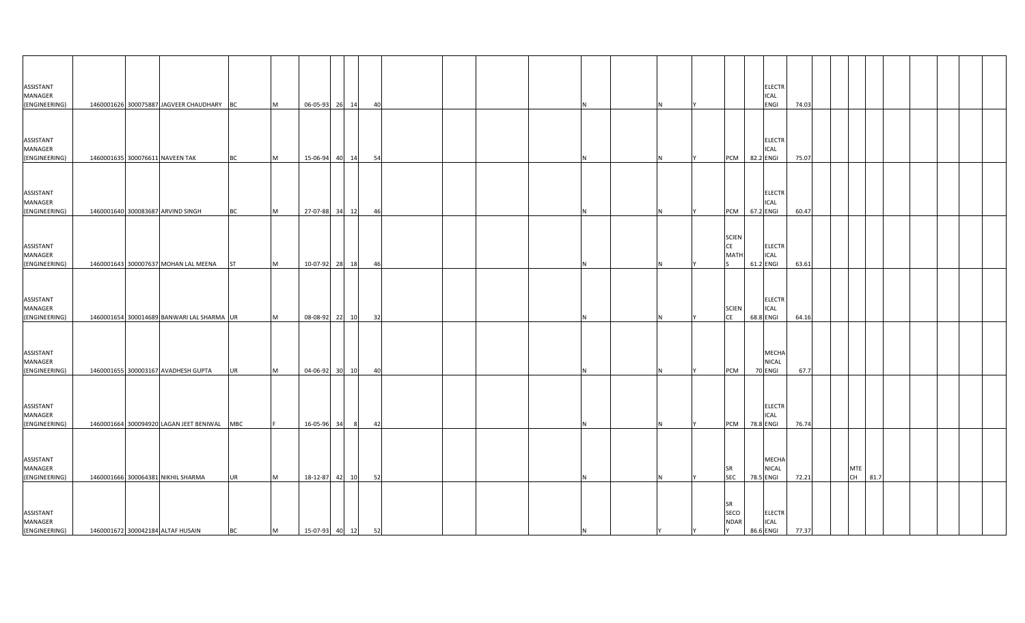| ASSISTANT<br>MANAGER                  |  |                                             |           |           |                   |                |    |  |    |  |                                       |           | <b>ELECTR</b><br><b>ICAL</b> |                 |            |         |  |  |  |
|---------------------------------------|--|---------------------------------------------|-----------|-----------|-------------------|----------------|----|--|----|--|---------------------------------------|-----------|------------------------------|-----------------|------------|---------|--|--|--|
| (ENGINEERING)                         |  | 1460001626 300075887 JAGVEER CHAUDHARY BC   |           | M         | 06-05-93 26 14    |                | 40 |  |    |  |                                       |           | <b>ENGI</b>                  | 74.03           |            |         |  |  |  |
| ASSISTANT<br>MANAGER<br>(ENGINEERING) |  | 1460001635 300076611 NAVEEN TAK             | <b>BC</b> | <b>M</b>  | 15-06-94 40 14    |                | 54 |  |    |  | <b>PCM</b>                            | 82.2 ENGI | <b>ELECTR</b><br><b>ICAL</b> | 75.07           |            |         |  |  |  |
|                                       |  |                                             |           |           |                   |                |    |  |    |  |                                       |           |                              |                 |            |         |  |  |  |
| ASSISTANT<br>MANAGER<br>(ENGINEERING) |  | 1460001640 300083687 ARVIND SINGH           | <b>BC</b> | M         | 27-07-88 34 12    |                | 46 |  |    |  | <b>PCM</b>                            | 67.2 ENGI | <b>ELECTR</b><br><b>ICAL</b> | 60.47           |            |         |  |  |  |
| ASSISTANT<br>MANAGER<br>(ENGINEERING) |  | 1460001643 300007637 MOHAN LAL MEENA        | <b>ST</b> | M         | 10-07-92 28 18    |                | 46 |  |    |  | <b>SCIEN</b><br>CE<br><b>MATI</b>     | 61.2 ENGI | ELECTR<br><b>ICAL</b>        | 63.61           |            |         |  |  |  |
|                                       |  |                                             |           |           |                   |                |    |  |    |  |                                       |           |                              |                 |            |         |  |  |  |
| ASSISTANT<br>MANAGER<br>(ENGINEERING) |  | 1460001654 300014689 BANWARI LAL SHARMA UR  |           | <b>M</b>  | 08-08-92 22 10    |                | 32 |  |    |  | <b>SCIEN</b><br>CE                    | 68.8 ENGI | <b>ELECTR</b><br><b>ICAL</b> | 64.16           |            |         |  |  |  |
| ASSISTANT<br>MANAGER<br>(ENGINEERING) |  | 1460001655 300003167 AVADHESH GUPTA         | <b>UR</b> | <b>IM</b> |                   | 04-06-92 30 10 | 40 |  |    |  | <b>PCM</b>                            | 70 ENGI   | MECHA<br><b>NICAL</b>        | 67.7            |            |         |  |  |  |
| ASSISTANT<br>MANAGER<br>(ENGINEERING) |  | 1460001664 300094920 LAGAN JEET BENIWAL MBC |           |           | 16-05-96 34       | 8              | 42 |  |    |  | PCM                                   | 78.8 ENGI | <b>ELECTR</b><br><b>ICAL</b> | 76.74           |            |         |  |  |  |
|                                       |  |                                             |           |           |                   |                |    |  |    |  |                                       |           |                              |                 |            |         |  |  |  |
| ASSISTANT<br>MANAGER<br>(ENGINEERING) |  | 1460001666 300064381 NIKHIL SHARMA          | <b>UR</b> | <b>IM</b> |                   | 18-12-87 42 10 | 52 |  |    |  | SR<br><b>SEC</b>                      | 78.5 ENGI | MECHA<br><b>NICAL</b>        | 72.21           | <b>MTE</b> | CH 81.7 |  |  |  |
| ASSISTANT<br>MANAGER<br>(ENGINEERING) |  | 1460001672 300042184 ALTAF HUSAIN           | <b>BC</b> | M         | 15-07-93 40 12 52 |                |    |  | ΙN |  | <b>SR</b><br>SECO<br><b>NDAR</b><br>Y |           | <b>ELECTR</b><br><b>ICAL</b> | 86.6 ENGI 77.37 |            |         |  |  |  |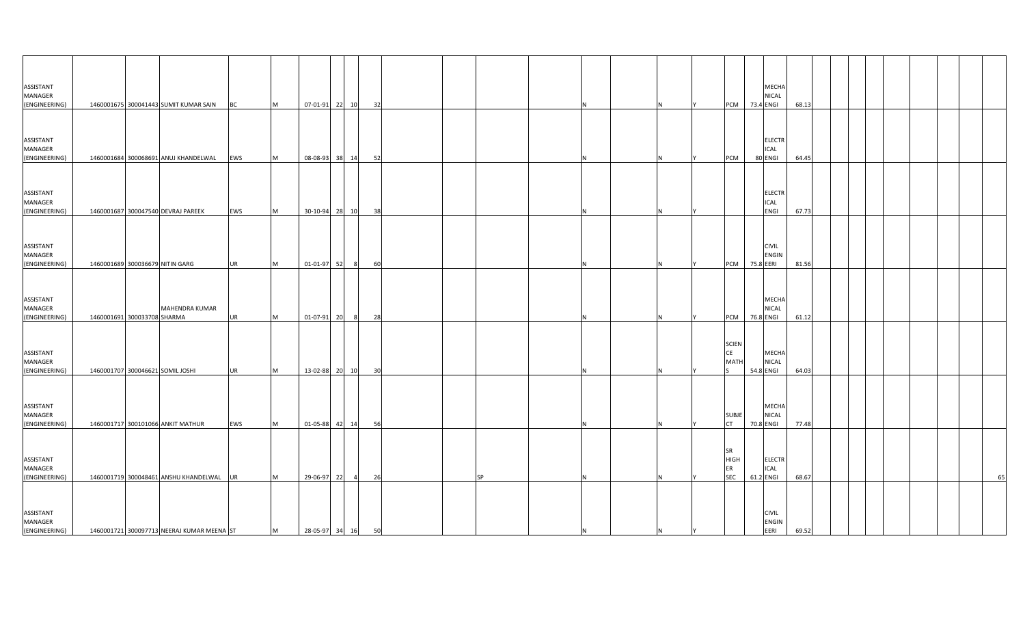| <b>ASSISTANT</b><br>MANAGER<br>(ENGINEERING)        |                             | 1460001675 300041443 SUMIT KUMAR SAIN BC   |           | M | 07-01-91 22 10    |                  | 32 |  |           | и   |   | <b>PCM</b> 73.4 ENGI            | MECHA<br>NICAL                       | 68.13 |  |  |  |    |
|-----------------------------------------------------|-----------------------------|--------------------------------------------|-----------|---|-------------------|------------------|----|--|-----------|-----|---|---------------------------------|--------------------------------------|-------|--|--|--|----|
|                                                     |                             |                                            |           |   |                   |                  |    |  |           |     |   |                                 |                                      |       |  |  |  |    |
| ASSISTANT<br>MANAGER<br>(ENGINEERING)               |                             | 1460001684 300068691 ANUJ KHANDELWAL       | EWS       | M | 08-08-93 38 14    |                  | 52 |  |           |     |   | PCM                             | <b>ELECTR</b><br>ICAL<br>80 ENGI     | 64.45 |  |  |  |    |
|                                                     |                             |                                            |           |   |                   |                  |    |  |           |     |   |                                 |                                      |       |  |  |  |    |
| ASSISTANT<br>MANAGER<br>(ENGINEERING)               |                             | 1460001687 300047540 DEVRAJ PAREEK         | EWS       | M | 30-10-94 28 10    |                  | 38 |  |           | IN. |   |                                 | <b>ELECTR</b><br>ICAL<br>ENGI        | 67.73 |  |  |  |    |
|                                                     |                             |                                            |           |   |                   |                  |    |  |           |     |   |                                 |                                      |       |  |  |  |    |
| <b>ASSISTANT</b><br><b>MANAGER</b><br>(ENGINEERING) |                             | 1460001689 300036679 NITIN GARG            | <b>UR</b> | M | 01-01-97 52       | 8 <sup>1</sup>   | 60 |  |           | N   |   | PCM 75.8 EERI                   | <b>CIVIL</b><br><b>ENGIN</b>         | 81.56 |  |  |  |    |
|                                                     |                             |                                            |           |   |                   |                  |    |  |           |     |   |                                 |                                      |       |  |  |  |    |
| ASSISTANT<br>MANAGER<br>(ENGINEERING)               | 1460001691 300033708 SHARMA | MAHENDRA KUMAR                             | UR        | M | $01 - 07 - 91$    | 20<br>$_{\rm 8}$ | 28 |  |           |     |   | PCM                             | <b>MECHA</b><br>NICAL<br>76.8 ENGI   | 61.12 |  |  |  |    |
|                                                     |                             |                                            |           |   |                   |                  |    |  |           |     |   | <b>SCIEN</b>                    |                                      |       |  |  |  |    |
| ASSISTANT<br>MANAGER<br>(ENGINEERING)               |                             | 1460001707 300046621 SOMIL JOSHI           | <b>UR</b> | M | 13-02-88 20 10    |                  | 30 |  |           |     |   | CE<br><b>MATH</b>               | MECHA<br><b>NICAL</b><br>54.8 ENGI   | 64.03 |  |  |  |    |
|                                                     |                             |                                            |           |   |                   |                  |    |  |           |     |   |                                 |                                      |       |  |  |  |    |
| <b>ASSISTANT</b><br>MANAGER<br>(ENGINEERING)        |                             | 1460001717 300101066 ANKIT MATHUR          | EWS       | M | 01-05-88 42 14    |                  | 56 |  |           | N   |   | <b>SUBJE</b><br><b>CT</b>       | MECHA<br><b>NICAL</b><br>70.8 ENGI   | 77.48 |  |  |  |    |
|                                                     |                             |                                            |           |   |                   |                  |    |  |           |     |   | <b>SR</b>                       |                                      |       |  |  |  |    |
| ASSISTANT<br><b>MANAGER</b><br>(ENGINEERING)        |                             | 1460001719 300048461 ANSHU KHANDELWAL UR   |           | M | 29-06-97 22       | $\overline{a}$   | 26 |  | <b>SP</b> | N.  |   | <b>HIGH</b><br>ER<br><b>SEC</b> | <b>ELECTR</b><br>ICAL<br>61.2 ENGI   | 68.67 |  |  |  | 65 |
|                                                     |                             |                                            |           |   |                   |                  |    |  |           |     |   |                                 |                                      |       |  |  |  |    |
| ASSISTANT<br><b>MANAGER</b><br>(ENGINEERING)        |                             | 1460001721 300097713 NEERAJ KUMAR MEENA ST |           | M | 28-05-97 34 16 50 |                  |    |  |           | IN. | N |                                 | <b>CIVIL</b><br><b>ENGIN</b><br>EERI | 69.52 |  |  |  |    |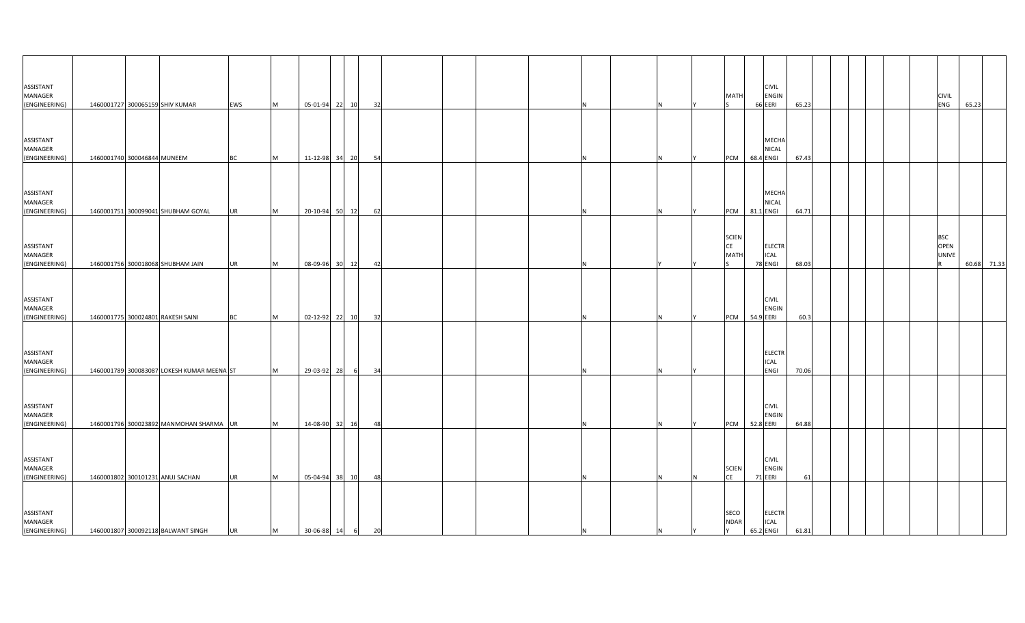| ASSISTANT<br>MANAGER<br>(ENGINEERING)        | 1460001727 300065159 SHIV KUMAR            | EWS       | M         | 05-01-94 22 10   |    | 32 |   |    | MATI                              | <b>CIVIL</b><br>ENGIN<br>66 EERI          | 65.23 |  |  | <b>CIVIL</b><br>ENG                            | 65.23       |
|----------------------------------------------|--------------------------------------------|-----------|-----------|------------------|----|----|---|----|-----------------------------------|-------------------------------------------|-------|--|--|------------------------------------------------|-------------|
|                                              |                                            |           |           |                  |    |    |   |    |                                   |                                           |       |  |  |                                                |             |
| ASSISTANT<br>MANAGER<br>(ENGINEERING)        | 1460001740 300046844 MUNEEM                | <b>BC</b> | M         | 11-12-98 34 20   |    | 54 |   |    | PCM                               | MECHA<br>NICAL<br>68.4 ENGI               | 67.43 |  |  |                                                |             |
|                                              |                                            |           |           |                  |    |    |   |    |                                   |                                           |       |  |  |                                                |             |
| ASSISTANT<br>MANAGER<br>(ENGINEERING)        | 1460001751 300099041 SHUBHAM GOYAL         | UR        | M         | 20-10-94 50      | 12 | 62 |   | N. | PCM                               | MECHA<br><b>NICAL</b><br>81.1 ENGI        | 64.71 |  |  |                                                |             |
|                                              |                                            |           |           |                  |    |    |   |    |                                   |                                           |       |  |  |                                                |             |
| ASSISTANT<br>MANAGER<br>(ENGINEERING)        | 1460001756 300018068 SHUBHAM JAIN          |           | M         | 08-09-96 30 12   |    | 42 |   |    | <b>SCIEN</b><br><b>CE</b><br>MATI | <b>ELECTR</b><br>ICAL<br>78 ENGI          | 68.03 |  |  | <b>BSC</b><br><b>OPEN</b><br><b>UNIVE</b><br>R | 60.68 71.33 |
|                                              |                                            | UR        |           |                  |    |    | N |    |                                   |                                           |       |  |  |                                                |             |
| ASSISTANT<br>MANAGER<br>(ENGINEERING)        | 1460001775 300024801 RAKESH SAINI          | ВC        | <b>IM</b> | 02-12-92 22 10   |    | 32 |   |    | PCM                               | <b>CIVIL</b><br>ENGIN<br>54.9 EERI        | 60.3  |  |  |                                                |             |
|                                              |                                            |           |           |                  |    |    |   |    |                                   |                                           |       |  |  |                                                |             |
| ASSISTANT<br><b>MANAGER</b><br>(ENGINEERING) | 1460001789 300083087 LOKESH KUMAR MEENA ST |           | M         | 29-03-92 28      | 6  | 34 |   |    |                                   | <b>ELECTR</b><br><b>ICAL</b><br>ENGI      | 70.06 |  |  |                                                |             |
| ASSISTANT<br>MANAGER                         |                                            |           |           |                  |    |    |   |    |                                   | <b>CIVIL</b><br>ENGIN                     |       |  |  |                                                |             |
| (ENGINEERING)                                | 1460001796 300023892 MANMOHAN SHARMA UR    |           | M         | 14-08-90 32 16   |    | 48 | N | N  | <b>PCM</b>                        | 52.8 EERI                                 | 64.88 |  |  |                                                |             |
| ASSISTANT<br>MANAGER<br>(ENGINEERING)        | 1460001802 300101231 ANUJ SACHAN           | <b>UR</b> | <b>M</b>  | 05-04-94 38 10   |    | 48 |   | N  | <b>SCIEN</b><br><b>CE</b>         | <b>CIVIL</b><br><b>ENGIN</b><br>71 EERI   | 61    |  |  |                                                |             |
|                                              |                                            |           |           |                  |    |    |   |    |                                   |                                           |       |  |  |                                                |             |
| ASSISTANT<br>MANAGER<br>(ENGINEERING)        | 1460001807 300092118 BALWANT SINGH         | UR        | M         | 30-06-88 14 6 20 |    |    | N |    | SECO<br><b>NDAR</b><br><b>Y</b>   | <b>ELECTR</b><br><b>ICAL</b><br>65.2 ENGI | 61.81 |  |  |                                                |             |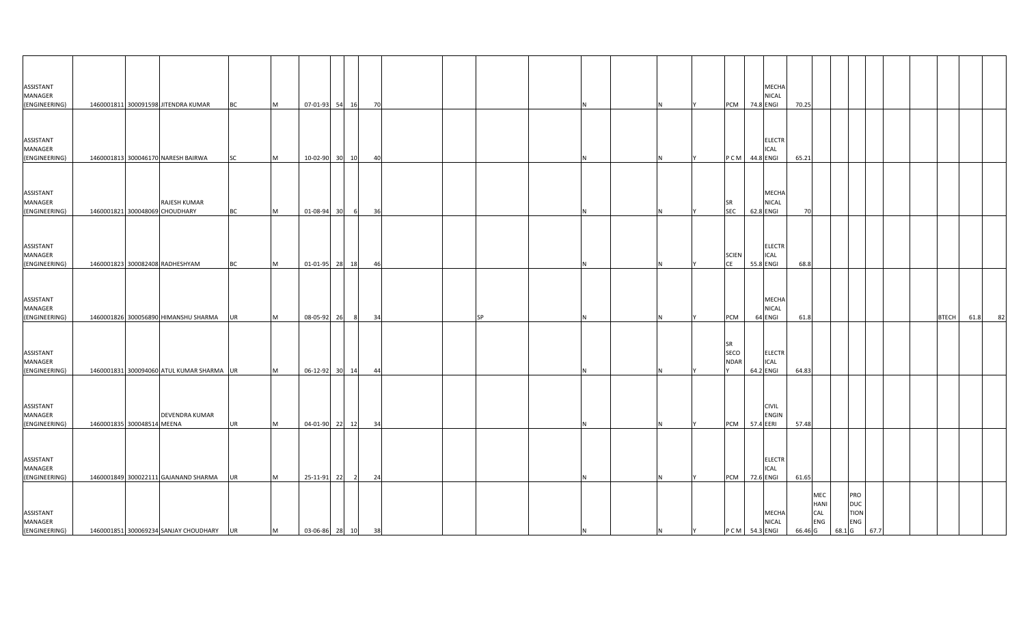| ASSISTANT<br>MANAGER<br>(ENGINEERING)        |                            | 1460001811 300091598 JITENDRA KUMAR            | <b>BC</b> | M         | 07-01-93 54       | 16<br>70             |    |           |   |   |     | PCM                              | MECHA<br><b>NICAL</b><br>74.8 ENGI        | 70.25 |                                      |        |                                         |      |              |      |    |
|----------------------------------------------|----------------------------|------------------------------------------------|-----------|-----------|-------------------|----------------------|----|-----------|---|---|-----|----------------------------------|-------------------------------------------|-------|--------------------------------------|--------|-----------------------------------------|------|--------------|------|----|
| ASSISTANT<br>MANAGER<br>(ENGINEERING)        |                            | 1460001813 300046170 NARESH BAIRWA             | <b>SC</b> | M         | 10-02-90 30       | 10                   | 40 |           |   |   |     | PCM 44.8 ENGI                    | <b>ELECTR</b><br><b>ICAL</b>              | 65.21 |                                      |        |                                         |      |              |      |    |
| ASSISTANT<br>MANAGER<br>(ENGINEERING)        |                            | RAJESH KUMAR<br>1460001821 300048069 CHOUDHARY | <b>BC</b> | <b>M</b>  | 01-08-94 30       | 36<br>6              |    |           |   |   |     | SR<br><b>SEC</b>                 | <b>MECHA</b><br>NICAL<br>62.8 ENGI        | 70    |                                      |        |                                         |      |              |      |    |
| ASSISTANT<br>MANAGER<br>(ENGINEERING)        |                            | 1460001823 300082408 RADHESHYAM                | <b>BC</b> | M         | 01-01-95 28       | 18                   | 46 |           | N |   |     | <b>SCIEN</b><br><b>CE</b>        | <b>ELECTR</b><br><b>ICAL</b><br>55.8 ENGI | 68.8  |                                      |        |                                         |      |              |      |    |
| ASSISTANT<br>MANAGER<br>(ENGINEERING)        |                            | 1460001826 300056890 HIMANSHU SHARMA           | UR        | <b>M</b>  | 08-05-92 26       | 34<br>8              |    | <b>SP</b> |   |   |     | PCM                              | <b>MECHA</b><br>NICAL<br>64 ENGI          | 61.8  |                                      |        |                                         |      | <b>BTECH</b> | 61.8 | 82 |
| ASSISTANT<br>MANAGER<br>(ENGINEERING)        |                            | 1460001831 300094060 ATUL KUMAR SHARMA UR      |           | <b>M</b>  | 06-12-92 30 14    | 44                   |    |           |   |   |     | <b>SR</b><br>SECO<br><b>NDAR</b> | <b>ELECTR</b><br><b>ICAL</b><br>64.2 ENGI | 64.83 |                                      |        |                                         |      |              |      |    |
| <b>ASSISTANT</b><br>MANAGER<br>(ENGINEERING) | 1460001835 300048514 MEENA | DEVENDRA KUMAR                                 | <b>UR</b> | M         | 04-01-90 22 12    | 34                   |    |           | N |   |     | PCM 57.4 EERI                    | <b>CIVIL</b><br><b>ENGIN</b>              | 57.48 |                                      |        |                                         |      |              |      |    |
| ASSISTANT<br>MANAGER<br>(ENGINEERING)        |                            | 1460001849 300022111 GAJANAND SHARMA           | <b>UR</b> | <b>IM</b> | 25-11-91 22       | 24<br>$\overline{2}$ |    |           |   |   |     | PCM                              | <b>ELECTR</b><br><b>ICAL</b><br>72.6 ENGI | 61.65 |                                      |        |                                         |      |              |      |    |
| ASSISTANT<br>MANAGER<br>(ENGINEERING)        |                            | 1460001851 300069234 SANJAY CHOUDHARY UR       |           | M         | 03-06-86 28 10 38 |                      |    |           | N | N | IY. | PCM 54.3 ENGI                    | <b>MECHA</b><br><b>NICAL</b>              |       | MEC<br>HANI<br>CAL<br>ENG<br>66.46 G | 68.1 G | PRO<br><b>DUC</b><br><b>TION</b><br>ENG | 67.7 |              |      |    |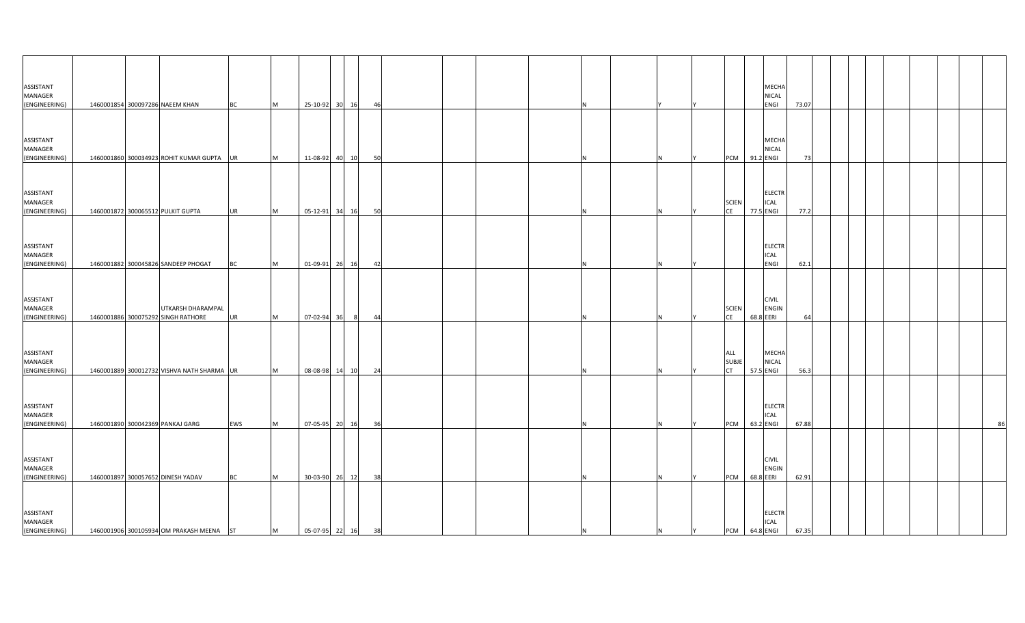| ASSISTANT<br>MANAGER<br>(ENGINEERING)        | 1460001854 300097286 NAEEM KHAN                         | <b>BC</b> | M        | 25-10-92 30 16    |    | 46   |          |    | NICAL<br>ENGI                                                   | MECHA         | 73.07 |  |  |  |    |
|----------------------------------------------|---------------------------------------------------------|-----------|----------|-------------------|----|------|----------|----|-----------------------------------------------------------------|---------------|-------|--|--|--|----|
|                                              |                                                         |           |          |                   |    |      |          |    |                                                                 |               |       |  |  |  |    |
| ASSISTANT<br>MANAGER<br>(ENGINEERING)        | 1460001860 300034923 ROHIT KUMAR GUPTA UR               |           | M        | 11-08-92 40       | 10 | - 50 |          |    | NICAL<br>91.2 ENGI<br>PCM                                       | MECHA         | -73   |  |  |  |    |
|                                              |                                                         |           |          |                   |    |      |          |    |                                                                 |               |       |  |  |  |    |
| ASSISTANT<br>MANAGER<br>(ENGINEERING)        | 1460001872 300065512 PULKIT GUPTA                       | UR        | M        | 05-12-91 34 16    |    | 50   | N        |    | ICAL<br><b>SCIEN</b><br>77.5 ENGI<br><b>CE</b>                  | <b>ELECTR</b> | 77.2  |  |  |  |    |
|                                              |                                                         |           |          |                   |    |      |          |    |                                                                 |               |       |  |  |  |    |
| ASSISTANT<br>MANAGER<br>(ENGINEERING)        | 1460001882 300045826 SANDEEP PHOGAT                     | BC        | M        | 01-09-91 26       | 16 | 42   |          |    | ICAL<br>ENGI                                                    | <b>ELECTR</b> | 62.1  |  |  |  |    |
|                                              |                                                         |           |          |                   |    |      |          |    |                                                                 |               |       |  |  |  |    |
| ASSISTANT<br><b>MANAGER</b><br>(ENGINEERING) | UTKARSH DHARAMPAL<br>1460001886 300075292 SINGH RATHORE | UR        | M        | 07-02-94 36       | 8  | 44   |          |    | <b>CIVIL</b><br><b>SCIEN</b><br><b>ENGIN</b><br>CE<br>68.8 EERI |               | 64    |  |  |  |    |
|                                              |                                                         |           |          |                   |    |      |          |    |                                                                 |               |       |  |  |  |    |
| ASSISTANT<br>MANAGER<br>(ENGINEERING)        | 1460001889 300012732 VISHVA NATH SHARMA UR              |           | <b>M</b> | 08-08-98 14 10    |    | 24   |          |    | ALL<br><b>SUBJE</b><br><b>NICAL</b><br><b>CT</b><br>57.5 ENGI   | MECHA         | 56.3  |  |  |  |    |
|                                              |                                                         |           |          |                   |    |      |          |    |                                                                 |               |       |  |  |  |    |
| ASSISTANT<br>MANAGER<br>(ENGINEERING)        | 1460001890 300042369 PANKAJ GARG                        | EWS       | <b>M</b> | 07-05-95 20 16    |    | 36   |          |    | <b>ICAL</b><br>63.2 ENGI<br>PCM                                 | <b>ELECTR</b> | 67.88 |  |  |  | 86 |
|                                              |                                                         |           |          |                   |    |      |          |    |                                                                 |               |       |  |  |  |    |
| ASSISTANT<br>MANAGER<br>(ENGINEERING)        | 1460001897 300057652 DINESH YADAV                       | <b>BC</b> | <b>M</b> | 30-03-90 26 12    |    | 38   |          | N. | <b>CIVIL</b><br>68.8 EERI<br>PCM                                | ENGIN         | 62.91 |  |  |  |    |
| ASSISTANT                                    |                                                         |           |          |                   |    |      |          |    |                                                                 | <b>ELECTR</b> |       |  |  |  |    |
| MANAGER<br>(ENGINEERING)                     | 1460001906 300105934 OM PRAKASH MEENA ST                |           | M        | 05-07-95 22 16 38 |    |      | <b>N</b> | N  | <b>ICAL</b><br>PCM 64.8 ENGI<br>IY.                             |               | 67.35 |  |  |  |    |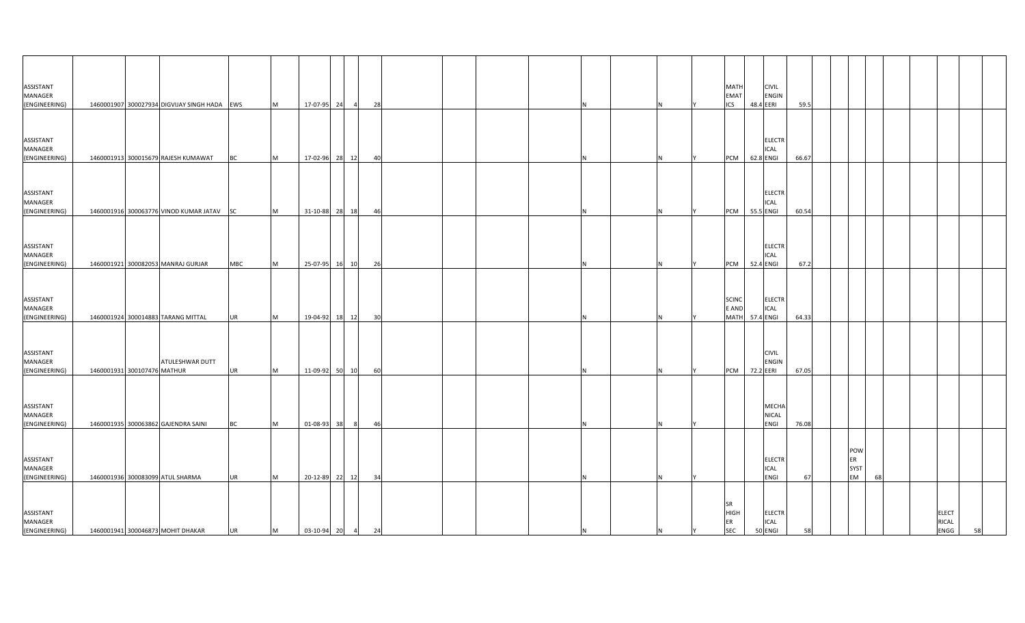| ASSISTANT<br>MANAGER<br>(ENGINEERING)                  |                             | 1460001907 300027934 DIGVIJAY SINGH HADA EWS                                  |                         | M         | 17-07-95 24      | $\overline{4}$                   | 28       |  |    |  |    | <b>MATH</b><br><b>EMAT</b><br><b>ICS</b>     | 48.4 EERI              | <b>CIVIL</b><br><b>ENGIN</b>            | 59.5           |    |                          |    |                                      |    |
|--------------------------------------------------------|-----------------------------|-------------------------------------------------------------------------------|-------------------------|-----------|------------------|----------------------------------|----------|--|----|--|----|----------------------------------------------|------------------------|-----------------------------------------|----------------|----|--------------------------|----|--------------------------------------|----|
| ASSISTANT<br>MANAGER                                   |                             |                                                                               |                         |           |                  |                                  |          |  |    |  |    |                                              |                        | <b>ELECTR</b><br>ICAL                   |                |    |                          |    |                                      |    |
| (ENGINEERING)<br>ASSISTANT<br>MANAGER<br>(ENGINEERING) |                             | 1460001913 300015679 RAJESH KUMAWAT<br>1460001916 300063776 VINOD KUMAR JATAV | <b>BC</b>               | M<br>M    |                  | 17-02-96 28 12<br>31-10-88 28 18 | 40       |  |    |  |    | <b>PCM</b><br><b>PCM</b>                     | 62.8 ENGI<br>55.5 ENGI | <b>ELECTR</b><br><b>ICAL</b>            | 66.67<br>60.54 |    |                          |    |                                      |    |
| ASSISTANT<br>MANAGER<br>(ENGINEERING)                  |                             | 1460001921 300082053 MANRAJ GURJAR                                            | <b>SC</b><br><b>MBC</b> | M         |                  | 25-07-95 16 10                   | 46<br>26 |  |    |  |    | PCM 52.4 ENGI                                |                        | <b>ELECTR</b><br><b>ICAL</b>            | 67.2           |    |                          |    |                                      |    |
| ASSISTANT<br>MANAGER<br>(ENGINEERING)                  |                             | 1460001924 300014883 TARANG MITTAL                                            | <b>UR</b>               | <b>IM</b> |                  | 19-04-92 18 12                   | 30       |  |    |  |    | <b>SCINC</b><br>E AND<br><b>MATH</b>         | 57.4 ENGI              | <b>ELECTR</b><br><b>ICAL</b>            | 64.33          |    |                          |    |                                      |    |
| ASSISTANT<br><b>MANAGER</b><br>(ENGINEERING)           | 1460001931 300107476 MATHUR | ATULESHWAR DUTT                                                               | <b>UR</b>               | <b>IM</b> |                  | 11-09-92 50 10                   | 60       |  |    |  |    | <b>PCM</b>                                   | 72.2 EERI              | <b>CIVIL</b><br><b>ENGIN</b>            | 67.05          |    |                          |    |                                      |    |
| ASSISTANT<br>MANAGER<br>(ENGINEERING)                  |                             | 1460001935 300063862 GAJENDRA SAINI                                           | <b>BC</b>               | <b>IM</b> | 01-08-93 38      | - 8                              | 46       |  |    |  |    |                                              |                        | MECHA<br><b>NICAL</b><br><b>ENGI</b>    | 76.08          |    |                          |    |                                      |    |
| ASSISTANT<br>MANAGER<br>(ENGINEERING)                  |                             | 1460001936 300083099 ATUL SHARMA                                              | <b>UR</b>               | <b>IM</b> |                  | 20-12-89 22 12                   | 34       |  |    |  |    |                                              |                        | <b>ELECTR</b><br>ICAL<br>ENGI           | 67             | ER | POW<br><b>SYST</b><br>EM | 68 |                                      |    |
| ASSISTANT<br>MANAGER<br>(ENGINEERING)                  |                             | 1460001941 300046873 MOHIT DHAKAR                                             | <b>UR</b>               | M         | 03-10-94 20 4 24 |                                  |          |  | ΙN |  | IY | <b>SR</b><br><b>HIGH</b><br>ER<br><b>SEC</b> |                        | <b>ELECTR</b><br><b>ICAL</b><br>50 ENGI | 58             |    |                          |    | <b>ELECT</b><br><b>RICAL</b><br>ENGG | 58 |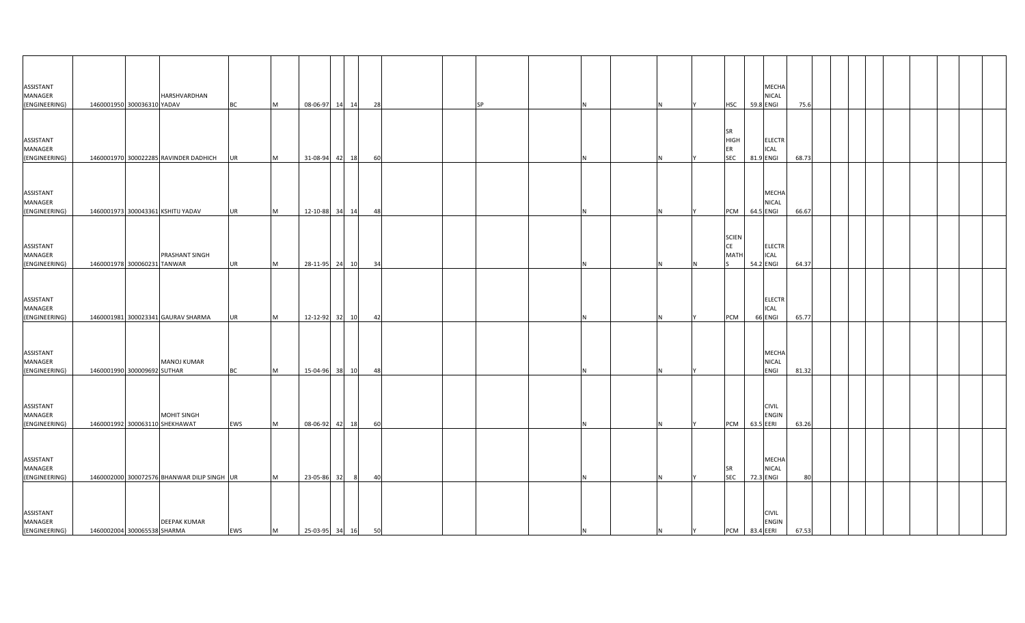| ASSISTANT            |                             |                                             |           |              |                   |    |    |  |           |   |   |                   | MECHA                         |       |  |  |  |  |
|----------------------|-----------------------------|---------------------------------------------|-----------|--------------|-------------------|----|----|--|-----------|---|---|-------------------|-------------------------------|-------|--|--|--|--|
| MANAGER              |                             | HARSHVARDHAN                                |           |              |                   |    |    |  |           |   |   |                   | NICAL                         |       |  |  |  |  |
| (ENGINEERING)        | 1460001950 300036310 YADAV  |                                             | <b>BC</b> | M            | 08-06-97 14 14    |    | 28 |  | <b>SP</b> |   |   | <b>HSC</b>        | 59.8 ENGI                     | 75.6  |  |  |  |  |
|                      |                             |                                             |           |              |                   |    |    |  |           |   |   |                   |                               |       |  |  |  |  |
|                      |                             |                                             |           |              |                   |    |    |  |           |   |   |                   |                               |       |  |  |  |  |
|                      |                             |                                             |           |              |                   |    |    |  |           |   |   | SR                |                               |       |  |  |  |  |
| ASSISTANT<br>MANAGER |                             |                                             |           |              |                   |    |    |  |           |   |   | <b>HIGH</b><br>ER | <b>ELECTR</b><br>ICAL         |       |  |  |  |  |
| (ENGINEERING)        |                             | 1460001970 300022285 RAVINDER DADHICH       | <b>UR</b> | <b>M</b>     | 31-08-94 42       | 18 | 60 |  |           |   |   | <b>SEC</b>        | 81.9 ENGI                     | 68.73 |  |  |  |  |
|                      |                             |                                             |           |              |                   |    |    |  |           |   |   |                   |                               |       |  |  |  |  |
|                      |                             |                                             |           |              |                   |    |    |  |           |   |   |                   |                               |       |  |  |  |  |
|                      |                             |                                             |           |              |                   |    |    |  |           |   |   |                   |                               |       |  |  |  |  |
| ASSISTANT<br>MANAGER |                             |                                             |           |              |                   |    |    |  |           |   |   |                   | MECHA<br>NICAL                |       |  |  |  |  |
| (ENGINEERING)        |                             | 1460001973 300043361 KSHITIJ YADAV          | <b>UR</b> | M            | 12-10-88 34 14    |    | 48 |  |           |   |   | PCM               | 64.5 ENGI                     | 66.67 |  |  |  |  |
|                      |                             |                                             |           |              |                   |    |    |  |           |   |   |                   |                               |       |  |  |  |  |
|                      |                             |                                             |           |              |                   |    |    |  |           |   |   |                   |                               |       |  |  |  |  |
|                      |                             |                                             |           |              |                   |    |    |  |           |   |   | <b>SCIEN</b>      |                               |       |  |  |  |  |
| ASSISTANT            |                             |                                             |           |              |                   |    |    |  |           |   |   | CE                | <b>ELECTR</b>                 |       |  |  |  |  |
| MANAGER              |                             | PRASHANT SINGH                              |           |              |                   |    |    |  |           |   |   | MATI              | ICAL                          |       |  |  |  |  |
| (ENGINEERING)        | 1460001978 300060231 TANWAR |                                             | <b>UR</b> | <b>IM</b>    | 28-11-95 24 10    |    | 34 |  |           |   | N |                   | 54.2 ENGI                     | 64.37 |  |  |  |  |
|                      |                             |                                             |           |              |                   |    |    |  |           |   |   |                   |                               |       |  |  |  |  |
|                      |                             |                                             |           |              |                   |    |    |  |           |   |   |                   |                               |       |  |  |  |  |
| ASSISTANT            |                             |                                             |           |              |                   |    |    |  |           |   |   |                   | <b>ELECTR</b>                 |       |  |  |  |  |
| MANAGER              |                             |                                             |           |              |                   |    |    |  |           |   |   |                   | ICAL                          |       |  |  |  |  |
| (ENGINEERING)        |                             | 1460001981 300023341 GAURAV SHARMA          | <b>UR</b> | <b>IM</b>    | 12-12-92 32       | 10 | 42 |  |           |   |   | PCM               | 66 ENGI                       | 65.77 |  |  |  |  |
|                      |                             |                                             |           |              |                   |    |    |  |           |   |   |                   |                               |       |  |  |  |  |
|                      |                             |                                             |           |              |                   |    |    |  |           |   |   |                   |                               |       |  |  |  |  |
| ASSISTANT            |                             |                                             |           |              |                   |    |    |  |           |   |   |                   | MECHA                         |       |  |  |  |  |
| <b>MANAGER</b>       |                             | <b>MANOJ KUMAR</b>                          |           |              |                   |    |    |  |           |   |   |                   | <b>NICAL</b>                  |       |  |  |  |  |
| (ENGINEERING)        | 1460001990 300009692 SUTHAR |                                             | <b>BC</b> | <b>IM</b>    | 15-04-96 38       | 10 | 48 |  |           |   |   |                   | ENGI                          | 81.32 |  |  |  |  |
|                      |                             |                                             |           |              |                   |    |    |  |           |   |   |                   |                               |       |  |  |  |  |
|                      |                             |                                             |           |              |                   |    |    |  |           |   |   |                   |                               |       |  |  |  |  |
| ASSISTANT            |                             |                                             |           |              |                   |    |    |  |           |   |   |                   | <b>CIVIL</b>                  |       |  |  |  |  |
| MANAGER              |                             | MOHIT SINGH                                 |           |              |                   |    |    |  |           |   |   |                   | <b>ENGIN</b>                  |       |  |  |  |  |
| (ENGINEERING)        |                             | 1460001992 300063110 SHEKHAWAT              | EWS       | <b>M</b>     | 08-06-92 42 18    |    | 60 |  |           |   |   | PCM               | 63.5 EERI                     | 63.26 |  |  |  |  |
|                      |                             |                                             |           |              |                   |    |    |  |           |   |   |                   |                               |       |  |  |  |  |
|                      |                             |                                             |           |              |                   |    |    |  |           |   |   |                   |                               |       |  |  |  |  |
|                      |                             |                                             |           |              |                   |    |    |  |           |   |   |                   |                               |       |  |  |  |  |
| ASSISTANT<br>MANAGER |                             |                                             |           |              |                   |    |    |  |           |   |   | <b>SR</b>         | <b>MECHA</b><br>NICAL         |       |  |  |  |  |
| (ENGINEERING)        |                             | 1460002000 300072576 BHANWAR DILIP SINGH UR |           | $\mathsf{M}$ | 23-05-86 32       | 8  | 40 |  |           |   |   | <b>SEC</b>        | 72.3 ENGI                     | 80    |  |  |  |  |
|                      |                             |                                             |           |              |                   |    |    |  |           |   |   |                   |                               |       |  |  |  |  |
|                      |                             |                                             |           |              |                   |    |    |  |           |   |   |                   |                               |       |  |  |  |  |
|                      |                             |                                             |           |              |                   |    |    |  |           |   |   |                   |                               |       |  |  |  |  |
| ASSISTANT            |                             |                                             |           |              |                   |    |    |  |           |   |   |                   | <b>CIVIL</b>                  |       |  |  |  |  |
| MANAGER              | 1460002004 300065538 SHARMA | <b>DEEPAK KUMAR</b>                         |           |              | 25-03-95 34 16 50 |    |    |  |           |   |   |                   | <b>ENGIN</b><br>PCM 83.4 EERI | 67.53 |  |  |  |  |
| (ENGINEERING)        |                             |                                             | EWS       | M            |                   |    |    |  |           | N | N | Y                 |                               |       |  |  |  |  |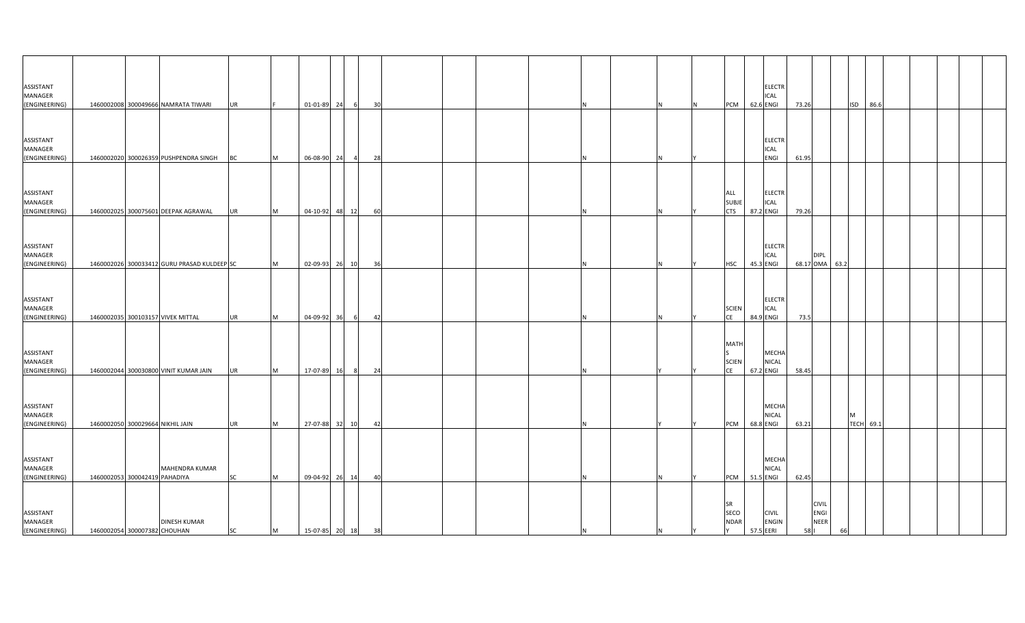| ASSISTANT<br>MANAGER<br>(ENGINEERING)                  |                                                               | 1460002008 300049666 NAMRATA TIWARI         | <b>UR</b>              |          | 01-01-89 24                         |       |     | 30 |  |     | IN. | <b>PCM</b>                                          | 62.6 ENGI              | <b>ELECTR</b><br><b>ICAL</b>  | 73.26 |                                                    |    | ISD 86.6  |  |  |  |
|--------------------------------------------------------|---------------------------------------------------------------|---------------------------------------------|------------------------|----------|-------------------------------------|-------|-----|----|--|-----|-----|-----------------------------------------------------|------------------------|-------------------------------|-------|----------------------------------------------------|----|-----------|--|--|--|
| ASSISTANT<br>MANAGER<br>(ENGINEERING)                  |                                                               | 1460002020 300026359 PUSHPENDRA SINGH       | <b>BC</b>              | M        | 06-08-90                            | 24    |     | 28 |  |     |     |                                                     |                        | <b>ELECTR</b><br>ICAL<br>ENGI | 61.95 |                                                    |    |           |  |  |  |
| ASSISTANT<br>MANAGER<br>(ENGINEERING)                  |                                                               | 1460002025 300075601 DEEPAK AGRAWAL         | <b>UR</b>              | M        | 04-10-92                            | 48 12 |     | 60 |  |     |     | ALL<br><b>SUBJE</b><br><b>CTS</b>                   | 87.2 ENGI              | <b>ELECTR</b><br>ICAL         | 79.26 |                                                    |    |           |  |  |  |
| ASSISTANT<br>MANAGER<br>(ENGINEERING)                  |                                                               | 1460002026 300033412 GURU PRASAD KULDEEP SC |                        | M        | 02-09-93 26 10                      |       |     | 36 |  |     |     | <b>HSC</b>                                          | 45.3 ENGI              | <b>ELECTR</b><br>ICAL         |       | <b>DIPL</b><br>68.17 OMA 63.2                      |    |           |  |  |  |
| ASSISTANT<br>MANAGER<br>(ENGINEERING)                  |                                                               | 1460002035 300103157 VIVEK MITTAL           | <b>UR</b>              | <b>M</b> | 04-09-92                            | 36    |     | 42 |  |     |     | <b>SCIEN</b><br>CE                                  | 84.9 ENGI              | <b>ELECTR</b><br><b>ICAL</b>  | 73.5  |                                                    |    |           |  |  |  |
| ASSISTANT<br>MANAGER<br>(ENGINEERING)                  |                                                               | 1460002044 300030800 VINIT KUMAR JAIN       | <b>UR</b>              | M        | 17-07-89                            | 16    | - 8 | 24 |  |     |     | <b>MATH</b><br>S<br><b>SCIEN</b><br><b>CE</b>       | 67.2 ENGI              | MECHA<br><b>NICAL</b>         | 58.45 |                                                    |    |           |  |  |  |
| <b>ASSISTANT</b><br>MANAGER                            |                                                               |                                             |                        |          |                                     |       |     |    |  |     |     |                                                     |                        | MECHA<br><b>NICAL</b>         |       |                                                    |    | м         |  |  |  |
| (ENGINEERING)<br>ASSISTANT<br>MANAGER                  | 1460002050 300029664 NIKHIL JAIN                              | MAHENDRA KUMAR                              | <b>UR</b>              | M        | 27-07-88 32 10                      |       |     | 42 |  |     |     | PCM                                                 | 68.8 ENGI              | MECHA<br>NICAL                | 63.21 |                                                    |    | TECH 69.1 |  |  |  |
| (ENGINEERING)<br>ASSISTANT<br>MANAGER<br>(ENGINEERING) | 1460002053 300042419 PAHADIYA<br>1460002054 300007382 CHOUHAN | <b>DINESH KUMAR</b>                         | <b>SC</b><br><b>SC</b> | M<br>M   | 09-04-92 26 14<br>15-07-85 20 18 38 |       |     | 40 |  | IN. | İΥ  | <b>PCM</b><br><b>SR</b><br>SECO<br><b>NDAR</b><br>Y | 51.5 ENGI<br>57.5 EERI | <b>CIVIL</b><br><b>ENGIN</b>  | 62.45 | <b>CIVIL</b><br><b>ENGI</b><br><b>NEER</b><br>58 I | 66 |           |  |  |  |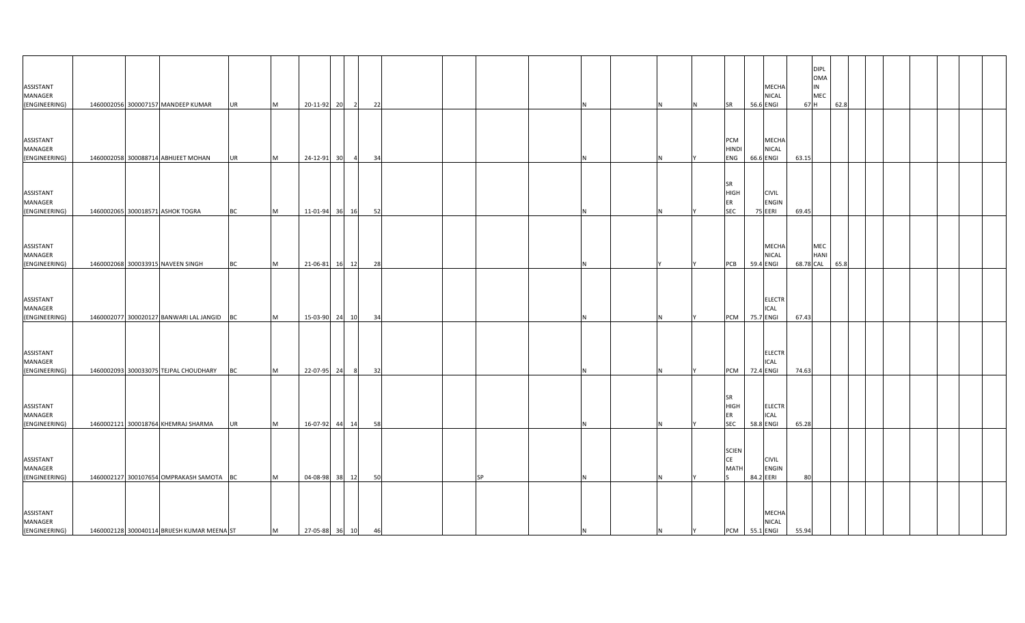| ASSISTANT<br>MANAGER<br>(ENGINEERING)                  |  | 1460002056 300007157 MANDEEP KUMAR                                      | <b>UR</b>              | M      | 20-11-92 20                   | $\overline{2}$ | 22       |    |   |   | IN. | SR                                                  | 56.6 ENGI                            | <b>MECHA</b><br><b>NICAL</b> | <b>DIPL</b><br><b>OMA</b><br>IN<br>MEC<br>67 H<br>62.8 |  |  |  |
|--------------------------------------------------------|--|-------------------------------------------------------------------------|------------------------|--------|-------------------------------|----------------|----------|----|---|---|-----|-----------------------------------------------------|--------------------------------------|------------------------------|--------------------------------------------------------|--|--|--|
| ASSISTANT<br>MANAGER                                   |  |                                                                         |                        |        |                               |                |          |    |   |   |     | PCM<br><b>HINDI</b>                                 |                                      | <b>MECHA</b><br>NICAL        |                                                        |  |  |  |
| (ENGINEERING)<br>ASSISTANT<br>MANAGER<br>(ENGINEERING) |  | 1460002058 300088714 ABHIJEET MOHAN<br>1460002065 300018571 ASHOK TOGRA | <b>UR</b><br><b>BC</b> | M<br>M | 24-12-91 30<br>11-01-94 36 16 |                | 34<br>52 |    |   |   |     | ENG<br><b>SR</b><br><b>HIGH</b><br>ER<br><b>SEC</b> | 66.6 ENGI<br><b>CIVIL</b><br>75 EERI | <b>ENGIN</b>                 | 63.15<br>69.45                                         |  |  |  |
| ASSISTANT<br>MANAGER<br>(ENGINEERING)                  |  | 1460002068 300033915 NAVEEN SINGH                                       | <b>BC</b>              | M      | 21-06-81 16 12                |                | 28       |    | N |   |     | <b>PCB</b>                                          | 59.4 ENGI                            | <b>MECHA</b><br><b>NICAL</b> | MEC<br><b>HANI</b><br>68.78 CAL<br>65.8                |  |  |  |
| ASSISTANT<br>MANAGER<br>(ENGINEERING)                  |  | 1460002077 300020127 BANWARI LAL JANGID BC                              |                        | M      | 15-03-90 24 10                |                | 34       |    |   |   |     | <b>PCM</b>                                          | <b>ICAL</b><br>75.7 ENGI             | <b>ELECTR</b>                | 67.43                                                  |  |  |  |
| ASSISTANT<br>MANAGER<br>(ENGINEERING)                  |  | 1460002093 300033075 TEJPAL CHOUDHARY                                   | BC                     | M      | 22-07-95 24                   | - 81           | 32       |    |   |   |     | <b>PCM</b>                                          | <b>ICAL</b><br>72.4 ENGI             | <b>ELECTR</b>                | 74.63                                                  |  |  |  |
| ASSISTANT<br>MANAGER<br>(ENGINEERING)                  |  | 1460002121 300018764 KHEMRAJ SHARMA                                     | <b>UR</b>              | M      | 16-07-92 44 14                |                | 58       |    | N |   |     | <b>SR</b><br><b>HIGH</b><br>ER<br><b>SEC</b>        | <b>ICAL</b><br>58.8 ENGI             | <b>ELECTR</b>                | 65.28                                                  |  |  |  |
| ASSISTANT<br>MANAGER<br>(ENGINEERING)                  |  | 1460002127 300107654 OMPRAKASH SAMOTA BC                                |                        | M      | 04-08-98 38 12                |                | 50       | SP |   |   |     | <b>SCIEN</b><br>CE<br><b>MATH</b>                   | <b>CIVIL</b><br>84.2 EERI            | <b>ENGIN</b>                 | 80                                                     |  |  |  |
| ASSISTANT<br>MANAGER<br>(ENGINEERING)                  |  | 1460002128 300040114 BRIJESH KUMAR MEENA ST                             |                        | M      | 27-05-88 36 10 46             |                |          |    | N | N | Y X |                                                     | PCM 55.1 ENGI                        | <b>MECHA</b><br><b>NICAL</b> | 55.94                                                  |  |  |  |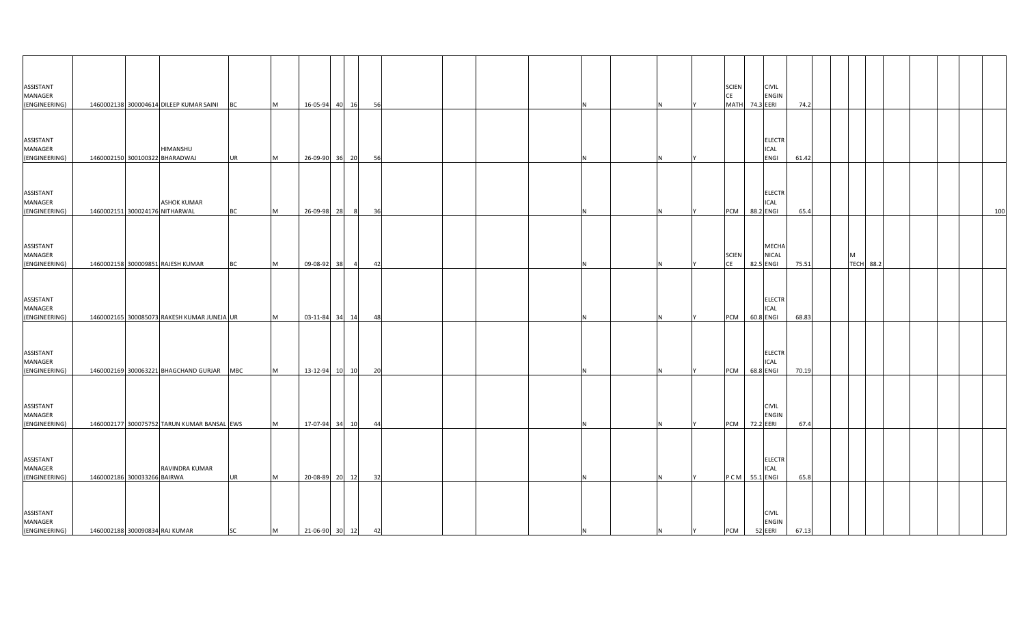| ASSISTANT<br>MANAGER<br>(ENGINEERING)                  |                                | 1460002138 300004614 DILEEP KUMAR SAINI BC           |                        | M         | 16-05-94 40 16                |                | 56       |  |  |  |   | <b>SCIEN</b><br>CE<br><b>MATH</b> | <b>CIVIL</b><br>ENGIN<br>74.3 EERI            | 74.2          |   |                  |  |  |     |
|--------------------------------------------------------|--------------------------------|------------------------------------------------------|------------------------|-----------|-------------------------------|----------------|----------|--|--|--|---|-----------------------------------|-----------------------------------------------|---------------|---|------------------|--|--|-----|
| ASSISTANT<br>MANAGER                                   |                                | HIMANSHU                                             |                        | Iм.       |                               |                |          |  |  |  |   |                                   | <b>ELECTR</b><br>ICAL<br>ENGI                 |               |   |                  |  |  |     |
| (ENGINEERING)<br>ASSISTANT<br>MANAGER<br>(ENGINEERING) | 1460002151 300024176 NITHARWAL | 1460002150 300100322 BHARADWAJ<br><b>ASHOK KUMAR</b> | <b>UR</b><br><b>BC</b> | <b>M</b>  | 26-09-90 36 20<br>26-09-98 28 | 8 <sup>l</sup> | 56<br>36 |  |  |  |   | PCM                               | <b>ELECTR</b><br><b>ICAL</b><br>88.2 ENGI     | 61.42<br>65.4 |   |                  |  |  | 100 |
| ASSISTANT<br>MANAGER<br>(ENGINEERING)                  |                                | 1460002158 300009851 RAJESH KUMAR                    | <b>BC</b>              | M         | 09-08-92 38                   | $\overline{4}$ | 42       |  |  |  |   | <b>SCIEN</b><br>CE                | MECHA<br>NICAL<br>82.5 ENGI                   | 75.51         | M | <b>TECH 88.2</b> |  |  |     |
| ASSISTANT<br>MANAGER<br>(ENGINEERING)                  |                                | 1460002165 300085073 RAKESH KUMAR JUNEJA UR          |                        | Iм.       |                               | 03-11-84 34 14 | 48       |  |  |  |   | PCM                               | <b>ELECTR</b><br>ICAL<br>60.8 ENGI            | 68.83         |   |                  |  |  |     |
| ASSISTANT<br>MANAGER<br>(ENGINEERING)                  |                                | 1460002169 300063221 BHAGCHAND GURJAR MBC            |                        | <b>M</b>  | 13-12-94 10 10                |                | 20       |  |  |  |   | PCM                               | <b>ELECTR</b><br><b>ICAL</b><br>68.8 ENGI     | 70.19         |   |                  |  |  |     |
| ASSISTANT<br>MANAGER<br>(ENGINEERING)                  |                                | 1460002177 300075752 TARUN KUMAR BANSAL EWS          |                        | <b>M</b>  | 17-07-94 34 10                |                | 44       |  |  |  |   | PCM                               | <b>CIVIL</b><br>ENGIN<br>72.2 EERI            | 67.4          |   |                  |  |  |     |
| ASSISTANT<br>MANAGER<br>(ENGINEERING)                  | 1460002186 300033266 BAIRWA    | RAVINDRA KUMAR                                       | <b>UR</b>              | <b>IM</b> | 20-08-89 20 12                |                | 32       |  |  |  |   |                                   | <b>ELECTR</b><br><b>ICAL</b><br>PCM 55.1 ENGI | 65.8          |   |                  |  |  |     |
| ASSISTANT<br>MANAGER<br>(ENGINEERING)                  | 1460002188 300090834 RAJ KUMAR |                                                      | <b>SC</b>              | M         | 21-06-90 30 12 42             |                |          |  |  |  | N | <b>PCM</b><br>Y                   | <b>CIVIL</b><br><b>ENGIN</b><br>52 EERI       | 67.13         |   |                  |  |  |     |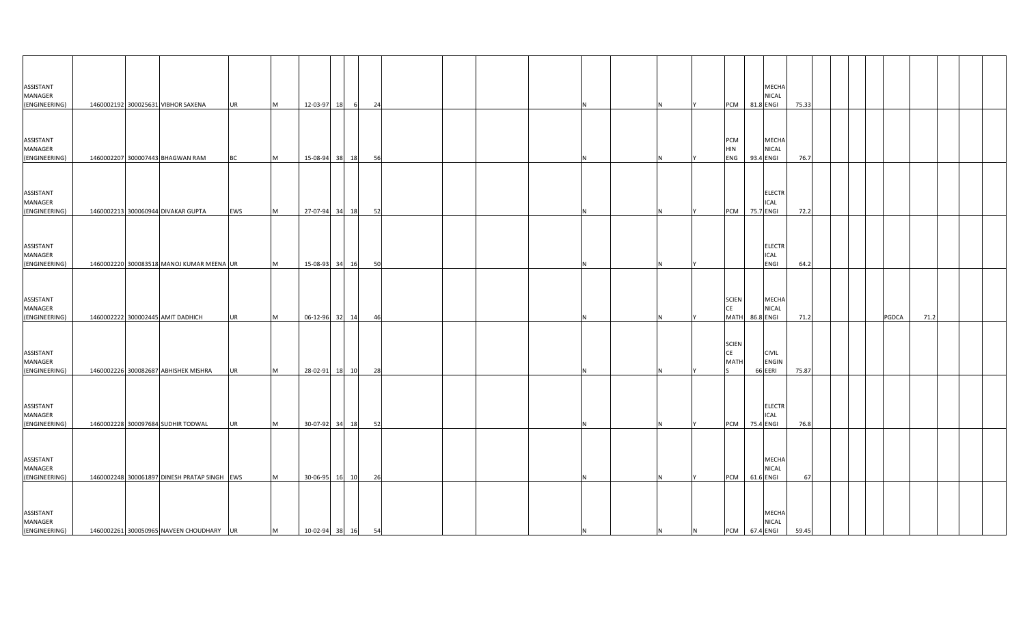| ASSISTANT<br>MANAGER<br>(ENGINEERING) |  | 1460002192 300025631 VIBHOR SAXENA           | <b>UR</b> | M        | 12-03-97            | 18    | 24<br>- 61 |    |  |     |   |                | PCM 81.8 ENGI                     |           | MECHA<br><b>NICAL</b>                | 75.33 |  |       |      |  |
|---------------------------------------|--|----------------------------------------------|-----------|----------|---------------------|-------|------------|----|--|-----|---|----------------|-----------------------------------|-----------|--------------------------------------|-------|--|-------|------|--|
| ASSISTANT<br>MANAGER<br>(ENGINEERING) |  | 1460002207 300007443 BHAGWAN RAM             | <b>BC</b> | M        | 15-08-94            | 38 18 |            | 56 |  |     |   |                | PCM<br><b>HIN</b><br>ENG          | 93.4 ENGI | <b>MECHA</b><br>NICAL                | 76.7  |  |       |      |  |
| ASSISTANT<br>MANAGER<br>(ENGINEERING) |  | 1460002213 300060944 DIVAKAR GUPTA           | EWS       | M        | 27-07-94 34 18      |       | 52         |    |  |     |   |                | <b>PCM</b>                        | 75.7 ENGI | <b>ELECTR</b><br><b>ICAL</b>         | 72.2  |  |       |      |  |
| ASSISTANT<br>MANAGER<br>(ENGINEERING) |  | 1460002220 300083518 MANOJ KUMAR MEENA UR    |           | M        | 15-08-93 34 16      |       |            | 50 |  |     |   |                |                                   |           | <b>ELECTR</b><br>ICAL<br><b>ENGI</b> | 64.2  |  |       |      |  |
| ASSISTANT<br>MANAGER<br>(ENGINEERING) |  | 1460002222 300002445 AMIT DADHICH            | <b>UR</b> | M        | 06-12-96            | 32    | 14         | 46 |  |     |   |                | <b>SCIEN</b><br>CE<br><b>MATH</b> | 86.8 ENGI | MECHA<br><b>NICAL</b>                | 71.2  |  | PGDCA | 71.2 |  |
| ASSISTANT<br>MANAGER<br>(ENGINEERING) |  | 1460002226 300082687 ABHISHEK MISHRA         | <b>UR</b> | M        | 28-02-91            | 18 10 | 28         |    |  |     |   |                | <b>SCIEN</b><br>CE<br><b>MATH</b> | 66 EERI   | <b>CIVIL</b><br>ENGIN                | 75.87 |  |       |      |  |
| ASSISTANT<br>MANAGER<br>(ENGINEERING) |  | 1460002228 300097684 SUDHIR TODWAL           | <b>UR</b> | <b>M</b> | 30-07-92 34 18      |       | 52         |    |  |     |   |                | <b>PCM</b>                        | 75.4 ENGI | <b>ELECTR</b><br><b>ICAL</b>         | 76.8  |  |       |      |  |
| ASSISTANT<br>MANAGER<br>(ENGINEERING) |  | 1460002248 300061897 DINESH PRATAP SINGH EWS |           | M        | 30-06-95            | 16 10 |            | 26 |  |     |   |                | <b>PCM</b>                        | 61.6 ENGI | <b>MECHA</b><br>NICAL                | 67    |  |       |      |  |
| ASSISTANT<br>MANAGER<br>(ENGINEERING) |  | 1460002261 300050965 NAVEEN CHOUDHARY UR     |           | M        | $10-02-94$ 38 16 54 |       |            |    |  | IN. | N | $\overline{N}$ | PCM 67.4 ENGI                     |           | <b>MECHA</b><br><b>NICAL</b>         | 59.45 |  |       |      |  |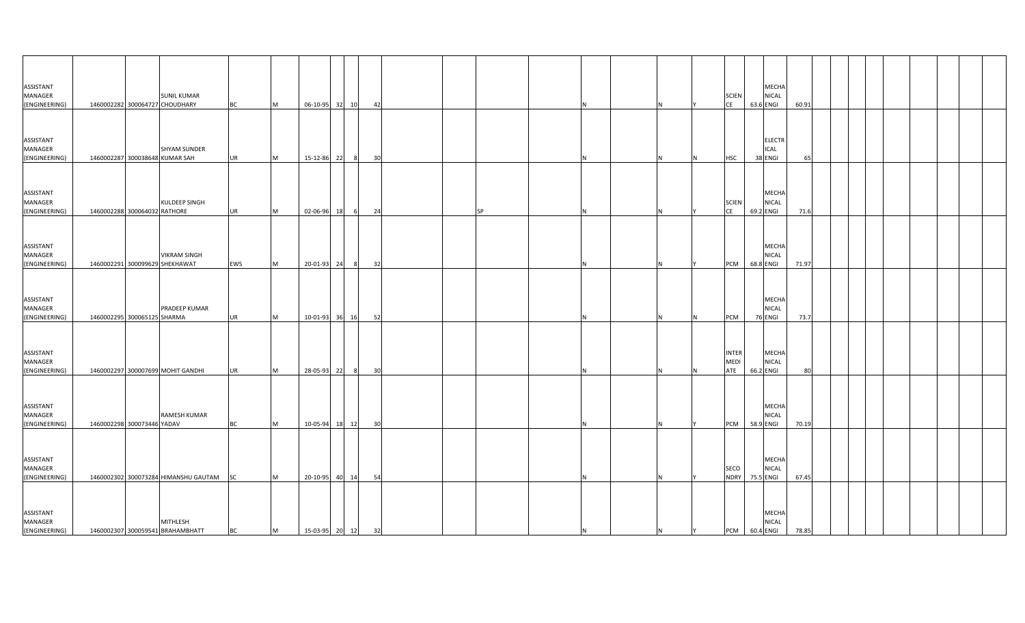| ASSISTANT<br>MANAGER<br>(ENGINEERING)        |                                | <b>SUNIL KUMAR</b><br>1460002282 300064727 CHOUDHARY  | <b>BC</b> | <b>M</b>  | 06-10-95 32       | 10             | 42              |   |   |     | <b>SCIEN</b><br><b>CE</b>   | <b>MECHA</b><br><b>NICAL</b><br>63.6 ENGI     | 60.91 |  |  |
|----------------------------------------------|--------------------------------|-------------------------------------------------------|-----------|-----------|-------------------|----------------|-----------------|---|---|-----|-----------------------------|-----------------------------------------------|-------|--|--|
| ASSISTANT<br>MANAGER<br>(ENGINEERING)        | 1460002287 300038648 KUMAR SAH | <b>SHYAM SUNDER</b>                                   | <b>UR</b> | <b>M</b>  | 15-12-86 22       | 8 <sup>l</sup> | 30              |   |   |     | <b>HSC</b>                  | <b>ELECTR</b><br>ICAL<br>38 ENGI              |       |  |  |
| ASSISTANT<br>MANAGER<br>(ENGINEERING)        | 1460002288 300064032 RATHORE   | KULDEEP SINGH                                         | <b>UR</b> | <b>M</b>  | 02-06-96 18       | 6              | 24<br><b>SP</b> | N |   |     | <b>SCIEN</b><br><b>CE</b>   | <b>MECHA</b><br><b>NICAL</b><br>69.2 ENGI     | 71.6  |  |  |
| ASSISTANT<br>MANAGER<br>(ENGINEERING)        |                                | <b>VIKRAM SINGH</b><br>1460002291 300099629 SHEKHAWAT | EWS       | <b>IM</b> | 20-01-93 24       | 8              | 32              |   |   |     | PCM                         | <b>MECHA</b><br><b>NICAL</b><br>68.8 ENGI     | 71.97 |  |  |
| ASSISTANT<br>MANAGER<br>(ENGINEERING)        | 1460002295 300065125 SHARMA    | PRADEEP KUMAR                                         | UR        | <b>M</b>  | 10-01-93 36       | 16             | 52              |   |   |     | PCM                         | MECHA<br>NICAL<br>76 ENGI                     | 73.7  |  |  |
| ASSISTANT<br>MANAGER<br>(ENGINEERING)        |                                | 1460002297 300007699 MOHIT GANDHI                     | <b>UR</b> | <b>M</b>  | 28-05-93 22       | 8 <sup>8</sup> | 30              |   |   |     | <b>INTER</b><br>MEDI<br>ATE | <b>MECHA</b><br><b>NICAL</b><br>66.2 ENGI     | 80    |  |  |
| <b>ASSISTANT</b><br>MANAGER<br>(ENGINEERING) | 1460002298 300073446 YADAV     | RAMESH KUMAR                                          | <b>BC</b> | <b>M</b>  | 10-05-94 18       | 12             | 30              | N |   |     | <b>PCM</b>                  | MECHA<br><b>NICAL</b><br>58.9 ENGI            | 70.19 |  |  |
| ASSISTANT<br>MANAGER<br>(ENGINEERING)        |                                | 1460002302 300073284 HIMANSHU GAUTAM                  | <b>SC</b> | <b>IM</b> | 20-10-95 40       | 14             | 54              |   |   |     | SECO<br><b>NDRY</b>         | <b>MECHA</b><br><b>NICAL</b><br>75.5 ENGI     | 67.45 |  |  |
| ASSISTANT<br>MANAGER<br>(ENGINEERING)        |                                | MITHLESH<br>1460002307 300059541 BRAHAMBHATT          | <b>BC</b> | M         | 15-03-95 20 12 32 |                |                 | N | N | IY. |                             | <b>MECHA</b><br><b>NICAL</b><br>PCM 60.4 ENGI | 78.85 |  |  |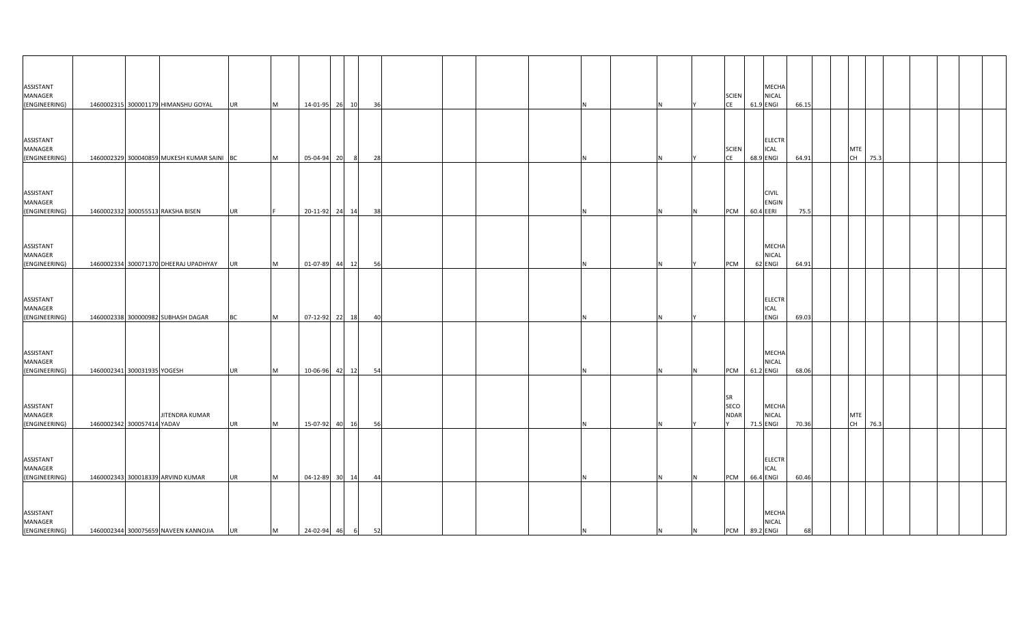| ASSISTANT<br>MANAGER<br>(ENGINEERING) |                             | 1460002315 300001179 HIMANSHU GOYAL        | UR        | M | 14-01-95 26 10   |       | 36 |    |  |     |   |                | <b>SCIEN</b><br>CE               | 61.9 ENGI | MECHA<br><b>NICAL</b>            | 66.15 |  |                  |      |  |  |
|---------------------------------------|-----------------------------|--------------------------------------------|-----------|---|------------------|-------|----|----|--|-----|---|----------------|----------------------------------|-----------|----------------------------------|-------|--|------------------|------|--|--|
| ASSISTANT<br>MANAGER<br>(ENGINEERING) |                             | 1460002329 300040859 MUKESH KUMAR SAINI BC |           | M | 05-04-94         | 20    | 28 |    |  |     |   |                | <b>SCIEN</b><br><b>CE</b>        | 68.9 ENGI | <b>ELECTR</b><br><b>ICAL</b>     | 64.91 |  | <b>MTE</b><br>CH | 75.3 |  |  |
| ASSISTANT<br>MANAGER<br>(ENGINEERING) |                             | 1460002332 300055513 RAKSHA BISEN          | <b>UR</b> |   | 20-11-92 24 14   |       | 38 |    |  |     |   | IN.            | <b>PCM</b>                       | 60.4 EERI | <b>CIVIL</b><br>ENGIN            | 75.5  |  |                  |      |  |  |
| ASSISTANT<br>MANAGER<br>(ENGINEERING) |                             | 1460002334 300071370 DHEERAJ UPADHYAY      | UR        | M | 01-07-89 44 12   |       | 56 |    |  |     |   |                | PCM                              |           | MECHA<br><b>NICAL</b><br>62 ENGI | 64.91 |  |                  |      |  |  |
| ASSISTANT<br>MANAGER<br>(ENGINEERING) |                             | 1460002338 300000982 SUBHASH DAGAR         | ВC        | M | 07-12-92 22 18   |       |    | 40 |  |     |   |                |                                  |           | <b>ELECTR</b><br>ICAL<br>ENGI    | 69.03 |  |                  |      |  |  |
| ASSISTANT<br>MANAGER<br>(ENGINEERING) | 1460002341 300031935 YOGESH |                                            | <b>UR</b> | M | 10-06-96         | 42 12 | 54 |    |  |     |   |                | <b>PCM</b>                       | 61.2 ENGI | MECHA<br>NICAL                   | 68.06 |  |                  |      |  |  |
| ASSISTANT<br>MANAGER<br>(ENGINEERING) | 1460002342 300057414 YADAV  | JITENDRA KUMAR                             | <b>UR</b> | M | 15-07-92 40 16   |       | 56 |    |  |     |   |                | <b>SR</b><br>SECO<br><b>NDAR</b> | 71.5 ENGI | MECHA<br><b>NICAL</b>            | 70.36 |  | <b>MTE</b><br>CH | 76.3 |  |  |
| ASSISTANT<br>MANAGER<br>(ENGINEERING) |                             | 1460002343 300018339 ARVIND KUMAR          | <b>UR</b> | M | 04-12-89         | 30 14 | 44 |    |  |     |   |                | <b>PCM</b>                       | 66.4 ENGI | <b>ELECTR</b><br>ICAL            | 60.46 |  |                  |      |  |  |
| ASSISTANT<br>MANAGER<br>(ENGINEERING) |                             | 1460002344 300075659 NAVEEN KANNOJIA       | <b>UR</b> | M | 24-02-94 46 6 52 |       |    |    |  | IN. | N | $\overline{N}$ | PCM 89.2 ENGI                    |           | <b>MECHA</b><br><b>NICAL</b>     | 68    |  |                  |      |  |  |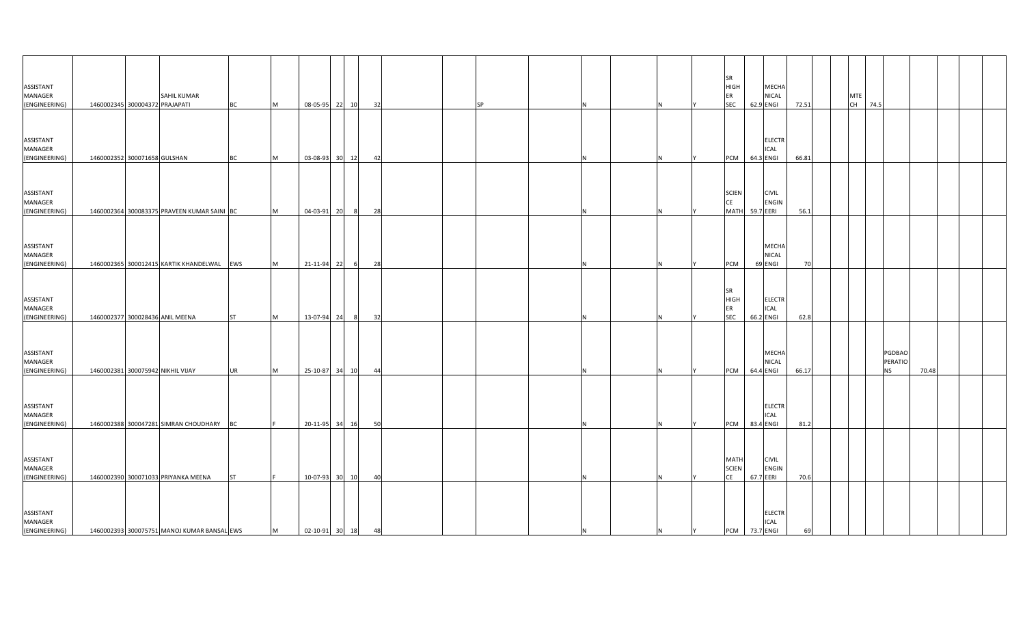| ASSISTANT<br>MANAGER<br>(ENGINEERING)                  | 1460002345 300004372 PRAJAPATI | SAHIL KUMAR                                                                        | <b>BC</b> | M | 08-05-95 22 10                      |       |                | 32 | <b>SP</b> |     |   |   | <b>SR</b><br><b>HIGH</b><br>ER<br><b>SEC</b> | 62.9 ENGI | MECHA<br><b>NICAL</b>            | 72.51      |  | <b>MTE</b><br>CH 74.5 |           |                   |       |  |
|--------------------------------------------------------|--------------------------------|------------------------------------------------------------------------------------|-----------|---|-------------------------------------|-------|----------------|----|-----------|-----|---|---|----------------------------------------------|-----------|----------------------------------|------------|--|-----------------------|-----------|-------------------|-------|--|
| ASSISTANT<br>MANAGER<br>(ENGINEERING)                  | 1460002352 300071658 GULSHAN   |                                                                                    | <b>BC</b> | M | 03-08-93                            | 30 12 |                | 42 |           |     |   |   | <b>PCM</b>                                   | 64.3 ENGI | <b>ELECTR</b><br><b>ICAL</b>     | 66.81      |  |                       |           |                   |       |  |
| ASSISTANT<br>MANAGER<br>(ENGINEERING)                  |                                | 1460002364 300083375 PRAVEEN KUMAR SAINI BC                                        |           | M | 04-03-91 20                         |       | 8 <sup>1</sup> | 28 |           |     |   |   | <b>SCIEN</b><br>CE<br><b>MATH</b>            | 59.7 EERI | <b>CIVIL</b><br><b>ENGIN</b>     | 56.1       |  |                       |           |                   |       |  |
| ASSISTANT<br>MANAGER<br>(ENGINEERING)                  |                                | 1460002365 300012415 KARTIK KHANDELWAL EWS                                         |           | M | 21-11-94 22                         |       | - 6            | 28 |           |     |   |   | PCM                                          |           | MECHA<br><b>NICAL</b><br>69 ENGI | 70         |  |                       |           |                   |       |  |
| ASSISTANT<br>MANAGER<br>(ENGINEERING)                  |                                | 1460002377 300028436 ANIL MEENA                                                    | <b>ST</b> | M | 13-07-94 24                         |       |                | 32 |           |     |   |   | <b>SR</b><br><b>HIGH</b><br>ER<br><b>SEC</b> | 66.2 ENGI | <b>ELECTR</b><br>ICAL            | 62.8       |  |                       |           |                   |       |  |
| ASSISTANT<br>MANAGER<br>(ENGINEERING)                  |                                | 1460002381 300075942 NIKHIL VIJAY                                                  | <b>UR</b> | M | 25-10-87                            | 34 10 |                | 44 |           |     |   |   | <b>PCM</b>                                   | 64.4 ENGI | MECHA<br>NICAL                   | 66.17      |  |                       | <b>NS</b> | PGDBAO<br>PERATIO | 70.48 |  |
| ASSISTANT<br>MANAGER                                   |                                |                                                                                    |           |   |                                     |       |                |    |           |     |   |   |                                              |           | <b>ELECTR</b><br><b>ICAL</b>     |            |  |                       |           |                   |       |  |
| (ENGINEERING)<br>ASSISTANT<br>MANAGER                  |                                | 1460002388 300047281 SIMRAN CHOUDHARY BC                                           |           |   | 20-11-95 34 16                      |       |                | 50 |           |     |   |   | PCM<br><b>MATH</b><br><b>SCIEN</b>           | 83.4 ENGI | <b>CIVIL</b><br><b>ENGIN</b>     | 81.2       |  |                       |           |                   |       |  |
| (ENGINEERING)<br>ASSISTANT<br>MANAGER<br>(ENGINEERING) |                                | 1460002390 300071033 PRIYANKA MEENA<br>1460002393 300075751 MANOJ KUMAR BANSAL EWS | <b>ST</b> | M | 10-07-93<br>$02 - 10 - 91$ 30 18 48 | 30 10 |                | 40 |           | IN. | N | Y | CE<br>PCM 73.7 ENGI                          | 67.7 EERI | <b>ELECTR</b><br><b>ICAL</b>     | 70.6<br>69 |  |                       |           |                   |       |  |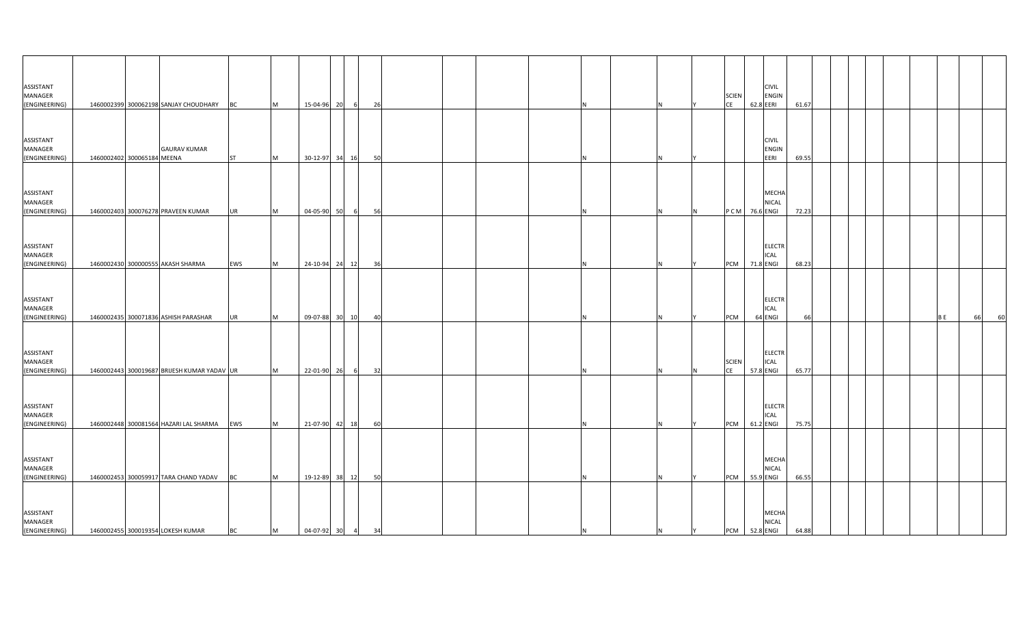| ASSISTANT<br>MANAGER<br>(ENGINEERING) |                            | 1460002399 300062198 SANJAY CHOUDHARY BC    |           | M         | 15-04-96 20      | $6^{\circ}$      | 26 |  |  |  |   | <b>SCIEN</b><br><b>CE</b> | <b>CIVIL</b><br>ENGIN<br>62.8 EERI        | 61.67 |  |  |           |          |
|---------------------------------------|----------------------------|---------------------------------------------|-----------|-----------|------------------|------------------|----|--|--|--|---|---------------------------|-------------------------------------------|-------|--|--|-----------|----------|
| ASSISTANT<br>MANAGER<br>(ENGINEERING) | 1460002402 300065184 MEENA | <b>GAURAV KUMAR</b>                         | <b>ST</b> | M         | 30-12-97 34      | 16               | 50 |  |  |  |   |                           | <b>CIVIL</b><br>ENGIN<br>EERI             | 69.55 |  |  |           |          |
| ASSISTANT<br>MANAGER<br>(ENGINEERING) |                            | 1460002403 300076278 PRAVEEN KUMAR          | <b>UR</b> | <b>IM</b> | 04-05-90 50      | $6 \overline{6}$ | 56 |  |  |  |   | PCM                       | <b>MECHA</b><br><b>NICAL</b><br>76.6 ENGI | 72.23 |  |  |           |          |
| ASSISTANT<br>MANAGER<br>(ENGINEERING) |                            | 1460002430 300000555 AKASH SHARMA           | EWS       | M         | 24-10-94 24 12   |                  | 36 |  |  |  |   |                           | <b>ELECTR</b><br>ICAL<br>PCM 71.8 ENGI    | 68.23 |  |  |           |          |
| ASSISTANT<br>MANAGER<br>(ENGINEERING) |                            | 1460002435 300071836 ASHISH PARASHAR        | <b>UR</b> | Iм.       | 09-07-88 30      | 10               | 40 |  |  |  |   | PCM                       | <b>ELECTR</b><br>ICAL<br>64 ENGI          | 66    |  |  | <b>BE</b> | 60<br>66 |
| ASSISTANT<br>MANAGER<br>(ENGINEERING) |                            | 1460002443 300019687 BRIJESH KUMAR YADAV UR |           | <b>M</b>  | 22-01-90 26      | $6 \overline{6}$ | 32 |  |  |  |   | <b>SCIEN</b><br><b>CE</b> | <b>ELECTR</b><br>ICAL<br>57.8 ENGI        | 65.77 |  |  |           |          |
| ASSISTANT<br>MANAGER<br>(ENGINEERING) |                            | 1460002448 300081564 HAZARI LAL SHARMA EWS  |           | <b>M</b>  | 21-07-90 42 18   |                  | 60 |  |  |  |   | PCM                       | <b>ELECTR</b><br>ICAL<br>61.2 ENGI        | 75.75 |  |  |           |          |
| ASSISTANT<br>MANAGER<br>(ENGINEERING) |                            | 1460002453 300059917 TARA CHAND YADAV       | <b>BC</b> | <b>IM</b> | 19-12-89 38 12   |                  | 50 |  |  |  |   | PCM                       | MECHA<br>NICAL<br>55.9 ENGI               | 66.55 |  |  |           |          |
| ASSISTANT<br>MANAGER<br>(ENGINEERING) |                            | 1460002455 300019354 LOKESH KUMAR           | <b>BC</b> | M         | 04-07-92 30 4 34 |                  |    |  |  |  | N | Y                         | MECHA<br><b>NICAL</b><br>PCM 52.8 ENGI    | 64.88 |  |  |           |          |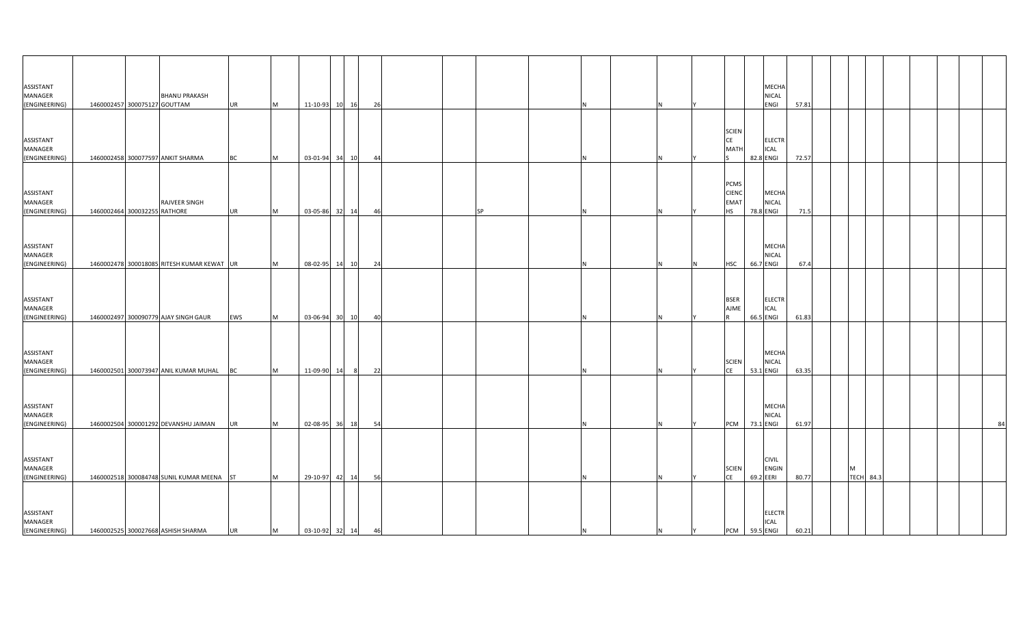| ASSISTANT<br>MANAGER<br>(ENGINEERING) | 1460002457 300075127 GOUTTAM | <b>BHANU PRAKASH</b>                       | <b>UR</b> | M | 11-10-93 10 16    |       |     | 26   |  |           |     |   |     |                                                  |           | MECHA<br>NICAL<br>ENGI       | 57.81 |   |                  |  |  |    |
|---------------------------------------|------------------------------|--------------------------------------------|-----------|---|-------------------|-------|-----|------|--|-----------|-----|---|-----|--------------------------------------------------|-----------|------------------------------|-------|---|------------------|--|--|----|
| ASSISTANT<br>MANAGER<br>(ENGINEERING) |                              | 1460002458 300077597 ANKIT SHARMA          | <b>BC</b> | M | 03-01-94 34       |       | 10  | 44   |  |           |     |   |     | <b>SCIEN</b><br><b>CE</b><br><b>MATI</b>         | 82.8 ENGI | <b>ELECTR</b><br><b>ICAL</b> | 72.57 |   |                  |  |  |    |
| ASSISTANT<br>MANAGER<br>(ENGINEERING) | 1460002464 300032255 RATHORE | RAJVEER SINGH                              | <b>UR</b> | M | 03-05-86          | 32 14 |     | 46   |  | <b>SP</b> |     |   |     | PCMS<br><b>CIENC</b><br><b>EMAT</b><br><b>HS</b> | 78.8 ENGI | MECHA<br><b>NICAL</b>        | 71.5  |   |                  |  |  |    |
| ASSISTANT<br>MANAGER<br>(ENGINEERING) |                              | 1460002478 300018085 RITESH KUMAR KEWAT UR |           | M | 08-02-95 14 10    |       |     | 24   |  |           |     |   | IN. | <b>HSC</b>                                       | 66.7 ENGI | MECHA<br>NICAL               | 67.4  |   |                  |  |  |    |
| ASSISTANT<br>MANAGER<br>(ENGINEERING) |                              | 1460002497 300090779 AJAY SINGH GAUR       | EWS       | M | 03-06-94          | 30 10 |     | 40   |  |           |     |   |     | <b>BSER</b><br><b>AJME</b>                       | 66.5 ENGI | <b>ELECTR</b><br><b>ICAL</b> | 61.83 |   |                  |  |  |    |
| ASSISTANT<br>MANAGER<br>(ENGINEERING) |                              | 1460002501 300073947 ANIL KUMAR MUHAL      | <b>BC</b> | M | 11-09-90          | 14    | - 8 | - 22 |  |           |     |   |     | <b>SCIEN</b><br><b>CE</b>                        | 53.1 ENGI | <b>MECHA</b><br><b>NICAL</b> | 63.35 |   |                  |  |  |    |
| ASSISTANT<br>MANAGER<br>(ENGINEERING) |                              | 1460002504 300001292 DEVANSHU JAIMAN       | <b>UR</b> | M | 02-08-95 36 18    |       |     | 54   |  |           |     |   |     | <b>PCM</b>                                       | 73.1 ENGI | <b>MECHA</b><br><b>NICAL</b> | 61.97 |   |                  |  |  | 84 |
| ASSISTANT<br>MANAGER<br>(ENGINEERING) |                              | 1460002518 300084748 SUNIL KUMAR MEENA ST  |           | M | 29-10-97          | 42 14 |     | 56   |  |           |     |   |     | <b>SCIEN</b><br>CE                               | 69.2 EERI | <b>CIVIL</b><br><b>ENGIN</b> | 80.77 | M | <b>TECH</b> 84.3 |  |  |    |
| ASSISTANT<br>MANAGER<br>(ENGINEERING) |                              | 1460002525 300027668 ASHISH SHARMA         | <b>UR</b> | M | 03-10-92 32 14 46 |       |     |      |  |           | IN. | N | Y   | PCM 59.5 ENGI                                    |           | <b>ELECTR</b><br><b>ICAL</b> | 60.21 |   |                  |  |  |    |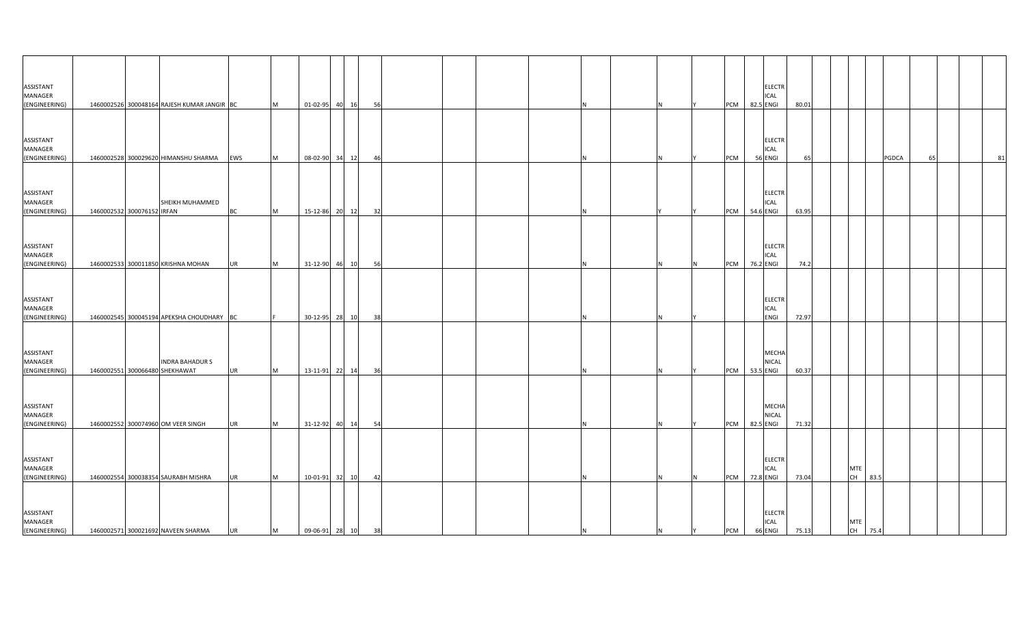| ASSISTANT<br>MANAGER<br>(ENGINEERING)                  |                            | 1460002526 300048164 RAJESH KUMAR JANGIR BC                               |                        | M      | 01-02-95 40 16                      |    | - 56     |  |  |     |   |     | <b>PCM</b>        | 82.5 ENGI | <b>ELECTR</b><br><b>ICAL</b>            | 80.01          |                  |         |       |    |    |
|--------------------------------------------------------|----------------------------|---------------------------------------------------------------------------|------------------------|--------|-------------------------------------|----|----------|--|--|-----|---|-----|-------------------|-----------|-----------------------------------------|----------------|------------------|---------|-------|----|----|
| ASSISTANT<br>MANAGER<br>(ENGINEERING)                  |                            | 1460002528 300029620 HIMANSHU SHARMA                                      | EWS                    | M      | 08-02-90                            | 34 | 12<br>46 |  |  |     |   |     | PCM               | 56 ENGI   | <b>ELECTR</b><br>ICAL                   | 65             |                  |         | PGDCA | 65 | 81 |
| ASSISTANT<br>MANAGER<br>(ENGINEERING)                  | 1460002532 300076152 IRFAN | SHEIKH MUHAMMED                                                           | <b>BC</b>              | M      | 15-12-86 20 12                      |    | 32       |  |  |     |   |     | <b>PCM</b>        | 54.6 ENGI | <b>ELECTR</b><br>ICAL                   | 63.95          |                  |         |       |    |    |
| ASSISTANT<br>MANAGER<br>(ENGINEERING)                  |                            | 1460002533 300011850 KRISHNA MOHAN                                        | <b>UR</b>              | M      | 31-12-90 46 10                      |    | 56       |  |  |     |   | IN. | <b>PCM</b>        | 76.2 ENGI | <b>ELECTR</b><br><b>ICAL</b>            | 74.2           |                  |         |       |    |    |
| ASSISTANT<br>MANAGER<br>(ENGINEERING)                  |                            | 1460002545 300045194 APEKSHA CHOUDHARY BC                                 |                        |        | 30-12-95 28 10                      |    | 38       |  |  |     |   |     |                   |           | <b>ELECTR</b><br>ICAL<br>ENGI           | 72.97          |                  |         |       |    |    |
| ASSISTANT<br>MANAGER<br>(ENGINEERING)                  |                            | <b>INDRA BAHADUR S</b><br>1460002551 300066480 SHEKHAWAT                  | <b>UR</b>              | M      | 13-11-91 22 14                      |    | - 36     |  |  |     |   |     | <b>PCM</b>        | 53.5 ENGI | <b>MECHA</b><br>NICAL                   | 60.37          |                  |         |       |    |    |
| ASSISTANT<br>MANAGER<br>(ENGINEERING)                  |                            | 1460002552 300074960 OM VEER SINGH                                        | <b>UR</b>              | M      | 31-12-92 40 14                      |    | 54       |  |  |     |   |     | PCM               | 82.5 ENGI | MECHA<br><b>NICAL</b>                   | 71.32          |                  |         |       |    |    |
| ASSISTANT<br>MANAGER                                   |                            |                                                                           |                        |        |                                     |    |          |  |  |     |   |     |                   |           | <b>ELECTR</b><br><b>ICAL</b>            |                | <b>MTE</b><br>CH | 83.5    |       |    |    |
| (ENGINEERING)<br>ASSISTANT<br>MANAGER<br>(ENGINEERING) |                            | 1460002554 300038354 SAURABH MISHRA<br>1460002571 300021692 NAVEEN SHARMA | <b>UR</b><br><b>UR</b> | M<br>M | 10-01-91 32 10<br>09-06-91 28 10 38 |    | 42       |  |  | IN. | N | Y   | <b>PCM</b><br>PCM | 72.8 ENGI | <b>ELECTR</b><br><b>ICAL</b><br>66 ENGI | 73.04<br>75.13 | <b>MTE</b>       | CH 75.4 |       |    |    |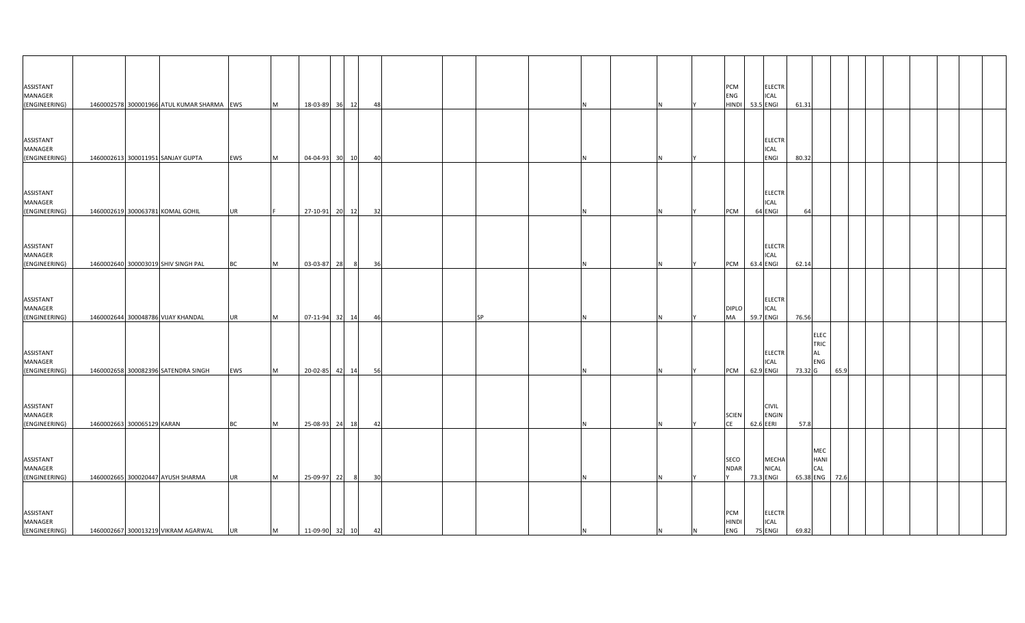| ASSISTANT<br>MANAGER<br>(ENGINEERING)        |                            | 1460002578 300001966 ATUL KUMAR SHARMA EWS |           | M         |                | 18-03-89 36 12 | 48 |  |           |    |   |              | PCM<br>ENG<br><b>HINDI</b>        | 53.5 ENGI | <b>ELECTR</b><br><b>ICAL</b>  | 61.31          |                                         |      |  |  |  |
|----------------------------------------------|----------------------------|--------------------------------------------|-----------|-----------|----------------|----------------|----|--|-----------|----|---|--------------|-----------------------------------|-----------|-------------------------------|----------------|-----------------------------------------|------|--|--|--|
| ASSISTANT<br>MANAGER<br>(ENGINEERING)        |                            | 1460002613 300011951 SANJAY GUPTA          | EWS       | <b>M</b>  |                | 04-04-93 30 10 | 40 |  |           |    |   |              |                                   |           | <b>ELECTR</b><br>ICAL<br>ENGI | 80.32          |                                         |      |  |  |  |
| ASSISTANT<br>MANAGER<br>(ENGINEERING)        |                            | 1460002619 300063781 KOMAL GOHIL           | <b>UR</b> |           | 27-10-91 20 12 |                | 32 |  |           |    |   |              | <b>PCM</b>                        | 64 ENGI   | <b>ELECTR</b><br><b>ICAL</b>  | 64             |                                         |      |  |  |  |
| ASSISTANT<br>MANAGER<br>(ENGINEERING)        |                            | 1460002640 300003019 SHIV SINGH PAL        | <b>BC</b> | M         | 03-03-87 28    | - 81           | 36 |  |           |    |   |              | <b>PCM</b>                        | 63.4 ENGI | <b>ELECTR</b><br><b>ICAL</b>  | 62.14          |                                         |      |  |  |  |
| ASSISTANT<br>MANAGER<br>(ENGINEERING)        |                            | 1460002644 300048786 VIJAY KHANDAL         | <b>UR</b> | <b>M</b>  |                | 07-11-94 32 14 | 46 |  | <b>SP</b> |    |   |              | <b>DIPLO</b><br>MA                | 59.7 ENGI | <b>ELECTR</b><br><b>ICAL</b>  | 76.56          |                                         |      |  |  |  |
| ASSISTANT<br><b>MANAGER</b><br>(ENGINEERING) |                            | 1460002658 300082396 SATENDRA SINGH        | EWS       | <b>IM</b> |                | 20-02-85 42 14 | 56 |  |           |    |   |              | <b>PCM</b>                        | 62.9 ENGI | <b>ELECTR</b><br><b>ICAL</b>  | 73.32 G        | <b>ELEC</b><br>TRIC<br><b>AL</b><br>ENG | 65.9 |  |  |  |
| ASSISTANT<br>MANAGER<br>(ENGINEERING)        | 1460002663 300065129 KARAN |                                            | <b>BC</b> | <b>IM</b> |                | 25-08-93 24 18 | 42 |  |           |    |   |              | <b>SCIEN</b><br>CE                | 62.6 EERI | <b>CIVIL</b><br><b>ENGIN</b>  | 57.8           |                                         |      |  |  |  |
| ASSISTANT<br>MANAGER<br>(ENGINEERING)        |                            | 1460002665 300020447 AYUSH SHARMA          | <b>UR</b> | <b>IM</b> | 25-09-97 22    | - 8            | 30 |  |           |    |   |              | SECO<br><b>NDAR</b>               | 73.3 ENGI | MECHA<br><b>NICAL</b>         | 65.38 ENG 72.6 | MEC<br>HANI<br>CAL                      |      |  |  |  |
| ASSISTANT<br>MANAGER<br>(ENGINEERING)        |                            | 1460002667 300013219 VIKRAM AGARWAL        | <b>UR</b> | M         | 11-09-90 32 10 |                | 42 |  |           | ΙN | N | $\mathsf{N}$ | PCM<br><b>HINDI</b><br><b>ENG</b> | 75 ENGI   | <b>ELECTR</b><br><b>ICAL</b>  | 69.82          |                                         |      |  |  |  |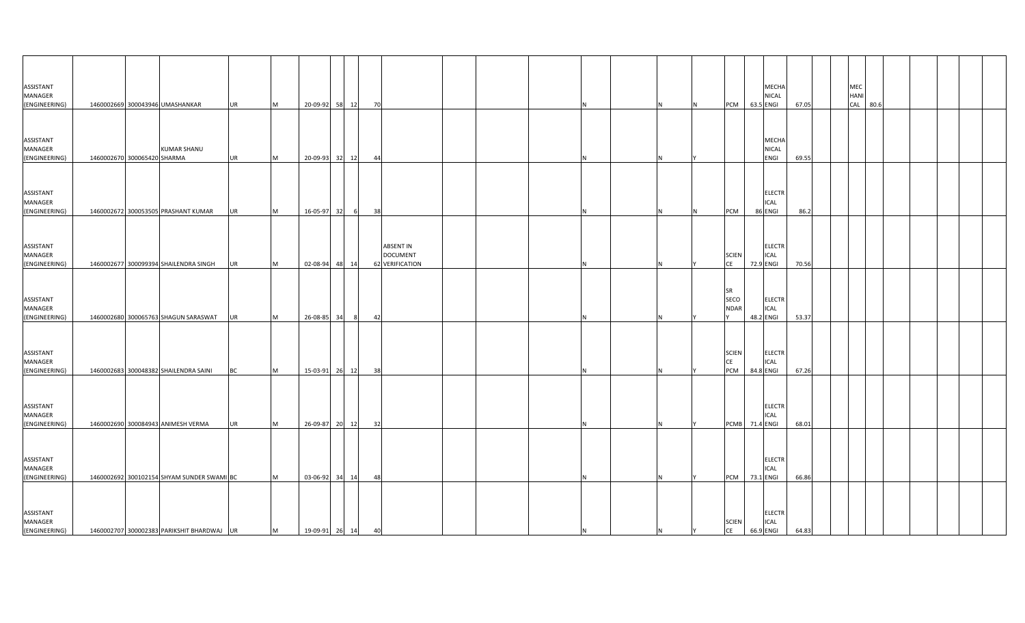| ASSISTANT<br>MANAGER<br>(ENGINEERING)                  | 1460002669 300043946 UMASHANKAR                                                          |                    | <b>UR</b> | M      | 20-09-92 58 12                   |           | 70       |                                                        |  |    |   |   | PCM                              | MECHA<br><b>NICAL</b><br>63.5 ENGI              | 67.05          |  | MEC<br><b>HANI</b><br>CAL 80.6 |  |  |  |
|--------------------------------------------------------|------------------------------------------------------------------------------------------|--------------------|-----------|--------|----------------------------------|-----------|----------|--------------------------------------------------------|--|----|---|---|----------------------------------|-------------------------------------------------|----------------|--|--------------------------------|--|--|--|
| ASSISTANT<br>MANAGER<br>(ENGINEERING)                  | 1460002670 300065420 SHARMA                                                              | <b>KUMAR SHANU</b> | <b>UR</b> | M      | 20-09-93                         | 32 12     | 44       |                                                        |  |    |   |   |                                  | MECHA<br>NICAL<br>ENGI                          | 69.55          |  |                                |  |  |  |
| ASSISTANT<br>MANAGER<br>(ENGINEERING)                  | 1460002672 300053505 PRASHANT KUMAR                                                      |                    | <b>UR</b> | M      | 16-05-97                         | 32<br>- 6 | 38       |                                                        |  |    |   | N | PCM                              | <b>ELECTR</b><br>ICAL<br>86 ENGI                | 86.2           |  |                                |  |  |  |
| ASSISTANT<br>MANAGER<br>(ENGINEERING)                  | 1460002677 300099394 SHAILENDRA SINGH                                                    |                    | <b>UR</b> | M      | 02-08-94 48 14                   |           |          | <b>ABSENT IN</b><br><b>DOCUMENT</b><br>62 VERIFICATION |  |    |   |   | <b>SCIEN</b><br>CE               | <b>ELECTR</b><br>ICAL<br>72.9 ENGI              | 70.56          |  |                                |  |  |  |
| ASSISTANT<br>MANAGER<br>(ENGINEERING)                  | 1460002680 300065763 SHAGUN SARASWAT                                                     |                    | UR        | M      | 26-08-85                         | 34        | 42       |                                                        |  |    |   |   | SR<br>SECO<br><b>NDAR</b>        | <b>ELECTR</b><br>ICAL<br>48.2 ENGI              | 53.37          |  |                                |  |  |  |
| ASSISTANT<br>MANAGER<br>(ENGINEERING)                  | 1460002683 300048382 SHAILENDRA SAINI                                                    |                    | BC        | M      | 15-03-91 26 12                   |           | 38       |                                                        |  |    |   |   | <b>SCIEN</b><br><b>CE</b><br>PCM | <b>ELECTR</b><br><b>ICAL</b><br>84.8 ENGI       | 67.26          |  |                                |  |  |  |
| ASSISTANT<br>MANAGER                                   |                                                                                          |                    |           |        |                                  |           |          |                                                        |  |    |   |   |                                  | <b>ELECTR</b><br><b>ICAL</b>                    |                |  |                                |  |  |  |
| (ENGINEERING)<br>ASSISTANT<br>MANAGER                  | 1460002690 300084943 ANIMESH VERMA                                                       |                    | <b>UR</b> | IM.    | 26-09-87 20 12                   |           | 32       |                                                        |  |    |   |   |                                  | PCMB 71.4 ENGI<br><b>ELECTR</b><br><b>ICAL</b>  | 68.01          |  |                                |  |  |  |
| (ENGINEERING)<br>ASSISTANT<br>MANAGER<br>(ENGINEERING) | 1460002692 300102154 SHYAM SUNDER SWAMI BC<br>1460002707 300002383 PARIKSHIT BHARDWAJ UR |                    |           | M<br>M | 03-06-92 34 14<br>19-09-91 26 14 |           | 48<br>40 |                                                        |  | IN | N |   | PCM<br><b>SCIEN</b><br>CE        | 73.1 ENGI<br><b>ELECTR</b><br>ICAL<br>66.9 ENGI | 66.86<br>64.83 |  |                                |  |  |  |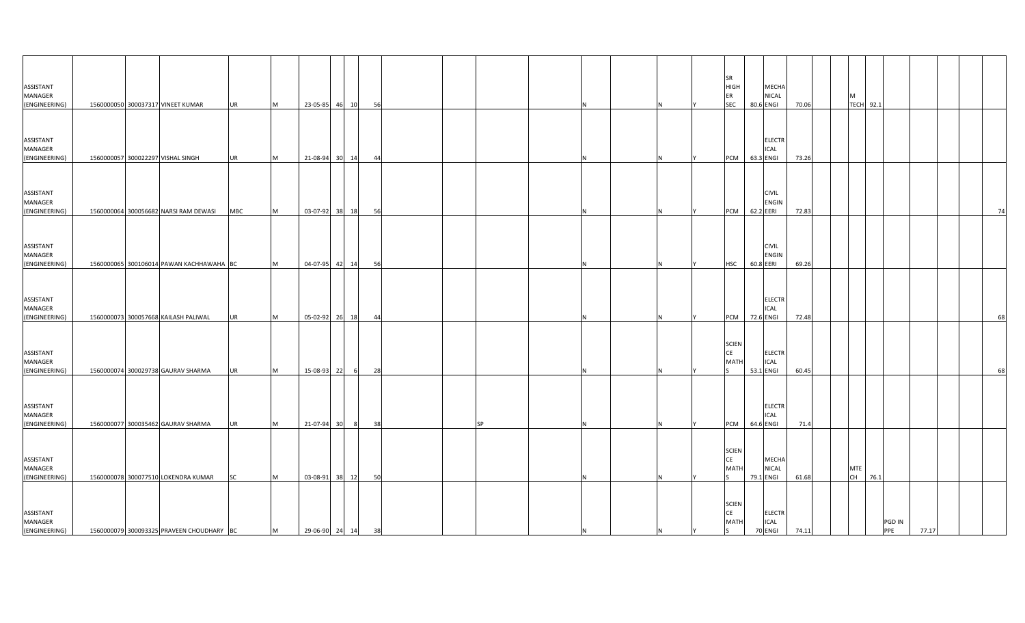| ASSISTANT<br>MANAGER<br>(ENGINEERING) |  | 1560000050 300037317 VINEET KUMAR         | <b>UR</b>  | M | 23-05-85 46 10    |           | 56 |  |           |    |  | SR<br><b>HIGH</b><br>ER<br><b>SEC</b>    | 80.6 ENGI | <b>MECHA</b><br><b>NICAL</b>            | 70.06 | м<br><b>TECH 92.1</b> |      |        |       |    |
|---------------------------------------|--|-------------------------------------------|------------|---|-------------------|-----------|----|--|-----------|----|--|------------------------------------------|-----------|-----------------------------------------|-------|-----------------------|------|--------|-------|----|
| ASSISTANT<br>MANAGER<br>(ENGINEERING) |  | 1560000057 300022297 VISHAL SINGH         | <b>UR</b>  | M | 21-08-94          | 30 14     | 44 |  |           |    |  | PCM 63.3 ENGI                            |           | <b>ELECTR</b><br><b>ICAL</b>            | 73.26 |                       |      |        |       |    |
| ASSISTANT<br>MANAGER<br>(ENGINEERING) |  | 1560000064 300056682 NARSI RAM DEWASI     | <b>MBC</b> | M | 03-07-92 38 18    |           | 56 |  |           |    |  | PCM                                      | 62.2 EERI | <b>CIVIL</b><br><b>ENGIN</b>            | 72.83 |                       |      |        |       | 74 |
| ASSISTANT<br>MANAGER<br>(ENGINEERING) |  | 1560000065 300106014 PAWAN KACHHAWAHA BC  |            | M | 04-07-95 42 14    |           | 56 |  |           |    |  | <b>HSC</b>                               | 60.8 EERI | <b>CIVIL</b><br><b>ENGIN</b>            | 69.26 |                       |      |        |       |    |
| ASSISTANT<br>MANAGER<br>(ENGINEERING) |  | 1560000073 300057668 KAILASH PALIWAL      | <b>UR</b>  | M | 05-02-92 26 18    |           | 44 |  |           |    |  | PCM                                      | 72.6 ENGI | <b>ELECTR</b><br><b>ICAL</b>            | 72.48 |                       |      |        |       | 68 |
| ASSISTANT<br>MANAGER<br>(ENGINEERING) |  | 1560000074 300029738 GAURAV SHARMA        | <b>UR</b>  | M | 15-08-93          | 22<br>- 6 | 28 |  |           |    |  | <b>SCIEN</b><br>CE<br><b>MATH</b>        | 53.1 ENGI | <b>ELECTR</b><br><b>ICAL</b>            | 60.45 |                       |      |        |       | 68 |
| ASSISTANT<br>MANAGER<br>(ENGINEERING) |  | 1560000077 300035462 GAURAV SHARMA        | <b>UR</b>  | M | 21-07-94 30       | - 8       | 38 |  | <b>SP</b> |    |  | PCM                                      | 64.6 ENGI | <b>ELECTR</b><br><b>ICAL</b>            | 71.4  |                       |      |        |       |    |
| ASSISTANT<br>MANAGER<br>(ENGINEERING) |  | 1560000078 300077510 LOKENDRA KUMAR       | <b>SC</b>  | M | 03-08-91 38 12    |           | 50 |  |           |    |  | <b>SCIEN</b><br>CE<br><b>MATH</b>        | 79.1 ENGI | <b>MECHA</b><br><b>NICAL</b>            | 61.68 | MTE<br><b>CH</b>      | 76.1 |        |       |    |
| ASSISTANT<br>MANAGER<br>(ENGINEERING) |  | 1560000079 300093325 PRAVEEN CHOUDHARY BC |            | M | 29-06-90 24 14 38 |           |    |  |           | ΙN |  | <b>SCIEN</b><br>CE<br><b>MATH</b><br>ls. |           | <b>ELECTR</b><br><b>ICAL</b><br>70 ENGI | 74.11 |                       | PPE  | PGD IN | 77.17 |    |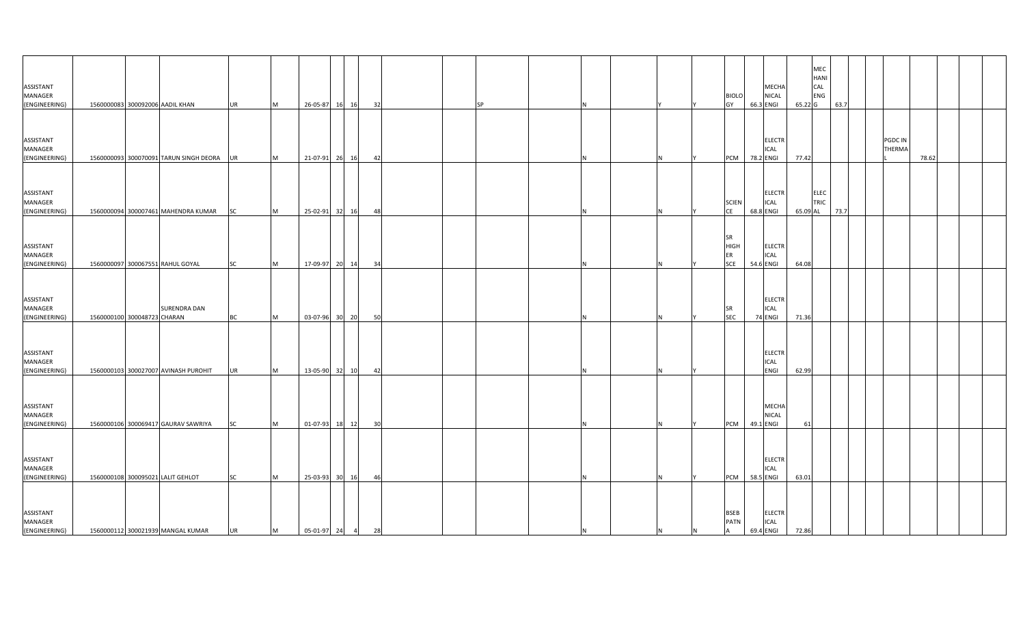| ASSISTANT<br>MANAGER<br>(ENGINEERING)                  |                             | 1560000083 300092006 AADIL KHAN                                        | <b>UR</b>       | M        | 26-05-87                       | 16 16 | 32 | <b>SP</b> |    |     |   | <b>BIOLO</b><br>GY                                         | MECHA<br><b>NICAL</b><br>66.3 ENGI                     | 65.22 G        | MEC<br><b>HANI</b><br>CAL<br>ENG | 63.7 |                          |       |  |  |
|--------------------------------------------------------|-----------------------------|------------------------------------------------------------------------|-----------------|----------|--------------------------------|-------|----|-----------|----|-----|---|------------------------------------------------------------|--------------------------------------------------------|----------------|----------------------------------|------|--------------------------|-------|--|--|
| ASSISTANT<br>MANAGER<br>(ENGINEERING)                  |                             | 1560000093 300070091 TARUN SINGH DEORA                                 | <b>UR</b>       | M        | 21-07-91 26 16                 |       | 42 |           |    |     |   | <b>PCM</b>                                                 | <b>ELECTR</b><br><b>ICAL</b><br>78.2 ENGI              | 77.42          |                                  |      | PGDC IN<br><b>THERMA</b> | 78.62 |  |  |
| ASSISTANT<br>MANAGER<br>(ENGINEERING)                  |                             | 1560000094 300007461 MAHENDRA KUMAR                                    | SC              | M        | 25-02-91 32 16                 |       | 48 |           |    |     |   | <b>SCIEN</b><br><b>CE</b>                                  | <b>ELECTR</b><br><b>ICAL</b><br>68.8 ENGI              | 65.09 AL       | ELEC<br><b>TRIC</b>              | 73.7 |                          |       |  |  |
| ASSISTANT<br>MANAGER<br>(ENGINEERING)                  |                             | 1560000097 300067551 RAHUL GOYAL                                       | <b>SC</b>       | M        | 17-09-97 20 14                 |       | 34 |           |    |     |   | SR<br><b>HIGH</b><br>ER<br><b>SCE</b>                      | <b>ELECTR</b><br><b>ICAL</b><br>54.6 ENGI              | 64.08          |                                  |      |                          |       |  |  |
| ASSISTANT<br>MANAGER<br>(ENGINEERING)                  | 1560000100 300048723 CHARAN | SURENDRA DAN                                                           | ВC              | M        | 03-07-96 30 20                 |       | 50 |           |    |     |   | <b>SR</b><br><b>SEC</b>                                    | <b>ELECTR</b><br><b>ICAL</b><br>74 ENGI                | 71.36          |                                  |      |                          |       |  |  |
| ASSISTANT<br>MANAGER<br>(ENGINEERING)                  |                             | 1560000103 300027007 AVINASH PUROHIT                                   | <b>UR</b>       | M        | 13-05-90 32 10                 |       | 42 |           |    |     |   |                                                            | <b>ELECTR</b><br><b>ICAL</b><br>ENGI                   | 62.99          |                                  |      |                          |       |  |  |
| ASSISTANT<br>MANAGER                                   |                             |                                                                        |                 |          |                                |       |    |           |    |     |   |                                                            | MECHA<br><b>NICAL</b>                                  |                |                                  |      |                          |       |  |  |
| (ENGINEERING)<br>ASSISTANT<br>MANAGER                  |                             | 1560000106 300069417 GAURAV SAWRIYA                                    | <b>SC</b>       | <b>M</b> | 01-07-93                       | 18 12 | 30 |           |    |     |   | <b>PCM</b>                                                 | 49.1 ENGI<br><b>ELECTR</b><br><b>ICAL</b><br>58.5 ENGI | 61             |                                  |      |                          |       |  |  |
| (ENGINEERING)<br>ASSISTANT<br>MANAGER<br>(ENGINEERING) |                             | 1560000108 300095021 LALIT GEHLOT<br>1560000112 300021939 MANGAL KUMAR | <b>SC</b><br>UR | M<br>M   | 25-03-93<br>$05-01-97$ 24 4 28 | 30 16 | 46 |           | IN | IN. | N | <b>PCM</b><br><b>BSEB</b><br><b>PATN</b><br>$\overline{A}$ | <b>ELECTR</b><br><b>ICAL</b><br>69.4 ENGI              | 63.01<br>72.86 |                                  |      |                          |       |  |  |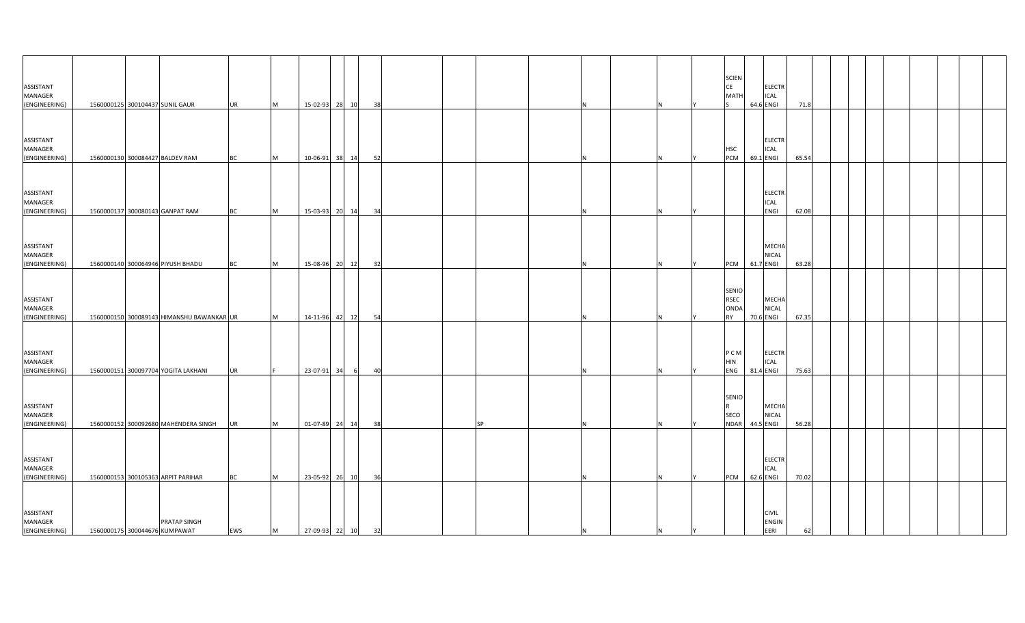| ASSISTANT<br>MANAGER<br>(ENGINEERING) |  | 1560000125 300104437 SUNIL GAUR                      | <b>UR</b> | M | 15-02-93 28 10    |       |    | 38 |           |    |     |           | <b>SCIEN</b><br><b>CE</b><br><b>MATH</b>         | <b>ELECTR</b><br><b>ICAL</b><br>64.6 ENGI   | 71.8  |  |  |  |  |
|---------------------------------------|--|------------------------------------------------------|-----------|---|-------------------|-------|----|----|-----------|----|-----|-----------|--------------------------------------------------|---------------------------------------------|-------|--|--|--|--|
| ASSISTANT<br>MANAGER<br>(ENGINEERING) |  | 1560000130 300084427 BALDEV RAM                      | <b>BC</b> | M | 10-06-91          | 38 14 |    | 52 |           |    |     |           | <b>HSC</b><br><b>PCM</b>                         | <b>ELECTR</b><br><b>ICAL</b><br>69.1 ENGI   | 65.54 |  |  |  |  |
| ASSISTANT<br>MANAGER<br>(ENGINEERING) |  | 1560000137 300080143 GANPAT RAM                      | <b>BC</b> | M | 15-03-93 20 14    |       |    | 34 |           |    |     |           |                                                  | <b>ELECTR</b><br><b>ICAL</b><br><b>ENGI</b> | 62.08 |  |  |  |  |
| ASSISTANT<br>MANAGER<br>(ENGINEERING) |  | 1560000140 300064946 PIYUSH BHADU                    | BC        | M | 15-08-96 20 12    |       |    | 32 |           |    |     |           | PCM 61.7 ENGI                                    | MECHA<br><b>NICAL</b>                       | 63.28 |  |  |  |  |
| ASSISTANT<br>MANAGER<br>(ENGINEERING) |  | 1560000150 300089143 HIMANSHU BAWANKAR UR            |           | M | 14-11-96 42       |       | 12 | 54 |           |    |     |           | SENIO<br><b>RSEC</b><br><b>ONDA</b><br><b>RY</b> | <b>MECHA</b><br><b>NICAL</b><br>70.6 ENGI   | 67.35 |  |  |  |  |
| ASSISTANT<br>MANAGER<br>(ENGINEERING) |  | 1560000151 300097704 YOGITA LAKHANI                  | <b>UR</b> |   | 23-07-91 34       |       | 6  | 40 |           |    |     |           | P C M<br><b>HIN</b><br><b>ENG</b>                | <b>ELECTR</b><br><b>ICAL</b><br>81.4 ENGI   | 75.63 |  |  |  |  |
| ASSISTANT<br>MANAGER<br>(ENGINEERING) |  | 1560000152 300092680 MAHENDERA SINGH                 | <b>UR</b> | M | 01-07-89 24 14    |       |    | 38 | <b>SP</b> |    |     |           | SENIO<br>SECO<br><b>NDAR</b>                     | MECHA<br><b>NICAL</b><br>44.5 ENGI          | 56.28 |  |  |  |  |
| ASSISTANT<br>MANAGER<br>(ENGINEERING) |  | 1560000153 300105363 ARPIT PARIHAR                   | <b>BC</b> | M | 23-05-92 26 10    |       |    | 36 |           |    |     |           | <b>PCM</b>                                       | <b>ELECTR</b><br><b>ICAL</b><br>62.6 ENGI   | 70.02 |  |  |  |  |
| ASSISTANT<br>MANAGER<br>(ENGINEERING) |  | <b>PRATAP SINGH</b><br>1560000175 300044676 KUMPAWAT | EWS       | M | 27-09-93 22 10 32 |       |    |    |           | IN | IN. | <b>IY</b> |                                                  | <b>CIVIL</b><br>ENGIN<br>EERI               | 62    |  |  |  |  |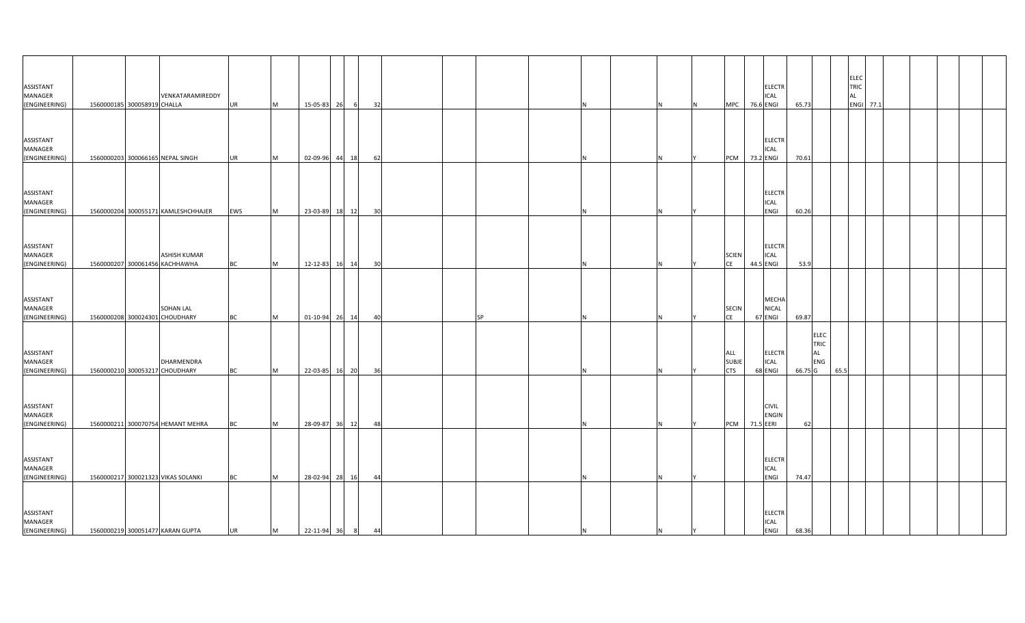| ASSISTANT<br>MANAGER<br>(ENGINEERING)        | 1560000185 300058919 CHALLA | VENKATARAMIREDDY                                      | <b>UR</b> | M        | 15-05-83 26    |       | 32 |  |           |     |                | N  | MPC 76.6 ENGI                     |           | <b>ELECTR</b><br><b>ICAL</b>                | 65.73                                              | TRIC<br>AL | ELEC<br>ENGI 77.1 |  |  |
|----------------------------------------------|-----------------------------|-------------------------------------------------------|-----------|----------|----------------|-------|----|--|-----------|-----|----------------|----|-----------------------------------|-----------|---------------------------------------------|----------------------------------------------------|------------|-------------------|--|--|
| ASSISTANT<br>MANAGER<br>(ENGINEERING)        |                             | 1560000203 300066165 NEPAL SINGH                      | <b>UR</b> | M        | 02-09-96       | 44 18 | 62 |  |           |     |                |    | PCM 73.2 ENGI                     |           | <b>ELECTR</b><br><b>ICAL</b>                | 70.61                                              |            |                   |  |  |
| ASSISTANT<br>MANAGER<br>(ENGINEERING)        |                             | 1560000204 300055171 KAMLESHCHHAJER                   | EWS       | M        | 23-03-89       | 18 12 | 30 |  |           |     |                |    |                                   |           | <b>ELECTR</b><br><b>ICAL</b><br><b>ENGI</b> | 60.26                                              |            |                   |  |  |
| ASSISTANT<br>MANAGER<br>(ENGINEERING)        |                             | <b>ASHISH KUMAR</b><br>1560000207 300061456 KACHHAWHA | <b>BC</b> | M        | 12-12-83 16 14 |       | 30 |  |           |     |                |    | <b>SCIEN</b><br><b>CE</b>         | 44.5 ENGI | <b>ELECTR</b><br><b>ICAL</b>                | 53.9                                               |            |                   |  |  |
| ASSISTANT<br>MANAGER<br>(ENGINEERING)        |                             | <b>SOHAN LAL</b><br>1560000208 300024301 CHOUDHARY    | BC        | <b>M</b> | 01-10-94 26 14 |       | 40 |  | <b>SP</b> |     |                |    | <b>SECIN</b><br><b>CE</b>         | 67 ENGI   | <b>MECHA</b><br><b>NICAL</b>                | 69.87                                              |            |                   |  |  |
| ASSISTANT<br><b>MANAGER</b><br>(ENGINEERING) |                             | <b>DHARMENDRA</b><br>1560000210 300053217 CHOUDHARY   | <b>BC</b> | <b>M</b> | 22-03-85       | 16 20 | 36 |  |           |     |                |    | ALL<br><b>SUBJE</b><br><b>CTS</b> | 68 ENGI   | <b>ELECTR</b><br><b>ICAL</b>                | <b>ELEC</b><br>TRIC<br><b>AL</b><br>ENG<br>66.75 G | 65.5       |                   |  |  |
| ASSISTANT<br>MANAGER<br>(ENGINEERING)        |                             | 1560000211 300070754 HEMANT MEHRA                     | <b>BC</b> | M        | 28-09-87 36 12 |       | 48 |  |           |     |                |    | PCM 71.5 EERI                     |           | <b>CIVIL</b><br><b>ENGIN</b>                | 62                                                 |            |                   |  |  |
| ASSISTANT<br>MANAGER<br>(ENGINEERING)        |                             | 1560000217 300021323 VIKAS SOLANKI                    | <b>BC</b> | M        | 28-02-94 28 16 |       | 44 |  |           |     |                |    |                                   |           | <b>ELECTR</b><br><b>ICAL</b><br>ENGI        | 74.47                                              |            |                   |  |  |
| ASSISTANT<br>MANAGER<br>(ENGINEERING)        |                             | 1560000219 300051477 KARAN GUPTA                      | <b>UR</b> | M        | 22-11-94 36 8  |       | 44 |  |           | IN. | N <sub>1</sub> | IY |                                   |           | <b>ELECTR</b><br><b>ICAL</b><br><b>ENGI</b> | 68.36                                              |            |                   |  |  |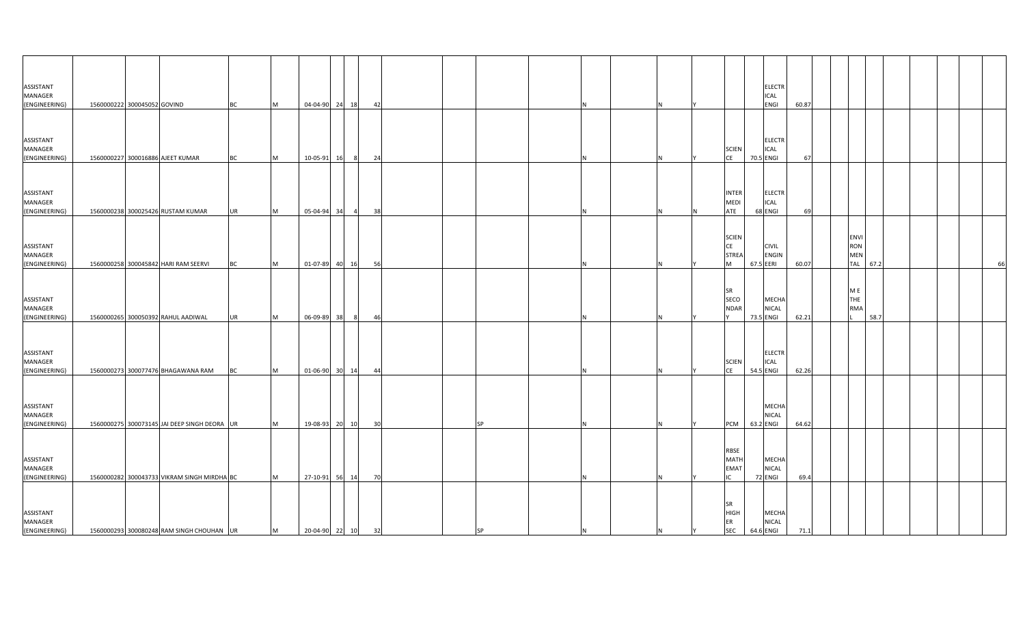| ASSISTANT<br>MANAGER<br>(ENGINEERING)                  | 1560000222 300045052 GOVIND |                                              | <b>BC</b> | M        | 04-04-90 24 18                  |       |          | 42 |           |    |     |                                                 |           | <b>ELECTR</b><br>ICAL<br><b>ENGI</b>      | 60.87        |  |                                       |      |  |    |
|--------------------------------------------------------|-----------------------------|----------------------------------------------|-----------|----------|---------------------------------|-------|----------|----|-----------|----|-----|-------------------------------------------------|-----------|-------------------------------------------|--------------|--|---------------------------------------|------|--|----|
| ASSISTANT<br>MANAGER<br>(ENGINEERING)                  |                             | 1560000227 300016886 AJEET KUMAR             | <b>BC</b> | <b>M</b> | 10-05-91                        | 16    | - 8      | 24 |           |    |     | <b>SCIEN</b><br>CE                              | 70.5 ENGI | <b>ELECTR</b><br><b>ICAL</b>              | 67           |  |                                       |      |  |    |
| ASSISTANT<br>MANAGER<br>(ENGINEERING)                  |                             | 1560000238 300025426 RUSTAM KUMAR            | <b>UR</b> | M        | 05-04-94 34                     |       | $\sim$ 4 | 38 |           |    | IN. | <b>INTER</b><br><b>MEDI</b><br>ATE              |           | <b>ELECTR</b><br><b>ICAL</b><br>68 ENGI   | 69           |  |                                       |      |  |    |
| ASSISTANT<br>MANAGER<br>(ENGINEERING)                  |                             | 1560000258 300045842 HARI RAM SEERVI         | <b>BC</b> | M        | 01-07-89 40 16                  |       |          | 56 |           |    |     | <b>SCIEN</b><br>CE<br><b>STREA</b><br><b>IM</b> | 67.5 EERI | <b>CIVIL</b><br><b>ENGIN</b>              | 60.07        |  | <b>ENVI</b><br>RON<br>MEN<br>TAL 67.2 |      |  | 66 |
| ASSISTANT<br>MANAGER<br>(ENGINEERING)                  |                             | 1560000265 300050392 RAHUL AADIWAL           | <b>UR</b> | M        | 06-09-89                        | 38    |          | 46 |           |    |     | <b>SR</b><br>SECO<br><b>NDAR</b>                |           | MECHA<br><b>NICAL</b><br>73.5 ENGI        | 62.21        |  | M E<br>THE<br><b>RMA</b>              | 58.7 |  |    |
| ASSISTANT<br>MANAGER<br>(ENGINEERING)                  |                             | 1560000273 300077476 BHAGAWANA RAM           | <b>BC</b> | M        | 01-06-90                        | 30 14 |          | 44 |           |    |     | <b>SCIEN</b><br><b>CE</b>                       |           | <b>ELECTR</b><br><b>ICAL</b><br>54.5 ENGI | 62.26        |  |                                       |      |  |    |
| ASSISTANT<br>MANAGER<br>(ENGINEERING)                  |                             | 1560000275 300073145 JAI DEEP SINGH DEORA UR |           | M        |                                 |       |          |    | <b>SP</b> |    |     | PCM                                             | 63.2 ENGI | MECHA<br><b>NICAL</b>                     | 64.62        |  |                                       |      |  |    |
| ASSISTANT<br>MANAGER                                   |                             | 1560000282 300043733 VIKRAM SINGH MIRDHA BC  |           |          | 19-08-93 20 10                  |       |          | 30 |           |    |     | RBSE<br>MATH<br><b>EMAT</b><br>IC               |           | MECHA<br><b>NICAL</b><br>72 ENGI          |              |  |                                       |      |  |    |
| (ENGINEERING)<br>ASSISTANT<br>MANAGER<br>(ENGINEERING) |                             | 1560000293 300080248 RAM SINGH CHOUHAN UR    |           | M<br>M   | 27-10-91<br>$20-04-90$ 22 10 32 | 56 14 |          | 70 | <b>SP</b> | IN | I٢  | <b>SR</b><br><b>HIGH</b><br>ER<br><b>SEC</b>    |           | <b>MECHA</b><br><b>NICAL</b><br>64.6 ENGI | 69.4<br>71.1 |  |                                       |      |  |    |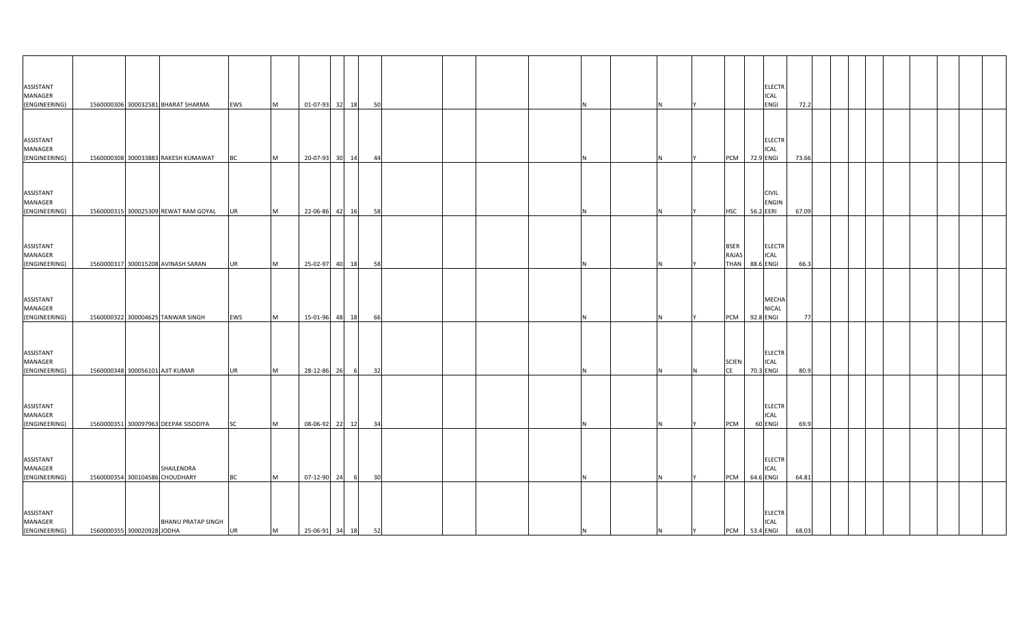| ASSISTANT<br>MANAGER<br>(ENGINEERING) |                            | 1560000306 300032581 BHARAT SHARMA           | EWS       | M | 01-07-93 32 18    |       |   | 50 |  |     |   |   |                                     |           | <b>ELECTR</b><br>ICAL<br><b>ENGI</b> | 72.2  |  |  |  |  |
|---------------------------------------|----------------------------|----------------------------------------------|-----------|---|-------------------|-------|---|----|--|-----|---|---|-------------------------------------|-----------|--------------------------------------|-------|--|--|--|--|
| ASSISTANT<br>MANAGER                  |                            |                                              |           |   |                   |       |   |    |  |     |   |   |                                     |           | <b>ELECTR</b><br>ICAL                |       |  |  |  |  |
| (ENGINEERING)                         |                            | 1560000308 300033883 RAKESH KUMAWAT          | <b>BC</b> | M | 20-07-93          | 30 14 |   | 44 |  |     |   |   | <b>PCM</b>                          | 72.9 ENGI |                                      | 73.66 |  |  |  |  |
| ASSISTANT<br>MANAGER<br>(ENGINEERING) |                            | 1560000315 300025309 REWAT RAM GOYAL         | <b>UR</b> | M | 22-06-86          | 42 16 |   | 58 |  |     |   |   | <b>HSC</b>                          | 56.2 EERI | <b>CIVIL</b><br><b>ENGIN</b>         | 67.09 |  |  |  |  |
| ASSISTANT<br>MANAGER<br>(ENGINEERING) |                            | 1560000317 300015208 AVINASH SARAN           | <b>UR</b> | M | 25-02-97 40 18    |       |   | 58 |  |     |   |   | <b>BSER</b><br>RAJAS<br><b>THAN</b> | 88.6 ENGI | <b>ELECTR</b><br><b>ICAL</b>         | 66.3  |  |  |  |  |
| ASSISTANT<br>MANAGER<br>(ENGINEERING) |                            | 1560000322 300004625 TANWAR SINGH            | EWS       | M | 15-01-96          | 48 18 |   | 66 |  |     |   |   | <b>PCM</b>                          | 92.8 ENGI | MECHA<br>NICAL                       | 77    |  |  |  |  |
| ASSISTANT<br>MANAGER<br>(ENGINEERING) |                            | 1560000348 300056101 AJIT KUMAR              | <b>UR</b> | M | 28-12-86          | 26    | 6 | 32 |  |     |   |   | <b>SCIEN</b><br><b>CE</b>           | 70.3 ENGI | <b>ELECTR</b><br><b>ICAL</b>         | 80.9  |  |  |  |  |
| ASSISTANT<br>MANAGER<br>(ENGINEERING) |                            | 1560000351 300097963 DEEPAK SISODIYA         | <b>SC</b> | M | 08-06-92 22 12    |       |   | 34 |  |     |   |   | PCM                                 | 60 ENGI   | ELECTR<br><b>ICAL</b>                | 69.9  |  |  |  |  |
| ASSISTANT<br>MANAGER<br>(ENGINEERING) |                            | SHAILENDRA<br>1560000354 300104586 CHOUDHARY | <b>BC</b> | M | 07-12-90          | 24    |   | 30 |  |     |   |   | <b>PCM</b>                          | 64.6 ENGI | <b>ELECTR</b><br>ICAL                | 64.81 |  |  |  |  |
| ASSISTANT<br>MANAGER<br>(ENGINEERING) | 1560000355 300020928 JODHA | <b>BHANU PRATAP SINGH</b>                    | UR        | M | 25-06-91 34 18 52 |       |   |    |  | IN. | N | Y | PCM 53.4 ENGI                       |           | <b>ELECTR</b><br><b>ICAL</b>         | 68.03 |  |  |  |  |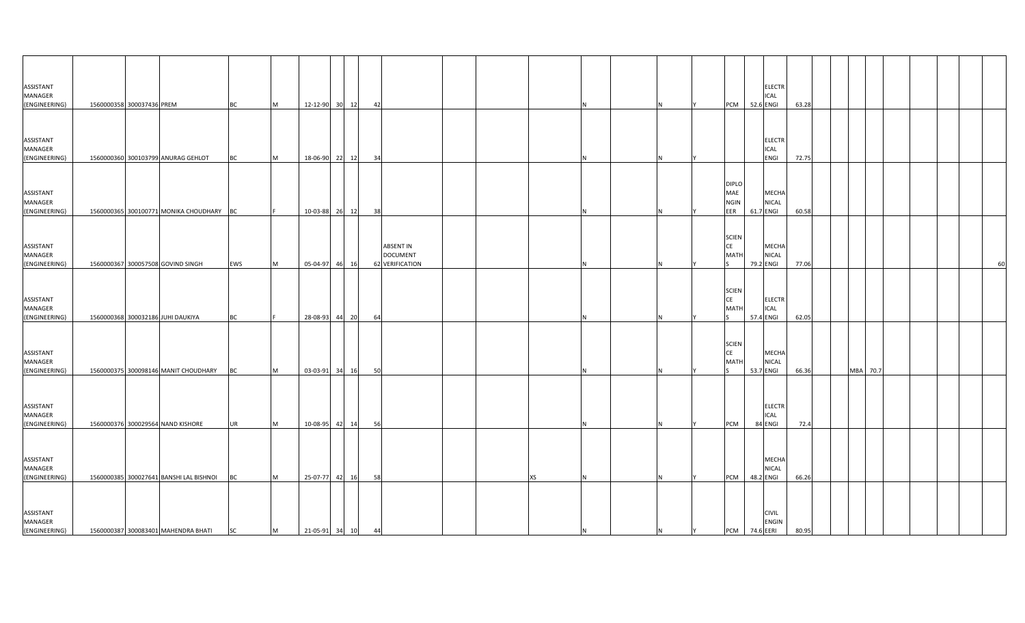| ASSISTANT<br>MANAGER<br>(ENGINEERING) | 1560000358 300037436 PREM |                                          | <b>BC</b> | M | 12-12-90 30 12 | 42 |                                                               |  |           |   |   | PCM 52.6 ENGI                             | <b>ELECTR</b><br><b>ICAL</b>                | 63.28 |          |  |  |    |
|---------------------------------------|---------------------------|------------------------------------------|-----------|---|----------------|----|---------------------------------------------------------------|--|-----------|---|---|-------------------------------------------|---------------------------------------------|-------|----------|--|--|----|
| ASSISTANT<br>MANAGER<br>(ENGINEERING) |                           | 1560000360 300103799 ANURAG GEHLOT       | <b>BC</b> | M | 18-06-90 22 12 | 34 |                                                               |  |           |   |   |                                           | <b>ELECTR</b><br><b>ICAL</b><br><b>ENGI</b> | 72.75 |          |  |  |    |
| ASSISTANT<br>MANAGER<br>(ENGINEERING) |                           | 1560000365 300100771 MONIKA CHOUDHARY BC |           |   | 10-03-88 26 12 | 38 |                                                               |  |           |   |   | <b>DIPLO</b><br>MAE<br><b>NGIN</b><br>EER | MECHA<br><b>NICAL</b><br>61.7 ENGI          | 60.58 |          |  |  |    |
| ASSISTANT<br>MANAGER<br>(ENGINEERING) |                           | 1560000367 300057508 GOVIND SINGH        | EWS       | M | 05-04-97 46 16 |    | <b>ABSENT IN</b><br><b>DOCUMENT</b><br><b>62 VERIFICATION</b> |  |           |   |   | <b>SCIEN</b><br>CE<br><b>MATH</b>         | <b>MECHA</b><br><b>NICAL</b><br>79.2 ENGI   | 77.06 |          |  |  | 60 |
| ASSISTANT<br>MANAGER<br>(ENGINEERING) |                           | 1560000368 300032186 JUHI DAUKIYA        | BC        |   | 28-08-93 44 20 | 64 |                                                               |  |           |   |   | <b>SCIEN</b><br>CE<br><b>MATH</b>         | <b>ELECTR</b><br><b>ICAL</b><br>57.4 ENGI   | 62.05 |          |  |  |    |
| ASSISTANT<br>MANAGER<br>(ENGINEERING) |                           | 1560000375 300098146 MANIT CHOUDHARY     | <b>BC</b> | M | 03-03-91 34 16 | 50 |                                                               |  |           |   |   | <b>SCIEN</b><br><b>CE</b><br><b>MATH</b>  | <b>MECHA</b><br><b>NICAL</b><br>53.7 ENGI   | 66.36 | MBA 70.7 |  |  |    |
| ASSISTANT<br>MANAGER<br>(ENGINEERING) |                           | 1560000376 300029564 NAND KISHORE        | <b>UR</b> | M | 10-08-95 42 14 | 56 |                                                               |  |           |   |   | <b>PCM</b>                                | <b>ELECTR</b><br><b>ICAL</b><br>84 ENGI     | 72.4  |          |  |  |    |
| ASSISTANT<br>MANAGER<br>(ENGINEERING) |                           | 1560000385 300027641 BANSHI LAL BISHNOI  | <b>BC</b> | M | 25-07-77 42 16 | 58 |                                                               |  | <b>XS</b> |   |   | PCM                                       | <b>MECHA</b><br><b>NICAL</b><br>48.2 ENGI   | 66.26 |          |  |  |    |
| ASSISTANT<br>MANAGER<br>(ENGINEERING) |                           | 1560000387 300083401 MAHENDRA BHATI      | <b>SC</b> | M | 21-05-91 34 10 | 44 |                                                               |  | IN.       | N | Y | PCM 74.6 EERI                             | <b>CIVIL</b><br><b>ENGIN</b>                | 80.95 |          |  |  |    |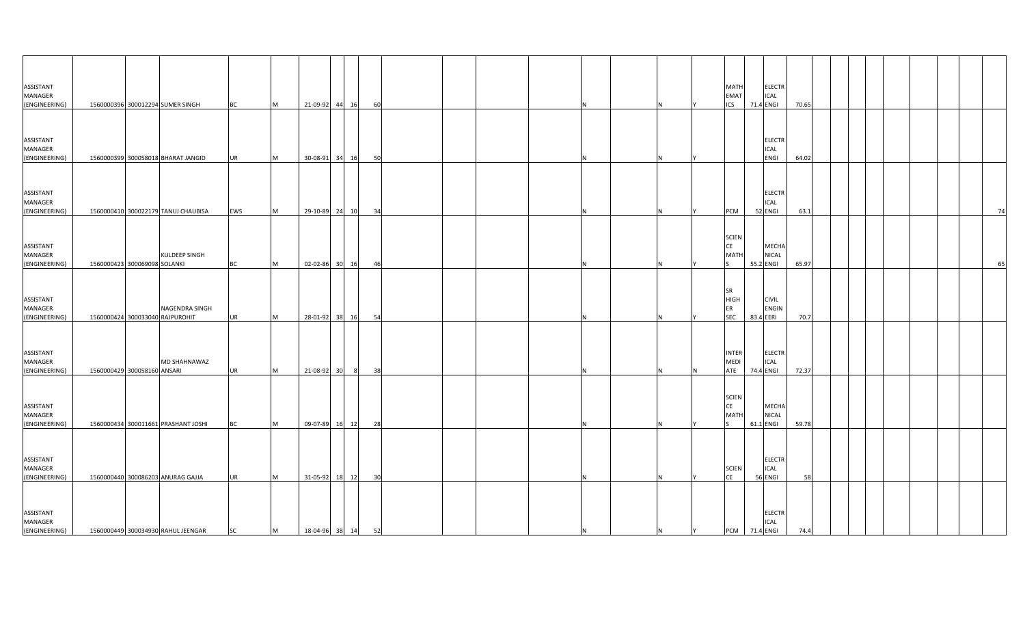| ASSISTANT<br>MANAGER<br>(ENGINEERING)        | 1560000396 300012294 SUMER SINGH                     | <b>BC</b> | M | 21-09-92 44 16    |    | 60              |   |    | <b>MATH</b><br><b>ELECTR</b><br><b>EMAT</b><br>ICAL<br><b>ICS</b><br>71.4 ENGI     | 70.65 |  |  |  |    |
|----------------------------------------------|------------------------------------------------------|-----------|---|-------------------|----|-----------------|---|----|------------------------------------------------------------------------------------|-------|--|--|--|----|
|                                              |                                                      |           |   |                   |    |                 |   |    |                                                                                    |       |  |  |  |    |
| ASSISTANT<br>MANAGER<br>(ENGINEERING)        | 1560000399 300058018 BHARAT JANGID                   | UR        | M | 30-08-91 34       | 16 | 50              |   |    | <b>ELECTR</b><br>ICAL<br>ENGI                                                      | 64.02 |  |  |  |    |
|                                              |                                                      |           |   |                   |    |                 |   |    |                                                                                    |       |  |  |  |    |
| ASSISTANT<br>MANAGER<br>(ENGINEERING)        | 1560000410 300022179 TANUJ CHAUBISA                  | EWS       | M | 29-10-89 24       | 10 | - 34            |   | N. | <b>ELECTR</b><br>ICAL<br>52 ENGI<br>PCM                                            | 63.1  |  |  |  | 74 |
|                                              |                                                      |           |   |                   |    |                 |   |    |                                                                                    |       |  |  |  |    |
| ASSISTANT<br>MANAGER<br>(ENGINEERING)        | <b>KULDEEP SINGH</b><br>1560000423 300069098 SOLANKI | ВC        | M | 02-02-86 30 16    |    | 46              | N | N  | <b>SCIEN</b><br><b>CE</b><br>MECHA<br>NICAL<br>MATI<br>55.2 ENGI                   | 65.97 |  |  |  | 65 |
|                                              |                                                      |           |   |                   |    |                 |   |    |                                                                                    |       |  |  |  |    |
| ASSISTANT<br><b>MANAGER</b><br>(ENGINEERING) | NAGENDRA SINGH<br>1560000424 300033040 RAJPUROHIT    | UR.       | M | 28-01-92 38       | 16 | 54              |   |    | <b>SR</b><br><b>HIGH</b><br><b>CIVIL</b><br>ER<br>ENGIN<br><b>SEC</b><br>83.4 EERI | 70.7  |  |  |  |    |
|                                              |                                                      |           |   |                   |    |                 |   |    |                                                                                    |       |  |  |  |    |
| ASSISTANT<br><b>MANAGER</b><br>(ENGINEERING) | MD SHAHNAWAZ<br>1560000429 300058160 ANSARI          | UR        | M | 21-08-92 30       | 8  | 38              |   |    | <b>INTER</b><br><b>ELECTR</b><br>MEDI<br>ICAL<br>ATE<br>74.4 ENGI                  | 72.37 |  |  |  |    |
| ASSISTANT<br>MANAGER                         |                                                      |           |   |                   |    |                 |   |    | <b>SCIEN</b><br><b>CE</b><br>MECHA<br>MATI<br>NICAL                                |       |  |  |  |    |
| (ENGINEERING)                                | 1560000434 300011661 PRASHANT JOSHI                  | <b>BC</b> | M | 09-07-89 16 12    |    | 28              | N | N  | 61.1 ENGI                                                                          | 59.78 |  |  |  |    |
| ASSISTANT<br>MANAGER<br>(ENGINEERING)        | 1560000440 300086203 ANURAG GAJJA                    | <b>UR</b> | M | 31-05-92 18       | 12 | 30 <sup>1</sup> |   |    | <b>ELECTR</b><br><b>SCIEN</b><br>ICAL<br><b>CE</b><br>56 ENGI                      | 58    |  |  |  |    |
| ASSISTANT<br>MANAGER<br>(ENGINEERING)        | 1560000449 300034930 RAHUL JEENGAR                   | <b>SC</b> | M | 18-04-96 38 14 52 |    |                 | N | N  | <b>ELECTR</b><br>ICAL<br>PCM 71.4 ENGI<br>Y                                        | 74.4  |  |  |  |    |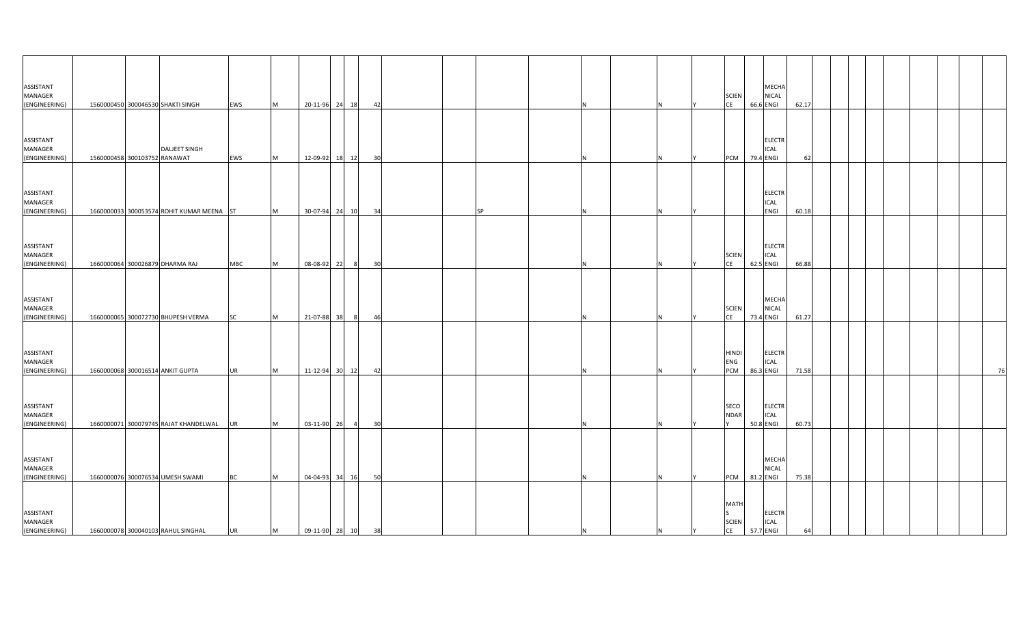| ASSISTANT<br>MANAGER<br>(ENGINEERING) |                              | 1560000450 300046530 SHAKTI SINGH         | EWS        | M | 20-11-96 24 18    |       |                | 42 |           |     |   |     | <b>SCIEN</b><br>CE                |           | MECHA<br><b>NICAL</b><br>66.6 ENGI        | 62.17 |  |  |  |    |
|---------------------------------------|------------------------------|-------------------------------------------|------------|---|-------------------|-------|----------------|----|-----------|-----|---|-----|-----------------------------------|-----------|-------------------------------------------|-------|--|--|--|----|
| ASSISTANT<br>MANAGER<br>(ENGINEERING) | 1560000458 300103752 RANAWAT | <b>DALJEET SINGH</b>                      | EWS        | M | 12-09-92          | 18 12 |                | 30 |           |     |   |     | <b>PCM</b>                        | 79.4 ENGI | <b>ELECTR</b><br>ICAL                     | 62    |  |  |  |    |
| ASSISTANT<br>MANAGER<br>(ENGINEERING) |                              | 1660000033 300053574 ROHIT KUMAR MEENA ST |            | M | 30-07-94 24 10    |       |                | 34 | <b>SP</b> |     |   |     |                                   |           | <b>ELECTR</b><br>ICAL<br>ENGI             | 60.18 |  |  |  |    |
| ASSISTANT<br>MANAGER<br>(ENGINEERING) |                              | 1660000064 300026879 DHARMA RAJ           | <b>MBC</b> | M | 08-08-92 22       |       | $_{\rm 8}$     | 30 |           |     |   |     | <b>SCIEN</b><br>CE                | 62.5 ENGI | <b>ELECTR</b><br><b>ICAL</b>              | 66.88 |  |  |  |    |
| ASSISTANT<br>MANAGER<br>(ENGINEERING) |                              | 1660000065 300072730 BHUPESH VERMA        | SC         | M | 21-07-88          | 38    |                | 46 |           |     |   |     | <b>SCIEN</b><br>CE                | 73.4 ENGI | MECHA<br><b>NICAL</b>                     | 61.27 |  |  |  |    |
| ASSISTANT<br>MANAGER<br>(ENGINEERING) |                              | 1660000068 300016514 ANKIT GUPTA          | <b>UR</b>  | M | 11-12-94 30 12    |       |                | 42 |           |     |   |     | <b>HINDI</b><br>ENG<br>PCM        |           | <b>ELECTR</b><br><b>ICAL</b><br>86.3 ENGI | 71.58 |  |  |  | 76 |
| ASSISTANT<br>MANAGER<br>(ENGINEERING) |                              | 1660000071 300079745 RAJAT KHANDELWAL     | <b>UR</b>  | M | 03-11-90 26       |       | $\overline{4}$ | 30 |           |     |   |     | SECO<br><b>NDAR</b>               |           | ELECTR<br><b>ICAL</b><br>50.8 ENGI        | 60.73 |  |  |  |    |
| ASSISTANT<br>MANAGER<br>(ENGINEERING) |                              | 1660000076 300076534 UMESH SWAMI          | <b>BC</b>  | M | 04-04-93          | 34    | 16             | 50 |           |     |   |     | <b>PCM</b>                        | 81.2 ENGI | MECHA<br>NICAL                            | 75.38 |  |  |  |    |
| ASSISTANT<br>MANAGER<br>(ENGINEERING) |                              | 1660000078 300040103 RAHUL SINGHAL        | UR         | M | 09-11-90 28 10 38 |       |                |    |           | IN. | N | IY. | <b>MATH</b><br><b>SCIEN</b><br>CE |           | <b>ELECTR</b><br><b>ICAL</b><br>57.7 ENGI | 64    |  |  |  |    |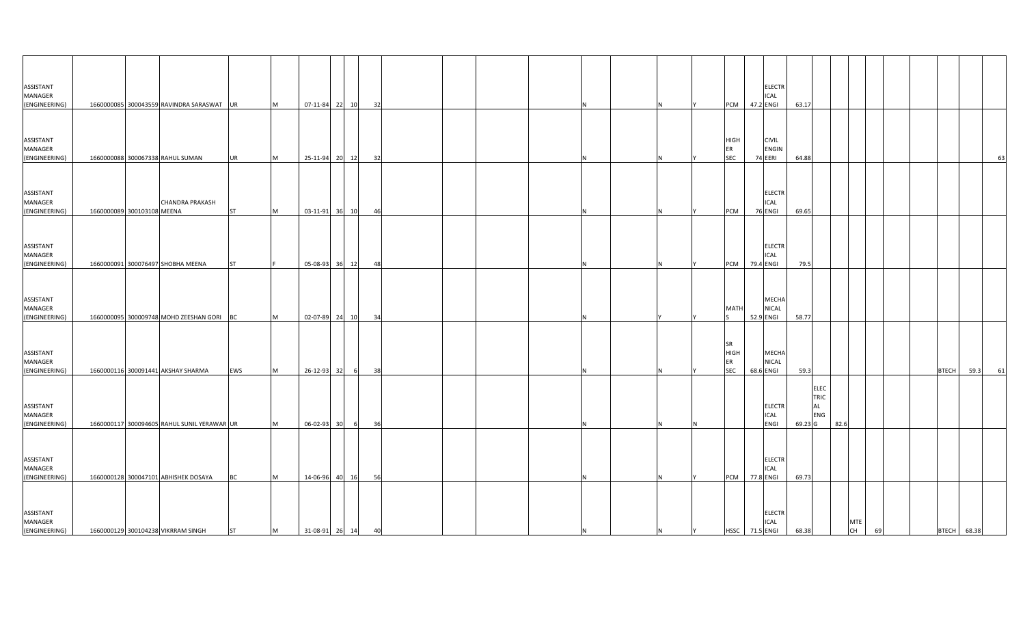| <b>ASSISTANT</b><br>MANAGER<br>(ENGINEERING) |                            | 1660000085 300043559 RAVINDRA SARASWAT UR   |           | M        | 07-11-84 22 10    |   | 32 |  |  |    |   |     | PCM 47.2 ENGI                                | <b>ELECTR</b><br>ICAL                   | 63.17   |                                         |      |                         |    |              |             |    |
|----------------------------------------------|----------------------------|---------------------------------------------|-----------|----------|-------------------|---|----|--|--|----|---|-----|----------------------------------------------|-----------------------------------------|---------|-----------------------------------------|------|-------------------------|----|--------------|-------------|----|
|                                              |                            |                                             |           |          |                   |   |    |  |  |    |   |     |                                              |                                         |         |                                         |      |                         |    |              |             |    |
| ASSISTANT<br>MANAGER<br>(ENGINEERING)        |                            | 1660000088 300067338 RAHUL SUMAN            | <b>UR</b> | M        | 25-11-94 20 12    |   | 32 |  |  |    |   |     | <b>HIGH</b><br>ER<br>SEC                     | <b>CIVIL</b><br><b>ENGIN</b><br>74 EERI | 64.88   |                                         |      |                         |    |              |             | 63 |
|                                              |                            |                                             |           |          |                   |   |    |  |  |    |   |     |                                              |                                         |         |                                         |      |                         |    |              |             |    |
| ASSISTANT<br>MANAGER<br>(ENGINEERING)        | 1660000089 300103108 MEENA | <b>CHANDRA PRAKASH</b>                      | <b>ST</b> | M        | 03-11-91 36 10    |   | 46 |  |  |    |   |     | PCM                                          | <b>ELECTR</b><br>ICAL<br>76 ENGI        | 69.65   |                                         |      |                         |    |              |             |    |
| <b>ASSISTANT</b><br>MANAGER                  |                            |                                             |           |          |                   |   |    |  |  |    |   |     |                                              | <b>ELECTR</b><br><b>ICAL</b>            |         |                                         |      |                         |    |              |             |    |
| (ENGINEERING)                                |                            | 1660000091 300076497 SHOBHA MEENA           | <b>ST</b> |          | 05-08-93 36 12    |   | 48 |  |  | N  |   |     | PCM 79.4 ENGI                                |                                         | 79.5    |                                         |      |                         |    |              |             |    |
| ASSISTANT<br>MANAGER<br>(ENGINEERING)        |                            | 1660000095 300009748 MOHD ZEESHAN GORI      | BC        | M        | 02-07-89 24 10    |   | 34 |  |  |    |   |     | <b>MATH</b>                                  | MECHA<br><b>NICAL</b><br>52.9 ENGI      | 58.77   |                                         |      |                         |    |              |             |    |
| ASSISTANT<br>MANAGER<br>(ENGINEERING)        |                            | 1660000116 300091441 AKSHAY SHARMA          | EWS       | M        | 26-12-93 32       | 6 | 38 |  |  |    |   |     | <b>SR</b><br><b>HIGH</b><br>ER<br><b>SEC</b> | MECHA<br><b>NICAL</b><br>68.6 ENGI      | 59.3    |                                         |      |                         |    | <b>BTECH</b> | 59.3        | 61 |
| ASSISTANT<br>MANAGER<br>(ENGINEERING)        |                            | 1660000117 300094605 RAHUL SUNIL YERAWAR UR |           | M        | 06-02-93 30       | 6 | 36 |  |  | N  |   |     |                                              | <b>ELECTR</b><br>ICAL<br>ENGI           | 69.23 G | <b>ELEC</b><br>TRIC<br><b>AL</b><br>ENG | 82.6 |                         |    |              |             |    |
|                                              |                            |                                             |           |          |                   |   |    |  |  |    |   |     |                                              |                                         |         |                                         |      |                         |    |              |             |    |
| <b>ASSISTANT</b><br>MANAGER<br>(ENGINEERING) |                            | 1660000128 300047101 ABHISHEK DOSAYA        | <b>BC</b> | <b>M</b> | 14-06-96 40 16    |   | 56 |  |  | N. |   |     | PCM 77.8 ENGI                                | <b>ELECTR</b><br>ICAL                   | 69.73   |                                         |      |                         |    |              |             |    |
| ASSISTANT<br><b>MANAGER</b><br>(ENGINEERING) |                            | 1660000129 300104238 VIKRRAM SINGH          | <b>ST</b> | <b>M</b> | 31-08-91 26 14 40 |   |    |  |  | N  | N | IY. | HSSC 71.5 ENGI                               | <b>ELECTR</b><br>ICAL                   | 68.38   |                                         |      | <b>MTE</b><br><b>CH</b> | 69 |              | BTECH 68.38 |    |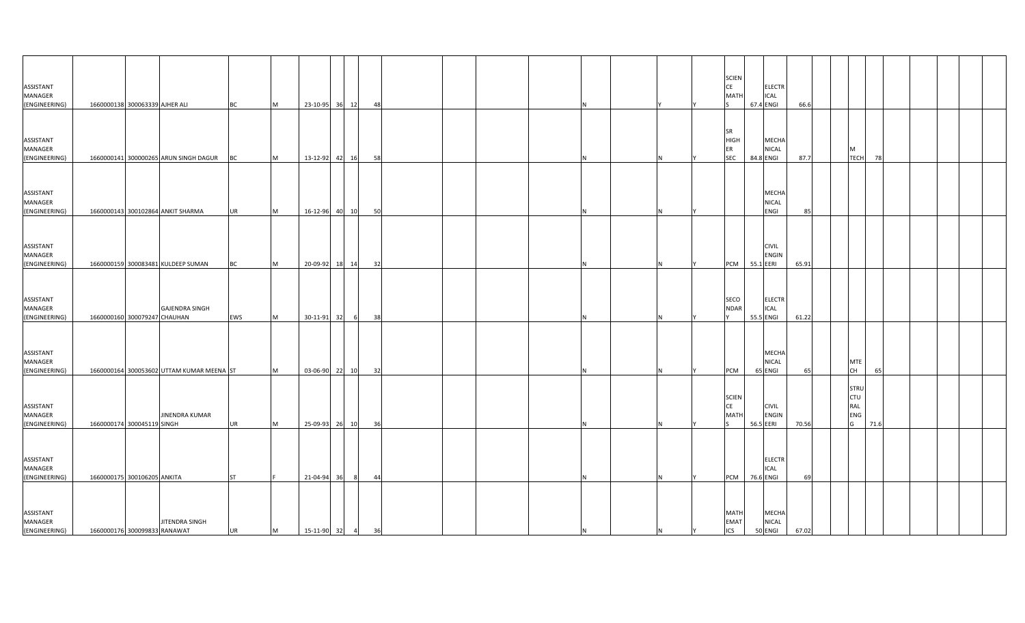| ASSISTANT<br>MANAGER                         |                                |                                           |           |           |                  |       |   |    |  |     |   |    | <b>SCIEN</b><br>CE<br><b>MAT</b>  |           | <b>ELECTR</b><br><b>ICAL</b>  |       |                   |                  |      |  |  |
|----------------------------------------------|--------------------------------|-------------------------------------------|-----------|-----------|------------------|-------|---|----|--|-----|---|----|-----------------------------------|-----------|-------------------------------|-------|-------------------|------------------|------|--|--|
| (ENGINEERING)                                | 1660000138 300063339 AJHER ALI |                                           | <b>BC</b> | M         | 23-10-95 36 12   |       |   | 48 |  |     |   |    |                                   | 67.4 ENGI |                               | 66.6  |                   |                  |      |  |  |
| ASSISTANT<br>MANAGER                         |                                |                                           |           |           |                  |       |   |    |  |     |   |    | <b>SR</b><br>HIGH<br>ER           |           | <b>MECHA</b><br>NICAL         |       | M                 |                  |      |  |  |
| (ENGINEERING)                                |                                | 1660000141 300000265 ARUN SINGH DAGUR     | BC        | M         | 13-12-92         | 42 16 |   | 58 |  |     |   |    | <b>SEC</b>                        | 84.8 ENGI |                               | 87.7  |                   | <b>TECH</b>      | 78   |  |  |
| ASSISTANT<br>MANAGER<br>(ENGINEERING)        |                                | 1660000143 300102864 ANKIT SHARMA         | <b>UR</b> | M         | 16-12-96         | 40 10 |   | 50 |  |     |   |    |                                   |           | MECHA<br><b>NICAL</b><br>ENGI | 85    |                   |                  |      |  |  |
| ASSISTANT<br>MANAGER<br>(ENGINEERING)        |                                | 1660000159 300083481 KULDEEP SUMAN        | <b>BC</b> | M         | 20-09-92 18 14   |       |   | 32 |  |     |   |    | PCM                               | 55.1 EERI | <b>CIVIL</b><br><b>ENGIN</b>  | 65.91 |                   |                  |      |  |  |
| ASSISTANT<br>MANAGER<br>(ENGINEERING)        | 1660000160 300079247 CHAUHAN   | <b>GAJENDRA SINGH</b>                     | EWS       | <b>IM</b> | 30-11-91         | 32    |   | 38 |  |     |   |    | SECO<br><b>NDAR</b>               | 55.5 ENGI | <b>ELECTR</b><br><b>ICAL</b>  | 61.22 |                   |                  |      |  |  |
| ASSISTANT<br>MANAGER<br>(ENGINEERING)        |                                | 1660000164 300053602 UTTAM KUMAR MEENA ST |           | M         | 03-06-90 22 10   |       |   | 32 |  |     |   |    | PCM                               | 65 ENGI   | MECHA<br>NICAL                | 65    | <b>MTE</b><br>CH  |                  | 65   |  |  |
| <b>ASSISTANT</b><br>MANAGER<br>(ENGINEERING) | 1660000174 300045119 SINGH     | <b>JINENDRA KUMAR</b>                     | <b>UR</b> | M         | 25-09-93 26 10   |       |   | 36 |  |     |   |    | <b>SCIEN</b><br>CE<br>MATI        | 56.5 EERI | <b>CIVIL</b><br><b>ENGIN</b>  | 70.56 | CTU<br>RAL<br>ENG | <b>STRU</b><br>G | 71.6 |  |  |
| ASSISTANT<br>MANAGER<br>(ENGINEERING)        | 1660000175 300106205 ANKITA    |                                           | <b>ST</b> |           | 21-04-94         | 36    | 8 | 44 |  |     |   |    | <b>PCM</b>                        | 76.6 ENGI | <b>ELECTR</b><br>ICAL         | 69    |                   |                  |      |  |  |
| ASSISTANT<br>MANAGER<br>(ENGINEERING)        | 1660000176 300099833 RANAWAT   | JITENDRA SINGH                            | <b>UR</b> | M         | 15-11-90 32 4 36 |       |   |    |  | IN. | N | I٢ | <b>MATH</b><br>EMAT<br><b>ICS</b> | 50 ENGI   | MECHA<br><b>NICAL</b>         | 67.02 |                   |                  |      |  |  |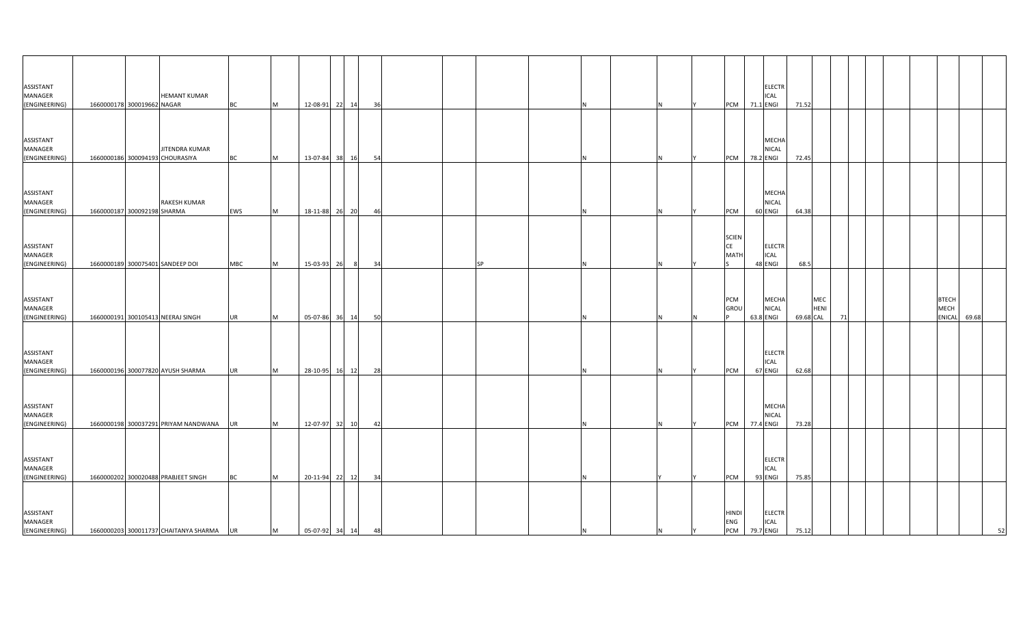| ASSISTANT<br>MANAGER<br>(ENGINEERING)        | <b>HEMANT KUMAR</b><br>1660000178 300019662 NAGAR | <b>BC</b>  | M        | 12-08-91 22 14    |    | 36  |   |    | <b>ELECTR</b><br>ICAL<br>PCM 71.1 ENGI                              | 71.52 |                          |    |  |                                       |       |
|----------------------------------------------|---------------------------------------------------|------------|----------|-------------------|----|-----|---|----|---------------------------------------------------------------------|-------|--------------------------|----|--|---------------------------------------|-------|
|                                              |                                                   |            |          |                   |    |     |   |    |                                                                     |       |                          |    |  |                                       |       |
| ASSISTANT<br>MANAGER<br>(ENGINEERING)        | JITENDRA KUMAR<br>1660000186 300094193 CHOURASIYA | ВC         | M        | 13-07-84 38       | 16 | -54 |   |    | MECHA<br>NICAL<br>78.2 ENGI<br>PCM                                  | 72.45 |                          |    |  |                                       |       |
|                                              |                                                   |            |          |                   |    |     |   |    |                                                                     |       |                          |    |  |                                       |       |
| ASSISTANT<br>MANAGER<br>(ENGINEERING)        | RAKESH KUMAR<br>1660000187 300092198 SHARMA       | EWS        | M        | 18-11-88 26 20    |    | 46  |   | N  | MECHA<br><b>NICAL</b><br>60 ENGI<br>PCM                             | 64.38 |                          |    |  |                                       |       |
|                                              |                                                   |            |          |                   |    |     |   |    |                                                                     |       |                          |    |  |                                       |       |
| ASSISTANT<br>MANAGER<br>(ENGINEERING)        | 1660000189 300075401 SANDEEP DOI                  | <b>MBC</b> | M        | 15-03-93 26       | 8  | 34  |   |    | <b>SCIEN</b><br>CE<br><b>ELECTR</b><br>MATI<br>ICAL<br>48 ENGI      | 68.5  |                          |    |  |                                       |       |
|                                              |                                                   |            |          |                   |    |     |   |    |                                                                     |       |                          |    |  |                                       |       |
| ASSISTANT<br><b>MANAGER</b><br>(ENGINEERING) | 1660000191 300105413 NEERAJ SINGH                 | UR         | M        | 05-07-86 36       | 14 | 50  |   |    | PCM<br><b>MECHA</b><br>GROU<br>NICAL<br>63.8 ENGI                   |       | MEC<br>HENI<br>69.68 CAL | 71 |  | <b>BTECH</b><br>MECH<br><b>ENICAL</b> | 69.68 |
|                                              |                                                   |            |          |                   |    |     |   |    |                                                                     |       |                          |    |  |                                       |       |
| ASSISTANT<br>MANAGER<br>(ENGINEERING)        | 1660000196 300077820 AYUSH SHARMA                 | UR         | M        | 28-10-95 16       | 12 | 28  |   |    | <b>ELECTR</b><br>ICAL<br>67 ENGI<br>PCM                             | 62.68 |                          |    |  |                                       |       |
|                                              |                                                   |            |          |                   |    |     |   |    |                                                                     |       |                          |    |  |                                       |       |
| ASSISTANT<br>MANAGER<br>(ENGINEERING)        | 1660000198 300037291 PRIYAM NANDWANA              | UR         | M        | 12-07-97 32 10    |    | 42  |   |    | MECHA<br><b>NICAL</b><br>77.4 ENGI<br>PCM                           | 73.28 |                          |    |  |                                       |       |
|                                              |                                                   |            |          |                   |    |     |   |    |                                                                     |       |                          |    |  |                                       |       |
| ASSISTANT<br>MANAGER<br>(ENGINEERING)        | 1660000202 300020488 PRABJEET SINGH               | <b>BC</b>  | <b>M</b> | 20-11-94 22 12    |    | 34  |   |    | <b>ELECTR</b><br>ICAL<br>93 ENGI<br>PCM                             | 75.85 |                          |    |  |                                       |       |
|                                              |                                                   |            |          |                   |    |     |   |    |                                                                     |       |                          |    |  |                                       |       |
| ASSISTANT<br>MANAGER<br>(ENGINEERING)        | 1660000203 300011737 CHAITANYA SHARMA             | <b>UR</b>  | M        | 05-07-92 34 14 48 |    |     | N | N. | HINDI<br><b>ELECTR</b><br>ENG<br><b>ICAL</b><br>PCM 79.7 ENGI 75.12 |       |                          |    |  |                                       | 52    |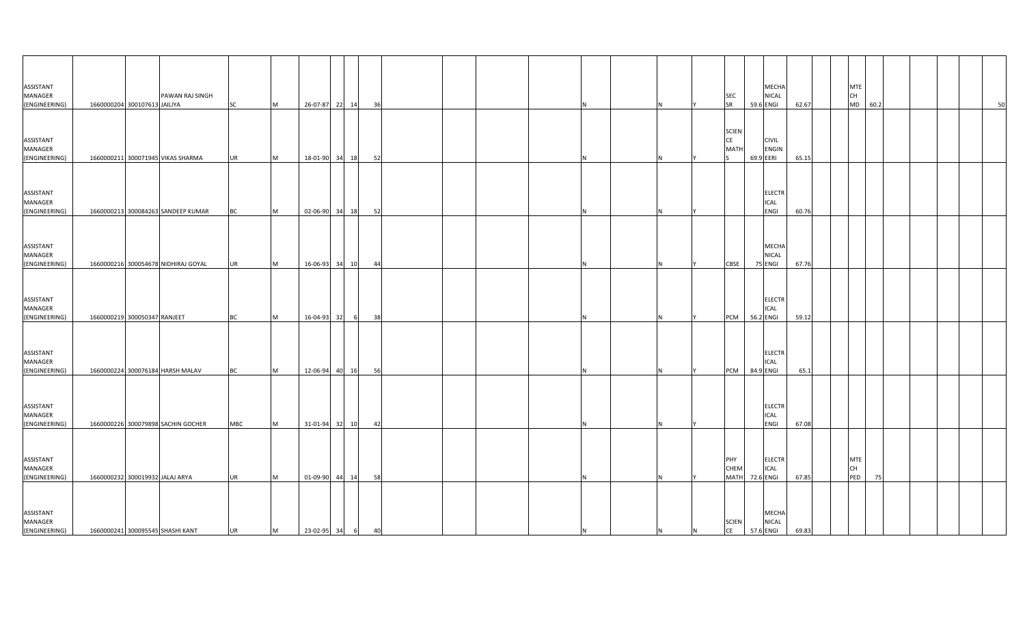| ASSISTANT<br><b>MANAGER</b><br>(ENGINEERING) | PAWAN RAJ SINGH<br>1660000204 300107613 JAILIYA | <b>SC</b>  | M        | 26-07-87 22 14     |    | 36 |          |   | MECHA<br>NICAL<br><b>SEC</b><br><b>SR</b><br>59.6 ENGI                                | 62.67 | CH | <b>MTE</b><br>MD<br>60.2 |    |  | 50 |
|----------------------------------------------|-------------------------------------------------|------------|----------|--------------------|----|----|----------|---|---------------------------------------------------------------------------------------|-------|----|--------------------------|----|--|----|
|                                              |                                                 |            |          |                    |    |    |          |   |                                                                                       |       |    |                          |    |  |    |
| ASSISTANT<br>MANAGER<br>(ENGINEERING)        | 1660000211 300071945 VIKAS SHARMA               | <b>UR</b>  | M        | 18-01-90 34 18     |    | 52 |          |   | <b>SCIEN</b><br><b>CE</b><br><b>CIVIL</b><br><b>MATH</b><br><b>ENGIN</b><br>69.9 EERI | 65.15 |    |                          |    |  |    |
| ASSISTANT<br>MANAGER                         |                                                 |            |          |                    |    |    |          |   | <b>ELECTR</b><br>ICAL                                                                 |       |    |                          |    |  |    |
| (ENGINEERING)                                | 1660000213 300084263 SANDEEP KUMAR              | <b>BC</b>  | M        | 02-06-90 34 18     |    | 52 |          | N | ENGI                                                                                  | 60.76 |    |                          |    |  |    |
| ASSISTANT<br>MANAGER<br>(ENGINEERING)        | 1660000216 300054678 NIDHIRAJ GOYAL             | UR         | <b>M</b> | 16-06-93 34 10     |    | 44 | N        | N | MECHA<br>NICAL<br><b>CBSE</b><br>75 ENGI                                              | 67.76 |    |                          |    |  |    |
| ASSISTANT<br>MANAGER<br>(ENGINEERING)        | 1660000219 300050347 RANJEET                    | ВC         | M        | 16-04-93 32        | 6  | 38 |          |   | <b>ELECTR</b><br>ICAL<br>56.2 ENGI<br>PCM                                             | 59.12 |    |                          |    |  |    |
| ASSISTANT<br><b>MANAGER</b><br>(ENGINEERING) | 1660000224 300076184 HARSH MALAV                | ВC         | M        | 12-06-94 40        | 16 | 56 |          |   | <b>ELECTR</b><br>ICAL<br>84.9 ENGI<br>PCM                                             | 65.1  |    |                          |    |  |    |
| ASSISTANT<br>MANAGER<br>(ENGINEERING)        | 1660000226 300079898 SACHIN GOCHER              | <b>MBC</b> | M        | 31-01-94 32 10     |    | 42 | N        | N | <b>ELECTR</b><br>ICAL<br>ENGI                                                         | 67.08 |    |                          |    |  |    |
| ASSISTANT<br>MANAGER<br>(ENGINEERING)        | 1660000232 300019932 JALAJ ARYA                 | <b>UR</b>  | M        | 01-09-90 44 14     |    | 58 |          | N | PHY<br><b>ELECTR</b><br>CHEM<br>ICAL<br>72.6 ENGI<br><b>MATH</b>                      | 67.85 | CH | <b>MTE</b><br>PED        | 75 |  |    |
| ASSISTANT<br>MANAGER<br>(ENGINEERING)        | 1660000241 300095545 SHASHI KANT                | <b>UR</b>  | M        | $23-02-95$ 34 6 40 |    |    | <b>N</b> | N | MECHA<br><b>SCIEN</b><br><b>NICAL</b><br>CE<br>57.6 ENGI<br>N                         | 69.83 |    |                          |    |  |    |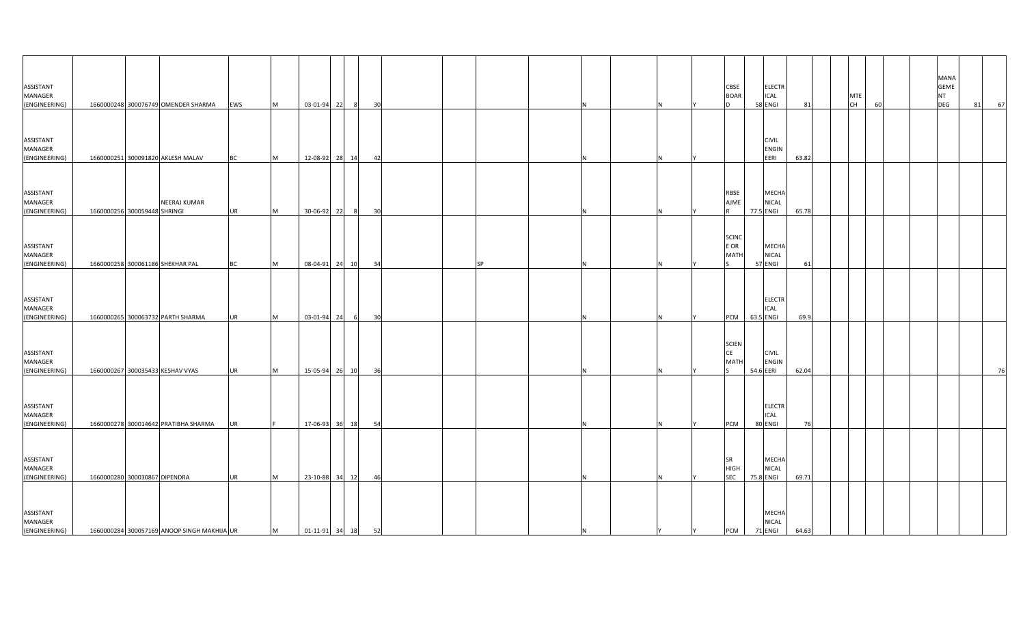| ASSISTANT<br>MANAGER<br>(ENGINEERING) | 1660000248 300076749 OMENDER SHARMA                 | <b>EWS</b> | M        | 03-01-94 22         | 8 <sup>8</sup> | 30 |  |    |     |   | CBSE<br><b>BOAR</b>                      | <b>ELECTR</b><br><b>ICAL</b><br>58 ENGI   | 81    | <b>MTE</b><br>CH | 60 | <b>MANA</b><br><b>GEME</b><br><b>NT</b><br><b>DEG</b> | 81 | 67 |
|---------------------------------------|-----------------------------------------------------|------------|----------|---------------------|----------------|----|--|----|-----|---|------------------------------------------|-------------------------------------------|-------|------------------|----|-------------------------------------------------------|----|----|
| ASSISTANT<br>MANAGER<br>(ENGINEERING) | 1660000251 300091820 AKLESH MALAV                   | <b>BC</b>  | M        | 12-08-92 28 14      |                | 42 |  |    |     |   |                                          | <b>CIVIL</b><br>ENGIN<br>EERI             | 63.82 |                  |    |                                                       |    |    |
| ASSISTANT<br>MANAGER<br>(ENGINEERING) | <b>NEERAJ KUMAR</b><br>1660000256 300059448 SHRINGI | <b>UR</b>  | <b>M</b> | 30-06-92 22         | 8 <sup>8</sup> | 30 |  |    |     |   | <b>RBSE</b><br><b>AJME</b>               | MECHA<br><b>NICAL</b><br>77.5 ENGI        | 65.78 |                  |    |                                                       |    |    |
| ASSISTANT<br>MANAGER<br>(ENGINEERING) | 1660000258 300061186 SHEKHAR PAL                    | <b>BC</b>  | M        | 08-04-91 24 10      |                | 34 |  | SP |     |   | <b>SCINC</b><br>E OR<br>MATH             | MECHA<br>NICAL<br>57 ENGI                 | 61    |                  |    |                                                       |    |    |
| ASSISTANT<br>MANAGER<br>(ENGINEERING) | 1660000265 300063732 PARTH SHARMA                   | UR         | M        | 03-01-94 24         | 6              | 30 |  |    |     |   | PCM                                      | <b>ELECTR</b><br><b>ICAL</b><br>63.5 ENGI | 69.9  |                  |    |                                                       |    |    |
| ASSISTANT<br>MANAGER<br>(ENGINEERING) | 1660000267 300035433 KESHAV VYAS                    | <b>UR</b>  | M        | 15-05-94 26 10      |                | 36 |  |    |     |   | <b>SCIEN</b><br><b>CE</b><br><b>MATH</b> | <b>CIVIL</b><br><b>ENGIN</b><br>54.6 EERI | 62.04 |                  |    |                                                       |    | 76 |
| ASSISTANT<br>MANAGER<br>(ENGINEERING) | 1660000278 300014642 PRATIBHA SHARMA                | <b>UR</b>  |          | 17-06-93 36 18      |                | 54 |  |    |     |   | PCM                                      | <b>ELECTR</b><br>ICAL<br>80 ENGI          | 76    |                  |    |                                                       |    |    |
| ASSISTANT<br>MANAGER<br>(ENGINEERING) | 1660000280 300030867 DIPENDRA                       | <b>UR</b>  | M        | 23-10-88 34 12      |                | 46 |  |    |     |   | SR<br>HIGH<br><b>SEC</b>                 | MECHA<br><b>NICAL</b><br>75.8 ENGI        | 69.71 |                  |    |                                                       |    |    |
| ASSISTANT<br>MANAGER<br>(ENGINEERING) | 1660000284 300057169 ANOOP SINGH MAKHIJA UR         |            | M        | $01-11-91$ 34 18 52 |                |    |  |    | IN. | Y | <b>PCM</b>                               | MECHA<br>NICAL<br>71 ENGI                 | 64.63 |                  |    |                                                       |    |    |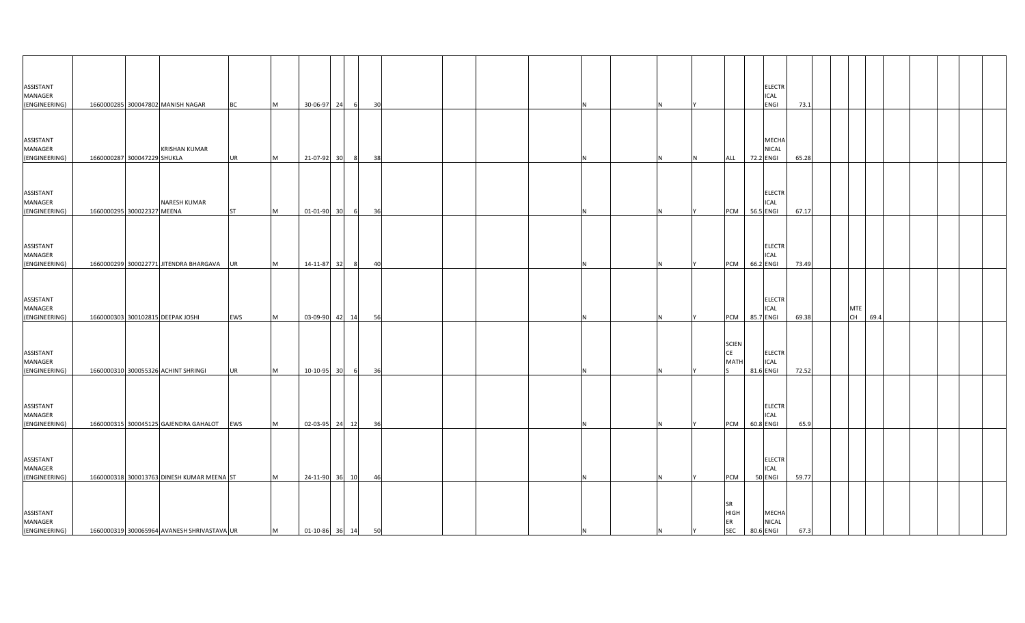| ASSISTANT<br>MANAGER<br>(ENGINEERING) | 1660000285 300047802 MANISH NAGAR           |                      | <b>BC</b> | M        | 30-06-97 24         |           | 30 |  |  |    |   |                                 | <b>ELECTR</b><br>ICAL<br>ENGI             | 73.1  |                  |      |  |  |
|---------------------------------------|---------------------------------------------|----------------------|-----------|----------|---------------------|-----------|----|--|--|----|---|---------------------------------|-------------------------------------------|-------|------------------|------|--|--|
|                                       |                                             |                      |           |          |                     |           |    |  |  |    |   |                                 |                                           |       |                  |      |  |  |
| ASSISTANT<br>MANAGER<br>(ENGINEERING) | 1660000287 300047229 SHUKLA                 | <b>KRISHAN KUMAR</b> | <b>UR</b> | M        | 21-07-92            | 30        | 38 |  |  |    |   | <b>ALL</b>                      | MECHA<br>NICAL<br>72.2 ENGI               | 65.28 |                  |      |  |  |
|                                       |                                             |                      |           |          |                     |           |    |  |  |    |   |                                 |                                           |       |                  |      |  |  |
| ASSISTANT<br>MANAGER<br>(ENGINEERING) | 1660000295 300022327 MEENA                  | <b>NARESH KUMAR</b>  | <b>ST</b> | M        | 01-01-90            | 30<br>- 6 | 36 |  |  |    |   | PCM                             | <b>ELECTR</b><br>ICAL<br>56.5 ENGI        | 67.17 |                  |      |  |  |
|                                       |                                             |                      |           |          |                     |           |    |  |  |    |   |                                 |                                           |       |                  |      |  |  |
| ASSISTANT<br>MANAGER<br>(ENGINEERING) | 1660000299 300022771 JITENDRA BHARGAVA      |                      | <b>UR</b> | M        | 14-11-87 32         |           | 40 |  |  |    |   | PCM                             | <b>ELECTR</b><br>ICAL<br>66.2 ENGI        | 73.49 |                  |      |  |  |
|                                       |                                             |                      |           |          |                     |           |    |  |  |    |   |                                 |                                           |       |                  |      |  |  |
| ASSISTANT<br>MANAGER<br>(ENGINEERING) | 1660000303 300102815 DEEPAK JOSHI           |                      | EWS       | M        | 03-09-90            | 42 14     | 56 |  |  |    |   | PCM                             | ELECTR<br>ICAL<br>85.7 ENGI               | 69.38 | <b>MTE</b><br>CH | 69.4 |  |  |
|                                       |                                             |                      |           |          |                     |           |    |  |  |    |   | <b>SCIEN</b>                    |                                           |       |                  |      |  |  |
| ASSISTANT<br>MANAGER<br>(ENGINEERING) | 1660000310 300055326 ACHINT SHRINGI         |                      | <b>UR</b> | M        | 10-10-95            | 30<br>- 6 | 36 |  |  |    |   | CE<br><b>MATH</b>               | <b>ELECTR</b><br>ICAL<br>81.6 ENGI        | 72.52 |                  |      |  |  |
|                                       |                                             |                      |           |          |                     |           |    |  |  |    |   |                                 |                                           |       |                  |      |  |  |
| ASSISTANT<br>MANAGER<br>(ENGINEERING) | 1660000315 300045125 GAJENDRA GAHALOT EWS   |                      |           | <b>M</b> | 02-03-95 24 12      |           | 36 |  |  |    |   | <b>PCM</b>                      | <b>ELECTR</b><br><b>ICAL</b><br>60.8 ENGI | 65.9  |                  |      |  |  |
|                                       |                                             |                      |           |          |                     |           |    |  |  |    |   |                                 |                                           |       |                  |      |  |  |
| ASSISTANT<br>MANAGER<br>(ENGINEERING) | 1660000318 300013763 DINESH KUMAR MEENA ST  |                      |           | M        | 24-11-90 36 10      |           | 46 |  |  |    |   | PCM                             | <b>ELECTR</b><br><b>ICAL</b><br>50 ENGI   | 59.77 |                  |      |  |  |
|                                       |                                             |                      |           |          |                     |           |    |  |  |    |   | <b>SR</b>                       |                                           |       |                  |      |  |  |
| ASSISTANT<br>MANAGER<br>(ENGINEERING) | 1660000319 300065964 AVANESH SHRIVASTAVA UR |                      |           | M        | $01-10-86$ 36 14 50 |           |    |  |  | IN | N | <b>HIGH</b><br>ER<br><b>SEC</b> | MECHA<br><b>NICAL</b><br>80.6 ENGI        | 67.3  |                  |      |  |  |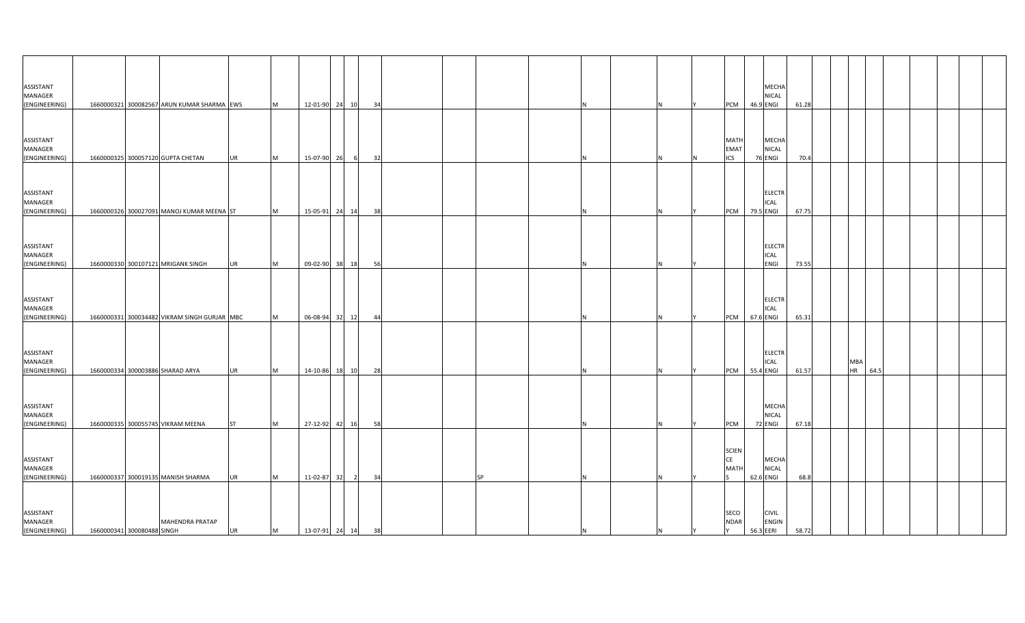| ASSISTANT<br>MANAGER                         |                            |                                              |           |           |                   |                         |    |  |           |  |  |                                          |           | MECHA<br><b>NICAL</b>            |       |  |                  |      |  |  |
|----------------------------------------------|----------------------------|----------------------------------------------|-----------|-----------|-------------------|-------------------------|----|--|-----------|--|--|------------------------------------------|-----------|----------------------------------|-------|--|------------------|------|--|--|
| (ENGINEERING)                                |                            | 1660000321 300082567 ARUN KUMAR SHARMA EWS   |           | M         |                   | 12-01-90 24 10          | 34 |  |           |  |  | PCM                                      | 46.9 ENGI |                                  | 61.28 |  |                  |      |  |  |
| ASSISTANT<br>MANAGER<br>(ENGINEERING)        |                            | 1660000325 300057120 GUPTA CHETAN            | <b>UR</b> | <b>M</b>  | 15-07-90 26       |                         | 32 |  |           |  |  | <b>MATH</b><br><b>EMAT</b><br><b>ICS</b> |           | MECHA<br><b>NICAL</b><br>76 ENGI | 70.4  |  |                  |      |  |  |
|                                              |                            |                                              |           |           |                   |                         |    |  |           |  |  |                                          |           |                                  |       |  |                  |      |  |  |
| ASSISTANT<br>MANAGER<br>(ENGINEERING)        |                            | 1660000326 300027091 MANOJ KUMAR MEENA ST    |           | <b>M</b>  |                   | 15-05-91 24 14          | 38 |  |           |  |  | <b>PCM</b>                               | 79.5 ENGI | <b>ELECTR</b><br><b>ICAL</b>     | 67.75 |  |                  |      |  |  |
| ASSISTANT<br>MANAGER                         |                            | 1660000330 300107121 MRIGANK SINGH           | <b>UR</b> | M         |                   | 09-02-90 38 18          | 56 |  |           |  |  |                                          |           | <b>ELECTR</b><br>ICAL<br>ENGI    | 73.55 |  |                  |      |  |  |
| (ENGINEERING)                                |                            |                                              |           |           |                   |                         |    |  |           |  |  |                                          |           |                                  |       |  |                  |      |  |  |
| ASSISTANT<br>MANAGER<br>(ENGINEERING)        |                            | 1660000331 300034482 VIKRAM SINGH GURJAR MBC |           | <b>IM</b> |                   | 06-08-94 32 12          | 44 |  |           |  |  | <b>PCM</b>                               | 67.6 ENGI | <b>ELECTR</b><br><b>ICAL</b>     | 65.31 |  |                  |      |  |  |
| ASSISTANT<br>MANAGER<br>(ENGINEERING)        |                            | 1660000334 300003886 SHARAD ARYA             | <b>UR</b> | <b>IM</b> |                   | 14-10-86 18 10          | 28 |  |           |  |  | <b>PCM</b>                               | 55.4 ENGI | <b>ELECTR</b><br><b>ICAL</b>     | 61.57 |  | MBA<br><b>HR</b> | 64.5 |  |  |
| ASSISTANT<br>MANAGER<br>(ENGINEERING)        |                            | 1660000335 300055745 VIKRAM MEENA            | <b>ST</b> | M         | 27-12-92 42 16    |                         | 58 |  |           |  |  | PCM                                      |           | MECHA<br><b>NICAL</b><br>72 ENGI | 67.18 |  |                  |      |  |  |
| ASSISTANT<br>MANAGER<br>(ENGINEERING)        |                            | 1660000337 300019135 MANISH SHARMA           | <b>UR</b> | <b>IM</b> | 11-02-87 32       | $\overline{\mathbf{2}}$ | 34 |  | <b>SP</b> |  |  | <b>SCIEN</b><br>CE<br><b>MATH</b>        | 62.6 ENGI | MECHA<br><b>NICAL</b>            | 68.8  |  |                  |      |  |  |
| <b>ASSISTANT</b><br>MANAGER<br>(ENGINEERING) | 1660000341 300080488 SINGH | <b>MAHENDRA PRATAP</b>                       | UR        | M         | 13-07-91 24 14 38 |                         |    |  |           |  |  | SECO<br><b>NDAR</b><br>I٢                | 56.3 EERI | <b>CIVIL</b><br><b>ENGIN</b>     | 58.72 |  |                  |      |  |  |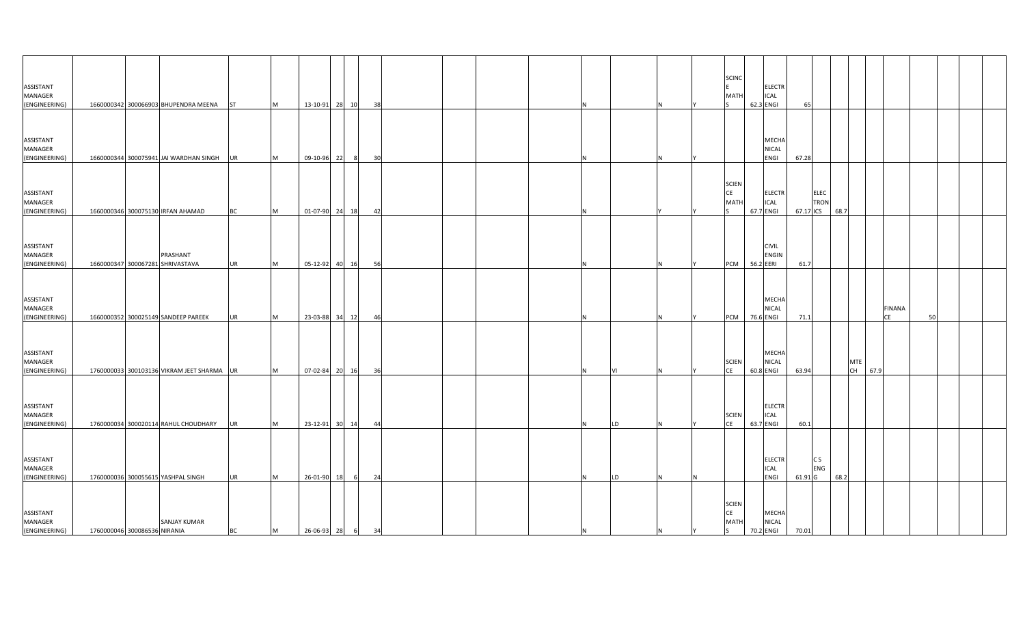| ASSISTANT<br>MANAGER<br>(ENGINEERING) |                              | 1660000342 300066903 BHUPENDRA MEENA ST      |           | M        | 13-10-91 28 10   |    |     | 38              |  |     |    |    | <b>SCINC</b><br><b>MATH</b>                    | 62.3 ENGI | <b>ELECTR</b><br><b>ICAL</b>  | 65        |                     |      |                            |                     |    |  |
|---------------------------------------|------------------------------|----------------------------------------------|-----------|----------|------------------|----|-----|-----------------|--|-----|----|----|------------------------------------------------|-----------|-------------------------------|-----------|---------------------|------|----------------------------|---------------------|----|--|
| ASSISTANT<br>MANAGER<br>(ENGINEERING) |                              | 1660000344 300075941 JAI WARDHAN SINGH UR    |           | M        | 09-10-96         | 22 |     | 30 <sup>1</sup> |  |     |    |    |                                                |           | MECHA<br>NICAL<br>ENGI        | 67.28     |                     |      |                            |                     |    |  |
| ASSISTANT<br>MANAGER<br>(ENGINEERING) |                              | 1660000346 300075130 IRFAN AHAMAD            | <b>BC</b> | M        | 01-07-90 24 18   |    |     | 42              |  |     |    |    | <b>SCIEN</b><br><b>CE</b><br>MATI              | 67.7 ENGI | <b>ELECTR</b><br>ICAL         | 67.17 ICS | <b>ELEC</b><br>TRON | 68.7 |                            |                     |    |  |
| ASSISTANT<br>MANAGER<br>(ENGINEERING) |                              | PRASHANT<br>1660000347 300067281 SHRIVASTAVA | <b>UR</b> | M        | 05-12-92 40 16   |    |     | 56              |  |     |    |    | PCM                                            | 56.2 EERI | <b>CIVIL</b><br><b>ENGIN</b>  | 61.7      |                     |      |                            |                     |    |  |
| ASSISTANT<br>MANAGER<br>(ENGINEERING) |                              | 1660000352 300025149 SANDEEP PAREEK          | <b>UR</b> | <b>M</b> | 23-03-88         | 34 | 12  | 46              |  |     |    |    | <b>PCM</b>                                     | 76.6 ENGI | MECHA<br>NICAL                | 71.1      |                     |      |                            | <b>FINANA</b><br>CE | 50 |  |
| ASSISTANT<br>MANAGER<br>(ENGINEERING) |                              | 1760000033 300103136 VIKRAM JEET SHARMA UR   |           | M        | 07-02-84 20 16   |    |     | - 36            |  |     |    |    | <b>SCIEN</b><br><b>CE</b>                      | 60.8 ENGI | <b>MECHA</b><br><b>NICAL</b>  | 63.94     |                     |      | <b>MTE</b><br>CH  <br>67.9 |                     |    |  |
| ASSISTANT<br>MANAGER<br>(ENGINEERING) |                              | 1760000034 300020114 RAHUL CHOUDHARY         | <b>UR</b> | M        | 23-12-91 30 14   |    |     | 44              |  |     | LD |    | <b>SCIEN</b><br>CE                             | 63.7 ENGI | <b>ELECTR</b><br><b>ICAL</b>  | 60.1      |                     |      |                            |                     |    |  |
| ASSISTANT<br>MANAGER<br>(ENGINEERING) |                              | 1760000036 300055615 YASHPAL SINGH           | <b>UR</b> | M        | 26-01-90         | 18 | - 6 | 24              |  |     | LD |    |                                                |           | <b>ELECTR</b><br>ICAL<br>ENGI | 61.91 G   | C S<br>ENG          | 68.2 |                            |                     |    |  |
| ASSISTANT<br>MANAGER<br>(ENGINEERING) | 1760000046 300086536 NIRANIA | <b>SANJAY KUMAR</b>                          | <b>BC</b> | M        | 26-06-93 28 6 34 |    |     |                 |  | IN. |    | İΥ | <b>SCIEN</b><br><b>CE</b><br><b>MATH</b><br>S. | 70.2 ENGI | MECHA<br><b>NICAL</b>         | 70.01     |                     |      |                            |                     |    |  |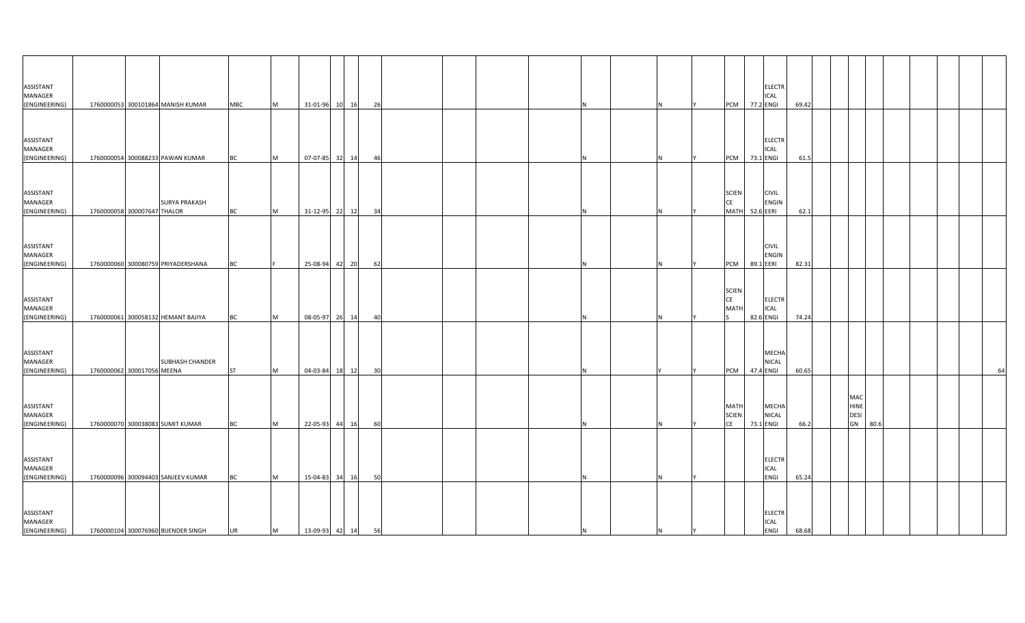| ASSISTANT<br>MANAGER                         |                             |                                     |            |           |                   |                |    |  |    |   |    |                                          |           | <b>ELECTR</b><br><b>ICAL</b>                |       |  |                                              |  |  |    |
|----------------------------------------------|-----------------------------|-------------------------------------|------------|-----------|-------------------|----------------|----|--|----|---|----|------------------------------------------|-----------|---------------------------------------------|-------|--|----------------------------------------------|--|--|----|
| (ENGINEERING)                                |                             | 1760000053 300101864 MANISH KUMAR   | <b>MBC</b> | M         |                   | 31-01-96 10 16 | 26 |  |    |   |    | PCM 77.2 ENGI                            |           |                                             | 69.42 |  |                                              |  |  |    |
| ASSISTANT<br>MANAGER<br>(ENGINEERING)        |                             | 1760000054 300088233 PAWAN KUMAR    | <b>BC</b>  | M         |                   | 07-07-85 32 14 | 46 |  |    |   |    | <b>PCM</b>                               | 73.1 ENGI | <b>ELECTR</b><br><b>ICAL</b>                | 61.5  |  |                                              |  |  |    |
| ASSISTANT<br>MANAGER<br>(ENGINEERING)        | 1760000058 300007647 THALOR | <b>SURYA PRAKASH</b>                | <b>BC</b>  | M         |                   | 31-12-95 22 12 | 34 |  |    |   |    | <b>SCIEN</b><br>CE<br><b>MATH</b>        | 52.6 EERI | <b>CIVIL</b><br><b>ENGIN</b>                | 62.1  |  |                                              |  |  |    |
| ASSISTANT<br>MANAGER<br>(ENGINEERING)        |                             | 1760000060 300080759 PRIYADERSHANA  | <b>BC</b>  |           |                   | 25-08-94 42 20 | 62 |  |    |   |    | <b>PCM</b>                               | 89.1 EERI | <b>CIVIL</b><br><b>ENGIN</b>                | 82.31 |  |                                              |  |  |    |
| ASSISTANT<br>MANAGER<br>(ENGINEERING)        |                             | 1760000061 300058132 HEMANT BAJIYA  | BC         | <b>M</b>  |                   | 08-05-97 26 14 | 40 |  |    |   |    | <b>SCIEN</b><br>CE<br><b>MATH</b>        | 82.6 ENGI | <b>ELECTR</b><br><b>ICAL</b>                | 74.24 |  |                                              |  |  |    |
| ASSISTANT<br>MANAGER<br>(ENGINEERING)        | 1760000062 300017056 MEENA  | <b>SUBHASH CHANDER</b>              | ST         | <b>IM</b> |                   | 04-03-84 18 12 | 30 |  |    |   |    | <b>PCM</b>                               | 47.4 ENGI | MECHA<br><b>NICAL</b>                       | 60.65 |  |                                              |  |  | 64 |
| <b>ASSISTANT</b><br>MANAGER<br>(ENGINEERING) |                             | 1760000070 300038083 SUMIT KUMAR    | <b>BC</b>  | <b>IM</b> |                   | 22-05-93 44 16 | 60 |  |    |   |    | <b>MATH</b><br><b>SCIEN</b><br><b>CE</b> | 73.1 ENGI | MECHA<br><b>NICAL</b>                       | 66.2  |  | MAC<br><b>HINE</b><br><b>DESI</b><br>GN 80.6 |  |  |    |
| ASSISTANT<br>MANAGER<br>(ENGINEERING)        |                             | 1760000096 300094403 SANJEEV KUMAR  | <b>BC</b>  | <b>IM</b> |                   | 15-04-83 34 16 | 50 |  |    |   |    |                                          |           | <b>ELECTR</b><br>ICAL<br>ENGI               | 65.24 |  |                                              |  |  |    |
| ASSISTANT<br>MANAGER<br>(ENGINEERING)        |                             | 1760000104 300076960 BIJENDER SINGH | <b>UR</b>  | M         | 13-09-93 42 14 56 |                |    |  | ΙN | N | IY |                                          |           | <b>ELECTR</b><br><b>ICAL</b><br><b>ENGI</b> | 68.68 |  |                                              |  |  |    |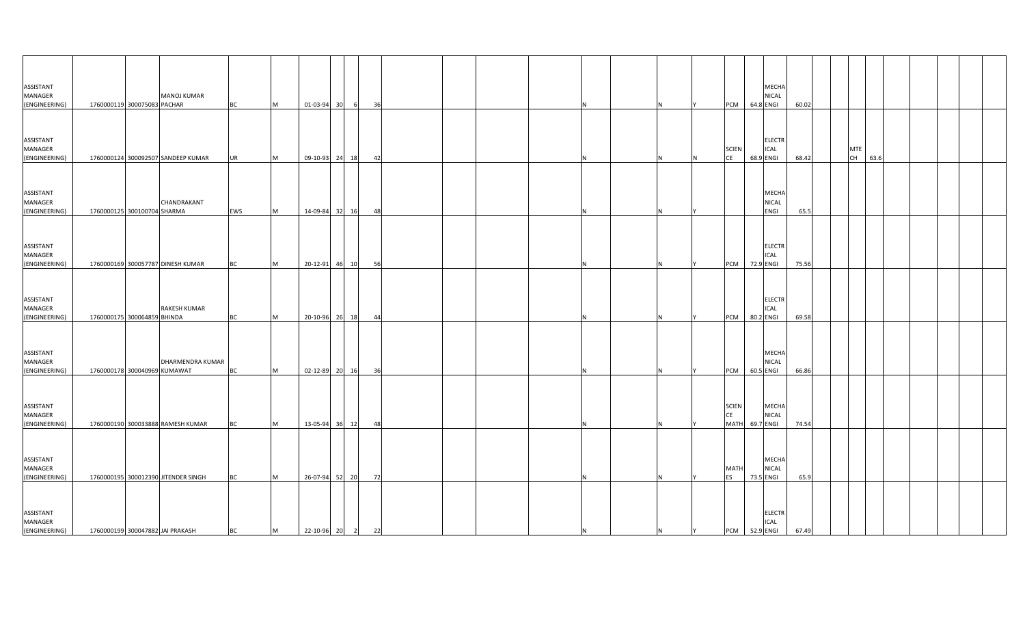| ASSISTANT                             |                              |                                     |           |          |                  |       |   |      |  |  |     |   |   |                                          |           | MECHA                                     |       |  |                  |      |  |  |
|---------------------------------------|------------------------------|-------------------------------------|-----------|----------|------------------|-------|---|------|--|--|-----|---|---|------------------------------------------|-----------|-------------------------------------------|-------|--|------------------|------|--|--|
| MANAGER                               |                              | <b>MANOJ KUMAR</b>                  |           |          |                  |       |   |      |  |  |     |   |   |                                          |           | <b>NICAL</b>                              |       |  |                  |      |  |  |
| (ENGINEERING)                         | 1760000119 300075083 PACHAR  |                                     | <b>BC</b> | <b>M</b> | 01-03-94 30      |       | 6 | 36   |  |  |     |   |   | <b>PCM</b>                               |           | 64.8 ENGI                                 | 60.02 |  |                  |      |  |  |
| ASSISTANT<br>MANAGER<br>(ENGINEERING) |                              | 1760000124 300092507 SANDEEP KUMAR  | <b>UR</b> | M        | 09-10-93 24 18   |       |   | 42   |  |  |     |   |   | <b>SCIEN</b><br>CE                       |           | <b>ELECTR</b><br><b>ICAL</b><br>68.9 ENGI | 68.42 |  | <b>MTE</b><br>CH | 63.6 |  |  |
| ASSISTANT<br>MANAGER<br>(ENGINEERING) | 1760000125 300100704 SHARMA  | CHANDRAKANT                         | EWS       | M        | 14-09-84 32 16   |       |   | 48   |  |  |     |   |   |                                          |           | MECHA<br><b>NICAL</b><br>ENGI             | 65.5  |  |                  |      |  |  |
| ASSISTANT<br>MANAGER<br>(ENGINEERING) |                              | 1760000169 300057787 DINESH KUMAR   | BC        | M        | 20-12-91 46 10   |       |   | 56   |  |  |     |   |   | <b>PCM</b>                               | 72.9 ENGI | <b>ELECTR</b><br>ICAL                     | 75.56 |  |                  |      |  |  |
| ASSISTANT<br>MANAGER<br>(ENGINEERING) | 1760000175 300064859 BHINDA  | <b>RAKESH KUMAR</b>                 | BC        | <b>M</b> | 20-10-96         | 26 18 |   | 44   |  |  |     |   |   | PCM                                      | 80.2 ENGI | <b>ELECTR</b><br><b>ICAL</b>              | 69.58 |  |                  |      |  |  |
| ASSISTANT<br>MANAGER<br>(ENGINEERING) | 1760000178 300040969 KUMAWAT | DHARMENDRA KUMAR                    | BC        | M        | 02-12-89 20 16   |       |   | - 36 |  |  |     |   |   | PCM                                      | 60.5 ENGI | MECHA<br>NICAL                            | 66.86 |  |                  |      |  |  |
| ASSISTANT<br>MANAGER<br>(ENGINEERING) |                              | 1760000190 300033888 RAMESH KUMAR   | <b>BC</b> | M        | 13-05-94 36 12   |       |   | 48   |  |  |     |   |   | <b>SCIEN</b><br><b>CE</b><br><b>MATH</b> | 69.7 ENGI | <b>MECHA</b><br>NICAL                     | 74.54 |  |                  |      |  |  |
| ASSISTANT<br>MANAGER<br>(ENGINEERING) |                              | 1760000195 300012390 JITENDER SINGH | <b>BC</b> | M        | 26-07-94 52 20   |       |   | 72   |  |  |     |   |   | MATI<br>ES                               | 73.5 ENGI | MECHA<br><b>NICAL</b>                     | 65.9  |  |                  |      |  |  |
| ASSISTANT<br>MANAGER<br>(ENGINEERING) |                              | 1760000199 300047882 JAI PRAKASH    | <b>BC</b> | M        | 22-10-96 20 2 22 |       |   |      |  |  | IN. | N | Y | PCM 52.9 ENGI                            |           | <b>ELECTR</b><br><b>ICAL</b>              | 67.49 |  |                  |      |  |  |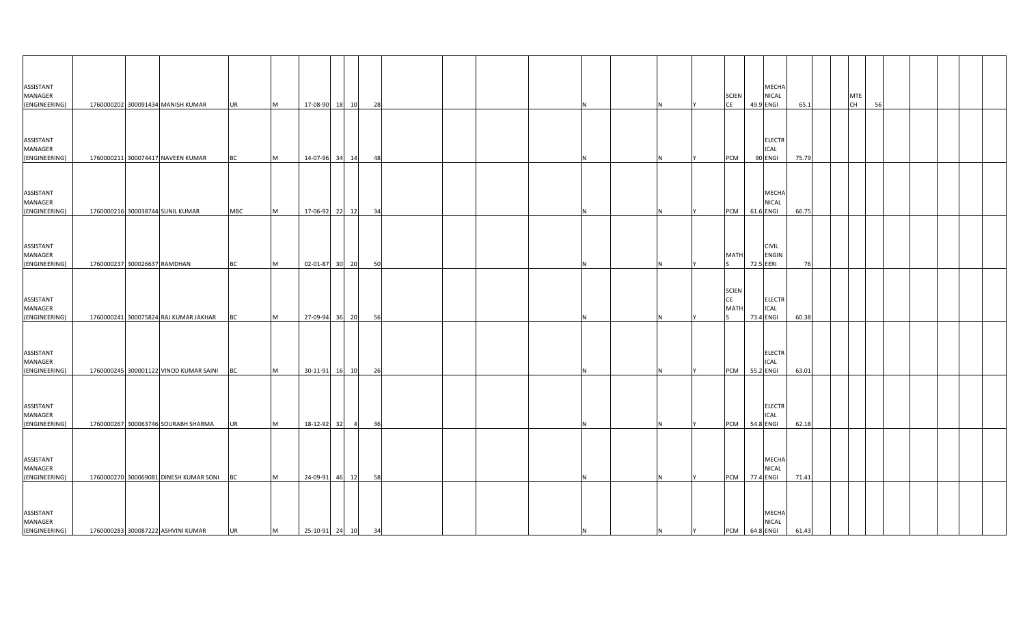| ASSISTANT<br>MANAGER<br>(ENGINEERING) |                              | 1760000202 300091434 MANISH KUMAR      | <b>UR</b>  | M | 17-08-90 18 10          |       |                | 28  |  |    |     |   | <b>SCIEN</b><br><b>CE</b>         | MECHA<br><b>NICAL</b><br>49.9 ENGI        | 65.1  |  | <b>MTE</b><br><b>CH</b> | 56 |  |  |
|---------------------------------------|------------------------------|----------------------------------------|------------|---|-------------------------|-------|----------------|-----|--|----|-----|---|-----------------------------------|-------------------------------------------|-------|--|-------------------------|----|--|--|
| ASSISTANT<br>MANAGER<br>(ENGINEERING) |                              | 1760000211 300074417 NAVEEN KUMAR      | <b>BC</b>  | M | 14-07-96 34 14          |       |                | 481 |  |    |     |   | <b>PCM</b>                        | <b>ELECTR</b><br><b>ICAL</b><br>90 ENGI   | 75.79 |  |                         |    |  |  |
| ASSISTANT<br>MANAGER<br>(ENGINEERING) |                              | 1760000216 300038744 SUNIL KUMAR       | <b>MBC</b> | M | 17-06-92 22 12          |       |                | 34  |  |    |     |   | <b>PCM</b>                        | <b>MECHA</b><br><b>NICAL</b><br>61.6 ENGI | 66.75 |  |                         |    |  |  |
| ASSISTANT<br>MANAGER<br>(ENGINEERING) | 1760000237 300026637 RAMDHAN |                                        | <b>BC</b>  | M | 02-01-87 30 20          |       |                | 50  |  |    |     |   | <b>MATH</b>                       | <b>CIVIL</b><br><b>ENGIN</b><br>72.5 EERI | 76    |  |                         |    |  |  |
| ASSISTANT<br>MANAGER<br>(ENGINEERING) |                              | 1760000241 300075824 RAJ KUMAR JAKHAR  | ВC         | M | 27-09-94 36 20          |       |                | 56  |  |    |     |   | <b>SCIEN</b><br>CE<br><b>MATH</b> | <b>ELECTR</b><br><b>ICAL</b><br>73.4 ENGI | 60.38 |  |                         |    |  |  |
| ASSISTANT<br>MANAGER<br>(ENGINEERING) |                              | 1760000245 300001122 VINOD KUMAR SAINI | BC         | M | 30-11-91 16 10          |       |                | 26  |  |    |     |   | <b>PCM</b>                        | <b>ELECTR</b><br><b>ICAL</b><br>55.2 ENGI | 63.01 |  |                         |    |  |  |
| ASSISTANT<br>MANAGER<br>(ENGINEERING) |                              | 1760000267 300063746 SOURABH SHARMA    | <b>UR</b>  | M |                         |       | $\overline{4}$ | 36  |  |    |     |   | PCM 54.8 ENGI                     | <b>ELECTR</b><br><b>ICAL</b>              | 62.18 |  |                         |    |  |  |
| ASSISTANT<br>MANAGER<br>(ENGINEERING) |                              | 1760000270 300069081 DINESH KUMAR SONI | <b>BC</b>  | M | 18-12-92 32<br>24-09-91 | 46 12 |                | 58  |  |    |     |   | <b>PCM</b>                        | <b>MECHA</b><br><b>NICAL</b><br>77.4 ENGI | 71.41 |  |                         |    |  |  |
| ASSISTANT<br>MANAGER<br>(ENGINEERING) |                              | 1760000283 300087222 ASHVINI KUMAR     | UR         | M | 25-10-91 24 10 34       |       |                |     |  | IN | IN. | Y | PCM 64.8 ENGI                     | <b>MECHA</b><br><b>NICAL</b>              | 61.43 |  |                         |    |  |  |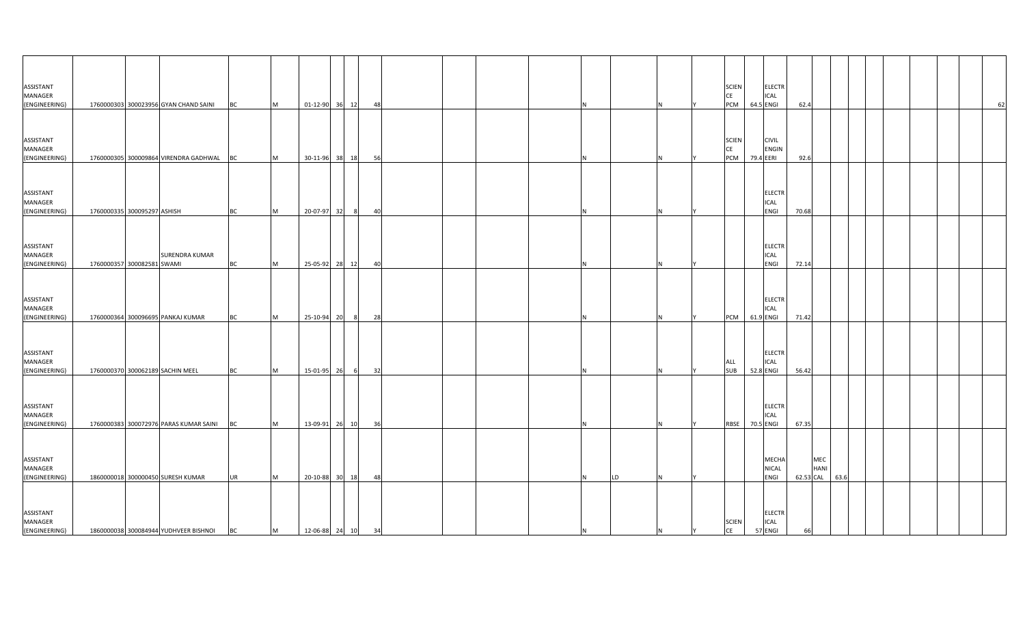| <b>ASSISTANT</b><br>MANAGER                         |                             |                                           |           |   |                   |         |    |  |         |  | <b>SCIEN</b><br>CE        | <b>ELECTR</b><br>ICAL                     |           |                    |      |    |
|-----------------------------------------------------|-----------------------------|-------------------------------------------|-----------|---|-------------------|---------|----|--|---------|--|---------------------------|-------------------------------------------|-----------|--------------------|------|----|
| (ENGINEERING)                                       |                             | 1760000303 300023956 GYAN CHAND SAINI     | <b>BC</b> | M | 01-12-90 36 12    |         | 48 |  |         |  | PCM                       | 64.5 ENGI                                 | 62.4      |                    |      | 62 |
| ASSISTANT<br>MANAGER                                |                             |                                           |           |   |                   |         |    |  |         |  | <b>SCIEN</b><br><b>CE</b> | <b>CIVIL</b><br><b>ENGIN</b>              |           |                    |      |    |
| (ENGINEERING)                                       |                             | 1760000305 300009864 VIRENDRA GADHWAL BC  |           | M | 30-11-96 38 18    |         | 56 |  |         |  | PCM                       | 79.4 EERI                                 | 92.6      |                    |      |    |
| ASSISTANT<br>MANAGER<br>(ENGINEERING)               | 1760000335 300095297 ASHISH |                                           | BC        | M | 20-07-97          | 32<br>8 | 40 |  |         |  |                           | <b>ELECTR</b><br><b>ICAL</b><br>ENGI      | 70.68     |                    |      |    |
| <b>ASSISTANT</b><br><b>MANAGER</b><br>(ENGINEERING) | 1760000357 300082581 SWAMI  | <b>SURENDRA KUMAR</b>                     | <b>BC</b> | M | 25-05-92 28 12    |         | 40 |  | N       |  |                           | <b>ELECTR</b><br>ICAL<br>ENGI             | 72.14     |                    |      |    |
| ASSISTANT<br>MANAGER<br>(ENGINEERING)               |                             | 1760000364 300096695 PANKAJ KUMAR         | ВC        | M | 25-10-94          | 20<br>8 | 28 |  |         |  | PCM                       | <b>ELECTR</b><br><b>ICAL</b><br>61.9 ENGI | 71.42     |                    |      |    |
| ASSISTANT<br>MANAGER<br>(ENGINEERING)               |                             | 1760000370 300062189 SACHIN MEEL          | <b>BC</b> | M | 15-01-95 26       | 6       | 32 |  |         |  | ALL<br><b>SUB</b>         | <b>ELECTR</b><br><b>ICAL</b><br>52.8 ENGI | 56.42     |                    |      |    |
| <b>ASSISTANT</b><br>MANAGER<br>(ENGINEERING)        |                             | 1760000383 300072976 PARAS KUMAR SAINI BC |           | M | 13-09-91 26 10    |         | 36 |  |         |  | <b>RBSE</b>               | <b>ELECTR</b><br>ICAL<br>70.5 ENGI        | 67.35     |                    |      |    |
| ASSISTANT<br><b>MANAGER</b><br>(ENGINEERING)        |                             | 1860000018 300000450 SURESH KUMAR         | <b>UR</b> | M | 20-10-88 30 18    |         | 48 |  | LD<br>N |  |                           | MECHA<br>NICAL<br>ENGI                    | 62.53 CAL | MEC<br><b>HANI</b> | 63.6 |    |
| ASSISTANT<br><b>MANAGER</b><br>(ENGINEERING)        |                             | 1860000038 300084944 YUDHVEER BISHNOI     | <b>BC</b> | M | 12-06-88 24 10 34 |         |    |  | IN.     |  | <b>SCIEN</b><br>CE        | ELECTR<br><b>ICAL</b><br>57 ENGI          | 66        |                    |      |    |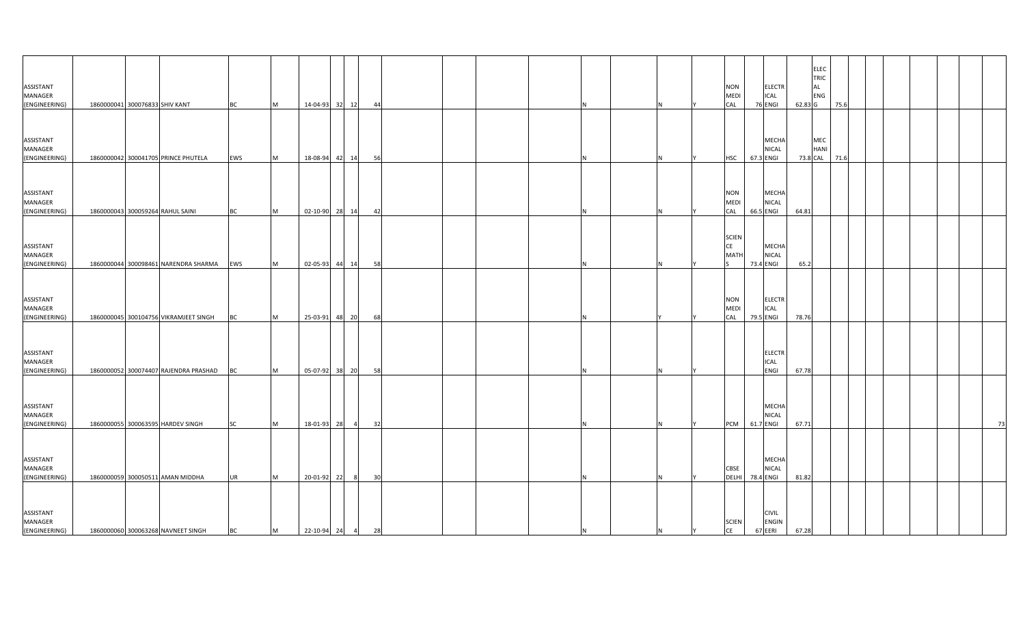| ASSISTANT<br>MANAGER<br>(ENGINEERING)                  | 1860000041 300076833 SHIV KANT |                                       | <b>BC</b>              | M         |                                 | 14-04-93 32 12 | 44 |  |  |  |    | <b>NON</b><br><b>MEDI</b><br>CAL  | 76 ENGI   | <b>ELECTR</b><br><b>ICAL</b>  | 62.83 G  | <b>ELEC</b><br>TRIC<br>AL<br>ENG | 75.6 |  |  |    |
|--------------------------------------------------------|--------------------------------|---------------------------------------|------------------------|-----------|---------------------------------|----------------|----|--|--|--|----|-----------------------------------|-----------|-------------------------------|----------|----------------------------------|------|--|--|----|
| ASSISTANT<br>MANAGER<br>(ENGINEERING)                  |                                | 1860000042 300041705 PRINCE PHUTELA   | EWS                    | M         |                                 | 18-08-94 42 14 | 56 |  |  |  |    | <b>HSC</b>                        | 67.3 ENGI | <b>MECHA</b><br><b>NICAL</b>  | 73.8 CAL | MEC<br>HANI                      | 71.6 |  |  |    |
| ASSISTANT<br>MANAGER<br>(ENGINEERING)                  |                                | 1860000043 300059264 RAHUL SAINI      | <b>BC</b>              | M         |                                 | 02-10-90 28 14 | 42 |  |  |  |    | <b>NON</b><br><b>MEDI</b><br>CAL  | 66.5 ENGI | <b>MECHA</b><br><b>NICAL</b>  | 64.81    |                                  |      |  |  |    |
| ASSISTANT<br>MANAGER<br>(ENGINEERING)                  |                                | 1860000044 300098461 NARENDRA SHARMA  | EWS                    | M         |                                 | 02-05-93 44 14 | 58 |  |  |  |    | <b>SCIEN</b><br>CE<br><b>MATH</b> | 73.4 ENGI | <b>MECHA</b><br><b>NICAL</b>  | 65.2     |                                  |      |  |  |    |
| ASSISTANT<br>MANAGER<br>(ENGINEERING)                  |                                | 1860000045 300104756 VIKRAMJEET SINGH | <b>BC</b>              | M         |                                 | 25-03-91 48 20 | 68 |  |  |  |    | <b>NON</b><br><b>MEDI</b><br>CAL  | 79.5 ENGI | <b>ELECTR</b><br><b>ICAL</b>  | 78.76    |                                  |      |  |  |    |
| ASSISTANT<br>MANAGER<br>(ENGINEERING)                  |                                | 1860000052 300074407 RAJENDRA PRASHAD | <b>BC</b>              | <b>IM</b> |                                 | 05-07-92 38 20 | 58 |  |  |  |    |                                   |           | <b>ELECTR</b><br>ICAL<br>ENGI | 67.78    |                                  |      |  |  |    |
| <b>ASSISTANT</b><br>MANAGER<br>(ENGINEERING)           |                                | 1860000055 300063595 HARDEV SINGH     | <b>SC</b>              | <b>IM</b> | 18-01-93 28                     | $\overline{4}$ | 32 |  |  |  |    | PCM                               | 61.7 ENGI | MECHA<br><b>NICAL</b>         | 67.71    |                                  |      |  |  | 73 |
| ASSISTANT<br>MANAGER                                   |                                | 1860000059 300050511 AMAN MIDDHA      |                        | <b>IM</b> |                                 | - 8            |    |  |  |  |    | CBSE<br>DELHI                     | 78.4 ENGI | MECHA<br><b>NICAL</b>         | 81.82    |                                  |      |  |  |    |
| (ENGINEERING)<br>ASSISTANT<br>MANAGER<br>(ENGINEERING) |                                | 1860000060 300063268 NAVNEET SINGH    | <b>UR</b><br><b>BC</b> | M         | 20-01-92 22<br>22-10-94 24 4 28 |                | 30 |  |  |  | IY | <b>SCIEN</b><br>CE                | 67 EERI   | <b>CIVIL</b><br>ENGIN         | 67.28    |                                  |      |  |  |    |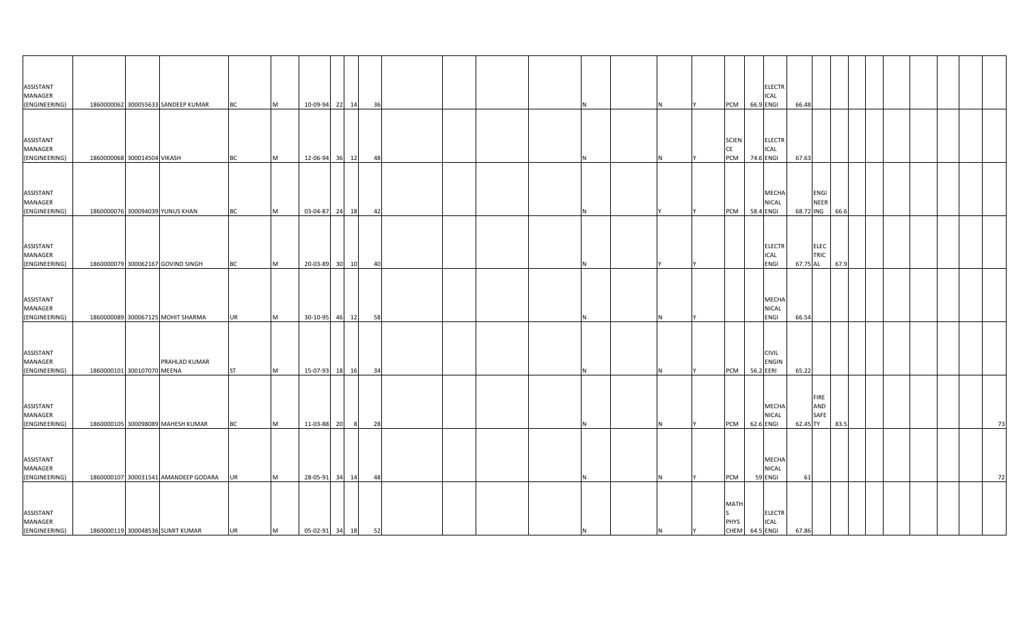| ASSISTANT<br>MANAGER                         |                             |                                      |           |           |                   |                |    |  |    |  |  |                                              |           | <b>ELECTR</b><br><b>ICAL</b>  |           |                     |      |  |  |    |
|----------------------------------------------|-----------------------------|--------------------------------------|-----------|-----------|-------------------|----------------|----|--|----|--|--|----------------------------------------------|-----------|-------------------------------|-----------|---------------------|------|--|--|----|
| (ENGINEERING)                                |                             | 1860000062 300055633 SANDEEP KUMAR   | <b>BC</b> | M         |                   | 10-09-94 22 14 | 36 |  |    |  |  | PCM                                          | 66.9 ENGI |                               | 66.48     |                     |      |  |  |    |
| ASSISTANT<br>MANAGER                         |                             |                                      |           |           |                   |                |    |  |    |  |  | <b>SCIEN</b><br>CE                           |           | <b>ELECTR</b><br><b>ICAL</b>  |           |                     |      |  |  |    |
| (ENGINEERING)                                | 1860000068 300014504 VIKASH |                                      | <b>BC</b> | <b>M</b>  |                   | 12-06-94 36 12 | 48 |  |    |  |  | <b>PCM</b>                                   | 74.6 ENGI |                               | 67.63     |                     |      |  |  |    |
| ASSISTANT<br>MANAGER<br>(ENGINEERING)        |                             | 1860000076 300094039 YUNUS KHAN      | BC        | M         |                   | 03-04-87 24 18 | 42 |  |    |  |  | <b>PCM</b>                                   | 58.4 ENGI | MECHA<br><b>NICAL</b>         | 68.72 ING | <b>ENGI</b><br>NEER | 66.6 |  |  |    |
| ASSISTANT<br>MANAGER<br>(ENGINEERING)        |                             | 1860000079 300062167 GOVIND SINGH    | <b>BC</b> | M         |                   | 20-03-89 30 10 | 40 |  |    |  |  |                                              |           | <b>ELECTR</b><br>ICAL<br>ENGI | 67.75 AL  | ELEC<br>TRIC        | 67.9 |  |  |    |
| ASSISTANT<br>MANAGER<br>(ENGINEERING)        |                             | 1860000089 300067125 MOHIT SHARMA    | <b>UR</b> | <b>M</b>  |                   | 30-10-95 46 12 | 58 |  |    |  |  |                                              |           | MECHA<br><b>NICAL</b><br>ENGI | 66.54     |                     |      |  |  |    |
| ASSISTANT<br><b>MANAGER</b><br>(ENGINEERING) | 1860000101 300107070 MEENA  | PRAHLAD KUMAR                        | <b>ST</b> | <b>IM</b> |                   | 15-07-93 18 16 | 34 |  |    |  |  | <b>PCM</b>                                   | 56.2 EERI | <b>CIVIL</b><br><b>ENGIN</b>  | 65.22     |                     |      |  |  |    |
| ASSISTANT<br>MANAGER<br>(ENGINEERING)        |                             | 1860000105 300098089 MAHESH KUMAR    | <b>BC</b> | <b>M</b>  | 11-03-88 20       | 8              | 28 |  |    |  |  | PCM                                          | 62.6 ENGI | MECHA<br><b>NICAL</b>         | 62.45 TY  | FIRE<br>AND<br>SAFE | 83.5 |  |  | 73 |
| ASSISTANT<br>MANAGER<br>(ENGINEERING)        |                             | 1860000107 300031541 AMANDEEP GODARA | <b>UR</b> | M         |                   | 28-05-91 34 14 | 48 |  |    |  |  | PCM                                          | 59 ENGI   | MECHA<br><b>NICAL</b>         | 61        |                     |      |  |  | 72 |
| ASSISTANT<br>MANAGER<br>(ENGINEERING)        |                             | 1860000119 300048536 SUMIT KUMAR     | <b>UR</b> | M         | 05-02-91 34 18 52 |                |    |  | ΙN |  |  | <b>MATH</b><br><b>PHYS</b><br>CHEM 64.5 ENGI |           | <b>ELECTR</b><br><b>ICAL</b>  | 67.86     |                     |      |  |  |    |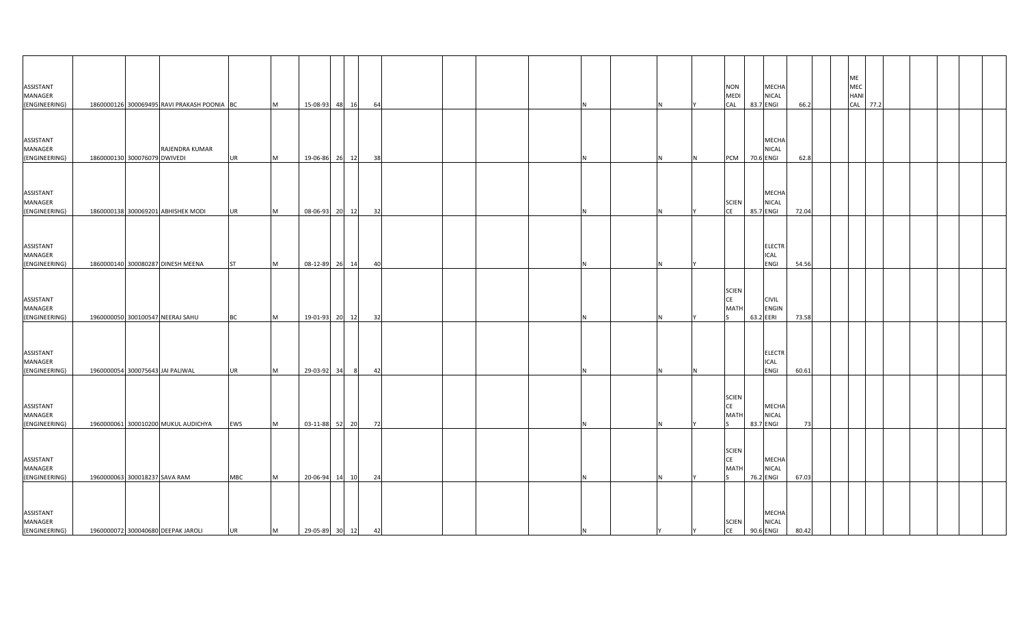| ASSISTANT<br>MANAGER<br>(ENGINEERING) |                               | 1860000126 300069495 RAVI PRAKASH POONIA BC |            | M        | 15-08-93          | 48 16 |                | 64 |  |    |  |          | <b>NON</b><br><b>MEDI</b><br>CAL         | MECHA<br><b>NICAL</b><br>83.7 ENGI          | 66.2  |  | ME<br>MEC<br>HANI<br>CAL<br>77.2 |  |  |  |
|---------------------------------------|-------------------------------|---------------------------------------------|------------|----------|-------------------|-------|----------------|----|--|----|--|----------|------------------------------------------|---------------------------------------------|-------|--|----------------------------------|--|--|--|
| ASSISTANT<br>MANAGER<br>(ENGINEERING) | 1860000130 300076079 DWIVEDI  | RAJENDRA KUMAR                              | <b>UR</b>  | M        | 19-06-86 26 12    |       |                | 38 |  |    |  | N        | <b>PCM</b>                               | <b>MECHA</b><br><b>NICAL</b><br>70.6 ENGI   | 62.8  |  |                                  |  |  |  |
| ASSISTANT<br>MANAGER<br>(ENGINEERING) |                               | 1860000138 300069201 ABHISHEK MODI          | <b>UR</b>  | M        | 08-06-93 20 12    |       |                | 32 |  |    |  |          | <b>SCIEN</b><br><b>CE</b>                | MECHA<br><b>NICAL</b><br>85.7 ENGI          | 72.04 |  |                                  |  |  |  |
| ASSISTANT<br>MANAGER<br>(ENGINEERING) |                               | 1860000140 300080287 DINESH MEENA           | <b>ST</b>  | M        | 08-12-89 26 14    |       |                | 40 |  |    |  |          |                                          | <b>ELECTR</b><br><b>ICAL</b><br><b>ENGI</b> | 54.56 |  |                                  |  |  |  |
| ASSISTANT<br>MANAGER<br>(ENGINEERING) |                               | 1960000050 300100547 NEERAJ SAHU            | BC         | M        | 19-01-93 20 12    |       |                | 32 |  |    |  |          | <b>SCIEN</b><br>CE<br><b>MATH</b>        | <b>CIVIL</b><br><b>ENGIN</b><br>63.2 EERI   | 73.58 |  |                                  |  |  |  |
| ASSISTANT<br>MANAGER<br>(ENGINEERING) |                               | 1960000054 300075643 JAI PALIWAL            | <b>UR</b>  | M        | 29-03-92          | 34    | 8 <sup>8</sup> | 42 |  |    |  | <b>N</b> |                                          | <b>ELECTR</b><br><b>ICAL</b><br>ENGI        | 60.61 |  |                                  |  |  |  |
| ASSISTANT<br>MANAGER<br>(ENGINEERING) |                               | 1960000061 300010200 MUKUL AUDICHYA         | EWS        | <b>M</b> | 03-11-88 52 20    |       |                | 72 |  |    |  |          | <b>SCIEN</b><br><b>CE</b><br><b>MATH</b> | MECHA<br><b>NICAL</b><br>83.7 ENGI          | 73    |  |                                  |  |  |  |
| ASSISTANT<br>MANAGER<br>(ENGINEERING) | 1960000063 300018237 SAVA RAM |                                             | <b>MBC</b> | M        | 20-06-94          | 14    | 10             | 24 |  |    |  |          | <b>SCIEN</b><br><b>CE</b><br><b>MATH</b> | <b>MECHA</b><br><b>NICAL</b><br>76.2 ENGI   | 67.03 |  |                                  |  |  |  |
| ASSISTANT<br>MANAGER<br>(ENGINEERING) |                               | 1960000072 300040680 DEEPAK JAROLI          | <b>UR</b>  | M        | 29-05-89 30 12 42 |       |                |    |  | IN |  | <b>Y</b> | <b>SCIEN</b><br>CE                       | <b>MECHA</b><br><b>NICAL</b><br>90.6 ENGI   | 80.42 |  |                                  |  |  |  |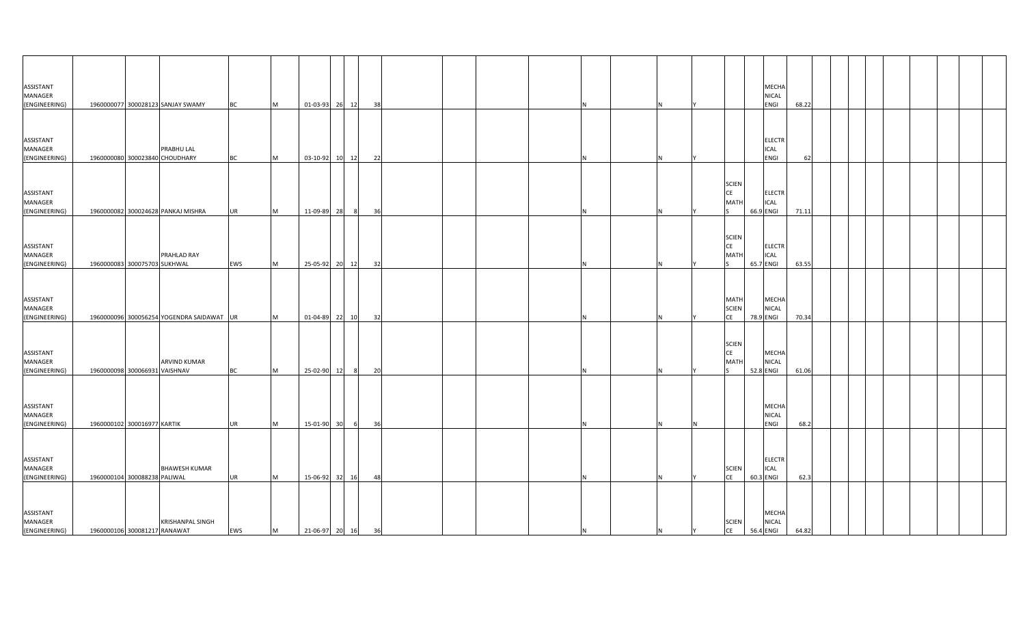| <b>ASSISTANT</b>                             |                               |                                           |           |   |                   |                |    |  |  |     |  |                                          | MECHA                                     |       |  |  |  |  |
|----------------------------------------------|-------------------------------|-------------------------------------------|-----------|---|-------------------|----------------|----|--|--|-----|--|------------------------------------------|-------------------------------------------|-------|--|--|--|--|
| MANAGER                                      |                               |                                           |           |   |                   |                |    |  |  |     |  |                                          | NICAL                                     |       |  |  |  |  |
| (ENGINEERING)                                |                               | 1960000077 300028123 SANJAY SWAMY         | <b>BC</b> | M | 01-03-93 26 12    |                | 38 |  |  | N   |  |                                          | ENGI                                      | 68.22 |  |  |  |  |
|                                              |                               |                                           |           |   |                   |                |    |  |  |     |  |                                          |                                           |       |  |  |  |  |
| ASSISTANT<br>MANAGER                         |                               | PRABHU LAL                                |           |   |                   |                |    |  |  |     |  |                                          | <b>ELECTR</b>                             |       |  |  |  |  |
|                                              |                               | 1960000080 300023840 CHOUDHARY            | <b>BC</b> | M | 03-10-92 10 12    |                | 22 |  |  |     |  |                                          | ICAL<br>ENGI                              | 62    |  |  |  |  |
| (ENGINEERING)                                |                               |                                           |           |   |                   |                |    |  |  |     |  |                                          |                                           |       |  |  |  |  |
| ASSISTANT<br>MANAGER                         |                               |                                           |           |   |                   |                |    |  |  |     |  | <b>SCIEN</b><br><b>CE</b><br><b>MATH</b> | <b>ELECTR</b><br>ICAL                     |       |  |  |  |  |
| (ENGINEERING)                                |                               | 1960000082 300024628 PANKAJ MISHRA        | <b>UR</b> | M | 11-09-89 28       | 8 <sup>8</sup> | 36 |  |  |     |  |                                          | 66.9 ENGI                                 | 71.11 |  |  |  |  |
| <b>ASSISTANT</b><br>MANAGER<br>(ENGINEERING) | 1960000083 300075703 SUKHWAL  | PRAHLAD RAY                               | EWS       | M | 25-05-92 20 12    |                | 32 |  |  | N   |  | <b>SCIEN</b><br>CE<br><b>MATH</b>        | ELECTR<br>ICAL<br>65.7 ENGI               | 63.55 |  |  |  |  |
| ASSISTANT<br>MANAGER<br>(ENGINEERING)        |                               | 1960000096 300056254 YOGENDRA SAIDAWAT UR |           | M | 01-04-89 22 10    |                | 32 |  |  |     |  | MATH<br><b>SCIEN</b><br>CE               | MECHA<br>NICAL<br>78.9 ENGI               | 70.34 |  |  |  |  |
| ASSISTANT<br>MANAGER<br>(ENGINEERING)        | 1960000098 300066931 VAISHNAV | <b>ARVIND KUMAR</b>                       | <b>BC</b> | M | 25-02-90 12       | 8 <sup>8</sup> | 20 |  |  |     |  | <b>SCIEN</b><br><b>CE</b><br><b>MATH</b> | <b>MECHA</b><br><b>NICAL</b><br>52.8 ENGI | 61.06 |  |  |  |  |
| ASSISTANT<br>MANAGER<br>(ENGINEERING)        | 1960000102 300016977 KARTIK   |                                           | <b>UR</b> | M | 15-01-90 30       | 6              | 36 |  |  | N   |  |                                          | MECHA<br><b>NICAL</b><br>ENGI             | 68.2  |  |  |  |  |
| <b>ASSISTANT</b><br>MANAGER<br>(ENGINEERING) | 1960000104 300088238 PALIWAL  | <b>BHAWESH KUMAR</b>                      | <b>UR</b> | M | 15-06-92 32 16    |                | 48 |  |  | N.  |  | <b>SCIEN</b><br><b>CE</b>                | <b>ELECTR</b><br>ICAL<br>60.3 ENGI        | 62.3  |  |  |  |  |
| ASSISTANT<br><b>MANAGER</b><br>(ENGINEERING) | 1960000106 300081217 RANAWAT  | <b>KRISHANPAL SINGH</b>                   | EWS       | M | 21-06-97 20 16 36 |                |    |  |  | IN. |  | <b>SCIEN</b><br>CE                       | MECHA<br><b>NICAL</b><br>56.4 ENGI        | 64.82 |  |  |  |  |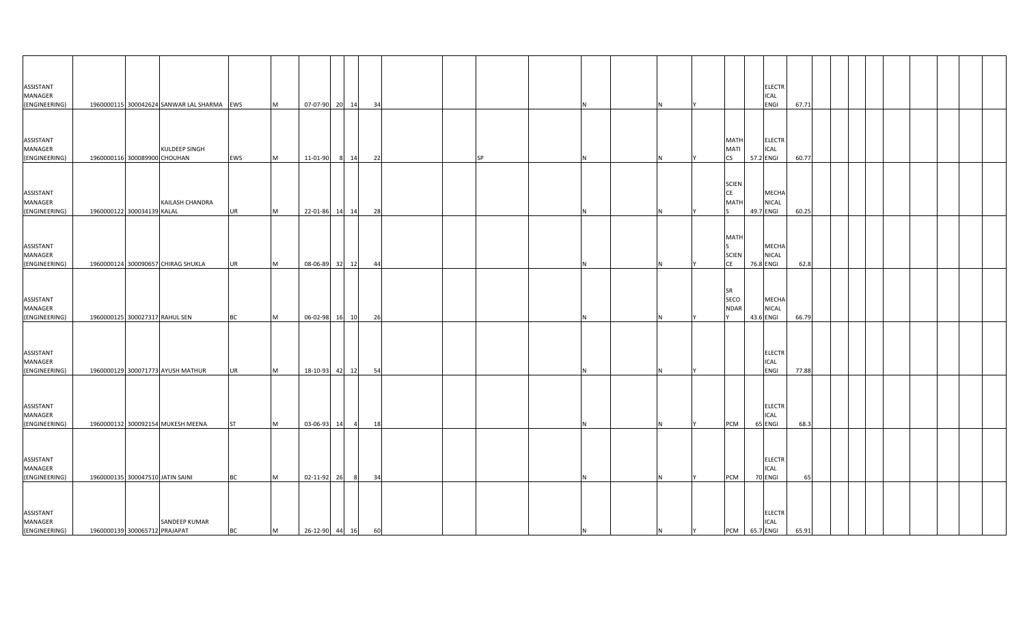| ASSISTANT                             |                                  |                                                                    |           |           |                |                |    |  |           |    |   |   |                                          | <b>ELECTR</b>                               |       |      |  |  |  |  |
|---------------------------------------|----------------------------------|--------------------------------------------------------------------|-----------|-----------|----------------|----------------|----|--|-----------|----|---|---|------------------------------------------|---------------------------------------------|-------|------|--|--|--|--|
| MANAGER                               |                                  |                                                                    |           |           |                |                |    |  |           |    |   |   |                                          | <b>ICAL</b>                                 |       |      |  |  |  |  |
| (ENGINEERING)<br>ASSISTANT<br>MANAGER |                                  | 1960000115 300042624 SANWAR LAL SHARMA EWS<br><b>KULDEEP SINGH</b> |           | M         |                | 07-07-90 20 14 | 34 |  |           |    |   |   | <b>MATH</b><br><b>MATI</b>               | <b>ENGI</b><br><b>ELECTR</b><br><b>ICAL</b> | 67.71 |      |  |  |  |  |
| (ENGINEERING)                         | 1960000116 300089900 CHOUHAN     |                                                                    | EWS       | <b>M</b>  | 11-01-90       | 8 14           | 22 |  | <b>SP</b> |    |   |   | <b>CS</b>                                | 57.2 ENGI                                   | 60.77 |      |  |  |  |  |
| ASSISTANT<br>MANAGER<br>(ENGINEERING) | 1960000122 300034139 KALAL       | KAILASH CHANDRA                                                    | <b>UR</b> | M         |                | 22-01-86 14 14 | 28 |  |           |    |   |   | <b>SCIEN</b><br><b>CE</b><br><b>MATH</b> | MECHA<br><b>NICAL</b><br>49.7 ENGI          | 60.25 |      |  |  |  |  |
| ASSISTANT<br>MANAGER<br>(ENGINEERING) |                                  | 1960000124 300090657 CHIRAG SHUKLA                                 | <b>UR</b> | M         |                | 08-06-89 32 12 | 44 |  |           |    |   |   | <b>MATH</b><br><b>SCIEN</b><br>CE        | MECHA<br><b>NICAL</b><br>76.8 ENGI          |       | 62.8 |  |  |  |  |
| ASSISTANT<br>MANAGER<br>(ENGINEERING) | 1960000125 300027317 RAHUL SEN   |                                                                    | <b>BC</b> | <b>IM</b> |                | 06-02-98 16 10 | 26 |  |           |    |   |   | <b>SR</b><br>SECO<br><b>NDAR</b>         | MECHA<br><b>NICAL</b><br>43.6 ENGI          | 66.79 |      |  |  |  |  |
| ASSISTANT<br>MANAGER<br>(ENGINEERING) |                                  | 1960000129 300071773 AYUSH MATHUR                                  | <b>UR</b> | <b>IM</b> |                | 18-10-93 42 12 | 54 |  |           |    |   |   |                                          | <b>ELECTR</b><br>ICAL<br><b>ENGI</b>        | 77.88 |      |  |  |  |  |
| ASSISTANT<br>MANAGER<br>(ENGINEERING) |                                  | 1960000132 300092154 MUKESH MEENA                                  | <b>ST</b> | <b>IM</b> | 03-06-93 14    | $\overline{4}$ | 18 |  |           |    |   |   | PCM                                      | <b>ELECTR</b><br><b>ICAL</b><br>65 ENGI     | 68.3  |      |  |  |  |  |
| ASSISTANT<br>MANAGER<br>(ENGINEERING) | 1960000135 300047510 JATIN SAINI |                                                                    | <b>BC</b> | <b>IM</b> | 02-11-92 26    | - 8            | 34 |  |           |    |   |   | PCM                                      | <b>ELECTR</b><br><b>ICAL</b><br>70 ENGI     |       | 65   |  |  |  |  |
| ASSISTANT<br>MANAGER<br>(ENGINEERING) | 1960000139 300065712 PRAJAPAT    | SANDEEP KUMAR                                                      | <b>BC</b> | M         | 26-12-90 44 16 |                | 60 |  |           | ΙN | N | Y | PCM 65.7 ENGI                            | <b>ELECTR</b><br><b>ICAL</b>                | 65.91 |      |  |  |  |  |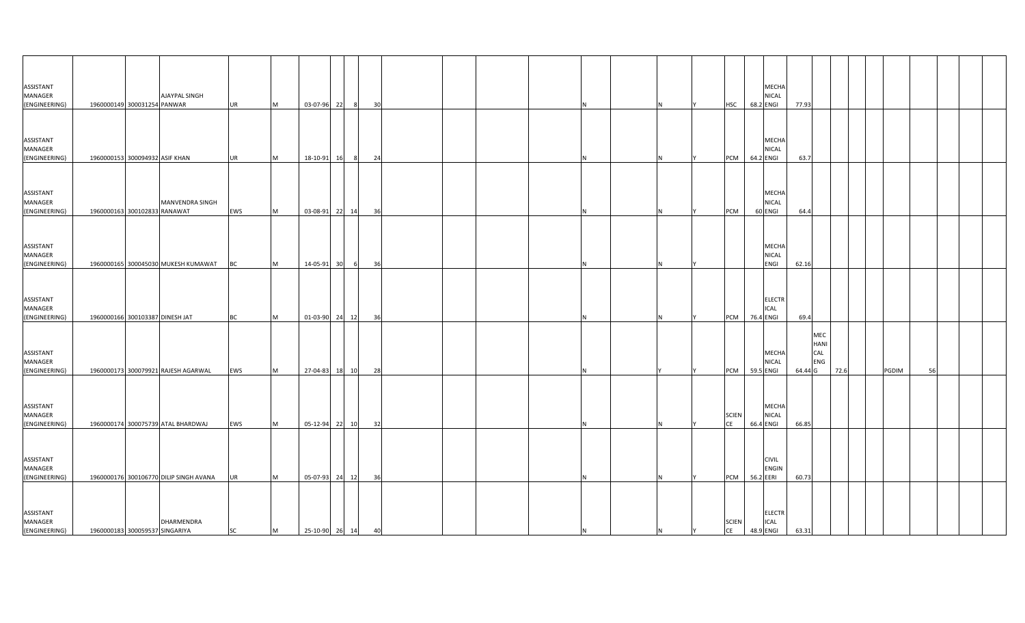| ASSISTANT<br>MANAGER<br>(ENGINEERING) | 1960000149 300031254 PANWAR     | <b>AJAYPAL SINGH</b>                   | <b>UR</b> | <b>M</b>  | 03-07-96 22    | 8<br>30 <sup>1</sup> |    |   | <b>HSC</b>                | MECHA<br><b>NICAL</b><br>68.2 ENGI<br>77.93        |                                             |      |       |    |  |
|---------------------------------------|---------------------------------|----------------------------------------|-----------|-----------|----------------|----------------------|----|---|---------------------------|----------------------------------------------------|---------------------------------------------|------|-------|----|--|
| ASSISTANT<br>MANAGER<br>(ENGINEERING) | 1960000153 300094932 ASIF KHAN  |                                        | <b>UR</b> | M         | 18-10-91 16    | 24<br>8 <sup>8</sup> |    |   | PCM                       | MECHA<br>NICAL<br>64.2 ENGI                        | 63.7                                        |      |       |    |  |
| ASSISTANT<br>MANAGER<br>(ENGINEERING) | 1960000163 300102833 RANAWAT    | MANVENDRA SINGH                        | EWS       | <b>M</b>  | 03-08-91 22 14 | 36                   | N. |   | PCM                       | <b>MECHA</b><br><b>NICAL</b><br>60 ENGI            | 64.4                                        |      |       |    |  |
| ASSISTANT<br>MANAGER<br>(ENGINEERING) |                                 | 1960000165 300045030 MUKESH KUMAWAT    | <b>BC</b> | M         | 14-05-91 30    | 6<br>36              | N  |   |                           | MECHA<br><b>NICAL</b><br>ENGI<br>62.16             |                                             |      |       |    |  |
| ASSISTANT<br>MANAGER<br>(ENGINEERING) | 1960000166 300103387 DINESH JAT |                                        | <b>BC</b> | M         | 01-03-90 24    | 12<br>36             |    |   | PCM                       | <b>ELECTR</b><br><b>ICAL</b><br>76.4 ENGI          | 69.4                                        |      |       |    |  |
| ASSISTANT<br>MANAGER<br>(ENGINEERING) |                                 | 1960000173 300079921 RAJESH AGARWAL    | EWS       | M         | 27-04-83 18 10 | 28                   |    |   | PCM                       | MECHA<br><b>NICAL</b><br>59.5 ENGI                 | MEC<br><b>HANI</b><br>CAL<br>ENG<br>64.44 G | 72.6 | PGDIM | 56 |  |
| ASSISTANT<br>MANAGER<br>(ENGINEERING) |                                 | 1960000174 300075739 ATAL BHARDWAJ     | EWS       | <b>M</b>  | 05-12-94 22 10 | 32                   | N  |   | <b>SCIEN</b><br><b>CE</b> | MECHA<br><b>NICAL</b><br>66.4 ENGI<br>66.85        |                                             |      |       |    |  |
| ASSISTANT<br>MANAGER<br>(ENGINEERING) |                                 | 1960000176 300106770 DILIP SINGH AVANA | <b>UR</b> | <b>IM</b> | 05-07-93 24    | 12<br>36             | N. | N | PCM                       | <b>CIVIL</b><br>ENGIN<br>56.2 EERI<br>60.73        |                                             |      |       |    |  |
| ASSISTANT<br>MANAGER<br>(ENGINEERING) | 1960000183 300059537 SINGARIYA  | DHARMENDRA                             | <b>SC</b> | M         | 25-10-90 26 14 | 40                   |    |   | <b>SCIEN</b><br>CE        | <b>ELECTR</b><br><b>ICAL</b><br>48.9 ENGI<br>63.31 |                                             |      |       |    |  |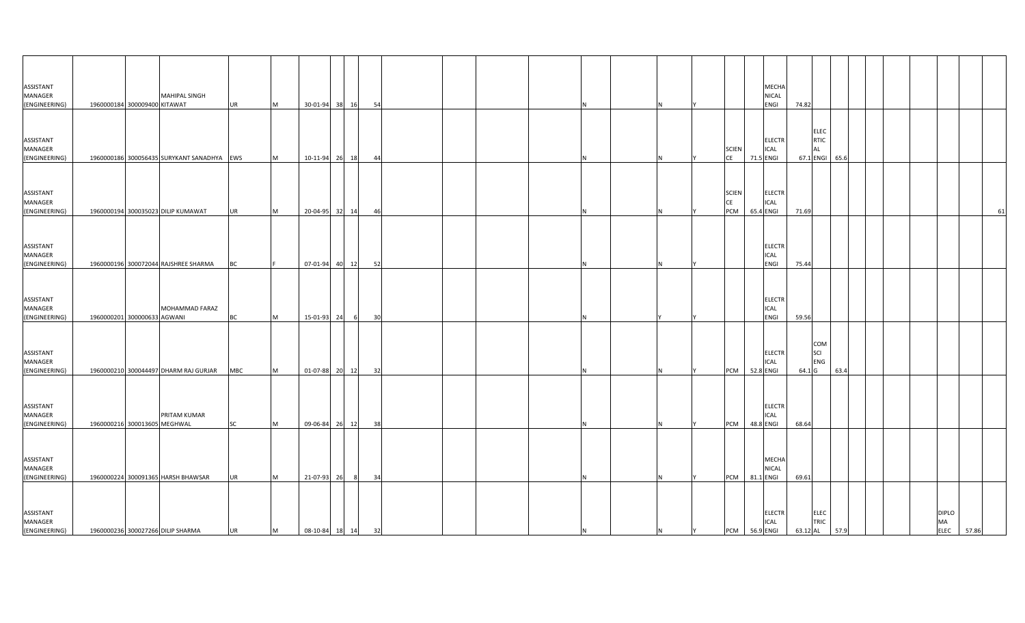| ASSISTANT<br>MANAGER<br>(ENGINEERING)        | 1960000184 300009400 KITAWAT | MAHIPAL SINGH                              | <b>UR</b>  | M         | 30-01-94 38       | 16             | 54 |  |  |   |   |                                  | MECHA<br>NICAL<br>ENGI                          | 74.82 |                                         |                |  |                                          |       |
|----------------------------------------------|------------------------------|--------------------------------------------|------------|-----------|-------------------|----------------|----|--|--|---|---|----------------------------------|-------------------------------------------------|-------|-----------------------------------------|----------------|--|------------------------------------------|-------|
|                                              |                              |                                            |            |           |                   |                |    |  |  |   |   |                                  |                                                 |       |                                         |                |  |                                          |       |
| ASSISTANT<br>MANAGER<br>(ENGINEERING)        |                              | 1960000186 300056435 SURYKANT SANADHYA EWS |            | Iм.       | 10-11-94 26       | 18             | 44 |  |  |   |   | <b>SCIEN</b><br><b>CE</b>        | <b>ELECTR</b><br>ICAL<br>71.5 ENGI              |       | <b>ELEC</b><br><b>RTIC</b><br><b>AL</b> | 67.1 ENGI 65.6 |  |                                          |       |
| ASSISTANT<br>MANAGER<br>(ENGINEERING)        |                              | 1960000194 300035023 DILIP KUMAWAT         | <b>UR</b>  | <b>IM</b> | 20-04-95 32 14    |                | 46 |  |  |   |   | <b>SCIEN</b><br><b>CE</b><br>PCM | <b>ELECTR</b><br>ICAL<br>65.4 ENGI              | 71.69 |                                         |                |  |                                          | 61    |
| ASSISTANT<br>MANAGER<br>(ENGINEERING)        |                              | 1960000196 300072044 RAJSHREE SHARMA       | BC         |           |                   | 07-01-94 40 12 | 52 |  |  |   |   |                                  | ELECTR<br>ICAL<br>ENGI                          | 75.44 |                                         |                |  |                                          |       |
| ASSISTANT<br>MANAGER<br>(ENGINEERING)        | 1960000201 300000633 AGWANI  | MOHAMMAD FARAZ                             | BC         | M         | 15-01-93 24       | - 6            | 30 |  |  |   |   |                                  | <b>ELECTR</b><br>ICAL<br>ENGI                   | 59.56 |                                         |                |  |                                          |       |
| ASSISTANT<br>MANAGER<br>(ENGINEERING)        |                              | 1960000210 300044497 DHARM RAJ GURJAR      | <b>MBC</b> | <b>M</b>  | 01-07-88 20 12    |                | 32 |  |  |   |   | PCM                              | <b>ELECTR</b><br>ICAL<br>52.8 ENGI              |       | COM<br>SCI<br>ENG<br>64.1 G             | 63.4           |  |                                          |       |
| <b>ASSISTANT</b><br>MANAGER<br>(ENGINEERING) | 1960000216 300013605 MEGHWAL | PRITAM KUMAR                               | <b>SC</b>  | <b>M</b>  | 09-06-84 26 12    |                | 38 |  |  |   |   | PCM                              | <b>ELECTR</b><br>ICAL<br>48.8 ENGI              | 68.64 |                                         |                |  |                                          |       |
| ASSISTANT<br>MANAGER<br>(ENGINEERING)        |                              | 1960000224 300091365 HARSH BHAWSAR         | <b>UR</b>  | <b>M</b>  | 21-07-93 26       | $_{8}$         | 34 |  |  |   |   | PCM                              | MECHA<br>NICAL<br>81.1 ENGI                     | 69.61 |                                         |                |  |                                          |       |
| ASSISTANT<br>MANAGER<br>(ENGINEERING)        |                              | 1960000236 300027266 DILIP SHARMA          | <b>UR</b>  | M         | 08-10-84 18 14 32 |                |    |  |  | N | N | Y                                | <b>ELECTR</b><br>ICAL<br>PCM 56.9 ENGI 63.12 AL |       | <b>ELEC</b><br>TRIC                     | 57.9           |  | <b>DIPLO</b><br><b>MA</b><br><b>ELEC</b> | 57.86 |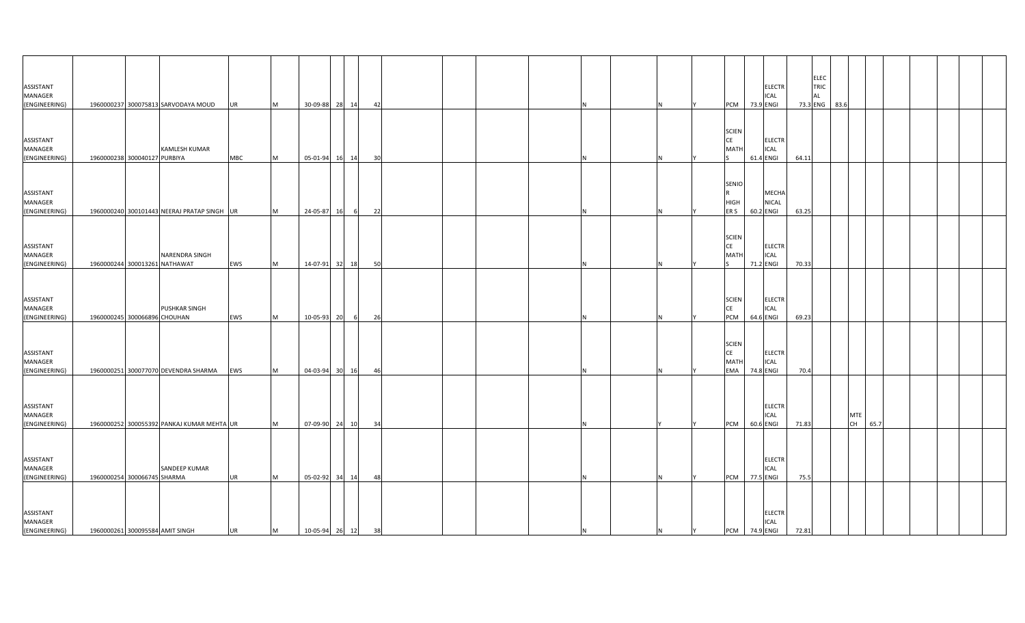| <b>ASSISTANT</b><br>MANAGER                  |                              |                                                 |            |   |                   |         |    |  |  |     |   |   |                                                 | <b>ELECTR</b><br><b>ICAL</b>              |       | <b>ELEC</b><br><b>TRIC</b><br><b>AL</b> |                            |  |  |
|----------------------------------------------|------------------------------|-------------------------------------------------|------------|---|-------------------|---------|----|--|--|-----|---|---|-------------------------------------------------|-------------------------------------------|-------|-----------------------------------------|----------------------------|--|--|
| (ENGINEERING)                                |                              | 1960000237 300075813 SARVODAYA MOUD             | UR         | M | 30-09-88 28 14    |         | 42 |  |  |     |   |   | PCM 73.9 ENGI                                   |                                           |       | 73.3 ENG 83.6                           |                            |  |  |
| <b>ASSISTANT</b><br>MANAGER                  |                              | <b>KAMLESH KUMAR</b>                            |            |   |                   |         |    |  |  |     |   |   | <b>SCIEN</b><br><b>CE</b><br><b>MATH</b>        | <b>ELECTR</b><br>ICAL                     |       |                                         |                            |  |  |
| (ENGINEERING)                                | 1960000238 300040127 PURBIYA |                                                 | <b>MBC</b> | M | 05-01-94          | 16 14   | 30 |  |  |     |   |   |                                                 | 61.4 ENGI                                 | 64.11 |                                         |                            |  |  |
| ASSISTANT<br><b>MANAGER</b><br>(ENGINEERING) |                              | 1960000240 300101443 NEERAJ PRATAP SINGH UR     |            | M | 24-05-87          | 16<br>6 | 22 |  |  |     |   |   | SENIO<br><b>HIGH</b><br>ER S                    | <b>MECHA</b><br>NICAL<br>60.2 ENGI        | 63.25 |                                         |                            |  |  |
| <b>ASSISTANT</b><br>MANAGER<br>(ENGINEERING) |                              | NARENDRA SINGH<br>1960000244 300013261 NATHAWAT | EWS        | M | 14-07-91 32 18    |         | 50 |  |  | N   |   |   | <b>SCIEN</b><br>CE<br><b>MATH</b>               | <b>ELECTR</b><br>ICAL<br>71.2 ENGI        | 70.33 |                                         |                            |  |  |
| ASSISTANT<br>MANAGER<br>(ENGINEERING)        | 1960000245 300066896 CHOUHAN | PUSHKAR SINGH                                   | EWS        | м | 10-05-93          | 20<br>6 | 26 |  |  |     |   |   | <b>SCIEN</b><br>CE<br>PCM                       | <b>ELECTR</b><br>ICAL<br>64.6 ENGI        | 69.23 |                                         |                            |  |  |
| ASSISTANT<br><b>MANAGER</b><br>(ENGINEERING) |                              | 1960000251 300077070 DEVENDRA SHARMA            | EWS        | M | 04-03-94 30 16    |         | 46 |  |  |     |   |   | <b>SCIEN</b><br><b>CE</b><br><b>MATH</b><br>EMA | <b>ELECTR</b><br><b>ICAL</b><br>74.8 ENGI | 70.4  |                                         |                            |  |  |
| <b>ASSISTANT</b><br>MANAGER<br>(ENGINEERING) |                              | 1960000252 300055392 PANKAJ KUMAR MEHTA UR      |            | M | 07-09-90 24 10    |         | 34 |  |  | N   |   |   | PCM                                             | ELECTR<br><b>ICAL</b><br>60.6 ENGI        | 71.83 |                                         | <b>MTE</b><br>CH  <br>65.7 |  |  |
| <b>ASSISTANT</b><br>MANAGER<br>(ENGINEERING) | 1960000254 300066745 SHARMA  | SANDEEP KUMAR                                   | <b>UR</b>  | M | 05-02-92 34 14    |         | 48 |  |  | N.  |   |   | PCM 77.5 ENGI                                   | <b>ELECTR</b><br>ICAL                     | 75.5  |                                         |                            |  |  |
| ASSISTANT<br><b>MANAGER</b><br>(ENGINEERING) |                              | 1960000261 300095584 AMIT SINGH                 | UR         | M | 10-05-94 26 12 38 |         |    |  |  | IN. | N | Y | PCM 74.9 ENGI                                   | <b>ELECTR</b><br>ICAL                     | 72.81 |                                         |                            |  |  |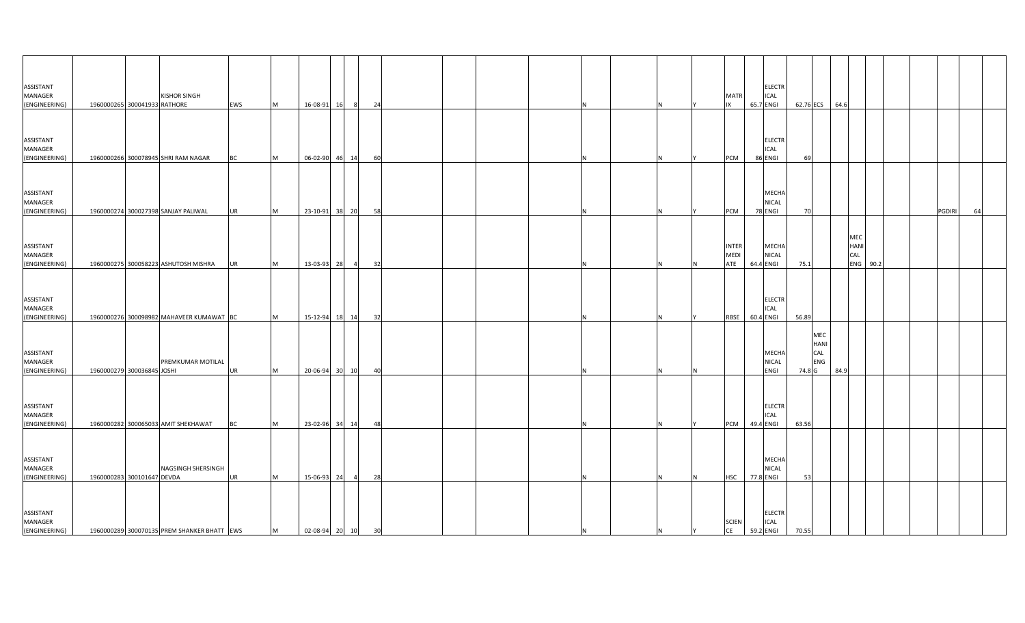| ASSISTANT<br><b>MANAGER</b><br>(ENGINEERING) | <b>KISHOR SINGH</b><br>1960000265 300041933 RATHORE | EWS       | M         | 16-08-91 16       | 8 <sup>8</sup> | 24 |          |    | <b>ELECTR</b><br><b>MATR</b><br>ICAL<br>65.7 ENGI<br>IX                  |       |                                             | 62.76 ECS 64.6 |                                |  |        |    |
|----------------------------------------------|-----------------------------------------------------|-----------|-----------|-------------------|----------------|----|----------|----|--------------------------------------------------------------------------|-------|---------------------------------------------|----------------|--------------------------------|--|--------|----|
|                                              |                                                     |           |           |                   |                |    |          |    |                                                                          |       |                                             |                |                                |  |        |    |
| ASSISTANT<br>MANAGER<br>(ENGINEERING)        | 1960000266 300078945 SHRI RAM NAGAR                 | <b>BC</b> | M         | 06-02-90 46       | 14             | 60 |          |    | <b>ELECTR</b><br>ICAL<br>86 ENGI<br>PCM                                  | 69    |                                             |                |                                |  |        |    |
| ASSISTANT                                    |                                                     |           |           |                   |                |    |          |    | MECHA                                                                    |       |                                             |                |                                |  |        |    |
| MANAGER<br>(ENGINEERING)                     | 1960000274 300027398 SANJAY PALIWAL                 | <b>UR</b> | M         | 23-10-91 38 20    |                | 58 |          | N  | <b>NICAL</b><br>PCM<br>78 ENGI                                           | 70    |                                             |                |                                |  | PGDIRI | 64 |
| ASSISTANT<br>MANAGER<br>(ENGINEERING)        | 1960000275 300058223 ASHUTOSH MISHRA                | UR        | M         | 13-03-93 28       | $\overline{4}$ | 32 | N        | N  | <b>INTER</b><br>MECHA<br><b>MEDI</b><br><b>NICAL</b><br>ATE<br>64.4 ENGI | 75.1  |                                             |                | MEC<br>HANI<br>CAL<br>ENG 90.2 |  |        |    |
| ASSISTANT<br>MANAGER<br>(ENGINEERING)        | 1960000276 300098982 MAHAVEER KUMAWAT BC            |           | <b>IM</b> | 15-12-94 18       | 14             | 32 |          |    | <b>ELECTR</b><br>ICAL<br>60.4 ENGI<br>RBSE                               | 56.89 |                                             |                |                                |  |        |    |
| ASSISTANT<br><b>MANAGER</b><br>(ENGINEERING) | PREMKUMAR MOTILAL<br>1960000279 300036845 JOSHI     | UR        | M         | 20-06-94 30       | 10             | 40 |          |    | MECHA<br><b>NICAL</b><br>ENGI                                            |       | ${\sf MEC}$<br>HANI<br>CAL<br>ENG<br>74.8 G | 84.9           |                                |  |        |    |
| ASSISTANT<br>MANAGER<br>(ENGINEERING)        | 1960000282 300065033 AMIT SHEKHAWAT                 | <b>BC</b> | M         | 23-02-96 34 14    |                | 48 | Ν        | N  | <b>ELECTR</b><br>ICAL<br>PCM<br>49.4 ENGI                                | 63.56 |                                             |                |                                |  |        |    |
| ASSISTANT<br>MANAGER<br>(ENGINEERING)        | NAGSINGH SHERSINGH<br>1960000283 300101647 DEVDA    | UR        | M         | 15-06-93 24       | $\overline{4}$ | 28 |          | N. | MECHA<br>NICAL<br>77.8 ENGI<br><b>HSC</b>                                | 53    |                                             |                |                                |  |        |    |
| ASSISTANT<br>MANAGER<br>(ENGINEERING)        | 1960000289 300070135 PREM SHANKER BHATT EWS         |           | M         | 02-08-94 20 10 30 |                |    | <b>N</b> | N. | <b>ELECTR</b><br><b>SCIEN</b><br><b>ICAL</b><br>CE<br>59.2 ENGI          | 70.55 |                                             |                |                                |  |        |    |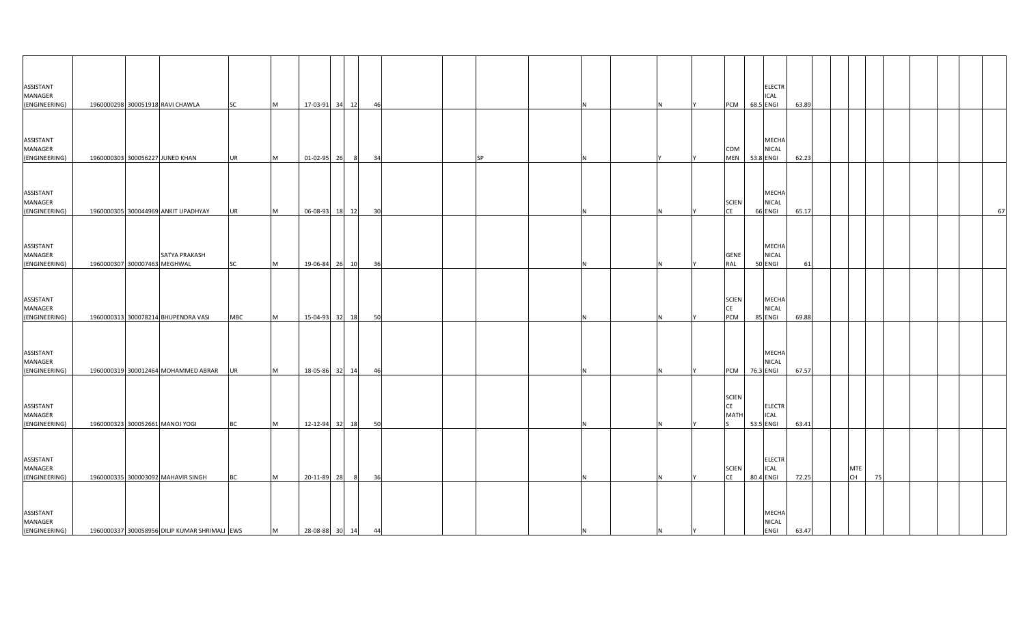| ASSISTANT<br>MANAGER<br>(ENGINEERING) |                              | 1960000298 300051918 RAVI CHAWLA              | <b>SC</b>  | M | 17-03-91 34 12 |     | 46 |  |    |     |   |    | PCM 68.5 ENGI                     |           | <b>ELECTR</b><br><b>ICAL</b>                | 63.89 |                  |    |  |    |
|---------------------------------------|------------------------------|-----------------------------------------------|------------|---|----------------|-----|----|--|----|-----|---|----|-----------------------------------|-----------|---------------------------------------------|-------|------------------|----|--|----|
| ASSISTANT<br>MANAGER<br>(ENGINEERING) |                              | 1960000303 300056227 JUNED KHAN               | <b>UR</b>  | M | 01-02-95       | 26  | 34 |  | SP |     |   |    | COM<br>MEN 53.8 ENGI              |           | <b>MECHA</b><br><b>NICAL</b>                | 62.23 |                  |    |  |    |
| ASSISTANT<br>MANAGER<br>(ENGINEERING) |                              | 1960000305 300044969 ANKIT UPADHYAY           | <b>UR</b>  | M | 06-08-93 18 12 |     | 30 |  |    |     |   |    | <b>SCIEN</b><br><b>CE</b>         | 66 ENGI   | <b>MECHA</b><br><b>NICAL</b>                | 65.17 |                  |    |  | 67 |
| ASSISTANT<br>MANAGER<br>(ENGINEERING) | 1960000307 300007463 MEGHWAL | SATYA PRAKASH                                 | <b>SC</b>  | M | 19-06-84 26 10 |     | 36 |  |    |     |   |    | <b>GENE</b><br>RAL                | 50 ENGI   | <b>MECHA</b><br><b>NICAL</b>                | 61    |                  |    |  |    |
| ASSISTANT<br>MANAGER<br>(ENGINEERING) |                              | 1960000313 300078214 BHUPENDRA VASI           | <b>MBC</b> | M | 15-04-93 32 18 |     | 50 |  |    |     |   |    | <b>SCIEN</b><br><b>CE</b><br>PCM  | 85 ENGI   | <b>MECHA</b><br><b>NICAL</b>                | 69.88 |                  |    |  |    |
| ASSISTANT<br>MANAGER<br>(ENGINEERING) |                              | 1960000319 300012464 MOHAMMED ABRAR           | UR         | M | 18-05-86 32 14 |     | 46 |  |    |     |   |    | <b>PCM</b>                        | 76.3 ENGI | <b>MECHA</b><br><b>NICAL</b>                | 67.57 |                  |    |  |    |
| ASSISTANT<br>MANAGER<br>(ENGINEERING) |                              | 1960000323 300052661 MANOJ YOGI               | <b>BC</b>  | M | 12-12-94 32 18 |     | 50 |  |    |     |   |    | <b>SCIEN</b><br>CE<br><b>MATH</b> | 53.5 ENGI | <b>ELECTR</b><br><b>ICAL</b>                | 63.41 |                  |    |  |    |
| ASSISTANT<br>MANAGER<br>(ENGINEERING) |                              | 1960000335 300003092 MAHAVIR SINGH            | <b>BC</b>  | M | 20-11-89 28    | - 8 | 36 |  |    |     |   |    | <b>SCIEN</b><br>CE                | 80.4 ENGI | <b>ELECTR</b><br><b>ICAL</b>                | 72.25 | MTE<br><b>CH</b> | 75 |  |    |
| ASSISTANT<br>MANAGER<br>(ENGINEERING) |                              | 1960000337 300058956 DILIP KUMAR SHRIMALI EWS |            | M | 28-08-88 30 14 |     | 44 |  |    | IN. | N | İΥ |                                   |           | <b>MECHA</b><br><b>NICAL</b><br><b>ENGI</b> | 63.47 |                  |    |  |    |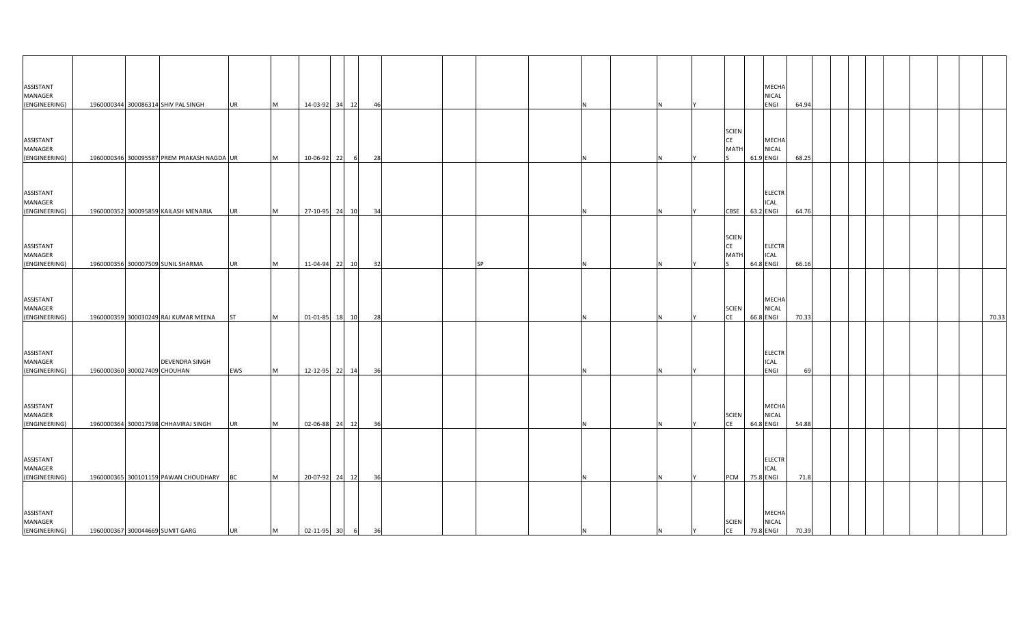| ASSISTANT<br>MANAGER<br>(ENGINEERING) |                              | 1960000344 300086314 SHIV PAL SINGH        | <b>UR</b> | M | 14-03-92 34 12   |       | 46   |           |     |          |   |                                   |           | MECHA<br>NICAL<br>ENGI        | 64.94 |  |  |  |       |
|---------------------------------------|------------------------------|--------------------------------------------|-----------|---|------------------|-------|------|-----------|-----|----------|---|-----------------------------------|-----------|-------------------------------|-------|--|--|--|-------|
| ASSISTANT<br>MANAGER<br>(ENGINEERING) |                              | 1960000346 300095587 PREM PRAKASH NAGDA UR |           | M | 10-06-92         | 22    | 28   |           |     |          |   | <b>SCIEN</b><br>CE<br><b>MATI</b> | 61.9 ENGI | MECHA<br><b>NICAL</b>         | 68.25 |  |  |  |       |
| ASSISTANT<br>MANAGER<br>(ENGINEERING) |                              | 1960000352 300095859 KAILASH MENARIA       | <b>UR</b> | M | 27-10-95 24 10   |       | 34   |           |     |          |   | CBSE                              | 63.2 ENGI | <b>ELECTR</b><br>ICAL         | 64.76 |  |  |  |       |
| ASSISTANT<br>MANAGER<br>(ENGINEERING) |                              | 1960000356 300007509 SUNIL SHARMA          | <b>UR</b> | M | 11-04-94 22 10   |       | 32   | <b>SP</b> |     |          |   | <b>SCIEN</b><br>CE<br>MATI        | 64.8 ENGI | <b>ELECTR</b><br><b>ICAL</b>  | 66.16 |  |  |  |       |
| ASSISTANT<br>MANAGER<br>(ENGINEERING) |                              | 1960000359 300030249 RAJ KUMAR MEENA       | ST        | M | 01-01-85         | 18 10 | 28   |           |     |          |   | <b>SCIEN</b><br>CE                | 66.8 ENGI | MECHA<br><b>NICAL</b>         | 70.33 |  |  |  | 70.33 |
| ASSISTANT<br>MANAGER<br>(ENGINEERING) | 1960000360 300027409 CHOUHAN | <b>DEVENDRA SINGH</b>                      | EWS       | M | 12-12-95 22 14   |       | - 36 |           |     |          |   |                                   |           | <b>ELECTR</b><br>ICAL<br>ENGI | 69    |  |  |  |       |
| ASSISTANT<br>MANAGER<br>(ENGINEERING) |                              | 1960000364 300017598 CHHAVIRAJ SINGH       | UR        | M | 02-06-88 24 12   |       | 36   |           |     |          |   | <b>SCIEN</b><br><b>CE</b>         | 64.8 ENGI | MECHA<br><b>NICAL</b>         | 54.88 |  |  |  |       |
| ASSISTANT<br>MANAGER<br>(ENGINEERING) |                              | 1960000365 300101159 PAWAN CHOUDHARY       | <b>BC</b> | M | 20-07-92 24 12   |       | 36   |           |     |          |   | <b>PCM</b>                        | 75.8 ENGI | <b>ELECTR</b><br>ICAL         | 71.8  |  |  |  |       |
| ASSISTANT<br>MANAGER<br>(ENGINEERING) |                              | 1960000367 300044669 SUMIT GARG            | UR        | M | 02-11-95 30 6 36 |       |      |           | IN. | <b>N</b> | Y | <b>SCIEN</b><br>CE                | 79.8 ENGI | <b>MECHA</b><br><b>NICAL</b>  | 70.39 |  |  |  |       |